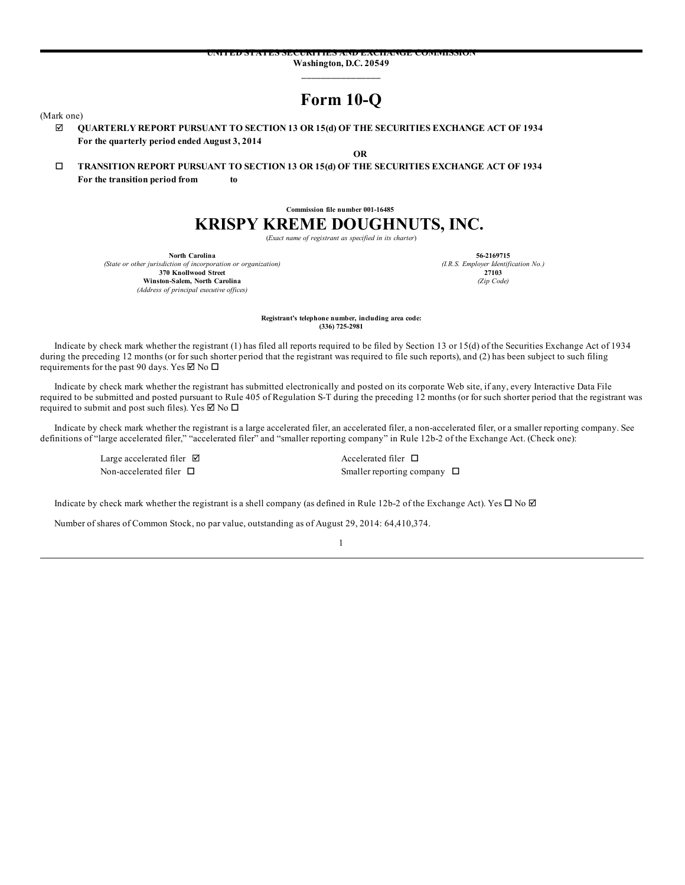# **UNITED STATES SECURITIES AND EXCHANGE COMMISSION**

**Washington, D.C. 20549 \_\_\_\_\_\_\_\_\_\_\_\_\_\_\_\_**

# **Form 10-Q**

(Mark one)

þ **QUARTERLY REPORT PURSUANT TO SECTION 13 OR 15(d) OF THE SECURITIES EXCHANGE ACT OF 1934 For the quarterly period ended August 3, 2014**

**OR**

o **TRANSITION REPORT PURSUANT TO SECTION 13 OR 15(d) OF THE SECURITIES EXCHANGE ACT OF 1934 For the transition period from to**

# **Commission file number 001-16485 KRISPY KREME DOUGHNUTS, INC.**

(*Exact name of registrant as specified in its charter*)

*(State or other jurisdiction of incorporation or organization) (I.R.S. Employer Identification No.)* **370 Knollwood Street 27103**  $W$ inston-Salem, North Carolina

*(Address of principal executive of ices)*

**North Carolina 56-2169715**

**Registrant's telephone number, including area code: (336) 725-2981**

Indicate by check mark whether the registrant (1) has filed all reports required to be filed by Section 13 or 15(d) of the Securities Exchange Act of 1934 during the preceding 12 months (or for such shorter period that the registrant was required to file such reports), and (2) has been subject to such filing requirements for the past 90 days. Yes  $\boxtimes$  No  $\Box$ 

Indicate by check mark whether the registrant has submitted electronically and posted on its corporate Web site, if any, every Interactive Data File required to be submitted and posted pursuant to Rule 405 of Regulation S-T during the preceding 12 months (or for such shorter period that the registrant was required to submit and post such files). Yes  $\boxtimes$  No  $\square$ 

Indicate by check mark whether the registrant is a large accelerated filer, an accelerated filer, a non-accelerated filer, or a smaller reporting company. See definitions of "large accelerated filer," "accelerated filer" and "smaller reporting company" in Rule 12b-2 of the Exchange Act. (Check one):

1

Large accelerated filer  $\boxtimes$  **Accelerated filer**  $\Box$ 

Non-accelerated filer  $\Box$  Smaller reporting company  $\Box$ 

Indicate by check mark whether the registrant is a shell company (as defined in Rule 12b-2 of the Exchange Act). Yes  $\Box$  No  $\Box$ 

Number of shares of Common Stock, no par value, outstanding as of August 29, 2014: 64,410,374.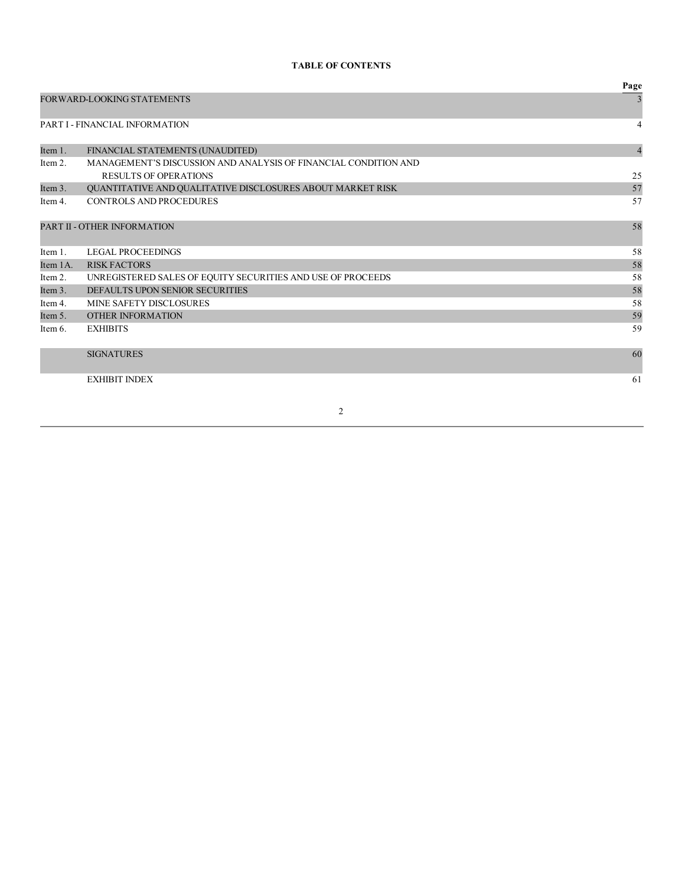# **TABLE OF CONTENTS**

|          |                                                                                                 | Page                     |
|----------|-------------------------------------------------------------------------------------------------|--------------------------|
|          | FORWARD-LOOKING STATEMENTS                                                                      | $\overline{\mathcal{E}}$ |
|          | <b>PART I - FINANCIAL INFORMATION</b>                                                           | 4                        |
| Item 1.  | FINANCIAL STATEMENTS (UNAUDITED)                                                                | $\overline{4}$           |
| Item 2.  | MANAGEMENT'S DISCUSSION AND ANALYSIS OF FINANCIAL CONDITION AND<br><b>RESULTS OF OPERATIONS</b> | 25                       |
| Item 3.  | QUANTITATIVE AND QUALITATIVE DISCLOSURES ABOUT MARKET RISK                                      | 57                       |
| Item 4.  | <b>CONTROLS AND PROCEDURES</b>                                                                  | 57                       |
|          | PART II - OTHER INFORMATION                                                                     | 58                       |
| Item 1.  | <b>LEGAL PROCEEDINGS</b>                                                                        | 58                       |
| Item 1A. | <b>RISK FACTORS</b>                                                                             | 58                       |
| Item 2.  | UNREGISTERED SALES OF EQUITY SECURITIES AND USE OF PROCEEDS                                     | 58                       |
| Item 3.  | DEFAULTS UPON SENIOR SECURITIES                                                                 | 58                       |
| Item 4.  | <b>MINE SAFETY DISCLOSURES</b>                                                                  | 58                       |
| Item 5.  | <b>OTHER INFORMATION</b>                                                                        | 59                       |
| Item 6.  | <b>EXHIBITS</b>                                                                                 | 59                       |
|          | <b>SIGNATURES</b>                                                                               | 60                       |
|          | <b>EXHIBIT INDEX</b>                                                                            | 61                       |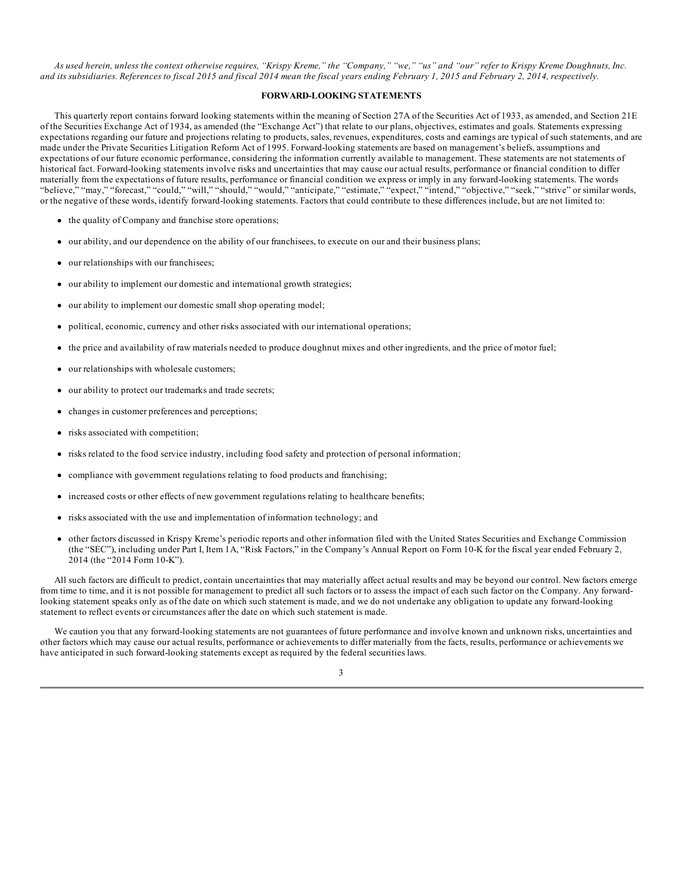As used herein, unless the context otherwise requires, "Krispy Kreme," the "Company," "we," "us" and "our" refer to Krispy Kreme Doughnuts, Inc. and its subsidiaries. References to fiscal 2015 and fiscal 2014 mean the fiscal years ending February 1, 2015 and February 2, 2014, respectively.

# **FORWARD-LOOKING STATEMENTS**

This quarterly report contains forward looking statements within the meaning of Section 27A of the Securities Act of 1933, as amended, and Section 21E of the Securities Exchange Act of 1934, as amended (the "Exchange Act") that relate to our plans, objectives, estimates and goals. Statements expressing expectations regarding our future and projections relating to products, sales, revenues, expenditures, costs and earnings are typical of such statements, and are made under the Private Securities Litigation Reform Act of 1995. Forward-looking statements are based on management's beliefs, assumptions and expectations of our future economic performance, considering the information currently available to management. These statements are not statements of historical fact. Forward-looking statements involve risks and uncertainties that may cause our actual results, performance or financial condition to differ materially from the expectations of future results, performance or financial condition we express or imply in any forward-looking statements. The words "believe," "may," "forecast," "could," "will," "should," "would," "anticipate," "estimate," "expect," "intend," "objective," "seek," "strive" or similar words, or the negative of these words, identify forward-looking statements. Factors that could contribute to these differences include, but are not limited to:

- the quality of Company and franchise store operations;
- our ability, and our dependence on the ability of our franchisees, to execute on our and their business plans;
- our relationships with our franchisees;
- our ability to implement our domestic and international growth strategies;
- $\bullet$  our ability to implement our domestic small shop operating model;
- political, economic, currency and other risks associated with our international operations;
- the price and availability of raw materials needed to produce doughnut mixes and other ingredients, and the price of motor fuel;
- our relationships with wholesale customers;
- our ability to protect our trademarks and trade secrets;
- changes in customer preferences and perceptions;
- risks associated with competition;
- risks related to the food service industry, including food safety and protection of personal information;
- compliance with government regulations relating to food products and franchising;
- increased costs or other effects of new government regulations relating to healthcare benefits;
- risks associated with the use and implementation of information technology; and
- other factors discussed in Krispy Kreme's periodic reports and other information filed with the United States Securities and Exchange Commission  $\bullet$ (the "SEC"), including under Part I, Item 1A, "Risk Factors," in the Company's Annual Report on Form 10-K for the fiscal year ended February 2, 2014 (the "2014 Form 10-K").

All such factors are difficult to predict, contain uncertainties that may materially affect actual results and may be beyond our control. New factors emerge from time to time, and it is not possible for management to predict all such factors or to assess the impact of each such factor on the Company. Any forwardlooking statement speaks only as of the date on which such statement is made, and we do not undertake any obligation to update any forward-looking statement to reflect events or circumstances after the date on which such statement is made.

We caution you that any forward-looking statements are not guarantees of future performance and involve known and unknown risks, uncertainties and other factors which may cause our actual results, performance or achievements to differ materially from the facts, results, performance or achievements we have anticipated in such forward-looking statements except as required by the federal securities laws.

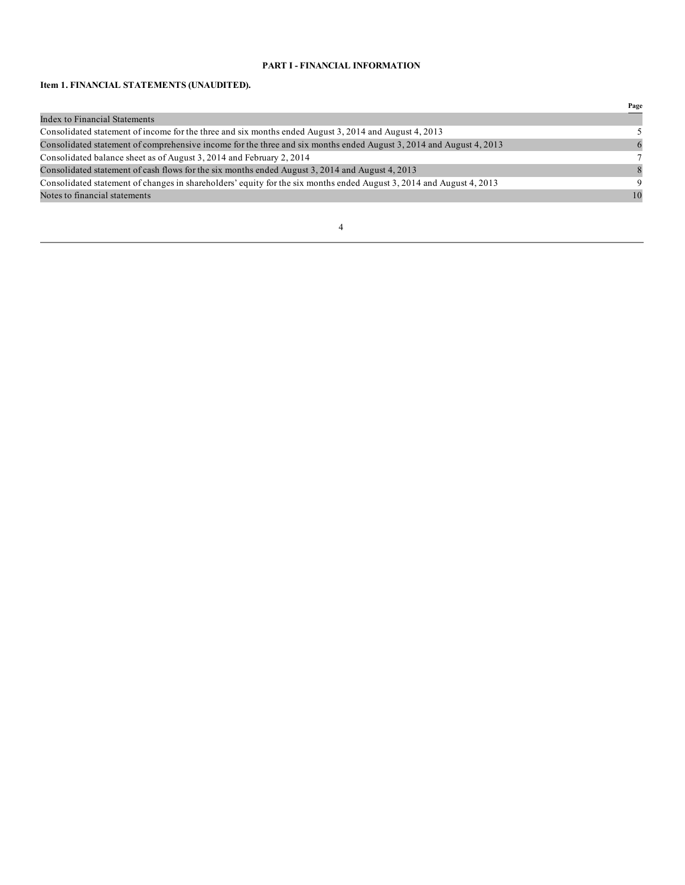# **PART I - FINANCIAL INFORMATION**

# **Item 1. FINANCIAL STATEMENTS (UNAUDITED).**

|                                                                                                                      | Page |
|----------------------------------------------------------------------------------------------------------------------|------|
| Index to Financial Statements                                                                                        |      |
| Consolidated statement of income for the three and six months ended August 3, 2014 and August 4, 2013                |      |
| Consolidated statement of comprehensive income for the three and six months ended August 3, 2014 and August 4, 2013  |      |
| Consolidated balance sheet as of August 3, 2014 and February 2, 2014                                                 | 7    |
| Consolidated statement of cash flows for the six months ended August 3, 2014 and August 4, 2013                      |      |
| Consolidated statement of changes in shareholders' equity for the six months ended August 3, 2014 and August 4, 2013 | Q    |
| Notes to financial statements                                                                                        | 10   |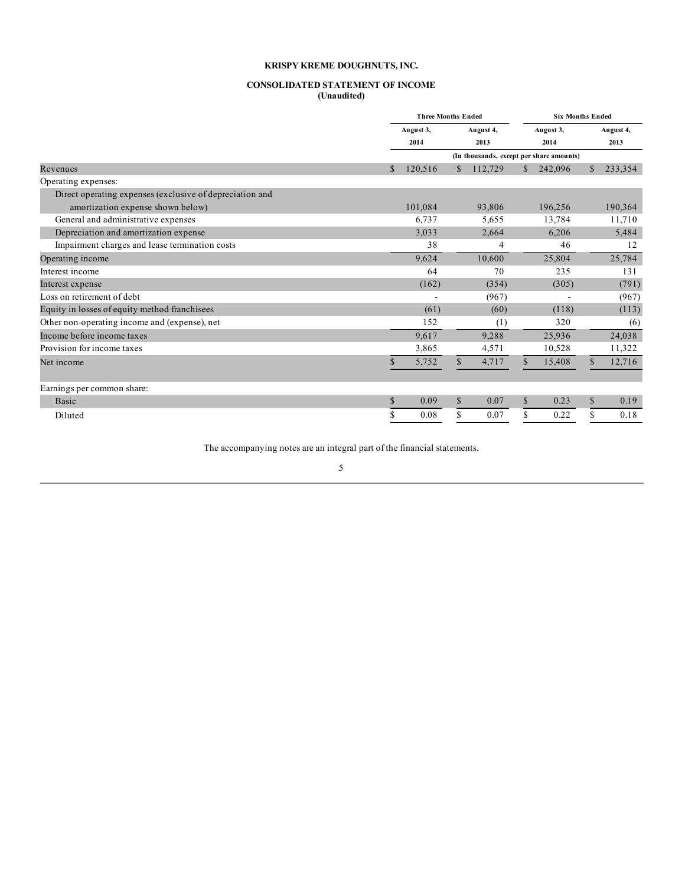#### **CONSOLIDATED STATEMENT OF INCOME (Unaudited)**

|                                                          |               | <b>Three Months Ended</b> |               |         |              |                                          | <b>Six Months Ended</b> |           |  |  |
|----------------------------------------------------------|---------------|---------------------------|---------------|---------|--------------|------------------------------------------|-------------------------|-----------|--|--|
|                                                          |               | August 3,                 | August 4,     |         | August 3,    |                                          |                         | August 4, |  |  |
|                                                          |               | 2014                      |               | 2013    |              | 2014                                     |                         | 2013      |  |  |
|                                                          |               |                           |               |         |              | (In thousands, except per share amounts) |                         |           |  |  |
| Revenues                                                 | \$            | 120,516                   | $\mathcal{S}$ | 112,729 |              | \$242,096                                | <sup>\$</sup>           | 233,354   |  |  |
| Operating expenses:                                      |               |                           |               |         |              |                                          |                         |           |  |  |
| Direct operating expenses (exclusive of depreciation and |               |                           |               |         |              |                                          |                         |           |  |  |
| amortization expense shown below)                        |               | 101,084                   |               | 93,806  |              | 196,256                                  |                         | 190,364   |  |  |
| General and administrative expenses                      |               | 6,737                     |               | 5,655   |              | 13,784                                   |                         | 11,710    |  |  |
| Depreciation and amortization expense                    |               | 3,033                     |               | 2,664   |              | 6,206                                    |                         | 5,484     |  |  |
| Impairment charges and lease termination costs           |               | 38                        |               | 4       |              | 46                                       |                         | 12        |  |  |
| Operating income                                         |               | 9,624                     |               | 10,600  |              | 25,804                                   |                         | 25,784    |  |  |
| Interest income                                          |               | 64                        |               | 70      |              | 235                                      |                         | 131       |  |  |
| Interest expense                                         |               | (162)                     |               | (354)   |              | (305)                                    |                         | (791)     |  |  |
| Loss on retirement of debt                               |               |                           |               | (967)   |              |                                          |                         | (967)     |  |  |
| Equity in losses of equity method franchisees            |               | (61)                      |               | (60)    |              | (118)                                    |                         | (113)     |  |  |
| Other non-operating income and (expense), net            |               | 152                       |               | (1)     |              | 320                                      |                         | (6)       |  |  |
| Income before income taxes                               |               | 9.617                     |               | 9,288   |              | 25,936                                   |                         | 24,038    |  |  |
| Provision for income taxes                               |               | 3,865                     |               | 4,571   |              | 10,528                                   |                         | 11,322    |  |  |
| Net income                                               | \$            | 5,752                     | \$            | 4,717   | $\mathbb{S}$ | 15,408                                   | $\mathbb{S}$            | 12,716    |  |  |
|                                                          |               |                           |               |         |              |                                          |                         |           |  |  |
| Earnings per common share:                               |               |                           |               |         |              |                                          |                         |           |  |  |
| <b>Basic</b>                                             | $\mathcal{S}$ | 0.09                      | $\mathbb{S}$  | 0.07    | $\mathbb{S}$ | 0.23                                     | $\mathcal{S}$           | 0.19      |  |  |
| Diluted                                                  | \$            | 0.08                      | \$            | 0.07    | \$           | 0.22                                     | \$                      | 0.18      |  |  |

The accompanying notes are an integral part of the financial statements.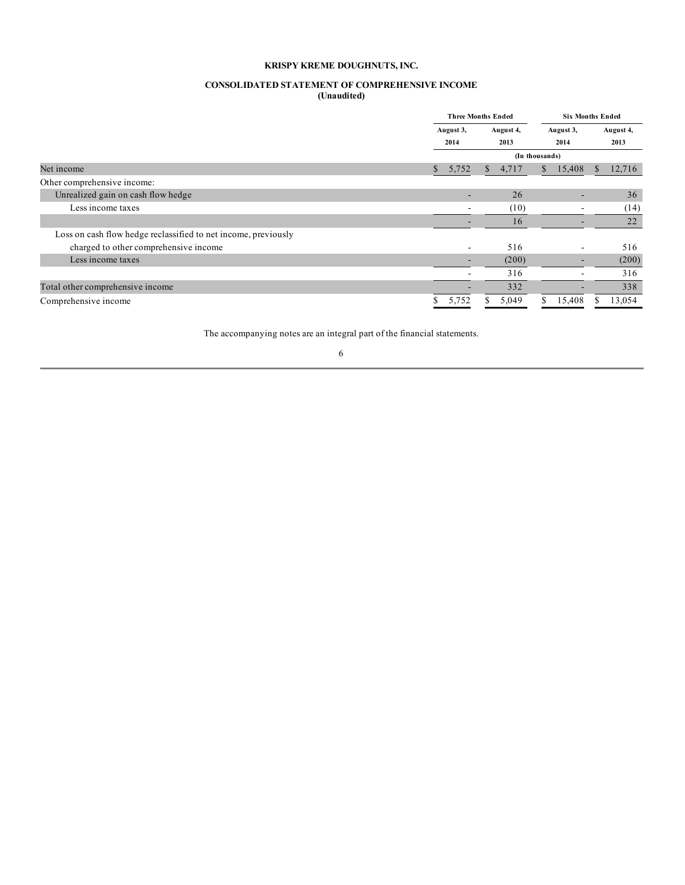#### **CONSOLIDATED STATEMENT OF COMPREHENSIVE INCOME (Unaudited)**

|                                                                |    | <b>Three Months Ended</b> |                |           |              | <b>Six Months Ended</b> |              |           |  |  |  |  |  |
|----------------------------------------------------------------|----|---------------------------|----------------|-----------|--------------|-------------------------|--------------|-----------|--|--|--|--|--|
|                                                                |    | August 3,                 |                | August 4, | August 3,    |                         |              | August 4, |  |  |  |  |  |
|                                                                |    | 2014                      | 2013           |           | 2014         |                         |              | 2013      |  |  |  |  |  |
|                                                                |    |                           | (In thousands) |           |              |                         |              |           |  |  |  |  |  |
| Net income                                                     | \$ | 5,752                     | $\mathbb{S}$   | 4,717     | $\mathbb{S}$ | 15,408                  | <sup>S</sup> | 12,716    |  |  |  |  |  |
| Other comprehensive income:                                    |    |                           |                |           |              |                         |              |           |  |  |  |  |  |
| Unrealized gain on cash flow hedge                             |    | ۰                         |                | 26        |              |                         |              | 36        |  |  |  |  |  |
| Less income taxes                                              |    | ۰                         |                | (10)      |              | ۰                       |              | (14)      |  |  |  |  |  |
|                                                                |    |                           |                | 16        |              |                         |              | 22        |  |  |  |  |  |
| Loss on cash flow hedge reclassified to net income, previously |    |                           |                |           |              |                         |              |           |  |  |  |  |  |
| charged to other comprehensive income                          |    | $\overline{\phantom{a}}$  |                | 516       |              | ۰                       |              | 516       |  |  |  |  |  |
| Less income taxes                                              |    | ۰                         |                | (200)     |              |                         |              | (200)     |  |  |  |  |  |
|                                                                |    |                           |                | 316       |              | ۰                       |              | 316       |  |  |  |  |  |
| Total other comprehensive income                               |    |                           |                | 332       |              |                         |              | 338       |  |  |  |  |  |
| Comprehensive income                                           | \$ | 5,752                     |                | 5,049     |              | 15,408                  |              | 13,054    |  |  |  |  |  |

The accompanying notes are an integral part of the financial statements.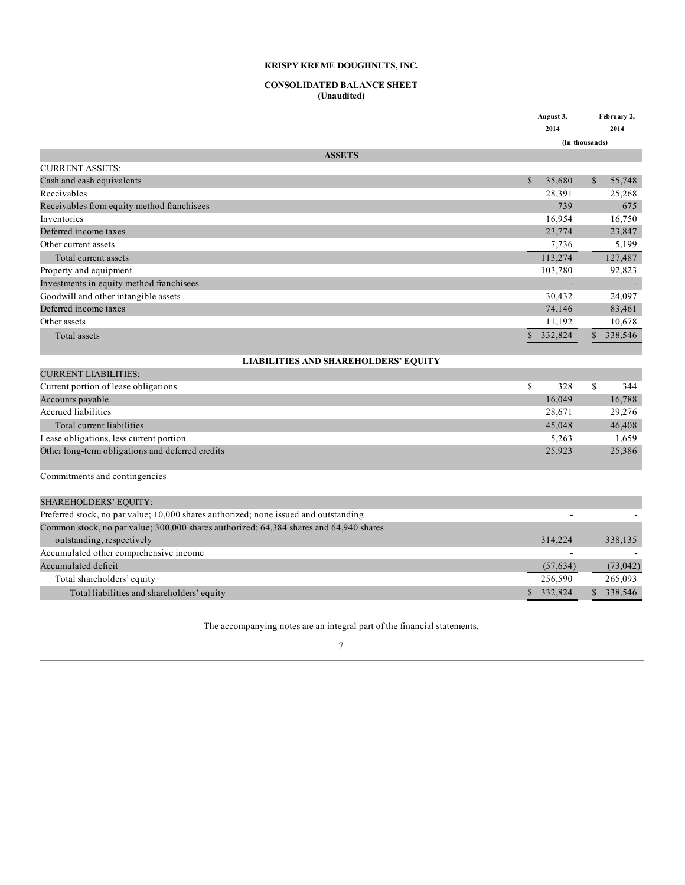### **CONSOLIDATED BALANCE SHEET (Unaudited)**

|                                                                                        |              | August 3,      |              | February 2, |
|----------------------------------------------------------------------------------------|--------------|----------------|--------------|-------------|
|                                                                                        |              | 2014           |              | 2014        |
|                                                                                        |              | (In thousands) |              |             |
| <b>ASSETS</b>                                                                          |              |                |              |             |
| <b>CURRENT ASSETS:</b>                                                                 |              |                |              |             |
| Cash and cash equivalents                                                              | $\mathbb{S}$ | 35,680         | $\mathbb{S}$ | 55,748      |
| Receivables                                                                            |              | 28,391         |              | 25,268      |
| Receivables from equity method franchisees                                             |              | 739            |              | 675         |
| Inventories                                                                            |              | 16,954         |              | 16,750      |
| Deferred income taxes                                                                  |              | 23,774         |              | 23,847      |
| Other current assets                                                                   |              | 7,736          |              | 5,199       |
| Total current assets                                                                   |              | 113,274        |              | 127,487     |
| Property and equipment                                                                 |              | 103,780        |              | 92,823      |
| Investments in equity method franchisees                                               |              |                |              |             |
| Goodwill and other intangible assets                                                   |              | 30,432         |              | 24,097      |
| Deferred income taxes                                                                  |              | 74,146         |              | 83,461      |
| Other assets                                                                           |              | 11,192         |              | 10,678      |
| Total assets                                                                           | \$           | 332,824        | $\mathbb{S}$ | 338,546     |
|                                                                                        |              |                |              |             |
| <b>LIABILITIES AND SHAREHOLDERS' EQUITY</b>                                            |              |                |              |             |
| <b>CURRENT LIABILITIES:</b>                                                            |              |                |              |             |
| Current portion of lease obligations                                                   | \$           | 328            | $\mathbb{S}$ | 344         |
| Accounts payable                                                                       |              | 16,049         |              | 16,788      |
| Accrued liabilities                                                                    |              | 28,671         |              | 29,276      |
| Total current liabilities                                                              |              | 45,048         |              | 46,408      |
| Lease obligations, less current portion                                                |              | 5,263          |              | 1,659       |
| Other long-term obligations and deferred credits                                       |              | 25,923         |              | 25,386      |
| Commitments and contingencies                                                          |              |                |              |             |
| <b>SHAREHOLDERS' EQUITY:</b>                                                           |              |                |              |             |
| Preferred stock, no par value; 10,000 shares authorized; none issued and outstanding   |              |                |              |             |
| Common stock, no par value; 300,000 shares authorized; 64,384 shares and 64,940 shares |              |                |              |             |
| outstanding, respectively                                                              |              | 314,224        |              | 338,135     |
| Accumulated other comprehensive income                                                 |              |                |              |             |
| Accumulated deficit                                                                    |              | (57, 634)      |              | (73, 042)   |
| Total shareholders' equity                                                             |              | 256,590        |              | 265,093     |
| Total liabilities and shareholders' equity                                             | $\mathbb{S}$ | 332,824        |              | \$338,546   |

The accompanying notes are an integral part of the financial statements.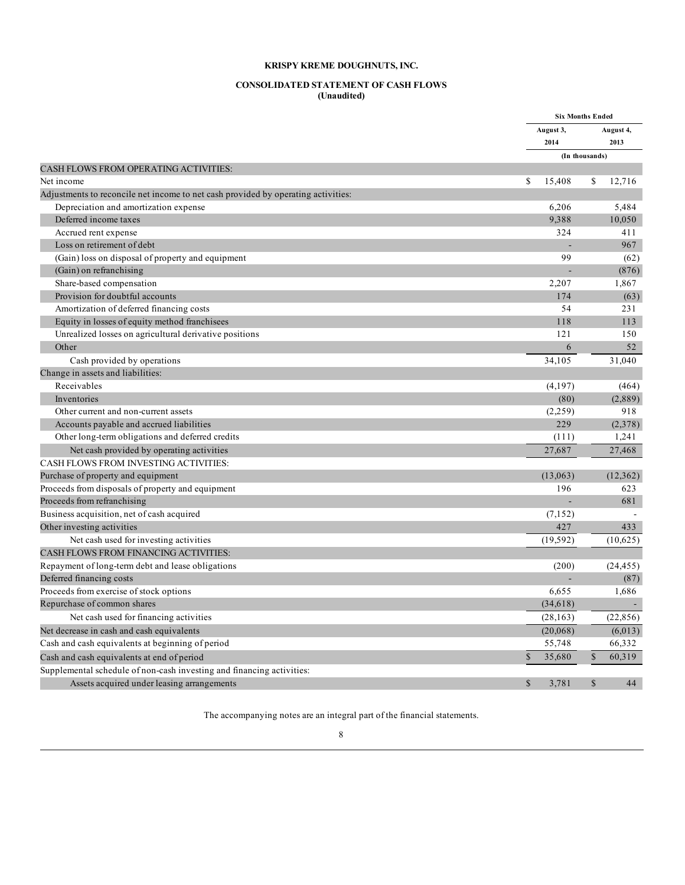#### **CONSOLIDATED STATEMENT OF CASH FLOWS (Unaudited)**

|                                                                                   |              | <b>Six Months Ended</b> |                |           |  |
|-----------------------------------------------------------------------------------|--------------|-------------------------|----------------|-----------|--|
|                                                                                   |              | August 3,               |                | August 4, |  |
|                                                                                   |              | 2014                    |                | 2013      |  |
|                                                                                   |              |                         | (In thousands) |           |  |
| CASH FLOWS FROM OPERATING ACTIVITIES:                                             |              |                         |                |           |  |
| Net income                                                                        | \$           | 15,408                  | \$             | 12,716    |  |
| Adjustments to reconcile net income to net cash provided by operating activities: |              |                         |                |           |  |
| Depreciation and amortization expense                                             |              | 6,206                   |                | 5,484     |  |
| Deferred income taxes                                                             |              | 9,388                   |                | 10,050    |  |
| Accrued rent expense                                                              |              | 324                     |                | 411       |  |
| Loss on retirement of debt                                                        |              |                         |                | 967       |  |
| (Gain) loss on disposal of property and equipment                                 |              | 99                      |                | (62)      |  |
| (Gain) on refranchising                                                           |              |                         |                | (876)     |  |
| Share-based compensation                                                          |              | 2,207                   |                | 1,867     |  |
| Provision for doubtful accounts                                                   |              | 174                     |                | (63)      |  |
| Amortization of deferred financing costs                                          |              | 54                      |                | 231       |  |
| Equity in losses of equity method franchisees                                     |              | 118                     |                | 113       |  |
| Unrealized losses on agricultural derivative positions                            |              | 121                     |                | 150       |  |
| Other                                                                             |              | 6                       |                | 52        |  |
| Cash provided by operations                                                       |              | 34.105                  |                | 31,040    |  |
| Change in assets and liabilities:                                                 |              |                         |                |           |  |
| Receivables                                                                       |              | (4,197)                 |                | (464)     |  |
| Inventories                                                                       |              | (80)                    |                | (2,889)   |  |
| Other current and non-current assets                                              |              | (2,259)                 |                | 918       |  |
| Accounts payable and accrued liabilities                                          |              | 229                     |                | (2,378)   |  |
| Other long-term obligations and deferred credits                                  |              | (111)                   |                | 1,241     |  |
| Net cash provided by operating activities                                         |              | 27,687                  |                | 27,468    |  |
| <b>CASH FLOWS FROM INVESTING ACTIVITIES:</b>                                      |              |                         |                |           |  |
| Purchase of property and equipment                                                |              | (13,063)                |                | (12,362)  |  |
| Proceeds from disposals of property and equipment                                 |              | 196                     |                | 623       |  |
| Proceeds from refranchising                                                       |              |                         |                | 681       |  |
| Business acquisition, net of cash acquired                                        |              | (7,152)                 |                |           |  |
| Other investing activities                                                        |              | 427                     |                | 433       |  |
| Net cash used for investing activities                                            |              | (19, 592)               |                | (10,625)  |  |
| CASH FLOWS FROM FINANCING ACTIVITIES:                                             |              |                         |                |           |  |
| Repayment of long-term debt and lease obligations                                 |              | (200)                   |                | (24, 455) |  |
| Deferred financing costs                                                          |              |                         |                | (87)      |  |
| Proceeds from exercise of stock options                                           |              | 6,655                   |                | 1,686     |  |
| Repurchase of common shares                                                       |              | (34, 618)               |                |           |  |
| Net cash used for financing activities                                            |              | (28, 163)               |                | (22, 856) |  |
| Net decrease in cash and cash equivalents                                         |              | (20,068)                |                | (6,013)   |  |
| Cash and cash equivalents at beginning of period                                  |              | 55,748                  |                | 66,332    |  |
| Cash and cash equivalents at end of period                                        | $\mathbb{S}$ | 35,680                  | $\mathbb{S}$   | 60,319    |  |
| Supplemental schedule of non-cash investing and financing activities:             |              |                         |                |           |  |
| Assets acquired under leasing arrangements                                        | $\mathbb{S}$ | 3,781                   | $\mathbb{S}$   | 44        |  |
|                                                                                   |              |                         |                |           |  |

The accompanying notes are an integral part of the financial statements.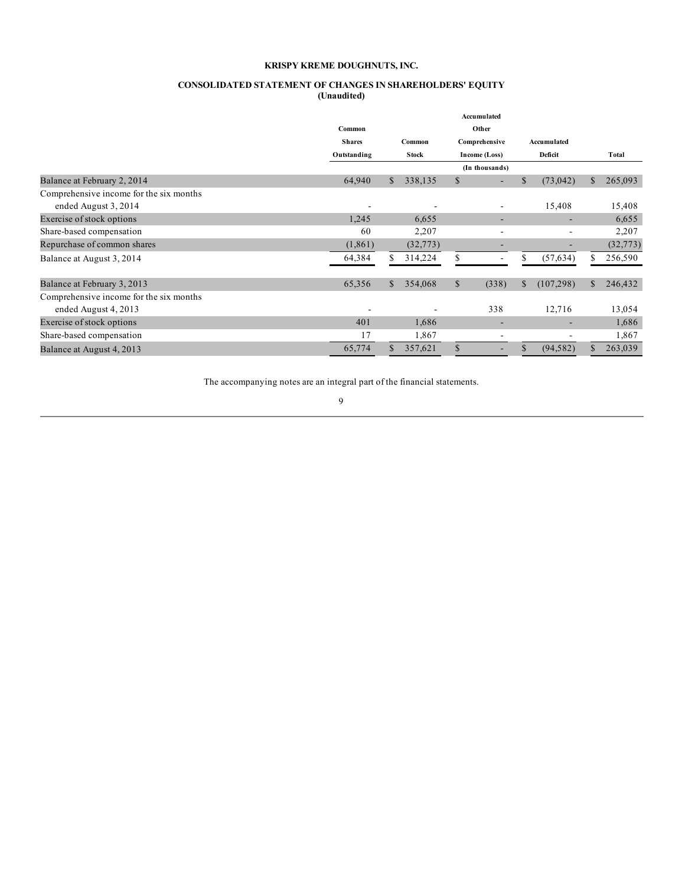#### **CONSOLIDATED STATEMENT OF CHANGES IN SHAREHOLDERS' EQUITY (Unaudited)**

|                                         |                          |              |              |               | Accumulated    |              |             |              |           |
|-----------------------------------------|--------------------------|--------------|--------------|---------------|----------------|--------------|-------------|--------------|-----------|
|                                         | Common                   |              |              |               | Other          |              |             |              |           |
|                                         | <b>Shares</b>            |              | Common       |               | Comprehensive  |              | Accumulated |              |           |
|                                         | Outstanding              |              | <b>Stock</b> |               | Income (Loss)  |              | Deficit     |              | Total     |
|                                         |                          |              |              |               | (In thousands) |              |             |              |           |
| Balance at February 2, 2014             | 64,940                   | S            | 338,135      | $\mathbb{S}$  |                | \$           | (73, 042)   | \$           | 265,093   |
| Comprehensive income for the six months |                          |              |              |               |                |              |             |              |           |
| ended August 3, 2014                    | $\overline{\phantom{a}}$ |              |              |               | ۰.             |              | 15,408      |              | 15,408    |
| Exercise of stock options               | 1,245                    |              | 6,655        |               | -              |              |             |              | 6,655     |
| Share-based compensation                | 60                       |              | 2,207        |               | ۰              |              |             |              | 2,207     |
| Repurchase of common shares             | (1,861)                  |              | (32, 773)    |               |                |              |             |              | (32, 773) |
| Balance at August 3, 2014               | 64,384                   | S            | 314,224      | \$            |                | \$           | (57, 634)   | \$           | 256,590   |
| Balance at February 3, 2013             | 65,356                   | $\mathbb{S}$ | 354,068      | $\mathcal{S}$ | (338)          | $\mathbb{S}$ | (107, 298)  | $\mathbb{S}$ | 246,432   |
| Comprehensive income for the six months |                          |              |              |               |                |              |             |              |           |
| ended August 4, 2013                    |                          |              |              |               | 338            |              | 12,716      |              | 13,054    |
| Exercise of stock options               | 401                      |              | 1,686        |               | ۰              |              |             |              | 1,686     |
| Share-based compensation                | 17                       |              | 1,867        |               | ۰              |              |             |              | 1,867     |
| Balance at August 4, 2013               | 65,774                   |              | 357,621      | $\mathcal{S}$ |                | \$           | (94, 582)   | \$           | 263,039   |

The accompanying notes are an integral part of the financial statements.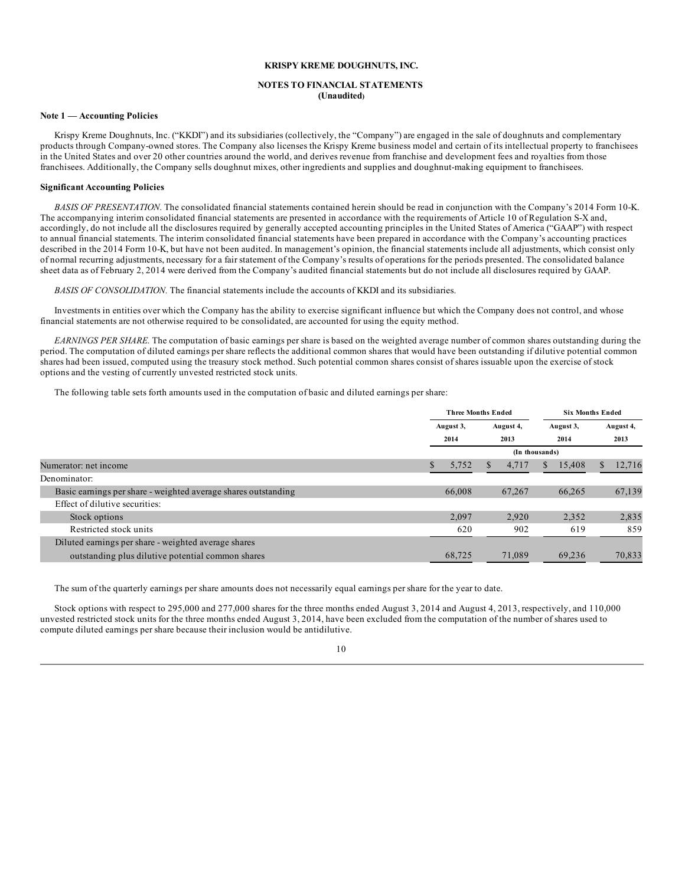# **NOTES TO FINANCIAL STATEMENTS (Unaudited)**

# **Note 1 — Accounting Policies**

Krispy Kreme Doughnuts, Inc. ("KKDI") and its subsidiaries (collectively, the "Company") are engaged in the sale of doughnuts and complementary products through Company-owned stores. The Company also licenses the Krispy Kreme business model and certain of its intellectual property to franchisees in the United States and over 20 other countries around the world, and derives revenue from franchise and development fees and royalties from those franchisees. Additionally, the Company sells doughnut mixes, other ingredients and supplies and doughnut-making equipment to franchisees.

#### **Significant Accounting Policies**

*BASIS OF PRESENTATION.* The consolidated financial statements contained herein should be read in conjunction with the Company's 2014 Form 10-K. The accompanying interim consolidated financial statements are presented in accordance with the requirements of Article 10 of Regulation S-X and, accordingly, do not include all the disclosures required by generally accepted accounting principles in the United States of America ("GAAP") with respect to annual financial statements. The interim consolidated financial statements have been prepared in accordance with the Company's accounting practices described in the 2014 Form 10-K, but have not been audited. In management's opinion, the financial statements include all adjustments, which consist only of normal recurring adjustments, necessary for a fair statement of the Company's results of operations for the periods presented. The consolidated balance sheet data as of February 2, 2014 were derived from the Company's audited financial statements but do not include all disclosures required by GAAP.

*BASIS OF CONSOLIDATION.* The financial statements include the accounts of KKDI and its subsidiaries.

Investments in entities over which the Company has the ability to exercise significant influence but which the Company does not control, and whose financial statements are not otherwise required to be consolidated, are accounted for using the equity method.

*EARNINGS PER SHARE.* The computation of basic earnings per share is based on the weighted average number of common shares outstanding during the period. The computation of diluted earnings per share reflects the additional common shares that would have been outstanding if dilutive potential common shares had been issued, computed using the treasury stock method. Such potential common shares consist of shares issuable upon the exercise of stock options and the vesting of currently unvested restricted stock units.

The following table sets forth amounts used in the computation of basic and diluted earnings per share:

|                                                                |                        | <b>Three Months Ended</b> |                | <b>Six Months Ended</b> |
|----------------------------------------------------------------|------------------------|---------------------------|----------------|-------------------------|
|                                                                | August 3,              | August 4,                 | August 3,      | August 4,               |
|                                                                | 2014                   | 2013                      | 2014           | 2013                    |
|                                                                |                        |                           | (In thousands) |                         |
| Numerator: net income                                          | $\mathcal{S}$<br>5,752 | 4,717<br>\$.              | 15,408<br>S    | 12,716                  |
| Denominator:                                                   |                        |                           |                |                         |
| Basic earnings per share - weighted average shares outstanding | 66,008                 | 67,267                    | 66,265         | 67,139                  |
| Effect of dilutive securities:                                 |                        |                           |                |                         |
| Stock options                                                  | 2,097                  | 2,920                     | 2,352          | 2,835                   |
| Restricted stock units                                         | 620                    | 902                       | 619            | 859                     |
| Diluted earnings per share - weighted average shares           |                        |                           |                |                         |
| outstanding plus dilutive potential common shares              | 68,725                 | 71,089                    | 69.236         | 70,833                  |

The sum of the quarterly earnings per share amounts does not necessarily equal earnings per share for the year to date.

Stock options with respect to 295,000 and 277,000 shares for the three months ended August 3, 2014 and August 4, 2013, respectively, and 110,000 unvested restricted stock units for the three months ended August 3, 2014, have been excluded from the computation of the number of shares used to compute diluted earnings per share because their inclusion would be antidilutive.

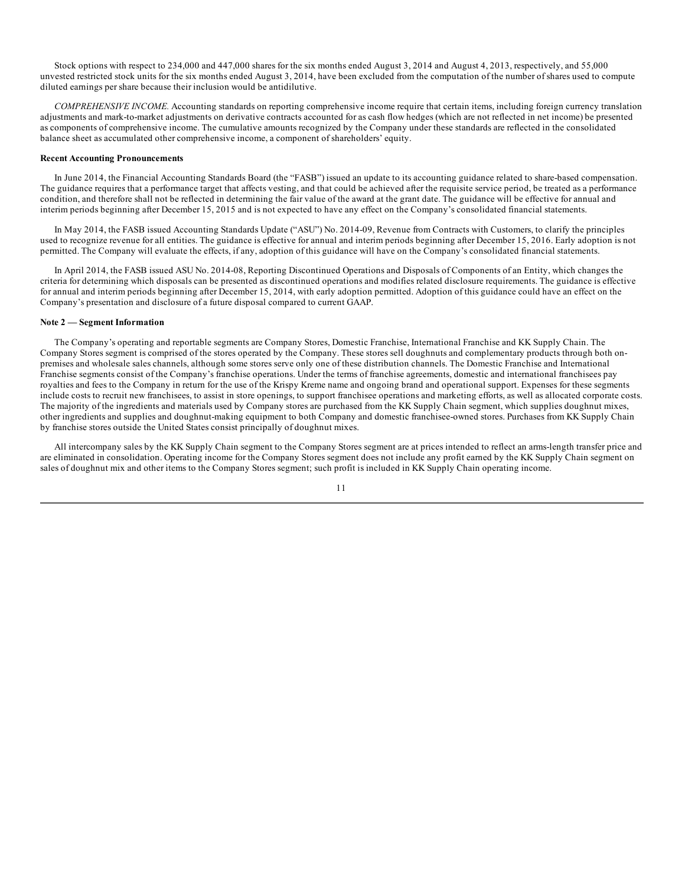Stock options with respect to 234,000 and 447,000 shares for the six months ended August 3, 2014 and August 4, 2013, respectively, and 55,000 unvested restricted stock units for the six months ended August 3, 2014, have been excluded from the computation of the number of shares used to compute diluted earnings per share because their inclusion would be antidilutive.

*COMPREHENSIVE INCOME.* Accounting standards on reporting comprehensive income require that certain items, including foreign currency translation adjustments and mark-to-market adjustments on derivative contracts accounted for as cash flow hedges (which are not reflected in net income) be presented as components of comprehensive income. The cumulative amounts recognized by the Company under these standards are reflected in the consolidated balance sheet as accumulated other comprehensive income, a component of shareholders' equity.

#### **Recent Accounting Pronouncements**

In June 2014, the Financial Accounting Standards Board (the "FASB") issued an update to its accounting guidance related to share-based compensation. The guidance requires that a performance target that affects vesting, and that could be achieved after the requisite service period, be treated as a performance condition, and therefore shall not be reflected in determining the fair value of the award at the grant date. The guidance will be effective for annual and interim periods beginning after December 15, 2015 and is not expected to have any effect on the Company's consolidated financial statements.

In May 2014, the FASB issued Accounting Standards Update ("ASU") No. 2014-09, Revenue from Contracts with Customers, to clarify the principles used to recognize revenue for all entities. The guidance is effective for annual and interim periods beginning after December 15, 2016. Early adoption is not permitted. The Company will evaluate the effects, if any, adoption of this guidance will have on the Company's consolidated financial statements.

In April 2014, the FASB issued ASU No. 2014-08, Reporting Discontinued Operations and Disposals of Components of an Entity, which changes the criteria for determining which disposals can be presented as discontinued operations and modifies related disclosure requirements. The guidance is effective for annual and interim periods beginning after December 15, 2014, with early adoption permitted. Adoption of this guidance could have an effect on the Company's presentation and disclosure of a future disposal compared to current GAAP.

### **Note 2 — Segment Information**

The Company's operating and reportable segments are Company Stores, Domestic Franchise, International Franchise and KK Supply Chain. The Company Stores segment is comprised of the stores operated by the Company. These stores sell doughnuts and complementary products through both onpremises and wholesale sales channels, although some stores serve only one of these distribution channels. The Domestic Franchise and International Franchise segments consist of the Company's franchise operations. Under the terms of franchise agreements, domestic and international franchisees pay royalties and fees to the Company in return for the use of the Krispy Kreme name and ongoing brand and operational support. Expenses for these segments include costs to recruit new franchisees, to assist in store openings, to support franchisee operations and marketing efforts, as well as allocated corporate costs. The majority of the ingredients and materials used by Company stores are purchased from the KK Supply Chain segment, which supplies doughnut mixes, other ingredients and supplies and doughnut-making equipment to both Company and domestic franchisee-owned stores. Purchases from KK Supply Chain by franchise stores outside the United States consist principally of doughnut mixes.

All intercompany sales by the KK Supply Chain segment to the Company Stores segment are at prices intended to reflect an arms-length transfer price and are eliminated in consolidation. Operating income for the Company Stores segment does not include any profit earned by the KK Supply Chain segment on sales of doughnut mix and other items to the Company Stores segment; such profit is included in KK Supply Chain operating income.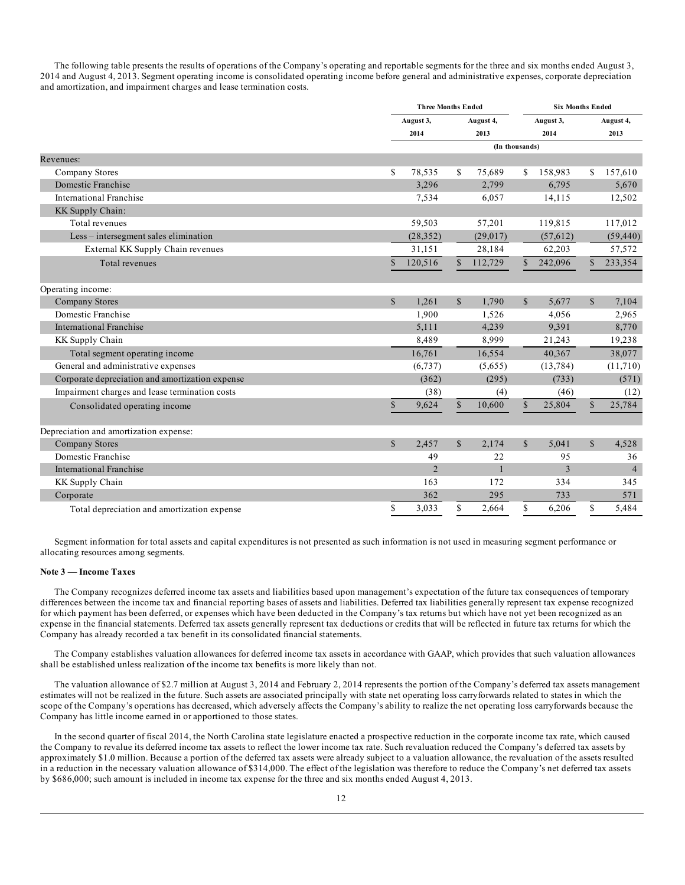The following table presents the results of operations of the Company's operating and reportable segments for the three and six months ended August 3, 2014 and August 4, 2013. Segment operating income is consolidated operating income before general and administrative expenses, corporate depreciation and amortization, and impairment charges and lease termination costs.

|                                                 |              | <b>Three Months Ended</b> |              |                |              | <b>Six Months Ended</b> |               |                |
|-------------------------------------------------|--------------|---------------------------|--------------|----------------|--------------|-------------------------|---------------|----------------|
|                                                 |              | August 3,                 |              | August 4,      |              | August 3,               |               | August 4,      |
|                                                 |              | 2014                      |              | 2013           |              | 2014                    |               | 2013           |
|                                                 |              |                           |              | (In thousands) |              |                         |               |                |
| Revenues:                                       |              |                           |              |                |              |                         |               |                |
| Company Stores                                  | \$           | 78,535                    | \$           | 75,689         | \$           | 158,983                 | \$            | 157,610        |
| Domestic Franchise                              |              | 3,296                     |              | 2,799          |              | 6.795                   |               | 5,670          |
| International Franchise                         |              | 7,534                     |              | 6,057          |              | 14,115                  |               | 12,502         |
| <b>KK Supply Chain:</b>                         |              |                           |              |                |              |                         |               |                |
| Total revenues                                  |              | 59,503                    |              | 57,201         |              | 119,815                 |               | 117,012        |
| Less - intersegment sales elimination           |              | (28, 352)                 |              | (29,017)       |              | (57, 612)               |               | (59, 440)      |
| External KK Supply Chain revenues               |              | 31,151                    |              | 28,184         |              | 62,203                  |               | 57,572         |
| Total revenues                                  | $\mathbb{S}$ | 120,516                   | $\mathbb{S}$ | 112,729        | $\mathbb{S}$ | 242,096                 | $\mathcal{S}$ | 233,354        |
| Operating income:                               |              |                           |              |                |              |                         |               |                |
| <b>Company Stores</b>                           | $\mathbb{S}$ | 1.261                     | $\mathbb{S}$ | 1.790          | $\mathbb{S}$ | 5.677                   | $\mathbb{S}$  | 7,104          |
| Domestic Franchise                              |              | 1,900                     |              | 1,526          |              | 4,056                   |               | 2,965          |
| <b>International Franchise</b>                  |              | 5,111                     |              | 4,239          |              | 9,391                   |               | 8,770          |
| <b>KK</b> Supply Chain                          |              | 8.489                     |              | 8,999          |              | 21,243                  |               | 19,238         |
| Total segment operating income                  |              | 16,761                    |              | 16,554         |              | 40.367                  |               | 38,077         |
| General and administrative expenses             |              | (6, 737)                  |              | (5,655)        |              | (13, 784)               |               | (11,710)       |
| Corporate depreciation and amortization expense |              | (362)                     |              | (295)          |              | (733)                   |               | (571)          |
| Impairment charges and lease termination costs  |              | (38)                      |              | (4)            |              | (46)                    |               | (12)           |
| Consolidated operating income                   | $\mathbb{S}$ | 9,624                     | $\mathbb{S}$ | 10,600         | $\mathbb{S}$ | 25,804                  | $\mathbb{S}$  | 25,784         |
|                                                 |              |                           |              |                |              |                         |               |                |
| Depreciation and amortization expense:          |              |                           |              |                |              |                         |               |                |
| <b>Company Stores</b>                           | $\mathbb{S}$ | 2,457                     | $\mathbb{S}$ | 2,174          | $\mathbb{S}$ | 5,041                   | $\mathbb{S}$  | 4,528          |
| Domestic Franchise                              |              | 49                        |              | 22             |              | 95                      |               | 36             |
| <b>International Franchise</b>                  |              | $\overline{2}$            |              | $\mathbf{1}$   |              | 3                       |               | $\overline{4}$ |
| <b>KK</b> Supply Chain                          |              | 163                       |              | 172            |              | 334                     |               | 345            |
| Corporate                                       |              | 362                       |              | 295            |              | 733                     |               | 571            |
| Total depreciation and amortization expense     | \$           | 3,033                     | \$           | 2.664          | \$           | 6,206                   | \$            | 5,484          |

Segment information for total assets and capital expenditures is not presented as such information is not used in measuring segment performance or allocating resources among segments.

# **Note 3 — Income Taxes**

The Company recognizes deferred income tax assets and liabilities based upon management's expectation of the future tax consequences of temporary differences between the income tax and financial reporting bases of assets and liabilities. Deferred tax liabilities generally represent tax expense recognized for which payment has been deferred, or expenses which have been deducted in the Company's tax returns but which have not yet been recognized as an expense in the financial statements. Deferred tax assets generally represent tax deductions or credits that will be reflected in future tax returns for which the Company has already recorded a tax benefit in its consolidated financial statements.

The Company establishes valuation allowances for deferred income tax assets in accordance with GAAP, which provides that such valuation allowances shall be established unless realization of the income tax benefits is more likely than not.

The valuation allowance of \$2.7 million at August 3, 2014 and February 2, 2014 represents the portion of the Company's deferred tax assets management estimates will not be realized in the future. Such assets are associated principally with state net operating loss carryforwards related to states in which the scope of the Company's operations has decreased, which adversely affects the Company's ability to realize the net operating loss carryforwards because the Company has little income earned in or apportioned to those states.

In the second quarter of fiscal 2014, the North Carolina state legislature enacted a prospective reduction in the corporate income tax rate, which caused the Company to revalue its deferred income tax assets to reflect the lower income tax rate. Such revaluation reduced the Company's deferred tax assets by approximately \$1.0 million. Because a portion of the deferred tax assets were already subject to a valuation allowance, the revaluation of the assets resulted in a reduction in the necessary valuation allowance of \$314,000. The effect of the legislation was therefore to reduce the Company's net deferred tax assets by \$686,000; such amount is included in income tax expense for the three and six months ended August 4, 2013.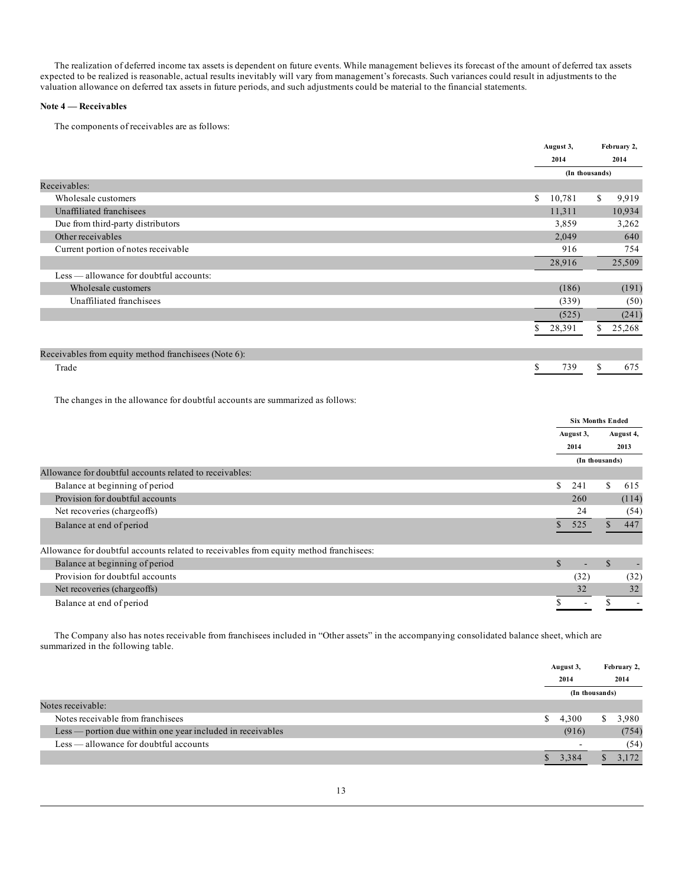The realization of deferred income tax assets is dependent on future events. While management believes its forecast of the amount of deferred tax assets expected to be realized is reasonable, actual results inevitably will vary from management's forecasts. Such variances could result in adjustments to the valuation allowance on deferred tax assets in future periods, and such adjustments could be material to the financial statements.

# **Note 4 — Receivables**

The components of receivables are as follows:

|                                                      | August 3,    | February 2,    |
|------------------------------------------------------|--------------|----------------|
|                                                      | 2014         | 2014           |
|                                                      |              | (In thousands) |
| Receivables:                                         |              |                |
| Wholesale customers                                  | \$<br>10,781 | \$<br>9,919    |
| Unaffiliated franchisees                             | 11,311       | 10,934         |
| Due from third-party distributors                    | 3,859        | 3,262          |
| Other receivables                                    | 2,049        | 640            |
| Current portion of notes receivable                  | 916          | 754            |
|                                                      | 28,916       | 25,509         |
| Less — allowance for doubtful accounts:              |              |                |
| Wholesale customers                                  | (186)        | (191)          |
| Unaffiliated franchisees                             | (339)        | (50)           |
|                                                      | (525)        | (241)          |
|                                                      | 28,391<br>\$ | 25,268<br>S.   |
| Receivables from equity method franchisees (Note 6): |              |                |
| Trade                                                | 739          | \$<br>675      |

The changes in the allowance for doubtful accounts are summarized as follows:

|                                                                                        |                   | <b>Six Months Ended</b>  |               |           |
|----------------------------------------------------------------------------------------|-------------------|--------------------------|---------------|-----------|
|                                                                                        | August 3,<br>2014 |                          |               | August 4, |
|                                                                                        |                   |                          |               | 2013      |
|                                                                                        |                   | (In thousands)           |               |           |
| Allowance for doubtful accounts related to receivables:                                |                   |                          |               |           |
| Balance at beginning of period                                                         | \$                | 241                      | S             | 615       |
| Provision for doubtful accounts                                                        |                   | 260                      |               | (114)     |
| Net recoveries (chargeoffs)                                                            |                   | 24                       |               | (54)      |
| Balance at end of period                                                               |                   | 525                      |               | 447       |
|                                                                                        |                   |                          |               |           |
| Allowance for doubtful accounts related to receivables from equity method franchisees: |                   |                          |               |           |
| Balance at beginning of period                                                         | $\mathcal{S}$     | $\overline{\phantom{a}}$ | $\mathcal{S}$ |           |
| Provision for doubtful accounts                                                        |                   | (32)                     |               | (32)      |
| Net recoveries (chargeoffs)                                                            |                   | 32                       |               | 32        |
| Balance at end of period                                                               |                   | $\overline{\phantom{a}}$ |               |           |

The Company also has notes receivable from franchisees included in "Other assets" in the accompanying consolidated balance sheet, which are summarized in the following table.

|                                                            | August 3,<br>2014 |                |    | February 2, |
|------------------------------------------------------------|-------------------|----------------|----|-------------|
|                                                            |                   |                |    | 2014        |
|                                                            |                   | (In thousands) |    |             |
| Notes receivable:                                          |                   |                |    |             |
| Notes receivable from franchisees                          | S.                | 4,300          | S. | 3.980       |
| Less — portion due within one year included in receivables |                   | (916)          |    | (754)       |
| Less — allowance for doubtful accounts                     |                   |                |    | (54)        |
|                                                            |                   | 3.384          |    | 3.172       |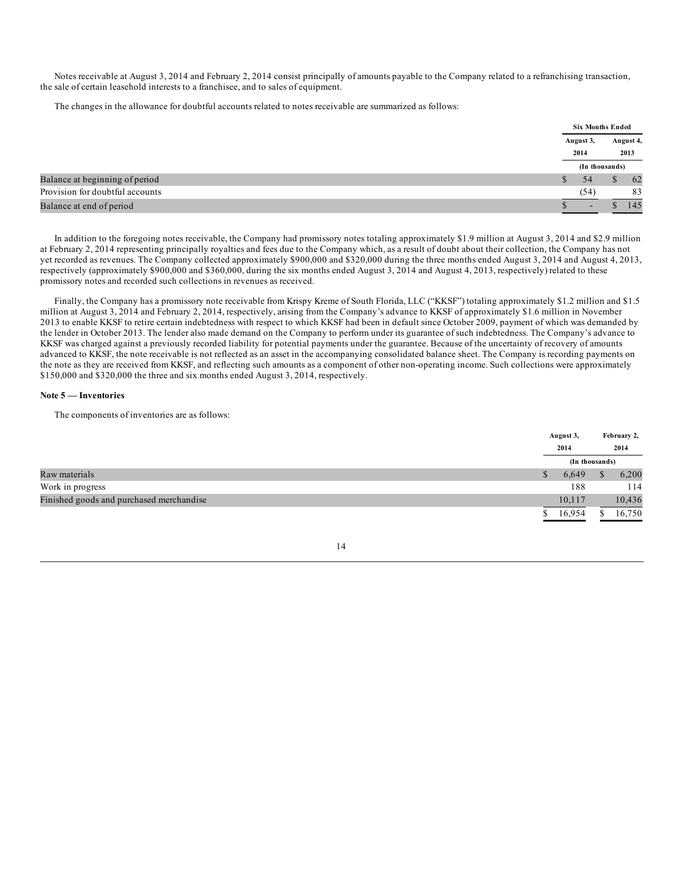Notes receivable at August 3, 2014 and February 2, 2014 consist principally of amounts payable to the Company related to a refranchising transaction, the sale of certain leasehold interests to a franchisee, and to sales of equipment.

The changes in the allowance for doubtful accounts related to notes receivable are summarized as follows:

|                                 |  | <b>Six Months Ended</b><br>August 3,<br>2014<br>(In thousands) |      |  |           |
|---------------------------------|--|----------------------------------------------------------------|------|--|-----------|
|                                 |  |                                                                |      |  | August 4, |
|                                 |  |                                                                |      |  | 2013      |
|                                 |  |                                                                |      |  |           |
| Balance at beginning of period  |  |                                                                | 54   |  | 62        |
| Provision for doubtful accounts |  |                                                                | (54) |  | 83        |
| Balance at end of period        |  |                                                                |      |  | 145       |

In addition to the foregoing notes receivable, the Company had promissory notes totaling approximately \$1.9 million at August 3, 2014 and \$2.9 million at February 2, 2014 representing principally royalties and fees due to the Company which, as a result of doubt about their collection, the Company has not yet recorded as revenues. The Company collected approximately \$900,000 and \$320,000 during the three months ended August 3, 2014 and August 4, 2013, respectively (approximately \$900,000 and \$360,000, during the six months ended August 3, 2014 and August 4, 2013, respectively) related to these promissory notes and recorded such collections in revenues as received.

Finally, the Company has a promissory note receivable from Krispy Kreme of South Florida, LLC ("KKSF") totaling approximately \$1.2 million and \$1.5 million at August 3, 2014 and February 2, 2014, respectively, arising from the Company's advance to KKSF of approximately \$1.6 million in November 2013 to enable KKSF to retire certain indebtedness with respect to which KKSF had been in default since October 2009, payment of which was demanded by the lender in October 2013. The lender also made demand on the Company to perform under its guarantee of such indebtedness. The Company's advance to KKSF was charged against a previously recorded liability for potential payments under the guarantee. Because of the uncertainty of recovery of amounts advanced to KKSF, the note receivable is not reflected as an asset in the accompanying consolidated balance sheet. The Company is recording payments on the note as they are received from KKSF, and reflecting such amounts as a component of other non-operating income. Such collections were approximately \$150,000 and \$320,000 the three and six months ended August 3, 2014, respectively.

#### **Note 5 — Inventories**

The components of inventories are as follows:

|                                          | August 3,  | February 2,    |
|------------------------------------------|------------|----------------|
|                                          | 2014       | 2014           |
|                                          |            | (In thousands) |
| Raw materials                            | 6,649<br>P | 6,200          |
| Work in progress                         | 188        | 114            |
| Finished goods and purchased merchandise | 10,117     | 10,436         |
|                                          | 16,954     | 16,750         |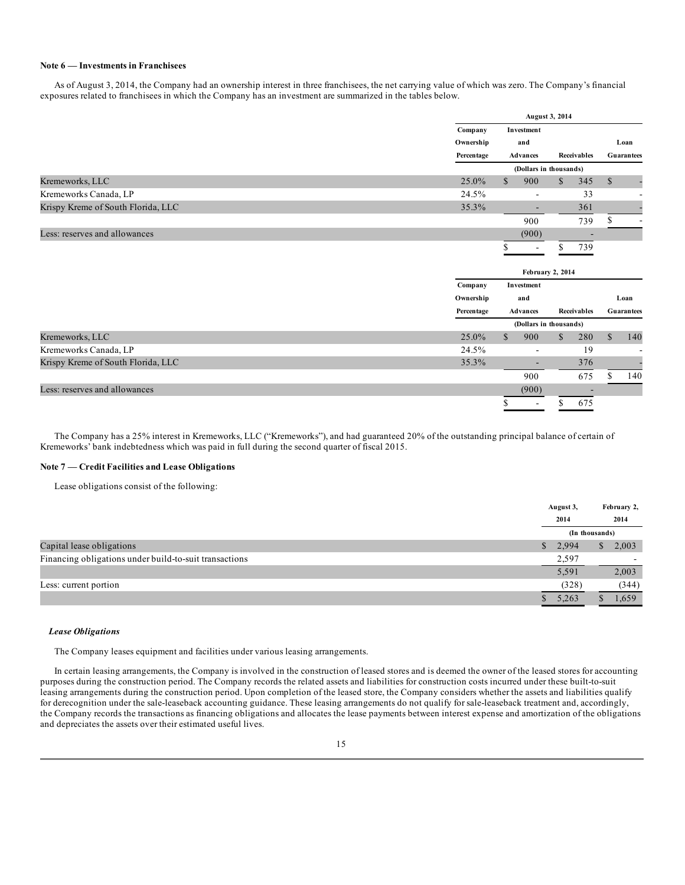### **Note 6 — Investments in Franchisees**

As of August 3, 2014, the Company had an ownership interest in three franchisees, the net carrying value of which was zero. The Company's financial exposures related to franchisees in which the Company has an investment are summarized in the tables below.

|                                    |            | <b>August 3, 2014</b>  |                          |               |             |            |  |  |  |
|------------------------------------|------------|------------------------|--------------------------|---------------|-------------|------------|--|--|--|
|                                    | Company    |                        | Investment               |               |             |            |  |  |  |
|                                    | Ownership  |                        | and                      |               |             | Loan       |  |  |  |
|                                    | Percentage |                        | Advances                 |               | Receivables | Guarantees |  |  |  |
|                                    |            | (Dollars in thousands) |                          |               |             |            |  |  |  |
| Kremeworks, LLC                    | $25.0\%$   | <sup>\$</sup>          | 900                      | <sup>\$</sup> | 345         | -S         |  |  |  |
| Kremeworks Canada, LP              | 24.5%      |                        | $\overline{\phantom{a}}$ |               | 33          |            |  |  |  |
| Krispy Kreme of South Florida, LLC | 35.3%      |                        | $\overline{\phantom{0}}$ |               | 361         |            |  |  |  |
|                                    |            |                        | 900                      |               | 739         | ۰          |  |  |  |
| Less: reserves and allowances      |            |                        | (900)                    |               |             |            |  |  |  |
|                                    |            |                        | $\overline{\phantom{a}}$ |               | 739         |            |  |  |  |

|                                    |            |                        | February 2, 2014         |              |                          |              |            |
|------------------------------------|------------|------------------------|--------------------------|--------------|--------------------------|--------------|------------|
|                                    | Company    |                        | Investment               |              |                          |              |            |
|                                    | Ownership  |                        | and                      |              |                          |              | Loan       |
|                                    | Percentage |                        | Advances                 |              | Receivables              |              | Guarantees |
|                                    |            | (Dollars in thousands) |                          |              |                          |              |            |
| Kremeworks, LLC                    | $25.0\%$   | \$.                    | 900                      | $\mathbb{S}$ | 280                      | $\mathbb{S}$ | 140        |
| Kremeworks Canada, LP              | 24.5%      |                        | $\overline{\phantom{a}}$ |              | 19                       |              | ۰          |
| Krispy Kreme of South Florida, LLC | 35.3%      |                        | -                        |              | 376                      |              |            |
|                                    |            |                        | 900                      |              | 675                      |              | 140        |
| Less: reserves and allowances      |            |                        | (900)                    |              | $\overline{\phantom{0}}$ |              |            |
|                                    |            |                        | $\overline{\phantom{a}}$ |              | 675                      |              |            |

The Company has a 25% interest in Kremeworks, LLC ("Kremeworks"), and had guaranteed 20% of the outstanding principal balance of certain of Kremeworks' bank indebtedness which was paid in full during the second quarter of fiscal 2015.

# **Note 7 — Credit Facilities and Lease Obligations**

Lease obligations consist of the following:

|                                                        |   | August 3, |  | February 2,        |
|--------------------------------------------------------|---|-----------|--|--------------------|
|                                                        |   | 2014      |  | 2014               |
|                                                        |   |           |  | (In thousands)     |
| Capital lease obligations                              | S | 2,994     |  | $\frac{\$}{2,003}$ |
| Financing obligations under build-to-suit transactions |   | 2,597     |  |                    |
|                                                        |   | 5,591     |  | 2,003              |
| Less: current portion                                  |   | (328)     |  | (344)              |
|                                                        |   | 5,263     |  | 1,659              |

# *Lease Obligations*

The Company leases equipment and facilities under various leasing arrangements.

In certain leasing arrangements, the Company is involved in the construction of leased stores and is deemed the owner of the leased stores for accounting purposes during the construction period. The Company records the related assets and liabilities for construction costs incurred under these built-to-suit leasing arrangements during the construction period. Upon completion of the leased store, the Company considers whether the assets and liabilities qualify for derecognition under the sale-leaseback accounting guidance. These leasing arrangements do not qualify for sale-leaseback treatment and, accordingly, the Company records the transactions as financing obligations and allocates the lease payments between interest expense and amortization of the obligations and depreciates the assets over their estimated useful lives.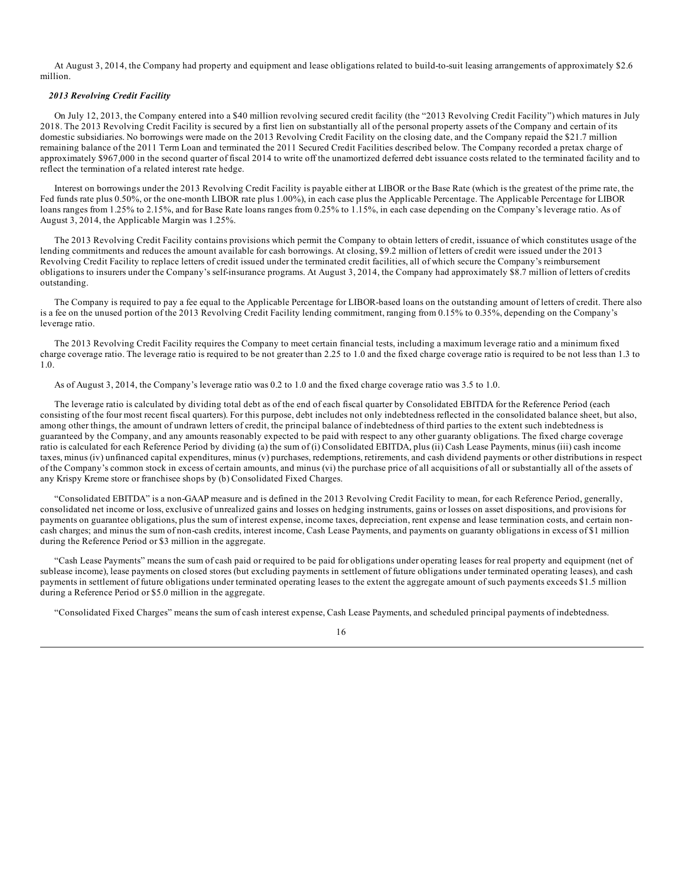At August 3, 2014, the Company had property and equipment and lease obligations related to build-to-suit leasing arrangements of approximately \$2.6 million.

#### *2013 Revolving Credit Facility*

On July 12, 2013, the Company entered into a \$40 million revolving secured credit facility (the "2013 Revolving Credit Facility") which matures in July 2018. The 2013 Revolving Credit Facility is secured by a first lien on substantially all of the personal property assets of the Company and certain of its domestic subsidiaries. No borrowings were made on the 2013 Revolving Credit Facility on the closing date, and the Company repaid the \$21.7 million remaining balance of the 2011 Term Loan and terminated the 2011 Secured Credit Facilities described below. The Company recorded a pretax charge of approximately \$967,000 in the second quarter of fiscal 2014 to write off the unamortized deferred debt issuance costs related to the terminated facility and to reflect the termination of a related interest rate hedge.

Interest on borrowings under the 2013 Revolving Credit Facility is payable either at LIBOR or the Base Rate (which is the greatest of the prime rate, the Fed funds rate plus 0.50%, or the one-month LIBOR rate plus 1.00%), in each case plus the Applicable Percentage. The Applicable Percentage for LIBOR loans ranges from 1.25% to 2.15%, and for Base Rate loans ranges from 0.25% to 1.15%, in each case depending on the Company's leverage ratio. As of August 3, 2014, the Applicable Margin was 1.25%.

The 2013 Revolving Credit Facility contains provisions which permit the Company to obtain letters of credit, issuance of which constitutes usage of the lending commitments and reduces the amount available for cash borrowings. At closing, \$9.2 million of letters of credit were issued under the 2013 Revolving Credit Facility to replace letters of credit issued under the terminated credit facilities, all of which secure the Company's reimbursement obligations to insurers under the Company's self-insurance programs. At August 3, 2014, the Company had approximately \$8.7 million of letters of credits outstanding.

The Company is required to pay a fee equal to the Applicable Percentage for LIBOR-based loans on the outstanding amount of letters of credit. There also is a fee on the unused portion of the 2013 Revolving Credit Facility lending commitment, ranging from 0.15% to 0.35%, depending on the Company's leverage ratio.

The 2013 Revolving Credit Facility requires the Company to meet certain financial tests, including a maximum leverage ratio and a minimum fixed charge coverage ratio. The leverage ratio is required to be not greater than 2.25 to 1.0 and the fixed charge coverage ratio is required to be not less than 1.3 to 1.0.

As of August 3, 2014, the Company's leverage ratio was 0.2 to 1.0 and the fixed charge coverage ratio was 3.5 to 1.0.

The leverage ratio is calculated by dividing total debt as of the end of each fiscal quarter by Consolidated EBITDA for the Reference Period (each consisting of the four most recent fiscal quarters). For this purpose, debt includes not only indebtedness reflected in the consolidated balance sheet, but also, among other things, the amount of undrawn letters of credit, the principal balance of indebtedness of third parties to the extent such indebtedness is guaranteed by the Company, and any amounts reasonably expected to be paid with respect to any other guaranty obligations. The fixed charge coverage ratio is calculated for each Reference Period by dividing (a) the sum of (i) Consolidated EBITDA, plus (ii) Cash Lease Payments, minus (iii) cash income taxes, minus (iv) unfinanced capital expenditures, minus (v) purchases, redemptions, retirements, and cash dividend payments or other distributions in respect of the Company's common stock in excess of certain amounts, and minus (vi) the purchase price of all acquisitions of all or substantially all of the assets of any Krispy Kreme store or franchisee shops by (b) Consolidated Fixed Charges.

"Consolidated EBITDA" is a non-GAAP measure and is defined in the 2013 Revolving Credit Facility to mean, for each Reference Period, generally, consolidated net income or loss, exclusive of unrealized gains and losses on hedging instruments, gains or losses on asset dispositions, and provisions for payments on guarantee obligations, plus the sum of interest expense, income taxes, depreciation, rent expense and lease termination costs, and certain noncash charges; and minus the sum of non-cash credits, interest income, Cash Lease Payments, and payments on guaranty obligations in excess of \$1 million during the Reference Period or \$3 million in the aggregate.

"Cash Lease Payments" means the sum of cash paid or required to be paid for obligations under operating leases for real property and equipment (net of sublease income), lease payments on closed stores (but excluding payments in settlement of future obligations under terminated operating leases), and cash payments in settlement of future obligations under terminated operating leases to the extent the aggregate amount of such payments exceeds \$1.5 million during a Reference Period or \$5.0 million in the aggregate.

"Consolidated Fixed Charges" means the sum of cash interest expense, Cash Lease Payments, and scheduled principal payments of indebtedness.

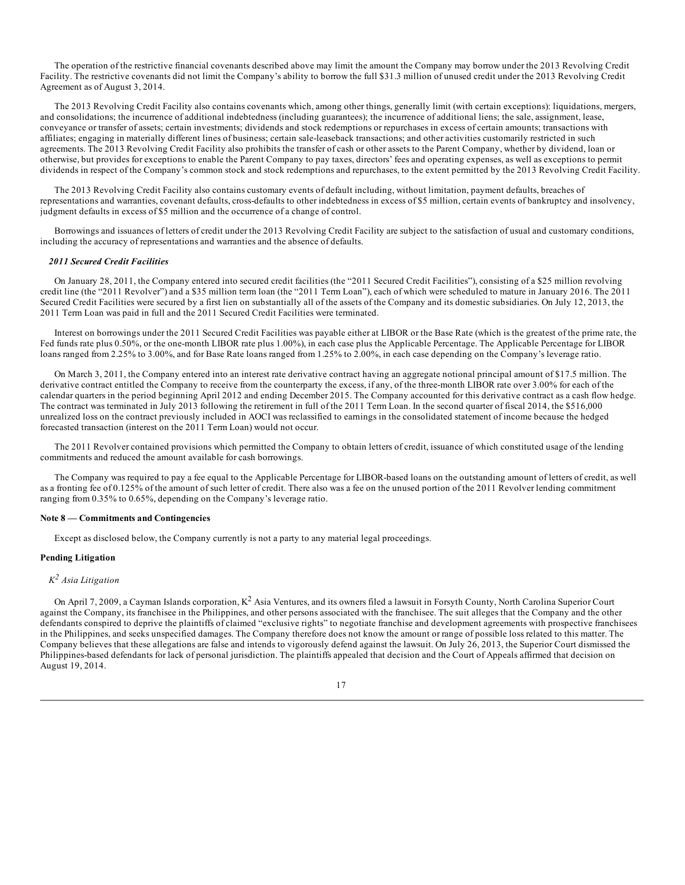The operation of the restrictive financial covenants described above may limit the amount the Company may borrow under the 2013 Revolving Credit Facility. The restrictive covenants did not limit the Company's ability to borrow the full \$31.3 million of unused credit under the 2013 Revolving Credit Agreement as of August 3, 2014.

The 2013 Revolving Credit Facility also contains covenants which, among other things, generally limit (with certain exceptions): liquidations, mergers, and consolidations; the incurrence of additional indebtedness (including guarantees); the incurrence of additional liens; the sale, assignment, lease, conveyance or transfer of assets; certain investments; dividends and stock redemptions or repurchases in excess of certain amounts; transactions with affiliates; engaging in materially different lines of business; certain sale-leaseback transactions; and other activities customarily restricted in such agreements. The 2013 Revolving Credit Facility also prohibits the transfer of cash or other assets to the Parent Company, whether by dividend, loan or otherwise, but provides for exceptions to enable the Parent Company to pay taxes, directors' fees and operating expenses, as well as exceptions to permit dividends in respect of the Company's common stock and stock redemptions and repurchases, to the extent permitted by the 2013 Revolving Credit Facility.

The 2013 Revolving Credit Facility also contains customary events of default including, without limitation, payment defaults, breaches of representations and warranties, covenant defaults, cross-defaults to other indebtedness in excess of \$5 million, certain events of bankruptcy and insolvency, judgment defaults in excess of \$5 million and the occurrence of a change of control.

Borrowings and issuances of letters of credit under the 2013 Revolving Credit Facility are subject to the satisfaction of usual and customary conditions, including the accuracy of representations and warranties and the absence of defaults.

#### *2011 Secured Credit Facilities*

On January 28, 2011, the Company entered into secured credit facilities (the "2011 Secured Credit Facilities"), consisting of a \$25 million revolving credit line (the "2011 Revolver") and a \$35 million term loan (the "2011 Term Loan"), each of which were scheduled to mature in January 2016. The 2011 Secured Credit Facilities were secured by a first lien on substantially all of the assets of the Company and its domestic subsidiaries. On July 12, 2013, the 2011 Term Loan was paid in full and the 2011 Secured Credit Facilities were terminated.

Interest on borrowings under the 2011 Secured Credit Facilities was payable either at LIBOR or the Base Rate (which is the greatest of the prime rate, the Fed funds rate plus 0.50%, or the one-month LIBOR rate plus 1.00%), in each case plus the Applicable Percentage. The Applicable Percentage for LIBOR loans ranged from 2.25% to 3.00%, and for Base Rate loans ranged from 1.25% to 2.00%, in each case depending on the Company's leverage ratio.

On March 3, 2011, the Company entered into an interest rate derivative contract having an aggregate notional principal amount of \$17.5 million. The derivative contract entitled the Company to receive from the counterparty the excess, if any, of the three-month LIBOR rate over 3.00% for each of the calendar quarters in the period beginning April 2012 and ending December 2015. The Company accounted for this derivative contract as a cash flow hedge. The contract was terminated in July 2013 following the retirement in full of the 2011 Term Loan. In the second quarter of fiscal 2014, the \$516,000 unrealized loss on the contract previously included in AOCI was reclassified to earnings in the consolidated statement of income because the hedged forecasted transaction (interest on the 2011 Term Loan) would not occur.

The 2011 Revolver contained provisions which permitted the Company to obtain letters of credit, issuance of which constituted usage of the lending commitments and reduced the amount available for cash borrowings.

The Company was required to pay a fee equal to the Applicable Percentage for LIBOR-based loans on the outstanding amount of letters of credit, as well as a fronting fee of 0.125% of the amount of such letter of credit. There also was a fee on the unused portion of the 2011 Revolver lending commitment ranging from 0.35% to 0.65%, depending on the Company's leverage ratio.

#### **Note 8 — Commitments and Contingencies**

Except as disclosed below, the Company currently is not a party to any material legal proceedings.

#### **Pending Litigation**

# *K <sup>2</sup> Asia Litigation*

On April 7, 2009, a Cayman Islands corporation,  $K^2$  Asia Ventures, and its owners filed a lawsuit in Forsyth County, North Carolina Superior Court against the Company, its franchisee in the Philippines, and other persons associated with the franchisee. The suit alleges that the Company and the other defendants conspired to deprive the plaintiffs of claimed "exclusive rights" to negotiate franchise and development agreements with prospective franchisees in the Philippines, and seeks unspecified damages. The Company therefore does not know the amount or range of possible loss related to this matter. The Company believes that these allegations are false and intends to vigorously defend against the lawsuit. On July 26, 2013, the Superior Court dismissed the Philippines-based defendants for lack of personal jurisdiction. The plaintiffs appealed that decision and the Court of Appeals affirmed that decision on August 19, 2014.

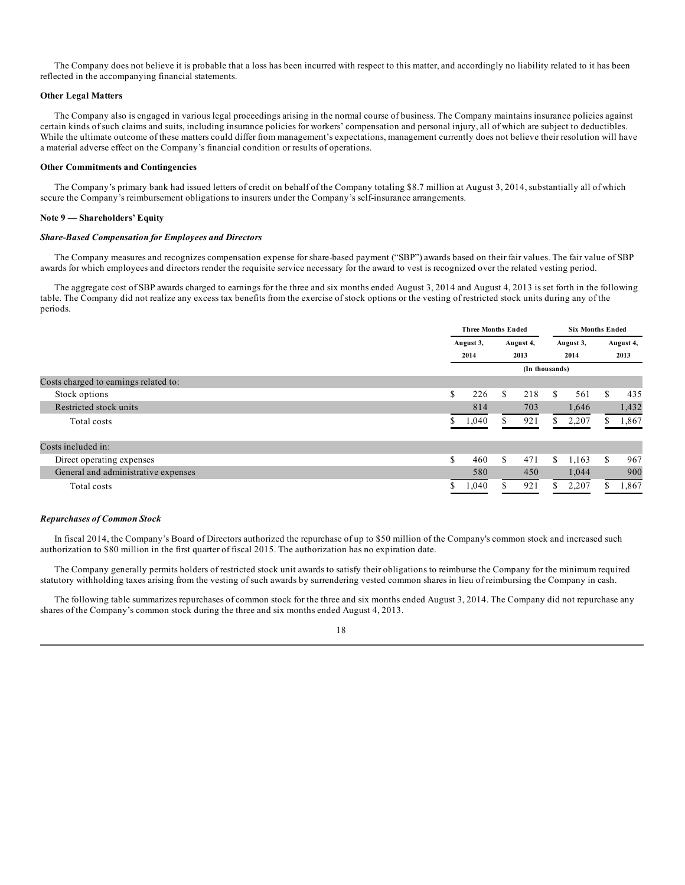The Company does not believe it is probable that a loss has been incurred with respect to this matter, and accordingly no liability related to it has been reflected in the accompanying financial statements.

#### **Other Legal Matters**

The Company also is engaged in various legal proceedings arising in the normal course of business. The Company maintains insurance policies against certain kinds of such claims and suits, including insurance policies for workers' compensation and personal injury, all of which are subject to deductibles. While the ultimate outcome of these matters could differ from management's expectations, management currently does not believe their resolution will have a material adverse effect on the Company's financial condition or results of operations.

#### **Other Commitments and Contingencies**

The Company's primary bank had issued letters of credit on behalf of the Company totaling \$8.7 million at August 3, 2014, substantially all of which secure the Company's reimbursement obligations to insurers under the Company's self-insurance arrangements.

#### **Note 9 — Shareholders' Equity**

### *Share-Based Compensation for Employees and Directors*

The Company measures and recognizes compensation expense for share-based payment ("SBP") awards based on their fair values. The fair value of SBP awards for which employees and directors render the requisite service necessary for the award to vest is recognized over the related vesting period.

The aggregate cost of SBP awards charged to earnings for the three and six months ended August 3, 2014 and August 4, 2013 is set forth in the following table. The Company did not realize any excess tax benefits from the exercise of stock options or the vesting of restricted stock units during any of the periods.

|                                       |   | <b>Three Months Ended</b> |     |                |              | <b>Six Months Ended</b> |    |           |  |
|---------------------------------------|---|---------------------------|-----|----------------|--------------|-------------------------|----|-----------|--|
|                                       |   | August 3,                 |     | August 4,      |              | August 3,               |    | August 4, |  |
|                                       |   | 2013<br>2014              |     |                |              | 2014                    |    | 2013      |  |
|                                       |   |                           |     | (In thousands) |              |                         |    |           |  |
| Costs charged to earnings related to: |   |                           |     |                |              |                         |    |           |  |
| Stock options                         | S | 226                       | \$. | 218            | S.           | 561                     | S. | 435       |  |
| Restricted stock units                |   | 814                       |     | 703            |              | 1,646                   |    | 1,432     |  |
| Total costs                           |   | 1,040                     | S   | 921            | <sup>S</sup> | 2,207                   |    | 1,867     |  |
| Costs included in:                    |   |                           |     |                |              |                         |    |           |  |
| Direct operating expenses             | S | 460                       | \$  | 471            | \$           | 1,163                   | S  | 967       |  |
| General and administrative expenses   |   | 580                       |     | 450            |              | 1,044                   |    | 900       |  |
| Total costs                           |   | 1,040                     |     | 921            | \$.          | 2,207                   |    | 1,867     |  |

#### *Repurchases of Common Stock*

In fiscal 2014, the Company's Board of Directors authorized the repurchase of up to \$50 million of the Company's common stock and increased such authorization to \$80 million in the first quarter of fiscal 2015. The authorization has no expiration date.

The Company generally permits holders of restricted stock unit awards to satisfy their obligations to reimburse the Company for the minimum required statutory withholding taxes arising from the vesting of such awards by surrendering vested common shares in lieu of reimbursing the Company in cash.

The following table summarizes repurchases of common stock for the three and six months ended August 3, 2014. The Company did not repurchase any shares of the Company's common stock during the three and six months ended August 4, 2013.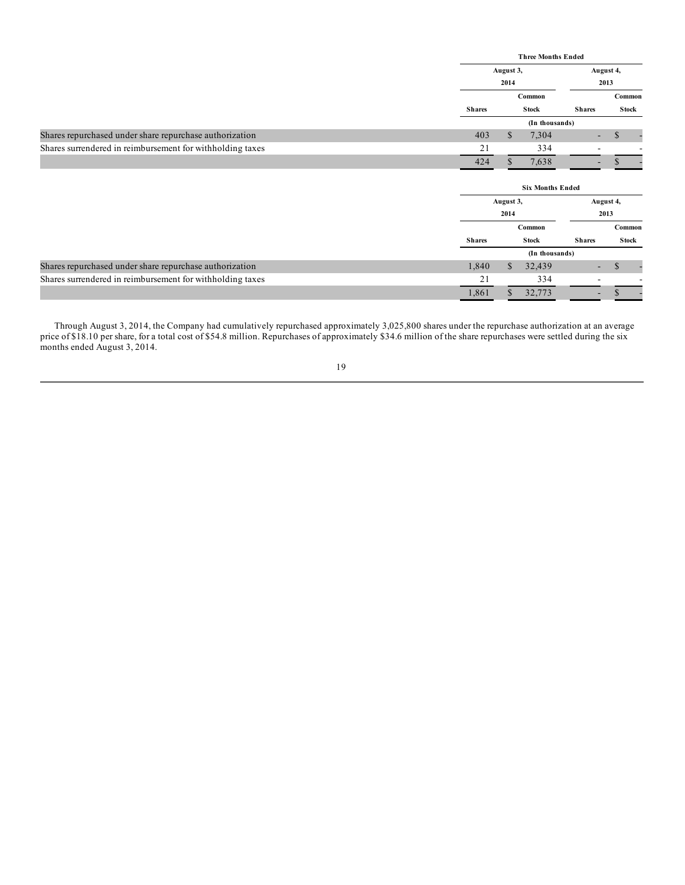|                                                           |               | <b>Three Months Ended</b> |                         |                          |              |  |  |  |
|-----------------------------------------------------------|---------------|---------------------------|-------------------------|--------------------------|--------------|--|--|--|
|                                                           |               | August 3,                 |                         | August 4,                |              |  |  |  |
|                                                           |               | 2014                      |                         | 2013                     |              |  |  |  |
|                                                           |               | Common                    |                         |                          | Common       |  |  |  |
|                                                           | <b>Shares</b> | <b>Stock</b>              |                         | <b>Shares</b>            | <b>Stock</b> |  |  |  |
|                                                           |               |                           | (In thousands)          |                          |              |  |  |  |
| Shares repurchased under share repurchase authorization   | 403           | $\mathbb{S}$              | 7,304                   | -                        | $\mathbb{S}$ |  |  |  |
| Shares surrendered in reimbursement for withholding taxes | 21            |                           | 334                     | $\overline{\phantom{a}}$ |              |  |  |  |
|                                                           | 424           | $\mathbb{S}$              | 7,638                   |                          |              |  |  |  |
|                                                           |               |                           | <b>Six Months Ended</b> |                          |              |  |  |  |
|                                                           |               | August 3,                 |                         |                          | August 4,    |  |  |  |
|                                                           |               | 2014                      |                         |                          | 2013         |  |  |  |
|                                                           |               |                           | Common                  |                          | Common       |  |  |  |
|                                                           | <b>Shares</b> |                           | <b>Stock</b>            | <b>Shares</b>            | <b>Stock</b> |  |  |  |
|                                                           |               |                           | (In thousands)          |                          |              |  |  |  |
| Shares repurchased under share repurchase authorization   | 1,840         | $\mathcal{S}$             | 32,439                  | -                        | \$           |  |  |  |
| Shares surrendered in reimbursement for withholding taxes | 21            |                           | 334                     |                          |              |  |  |  |
|                                                           | 1,861         | $\mathbb{S}$              | 32,773                  |                          | $\mathbb{S}$ |  |  |  |

Through August 3, 2014, the Company had cumulatively repurchased approximately 3,025,800 shares under the repurchase authorization at an average price of \$18.10 per share, for a total cost of \$54.8 million. Repurchases of approximately \$34.6 million of the share repurchases were settled during the six months ended August 3, 2014.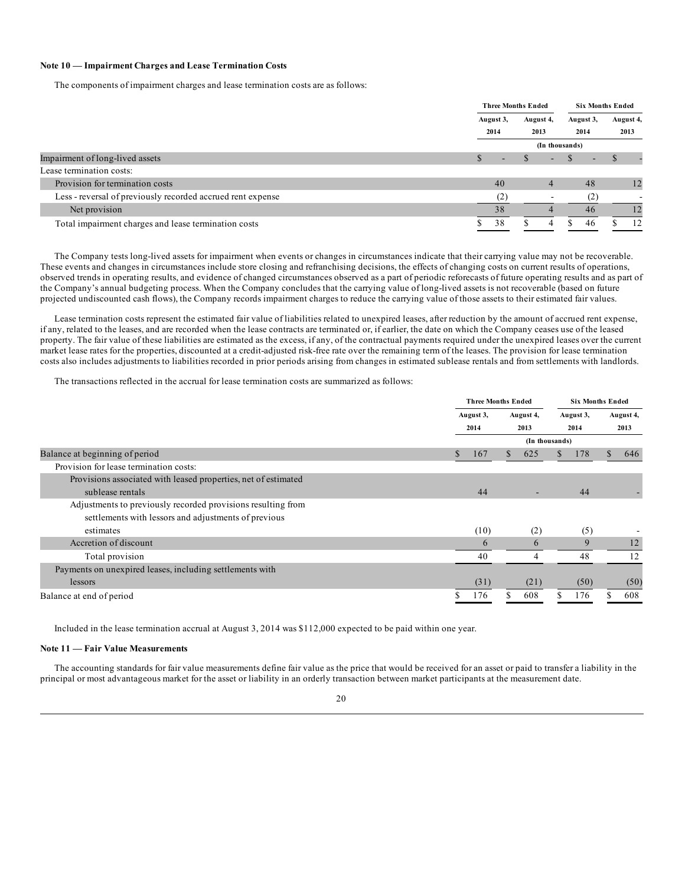### **Note 10 — Impairment Charges and Lease Termination Costs**

The components of impairment charges and lease termination costs are as follows:

|                                                             |              | <b>Three Months Ended</b> |  |                | <b>Six Months Ended</b> |                          |           |    |  |
|-------------------------------------------------------------|--------------|---------------------------|--|----------------|-------------------------|--------------------------|-----------|----|--|
|                                                             |              | August 3,<br>August 4,    |  |                | August 3,               |                          | August 4, |    |  |
|                                                             | 2013<br>2014 |                           |  | 2014           |                         | 2013                     |           |    |  |
|                                                             |              |                           |  | (In thousands) |                         |                          |           |    |  |
| Impairment of long-lived assets                             |              | -                         |  | -              |                         | $\overline{\phantom{0}}$ |           |    |  |
| Lease termination costs:                                    |              |                           |  |                |                         |                          |           |    |  |
| Provision for termination costs                             |              | 40                        |  | $\overline{4}$ |                         | 48                       |           | 12 |  |
| Less - reversal of previously recorded accrued rent expense |              | (2)                       |  | -              |                         | (2)                      |           |    |  |
| Net provision                                               |              | 38                        |  |                |                         | 46                       |           |    |  |
| Total impairment charges and lease termination costs        |              | 38                        |  | 4              |                         | 46                       |           | 12 |  |

The Company tests long-lived assets for impairment when events or changes in circumstances indicate that their carrying value may not be recoverable. These events and changes in circumstances include store closing and refranchising decisions, the effects of changing costs on current results of operations, observed trends in operating results, and evidence of changed circumstances observed as a part of periodic reforecasts of future operating results and as part of the Company's annual budgeting process. When the Company concludes that the carrying value of long-lived assets is not recoverable (based on future projected undiscounted cash flows), the Company records impairment charges to reduce the carrying value of those assets to their estimated fair values.

Lease termination costs represent the estimated fair value of liabilities related to unexpired leases, after reduction by the amount of accrued rent expense, if any, related to the leases, and are recorded when the lease contracts are terminated or, if earlier, the date on which the Company ceases use of the leased property. The fair value of these liabilities are estimated as the excess, if any, of the contractual payments required under the unexpired leases over the current market lease rates for the properties, discounted at a credit-adjusted risk-free rate over the remaining term of the leases. The provision for lease termination costs also includes adjustments to liabilities recorded in prior periods arising from changes in estimated sublease rentals and from settlements with landlords.

The transactions reflected in the accrual for lease termination costs are summarized as follows:

|                                                                |     | <b>Three Months Ended</b> |              |                |              | <b>Six Months Ended</b> |              |           |  |
|----------------------------------------------------------------|-----|---------------------------|--------------|----------------|--------------|-------------------------|--------------|-----------|--|
|                                                                |     | August 3,                 |              | August 4,      |              | August 3,               |              | August 4, |  |
|                                                                |     | 2014                      |              | 2013           |              | 2014                    |              | 2013      |  |
|                                                                |     |                           |              | (In thousands) |              |                         |              |           |  |
| Balance at beginning of period                                 | \$. | 167                       | $\mathbb{S}$ | 625            | $\mathbb{S}$ | 178                     | $\mathbb{S}$ | 646       |  |
| Provision for lease termination costs:                         |     |                           |              |                |              |                         |              |           |  |
| Provisions associated with leased properties, net of estimated |     |                           |              |                |              |                         |              |           |  |
| sublease rentals                                               |     | 44                        |              |                |              | 44                      |              |           |  |
| Adjustments to previously recorded provisions resulting from   |     |                           |              |                |              |                         |              |           |  |
| settlements with lessors and adjustments of previous           |     |                           |              |                |              |                         |              |           |  |
| estimates                                                      |     | (10)                      |              | (2)            |              | (5)                     |              |           |  |
| Accretion of discount                                          |     | 6                         |              | 6              |              | 9                       |              | 12        |  |
| Total provision                                                |     | 40                        |              | 4              |              | 48                      |              | 12        |  |
| Payments on unexpired leases, including settlements with       |     |                           |              |                |              |                         |              |           |  |
| lessors                                                        |     | (31)                      |              | (21)           |              | (50)                    |              | (50)      |  |
| Balance at end of period                                       |     | 176                       |              | 608            |              | 176                     |              | 608       |  |

Included in the lease termination accrual at August 3, 2014 was \$112,000 expected to be paid within one year.

# **Note 11 — Fair Value Measurements**

The accounting standards for fair value measurements define fair value as the price that would be received for an asset or paid to transfer a liability in the principal or most advantageous market for the asset or liability in an orderly transaction between market participants at the measurement date.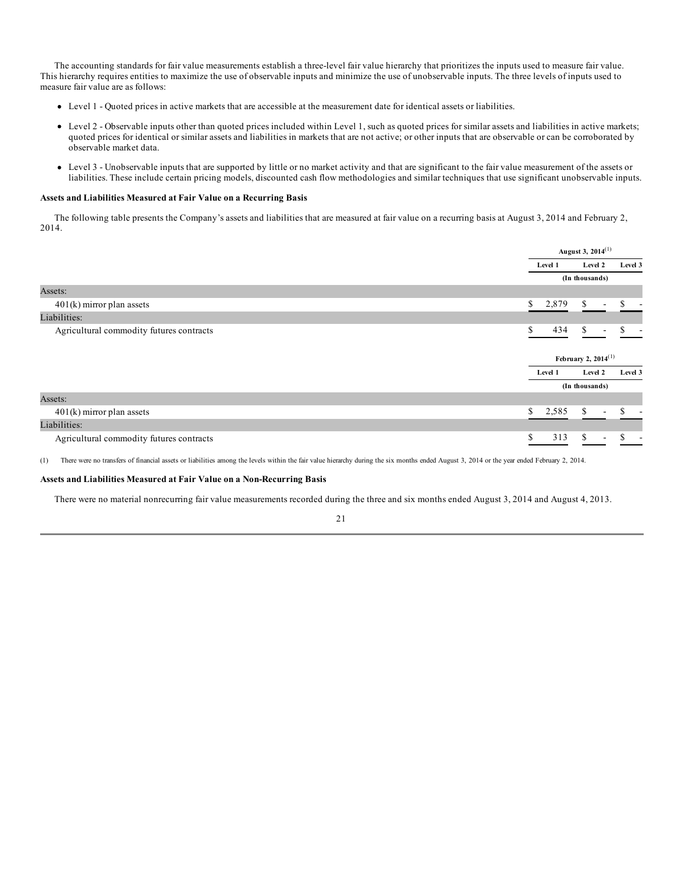The accounting standards for fair value measurements establish a three-level fair value hierarchy that prioritizes the inputs used to measure fair value. This hierarchy requires entities to maximize the use of observable inputs and minimize the use of unobservable inputs. The three levels of inputs used to measure fair value are as follows:

- Level 1 Quoted prices in active markets that are accessible at the measurement date for identical assets or liabilities.
- Level 2 Observable inputs other than quoted prices included within Level 1, such as quoted prices for similar assets and liabilities in active markets; quoted prices for identical or similar assets and liabilities in markets that are not active; or other inputs that are observable or can be corroborated by observable market data.
- Level 3 Unobservable inputs that are supported by little or no market activity and that are significant to the fair value measurement of the assets or liabilities. These include certain pricing models, discounted cash flow methodologies and similar techniques that use significant unobservable inputs.

# **Assets and Liabilities Measured at Fair Value on a Recurring Basis**

The following table presents the Company's assets and liabilities that are measured at fair value on a recurring basis at August 3, 2014 and February 2, 2014.

|                                          | August 3, 2014 <sup>(1)</sup> |         |  |
|------------------------------------------|-------------------------------|---------|--|
|                                          | Level 2<br>Level 1            | Level 3 |  |
|                                          | (In thousands)                |         |  |
| Assets:                                  |                               |         |  |
| $401(k)$ mirror plan assets              | 2,879<br>\$<br>S.             |         |  |
| Liabilities:                             |                               |         |  |
| Agricultural commodity futures contracts | \$.<br>434                    |         |  |
|                                          |                               |         |  |
|                                          | February 2, $2014^{(1)}$      |         |  |
|                                          | Level 2<br>Level 1            | Level 3 |  |
|                                          | (In thousands)                |         |  |
| Assets:                                  |                               |         |  |
| $401(k)$ mirror plan assets              | 2,585<br>\$<br>S.             |         |  |
| Liabilities:                             |                               |         |  |
| Agricultural commodity futures contracts | \$<br>313                     |         |  |
|                                          |                               |         |  |

(1) There were no transfers of financial assets or liabilities among the levels within the fair value hierarchy during the six months ended August 3, 2014 or the year ended February 2, 2014.

# **Assets and Liabilities Measured at Fair Value on a Non-Recurring Basis**

There were no material nonrecurring fair value measurements recorded during the three and six months ended August 3, 2014 and August 4, 2013.

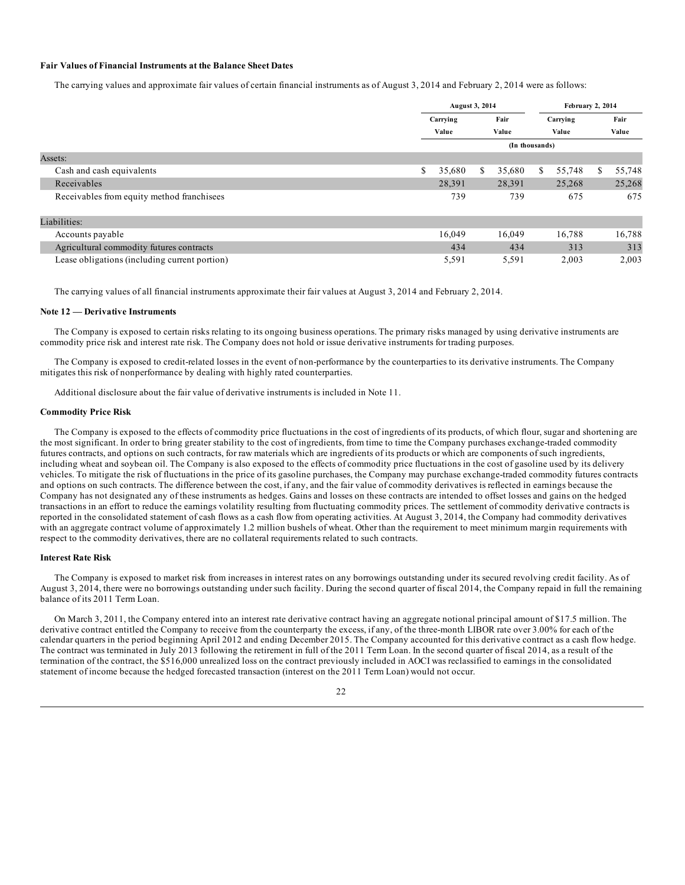### **Fair Values of Financial Instruments at the Balance Sheet Dates**

The carrying values and approximate fair values of certain financial instruments as of August 3, 2014 and February 2, 2014 were as follows:

|                                               |    |          | <b>August 3, 2014</b> |        | February 2, 2014                                                                                                          |       |  |       |  |  |
|-----------------------------------------------|----|----------|-----------------------|--------|---------------------------------------------------------------------------------------------------------------------------|-------|--|-------|--|--|
|                                               |    | Carrying |                       | Fair   | Carrying                                                                                                                  |       |  |       |  |  |
|                                               |    | Value    |                       | Value  | Value                                                                                                                     |       |  | Value |  |  |
|                                               |    |          |                       |        | Fair<br>(In thousands)<br>55,748<br>55,748<br>S.<br>S<br>25,268<br>25,268<br>675<br>675<br>16,788<br>16,788<br>313<br>313 |       |  |       |  |  |
| Assets:                                       |    |          |                       |        |                                                                                                                           |       |  |       |  |  |
| Cash and cash equivalents                     | \$ | 35,680   | \$                    | 35,680 |                                                                                                                           |       |  |       |  |  |
| Receivables                                   |    | 28,391   |                       | 28,391 |                                                                                                                           |       |  |       |  |  |
| Receivables from equity method franchisees    |    | 739      |                       | 739    |                                                                                                                           |       |  |       |  |  |
| Liabilities:                                  |    |          |                       |        |                                                                                                                           |       |  |       |  |  |
| Accounts payable                              |    | 16,049   |                       | 16,049 |                                                                                                                           |       |  |       |  |  |
| Agricultural commodity futures contracts      |    | 434      |                       | 434    |                                                                                                                           |       |  |       |  |  |
| Lease obligations (including current portion) |    | 5,591    |                       | 5,591  |                                                                                                                           | 2,003 |  | 2,003 |  |  |

The carrying values of all financial instruments approximate their fair values at August 3, 2014 and February 2, 2014.

### **Note 12 — Derivative Instruments**

The Company is exposed to certain risks relating to its ongoing business operations. The primary risks managed by using derivative instruments are commodity price risk and interest rate risk. The Company does not hold or issue derivative instruments for trading purposes.

The Company is exposed to credit-related losses in the event of non-performance by the counterparties to its derivative instruments. The Company mitigates this risk of nonperformance by dealing with highly rated counterparties.

Additional disclosure about the fair value of derivative instruments is included in Note 11.

### **Commodity Price Risk**

The Company is exposed to the effects of commodity price fluctuations in the cost of ingredients of its products, of which flour, sugar and shortening are the most significant. In order to bring greater stability to the cost of ingredients, from time to time the Company purchases exchange-traded commodity futures contracts, and options on such contracts, for raw materials which are ingredients of its products or which are components of such ingredients, including wheat and soybean oil. The Company is also exposed to the effects of commodity price fluctuations in the cost of gasoline used by its delivery vehicles. To mitigate the risk of fluctuations in the price of its gasoline purchases, the Company may purchase exchange-traded commodity futures contracts and options on such contracts. The difference between the cost, if any, and the fair value of commodity derivatives is reflected in earnings because the Company has not designated any of these instruments as hedges. Gains and losses on these contracts are intended to offset losses and gains on the hedged transactions in an effort to reduce the earnings volatility resulting from fluctuating commodity prices. The settlement of commodity derivative contracts is reported in the consolidated statement of cash flows as a cash flow from operating activities. At August 3, 2014, the Company had commodity derivatives with an aggregate contract volume of approximately 1.2 million bushels of wheat. Other than the requirement to meet minimum margin requirements with respect to the commodity derivatives, there are no collateral requirements related to such contracts.

### **Interest Rate Risk**

The Company is exposed to market risk from increases in interest rates on any borrowings outstanding under its secured revolving credit facility. As of August 3, 2014, there were no borrowings outstanding under such facility. During the second quarter of fiscal 2014, the Company repaid in full the remaining balance of its 2011 Term Loan.

On March 3, 2011, the Company entered into an interest rate derivative contract having an aggregate notional principal amount of \$17.5 million. The derivative contract entitled the Company to receive from the counterparty the excess, if any, of the three-month LIBOR rate over 3.00% for each of the calendar quarters in the period beginning April 2012 and ending December 2015. The Company accounted for this derivative contract as a cash flow hedge. The contract was terminated in July 2013 following the retirement in full of the 2011 Term Loan. In the second quarter of fiscal 2014, as a result of the termination of the contract, the \$516,000 unrealized loss on the contract previously included in AOCI was reclassified to earnings in the consolidated statement of income because the hedged forecasted transaction (interest on the 2011 Term Loan) would not occur.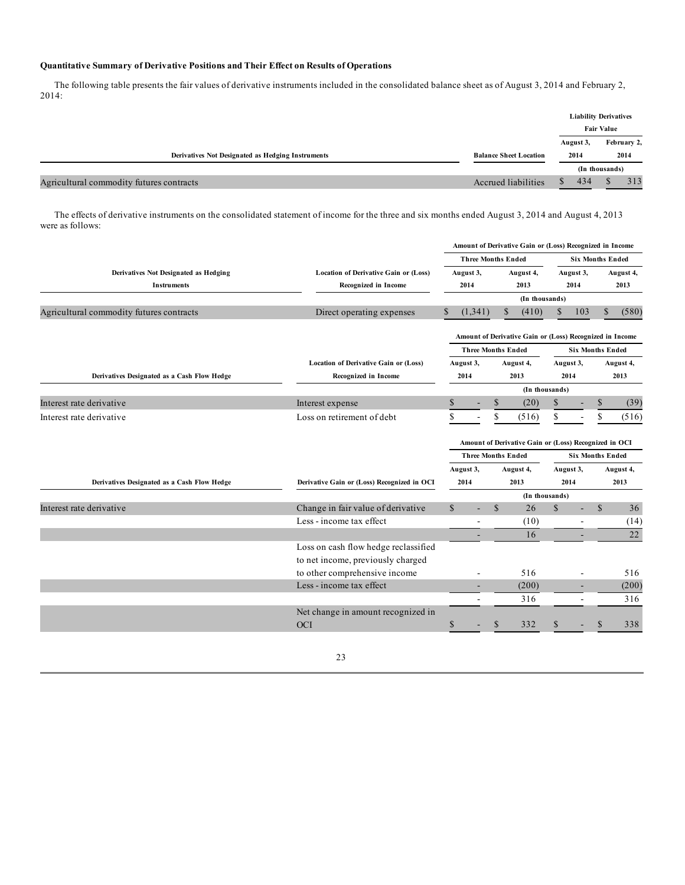# **Quantitative Summary of Derivative Positions and Their Effect on Results of Operations**

The following table presents the fair values of derivative instruments included in the consolidated balance sheet as of August 3, 2014 and February 2, 2014:

|                                                                                    |           |                   | <b>Liability Derivatives</b> |
|------------------------------------------------------------------------------------|-----------|-------------------|------------------------------|
|                                                                                    |           | <b>Fair Value</b> |                              |
|                                                                                    | August 3, |                   | February 2,                  |
| Derivatives Not Designated as Hedging Instruments<br><b>Balance Sheet Location</b> | 2014      |                   | 2014                         |
|                                                                                    |           | (In thousands)    |                              |
| Agricultural commodity futures contracts<br>Accrued liabilities                    | 434<br>S  |                   | 313                          |

The effects of derivative instruments on the consolidated statement of income for the three and six months ended August 3, 2014 and August 4, 2013 were as follows:

|                                             |                                             |                                                       |                           | Amount of Derivative Gain or (Loss) Recognized in Income |                |                                                          |                         |                         |  |  |  |
|---------------------------------------------|---------------------------------------------|-------------------------------------------------------|---------------------------|----------------------------------------------------------|----------------|----------------------------------------------------------|-------------------------|-------------------------|--|--|--|
|                                             |                                             |                                                       | <b>Three Months Ended</b> |                                                          |                |                                                          | <b>Six Months Ended</b> |                         |  |  |  |
| Derivatives Not Designated as Hedging       | Location of Derivative Gain or (Loss)       |                                                       | August 3,                 |                                                          | August 4,      | August 3,                                                |                         | August 4,               |  |  |  |
| <b>Instruments</b>                          | Recognized in Income                        |                                                       | 2014                      |                                                          | 2013           | 2014                                                     |                         | 2013                    |  |  |  |
|                                             |                                             |                                                       |                           |                                                          | (In thousands) |                                                          |                         |                         |  |  |  |
| Agricultural commodity futures contracts    | Direct operating expenses                   | \$                                                    | (1,341)                   | S                                                        | (410)          | \$<br>103                                                |                         | \$<br>(580)             |  |  |  |
|                                             |                                             |                                                       |                           |                                                          |                | Amount of Derivative Gain or (Loss) Recognized in Income |                         |                         |  |  |  |
|                                             |                                             |                                                       | <b>Three Months Ended</b> |                                                          |                |                                                          |                         | <b>Six Months Ended</b> |  |  |  |
|                                             | Location of Derivative Gain or (Loss)       |                                                       | August 3,                 |                                                          | August 4,      | August 3,                                                |                         | August 4,               |  |  |  |
| Derivatives Designated as a Cash Flow Hedge | Recognized in Income                        |                                                       | 2014                      |                                                          | 2013           | 2014                                                     |                         | 2013                    |  |  |  |
|                                             |                                             |                                                       |                           |                                                          |                | (In thousands)                                           |                         |                         |  |  |  |
| Interest rate derivative                    | Interest expense                            | S                                                     | ۰                         | \$                                                       | (20)           | \$                                                       | \$                      | (39)                    |  |  |  |
| Interest rate derivative                    | Loss on retirement of debt                  |                                                       |                           | \$                                                       | (516)          | \$                                                       | \$                      | (516)                   |  |  |  |
|                                             |                                             |                                                       |                           |                                                          |                |                                                          |                         |                         |  |  |  |
|                                             |                                             | Amount of Derivative Gain or (Loss) Recognized in OCI |                           |                                                          |                |                                                          |                         |                         |  |  |  |
|                                             |                                             |                                                       | <b>Three Months Ended</b> |                                                          |                |                                                          |                         | <b>Six Months Ended</b> |  |  |  |
|                                             |                                             |                                                       | August 3,                 |                                                          | August 4,      | August 3,                                                |                         | August 4,               |  |  |  |
| Derivatives Designated as a Cash Flow Hedge | Derivative Gain or (Loss) Recognized in OCI |                                                       | 2014                      |                                                          | 2013           | 2014                                                     |                         | 2013                    |  |  |  |
|                                             |                                             |                                                       |                           |                                                          |                | (In thousands)                                           |                         |                         |  |  |  |
| Interest rate derivative                    | Change in fair value of derivative          | $\mathbb{S}$                                          |                           | $\mathbb{S}$                                             | 26             | $\mathbb{S}$<br>÷,                                       | $\mathbb{S}$            | 36                      |  |  |  |
|                                             | Less - income tax effect                    |                                                       |                           |                                                          | (10)           |                                                          |                         | (14)                    |  |  |  |
|                                             |                                             |                                                       |                           |                                                          | 16             |                                                          |                         | 22                      |  |  |  |
|                                             | Loss on cash flow hedge reclassified        |                                                       |                           |                                                          |                |                                                          |                         |                         |  |  |  |
|                                             | to net income, previously charged           |                                                       |                           |                                                          |                |                                                          |                         |                         |  |  |  |
|                                             | to other comprehensive income               |                                                       | $\overline{\phantom{a}}$  |                                                          | 516            |                                                          |                         | 516                     |  |  |  |
|                                             | Less - income tax effect                    |                                                       | $\overline{\phantom{a}}$  |                                                          | (200)          | ۰                                                        |                         | (200)                   |  |  |  |
|                                             |                                             |                                                       |                           |                                                          | 316            |                                                          |                         | 316                     |  |  |  |
|                                             | Net change in amount recognized in          |                                                       |                           |                                                          |                |                                                          |                         |                         |  |  |  |
|                                             | <b>OCI</b>                                  | \$                                                    |                           | \$                                                       | 332            | \$                                                       |                         | 338                     |  |  |  |
|                                             |                                             |                                                       |                           |                                                          |                |                                                          |                         |                         |  |  |  |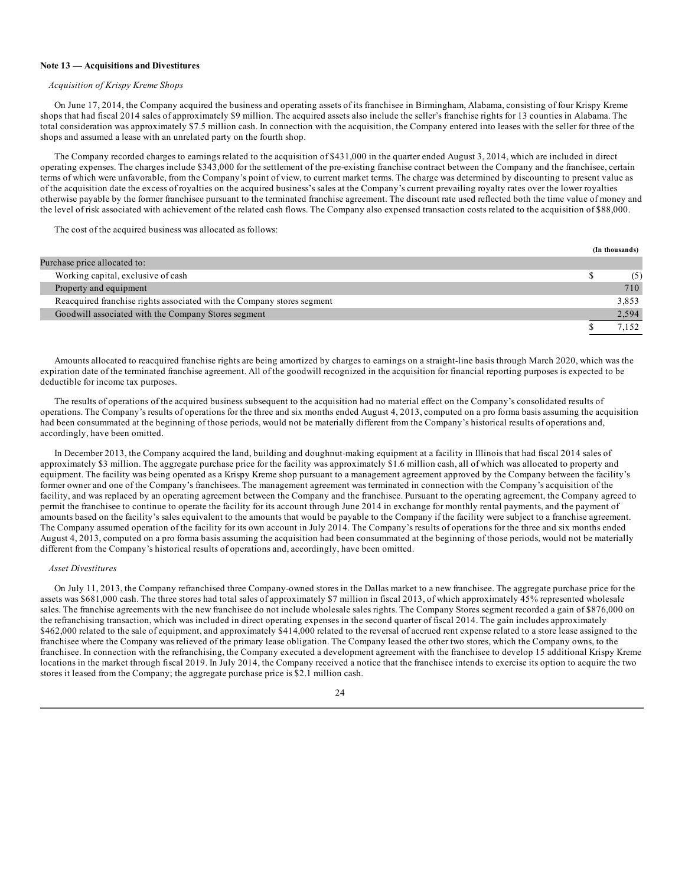### **Note 13 — Acquisitions and Divestitures**

### *Acquisition of Krispy Kreme Shops*

On June 17, 2014, the Company acquired the business and operating assets of its franchisee in Birmingham, Alabama, consisting of four Krispy Kreme shops that had fiscal 2014 sales of approximately \$9 million. The acquired assets also include the seller's franchise rights for 13 counties in Alabama. The total consideration was approximately \$7.5 million cash. In connection with the acquisition, the Company entered into leases with the seller for three of the shops and assumed a lease with an unrelated party on the fourth shop.

The Company recorded charges to earnings related to the acquisition of \$431,000 in the quarter ended August 3, 2014, which are included in direct operating expenses. The charges include \$343,000 for the settlement of the pre-existing franchise contract between the Company and the franchisee, certain terms of which were unfavorable, from the Company's point of view, to current market terms. The charge was determined by discounting to present value as of the acquisition date the excess of royalties on the acquired business's sales at the Company's current prevailing royalty rates over the lower royalties otherwise payable by the former franchisee pursuant to the terminated franchise agreement. The discount rate used reflected both the time value of money and the level of risk associated with achievement of the related cash flows. The Company also expensed transaction costs related to the acquisition of \$88,000.

The cost of the acquired business was allocated as follows:

|                                                                        | (In thousands) |
|------------------------------------------------------------------------|----------------|
| Purchase price allocated to:                                           |                |
| Working capital, exclusive of cash                                     | (5)            |
| Property and equipment                                                 | 710            |
| Reacquired franchise rights associated with the Company stores segment | 3,853          |
| Goodwill associated with the Company Stores segment                    | 2,594          |
|                                                                        | 7152           |

Amounts allocated to reacquired franchise rights are being amortized by charges to earnings on a straight-line basis through March 2020, which was the expiration date of the terminated franchise agreement. All of the goodwill recognized in the acquisition for financial reporting purposes is expected to be deductible for income tax purposes.

The results of operations of the acquired business subsequent to the acquisition had no material effect on the Company's consolidated results of operations. The Company's results of operations for the three and six months ended August 4, 2013, computed on a pro forma basis assuming the acquisition had been consummated at the beginning of those periods, would not be materially different from the Company's historical results of operations and, accordingly, have been omitted.

In December 2013, the Company acquired the land, building and doughnut-making equipment at a facility in Illinois that had fiscal 2014 sales of approximately \$3 million. The aggregate purchase price for the facility was approximately \$1.6 million cash, all of which was allocated to property and equipment. The facility was being operated as a Krispy Kreme shop pursuant to a management agreement approved by the Company between the facility's former owner and one of the Company's franchisees. The management agreement was terminated in connection with the Company's acquisition of the facility, and was replaced by an operating agreement between the Company and the franchisee. Pursuant to the operating agreement, the Company agreed to permit the franchisee to continue to operate the facility for its account through June 2014 in exchange for monthly rental payments, and the payment of amounts based on the facility's sales equivalent to the amounts that would be payable to the Company if the facility were subject to a franchise agreement. The Company assumed operation of the facility for its own account in July 2014. The Company's results of operations for the three and six months ended August 4, 2013, computed on a pro forma basis assuming the acquisition had been consummated at the beginning of those periods, would not be materially different from the Company's historical results of operations and, accordingly, have been omitted.

#### *Asset Divestitures*

On July 11, 2013, the Company refranchised three Company-owned stores in the Dallas market to a new franchisee. The aggregate purchase price for the assets was \$681,000 cash. The three stores had total sales of approximately \$7 million in fiscal 2013, of which approximately 45% represented wholesale sales. The franchise agreements with the new franchisee do not include wholesale sales rights. The Company Stores segment recorded a gain of \$876,000 on the refranchising transaction, which was included in direct operating expenses in the second quarter of fiscal 2014. The gain includes approximately \$462,000 related to the sale of equipment, and approximately \$414,000 related to the reversal of accrued rent expense related to a store lease assigned to the franchisee where the Company was relieved of the primary lease obligation. The Company leased the other two stores, which the Company owns, to the franchisee. In connection with the refranchising, the Company executed a development agreement with the franchisee to develop 15 additional Krispy Kreme locations in the market through fiscal 2019. In July 2014, the Company received a notice that the franchisee intends to exercise its option to acquire the two stores it leased from the Company; the aggregate purchase price is \$2.1 million cash.

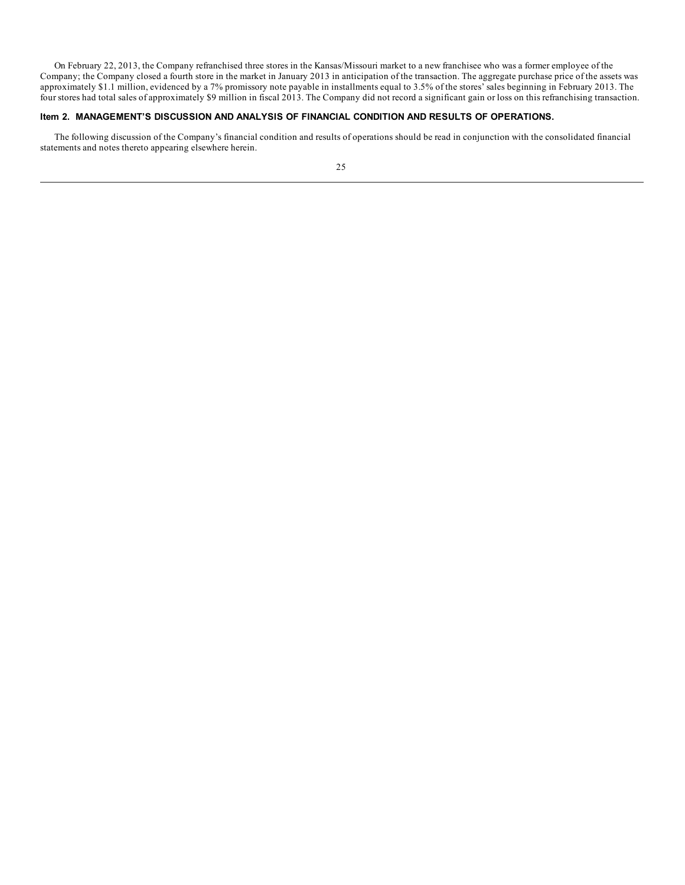On February 22, 2013, the Company refranchised three stores in the Kansas/Missouri market to a new franchisee who was a former employee of the Company; the Company closed a fourth store in the market in January 2013 in anticipation of the transaction. The aggregate purchase price of the assets was approximately \$1.1 million, evidenced by a 7% promissory note payable in installments equal to 3.5% of the stores' sales beginning in February 2013. The four stores had total sales of approximately \$9 million in fiscal 2013. The Company did not record a significant gain or loss on this refranchising transaction.

# **Item 2. MANAGEMENT'S DISCUSSION AND ANALYSIS OF FINANCIAL CONDITION AND RESULTS OF OPERATIONS.**

The following discussion of the Company's financial condition and results of operations should be read in conjunction with the consolidated financial statements and notes thereto appearing elsewhere herein.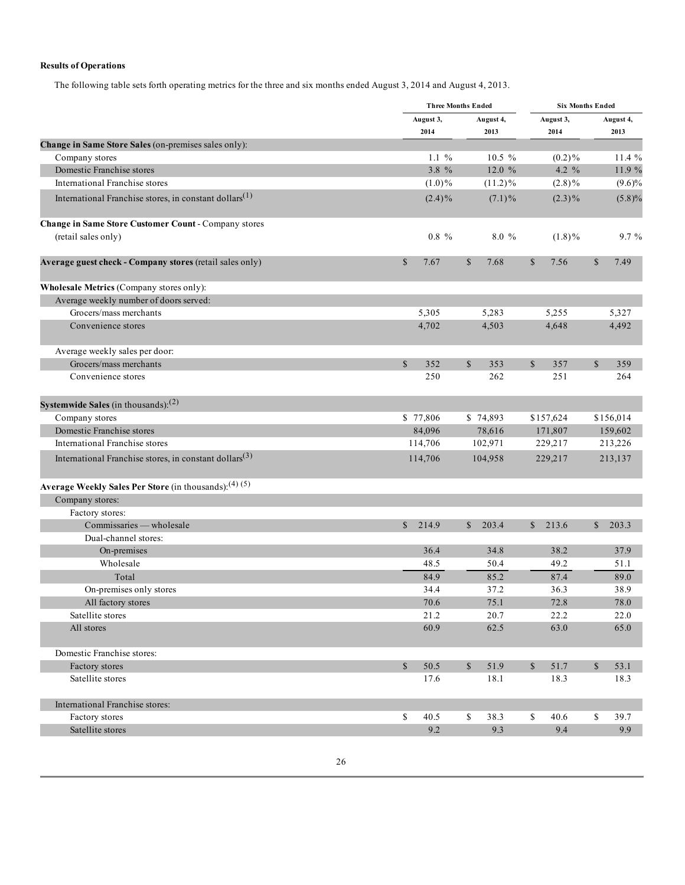# **Results of Operations**

The following table sets forth operating metrics for the three and six months ended August 3, 2014 and August 4, 2013.

|                                                                    |              | <b>Three Months Ended</b> |              |            | <b>Six Months Ended</b> |                   |              |           |
|--------------------------------------------------------------------|--------------|---------------------------|--------------|------------|-------------------------|-------------------|--------------|-----------|
|                                                                    |              | August 3,                 |              | August 4,  |                         | August 3,         |              | August 4, |
|                                                                    |              | 2014                      |              | 2013       |                         | 2014              |              | 2013      |
| Change in Same Store Sales (on-premises sales only):               |              |                           |              |            |                         |                   |              |           |
| Company stores                                                     |              | $1.1\%$                   |              | $10.5\%$   |                         | $(0.2)\%$         |              | 11.4 $%$  |
| Domestic Franchise stores                                          |              | 3.8 %                     |              | 12.0%      |                         | 4.2 $\frac{9}{6}$ |              | 11.9 %    |
| International Franchise stores                                     |              | $(1.0)\%$                 |              | $(11.2)\%$ |                         | $(2.8)\%$         |              | $(9.6)\%$ |
| International Franchise stores, in constant dollars $(1)$          |              | $(2.4)\%$                 |              | $(7.1)\%$  |                         | $(2.3)\%$         |              | $(5.8)\%$ |
| Change in Same Store Customer Count - Company stores               |              |                           |              |            |                         |                   |              |           |
| (retail sales only)                                                |              | $0.8\%$                   |              | 8.0%       |                         | $(1.8)\%$         |              | $9.7\%$   |
| Average guest check - Company stores (retail sales only)           | $\mathbb{S}$ | 7.67                      | $\mathbb{S}$ | 7.68       | $\mathbb{S}$            | 7.56              | $\mathbb{S}$ | 7.49      |
| Wholesale Metrics (Company stores only):                           |              |                           |              |            |                         |                   |              |           |
| Average weekly number of doors served:                             |              |                           |              |            |                         |                   |              |           |
| Grocers/mass merchants                                             |              | 5,305                     |              | 5,283      |                         | 5,255             |              | 5,327     |
| Convenience stores                                                 |              | 4,702                     |              | 4,503      |                         | 4,648             |              | 4,492     |
| Average weekly sales per door:                                     |              |                           |              |            |                         |                   |              |           |
| Grocers/mass merchants                                             | $\mathbb{S}$ | 352                       | $\mathbb{S}$ | 353        | $\mathbb{S}$            | 357               | $\mathbb{S}$ | 359       |
| Convenience stores                                                 |              | 250                       |              | 262        |                         | 251               |              | 264       |
| <b>Systemwide Sales</b> (in thousands): $^{(2)}$                   |              |                           |              |            |                         |                   |              |           |
| Company stores                                                     |              | \$77,806                  |              | \$74,893   |                         | \$157,624         |              | \$156,014 |
| Domestic Franchise stores                                          |              | 84,096                    |              | 78,616     |                         | 171,807           |              | 159,602   |
| International Franchise stores                                     |              | 114,706                   |              | 102,971    |                         | 229,217           |              | 213,226   |
| International Franchise stores, in constant dollars <sup>(3)</sup> |              | 114,706                   |              | 104,958    |                         | 229,217           |              | 213,137   |
| Average Weekly Sales Per Store (in thousands): (4) (5)             |              |                           |              |            |                         |                   |              |           |
| Company stores:                                                    |              |                           |              |            |                         |                   |              |           |
| Factory stores:                                                    |              |                           |              |            |                         |                   |              |           |
| Commissaries — wholesale                                           | $\mathbb{S}$ | 214.9                     | $\mathbb{S}$ | 203.4      | $\mathbb{S}$            | 213.6             | $\mathbb{S}$ | 203.3     |
| Dual-channel stores:                                               |              |                           |              |            |                         |                   |              |           |
| On-premises                                                        |              | 36.4                      |              | 34.8       |                         | 38.2              |              | 37.9      |
| Wholesale                                                          |              | 48.5                      |              | 50.4       |                         | 49.2              |              | 51.1      |
| Total                                                              |              | 84.9                      |              | 85.2       |                         | 87.4              |              | 89.0      |
| On-premises only stores                                            |              | 34.4                      |              | 37.2       |                         | 36.3              |              | 38.9      |
| All factory stores                                                 |              | 70.6                      |              | 75.1       |                         | 72.8              |              | 78.0      |
| Satellite stores                                                   |              | 21.2                      |              | 20.7       |                         | 22.2              |              | 22.0      |
| All stores                                                         |              | 60.9                      |              | 62.5       |                         | 63.0              |              | 65.0      |
| Domestic Franchise stores:                                         |              |                           |              |            |                         |                   |              |           |
| Factory stores                                                     | $\mathbb{S}$ | 50.5                      | $\mathbb{S}$ | 51.9       | $\mathbb{S}$            | 51.7              | $\mathbb{S}$ | 53.1      |
| Satellite stores                                                   |              | 17.6                      |              | 18.1       |                         | 18.3              |              | 18.3      |
| International Franchise stores:                                    |              |                           |              |            |                         |                   |              |           |
| Factory stores                                                     | \$           | 40.5                      | \$           | 38.3       | \$                      | 40.6              | \$           | 39.7      |
| Satellite stores                                                   |              | 9.2                       |              | 9.3        |                         | 9.4               |              | 9.9       |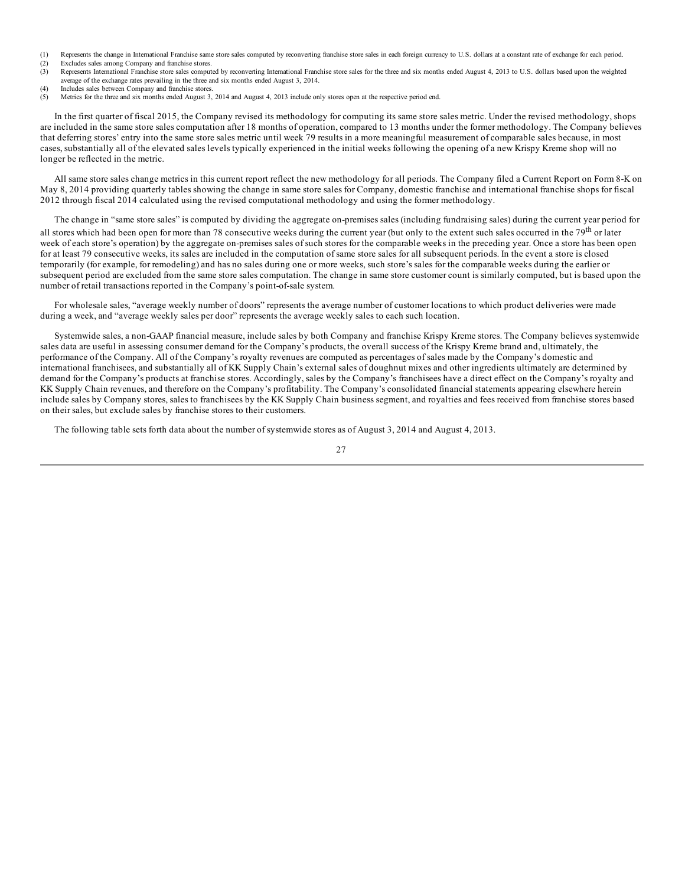(1) Represents the change in International Franchise same store sales computed by reconverting franchise store sales in each foreign currency to U.S. dollars at a constant rate of exchange for each period.

(2) Excludes sales among Company and franchise stores.

- (3) Represents International Franchise store sales computed by reconverting International Franchise store sales for the three and six months ended August 4, 2013 to U.S. dollars based upon the weighted average of the exchange rates prevailing in the three and six months ended August 3, 2014.
- (4) Includes sales between Company and franchise stores.<br>(5) Metrics for the three and six months ended August 3.
- Metrics for the three and six months ended August 3, 2014 and August 4, 2013 include only stores open at the respective period end.

In the first quarter of fiscal 2015, the Company revised its methodology for computing its same store sales metric. Under the revised methodology, shops are included in the same store sales computation after 18 months of operation, compared to 13 months under the former methodology. The Company believes that deferring stores' entry into the same store sales metric until week 79 results in a more meaningful measurement of comparable sales because, in most cases, substantially all of the elevated sales levels typically experienced in the initial weeks following the opening of a new Krispy Kreme shop will no longer be reflected in the metric.

All same store sales change metrics in this current report reflect the new methodology for all periods. The Company filed a Current Report on Form 8-K on May 8, 2014 providing quarterly tables showing the change in same store sales for Company, domestic franchise and international franchise shops for fiscal 2012 through fiscal 2014 calculated using the revised computational methodology and using the former methodology.

The change in "same store sales" is computed by dividing the aggregate on-premises sales (including fundraising sales) during the current year period for all stores which had been open for more than 78 consecutive weeks during the current year (but only to the extent such sales occurred in the 79<sup>th</sup> or later week of each store's operation) by the aggregate on-premises sales of such stores for the comparable weeks in the preceding year. Once a store has been open for at least 79 consecutive weeks, its sales are included in the computation of same store sales for all subsequent periods. In the event a store is closed temporarily (for example, for remodeling) and has no sales during one or more weeks, such store's sales for the comparable weeks during the earlier or subsequent period are excluded from the same store sales computation. The change in same store customer count is similarly computed, but is based upon the number of retail transactions reported in the Company's point-of-sale system.

For wholesale sales, "average weekly number of doors" represents the average number of customer locations to which product deliveries were made during a week, and "average weekly sales per door" represents the average weekly sales to each such location.

Systemwide sales, a non-GAAP financial measure, include sales by both Company and franchise Krispy Kreme stores. The Company believes systemwide sales data are useful in assessing consumer demand for the Company's products, the overall success of the Krispy Kreme brand and, ultimately, the performance of the Company. All of the Company's royalty revenues are computed as percentages of sales made by the Company's domestic and international franchisees, and substantially all of KK Supply Chain's external sales of doughnut mixes and other ingredients ultimately are determined by demand for the Company's products at franchise stores. Accordingly, sales by the Company's franchisees have a direct effect on the Company's royalty and KK Supply Chain revenues, and therefore on the Company's profitability. The Company's consolidated financial statements appearing elsewhere herein include sales by Company stores, sales to franchisees by the KK Supply Chain business segment, and royalties and fees received from franchise stores based on their sales, but exclude sales by franchise stores to their customers.

The following table sets forth data about the number of systemwide stores as of August 3, 2014 and August 4, 2013.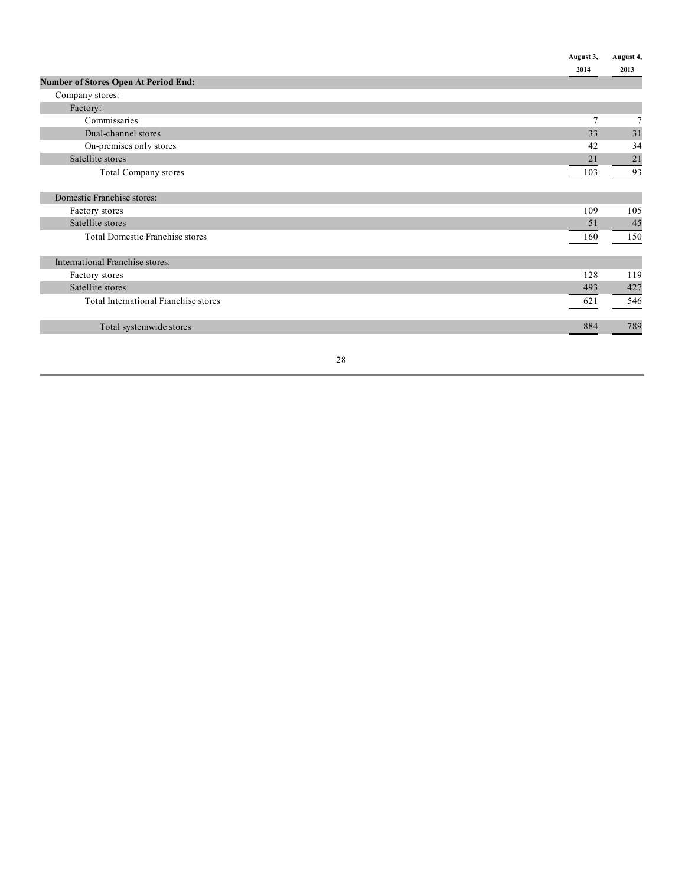|                                             | August 3, | August 4, |
|---------------------------------------------|-----------|-----------|
|                                             | 2014      | 2013      |
| <b>Number of Stores Open At Period End:</b> |           |           |
| Company stores:                             |           |           |
| Factory:                                    |           |           |
| Commissaries                                | 7         | 7         |
| Dual-channel stores                         | 33        | 31        |
| On-premises only stores                     | 42        | 34        |
| Satellite stores                            | 21        | 21        |
| <b>Total Company stores</b>                 | 103       | 93        |
|                                             |           |           |
| Domestic Franchise stores:                  |           |           |
| Factory stores                              | 109       | 105       |
| Satellite stores                            | 51        | 45        |
| Total Domestic Franchise stores             | 160       | 150       |
|                                             |           |           |
| International Franchise stores:             |           |           |
| Factory stores                              | 128       | 119       |
| Satellite stores                            | 493       | 427       |
| Total International Franchise stores        | 621       | 546       |
|                                             |           |           |
| Total systemwide stores                     | 884       | 789       |
|                                             |           |           |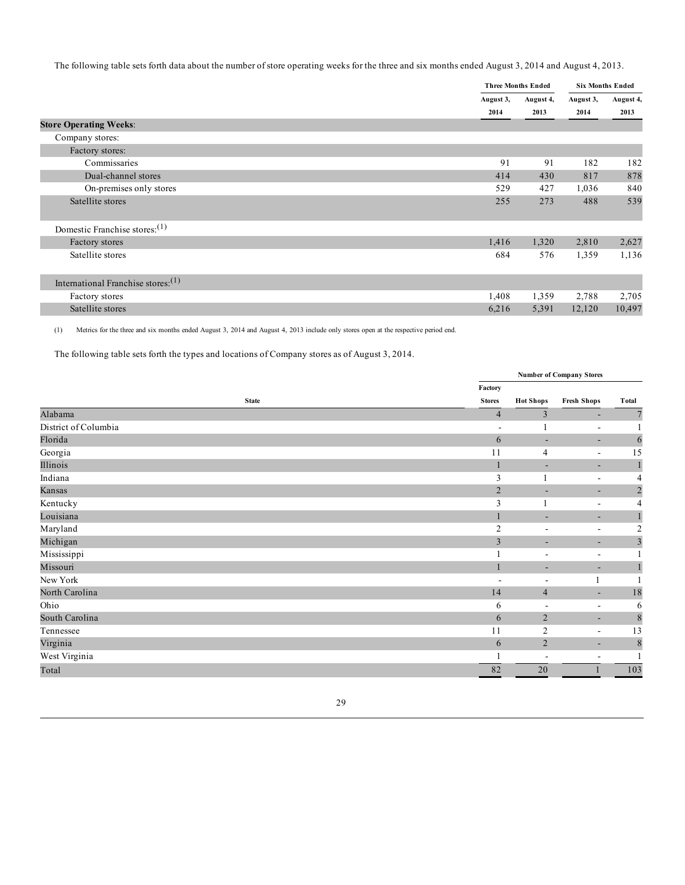The following table sets forth data about the number of store operating weeks for the three and six months ended August 3, 2014 and August 4, 2013.

|                                           |           | <b>Three Months Ended</b> |           | <b>Six Months Ended</b> |  |
|-------------------------------------------|-----------|---------------------------|-----------|-------------------------|--|
|                                           | August 3, | August 4,                 | August 3, | August 4,               |  |
|                                           | 2014      | 2013                      | 2014      | 2013                    |  |
| <b>Store Operating Weeks:</b>             |           |                           |           |                         |  |
| Company stores:                           |           |                           |           |                         |  |
| Factory stores:                           |           |                           |           |                         |  |
| Commissaries                              | 91        | 91                        | 182       | 182                     |  |
| Dual-channel stores                       | 414       | 430                       | 817       | 878                     |  |
| On-premises only stores                   | 529       | 427                       | 1,036     | 840                     |  |
| Satellite stores                          | 255       | 273                       | 488       | 539                     |  |
| Domestic Franchise stores: <sup>(1)</sup> |           |                           |           |                         |  |
| Factory stores                            | 1,416     | 1,320                     | 2,810     | 2,627                   |  |
| Satellite stores                          | 684       | 576                       | 1,359     | 1,136                   |  |
| International Franchise stores: $(1)$     |           |                           |           |                         |  |
| Factory stores                            | 1,408     | 1,359                     | 2,788     | 2,705                   |  |
| Satellite stores                          | 6,216     | 5,391                     | 12,120    | 10,497                  |  |

(1) Metrics for the three and six months ended August 3, 2014 and August 4, 2013 include only stores open at the respective period end.

The following table sets forth the types and locations of Company stores as of August 3, 2014.

|                      |                | <b>Number of Company Stores</b> |                          |                |
|----------------------|----------------|---------------------------------|--------------------------|----------------|
|                      | Factory        |                                 |                          |                |
| <b>State</b>         | <b>Stores</b>  | <b>Hot Shops</b>                | <b>Fresh Shops</b>       | Total          |
| Alabama              | $\overline{4}$ | 3                               | $\blacksquare$           | σ              |
| District of Columbia | ۰.             | 1                               | $\overline{\phantom{a}}$ |                |
| Florida              | 6              | ٠                               | $\blacksquare$           | 6              |
| Georgia              | 11             | 4                               | ÷.                       | 15             |
| Illinois             |                | ٠                               | ۰                        |                |
| Indiana              | $\overline{3}$ |                                 | $\blacksquare$           | 4              |
| Kansas               | $\overline{2}$ | ٠                               | -                        | $\overline{2}$ |
| Kentucky             | $\mathfrak{Z}$ |                                 | $\blacksquare$           |                |
| Louisiana            |                | ٠                               | ۰                        |                |
| Maryland             | $\overline{2}$ | ٠                               | $\overline{\phantom{a}}$ | $\overline{2}$ |
| Michigan             | $\overline{3}$ | ٠                               | $\overline{\phantom{a}}$ | 3              |
| Mississippi          |                | ٠                               | $\overline{\phantom{a}}$ |                |
| Missouri             |                | ۰                               | $\overline{\phantom{a}}$ |                |
| New York             | ۰              | $\overline{\phantom{a}}$        |                          |                |
| North Carolina       | 14             | $\overline{4}$                  | ٠                        | $18\,$         |
| Ohio                 | 6              | $\overline{\phantom{a}}$        | $\blacksquare$           | 6              |
| South Carolina       | 6              | $\overline{2}$                  | $\overline{\phantom{a}}$ | $\,$ 8 $\,$    |
| Tennessee            | 11             | $\overline{2}$                  | $\overline{\phantom{a}}$ | 13             |
| Virginia             | 6              | $\overline{2}$                  | $\overline{\phantom{a}}$ | $\,$ 8 $\,$    |
| West Virginia        |                | $\overline{\phantom{a}}$        | $\overline{\phantom{a}}$ |                |
| Total                | 82             | 20                              |                          | 103            |

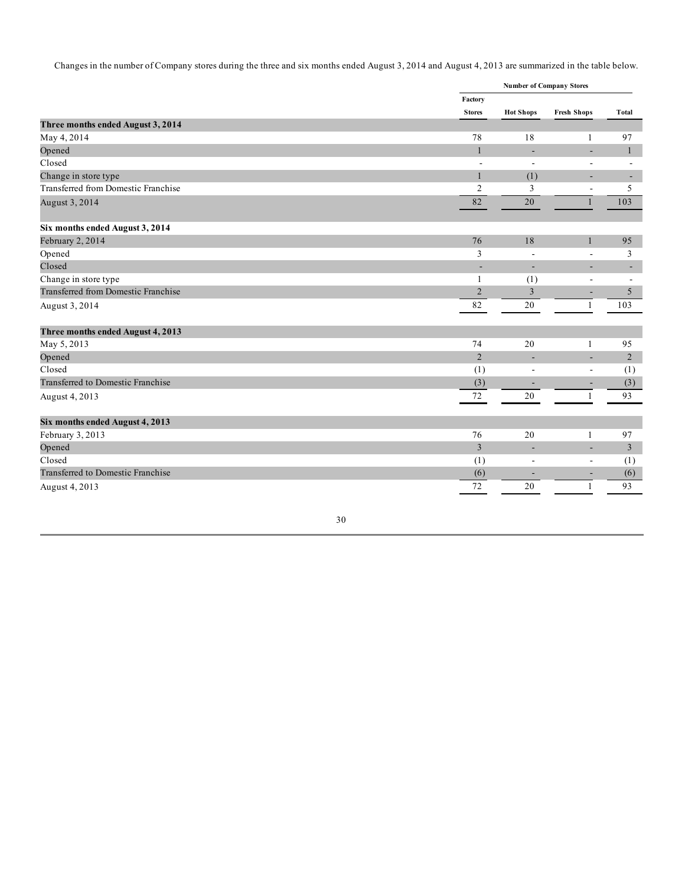Changes in the number of Company stores during the three and six months ended August 3, 2014 and August 4, 2013 are summarized in the table below.

|                                     |                | <b>Number of Company Stores</b> |                              |                          |  |
|-------------------------------------|----------------|---------------------------------|------------------------------|--------------------------|--|
|                                     | Factory        |                                 |                              |                          |  |
|                                     | <b>Stores</b>  | <b>Hot Shops</b>                | <b>Fresh Shops</b>           | Total                    |  |
| Three months ended August 3, 2014   |                |                                 |                              |                          |  |
| May 4, 2014                         | 78             | 18                              | $\mathbf{1}$                 | 97                       |  |
| Opened                              | $\mathbf{1}$   | ٠                               | ٠                            | $\mathbf{1}$             |  |
| Closed                              | Ē,             | $\blacksquare$                  | $\overline{a}$               | ٠                        |  |
| Change in store type                | $\mathbf{1}$   | (1)                             | $\overline{a}$               | $\sim$                   |  |
| Transferred from Domestic Franchise | $\overline{2}$ | 3                               | ÷,                           | $\sqrt{5}$               |  |
| August 3, 2014                      | 82             | 20                              | $\mathbf{1}$                 | 103                      |  |
| Six months ended August 3, 2014     |                |                                 |                              |                          |  |
| February 2, 2014                    | 76             | 18                              | $\mathbf{1}$                 | 95                       |  |
| Opened                              | 3              | $\overline{a}$                  | ÷,                           | 3                        |  |
| Closed                              | ۰              | ٠                               | ÷                            |                          |  |
| Change in store type                | 1              | (1)                             | $\overline{a}$               | $\overline{\phantom{a}}$ |  |
| Transferred from Domestic Franchise | $\overline{2}$ | $\overline{3}$                  | Ē.                           | 5                        |  |
| August 3, 2014                      | 82             | 20                              | $\mathbf{1}$                 | 103                      |  |
|                                     |                |                                 |                              |                          |  |
| Three months ended August 4, 2013   |                |                                 |                              |                          |  |
| May 5, 2013                         | 74             | 20                              | $\mathbf{1}$                 | 95                       |  |
| Opened                              | $\overline{2}$ | ۰                               | ÷,                           | $\overline{2}$           |  |
| Closed                              | (1)            | $\overline{a}$                  | $\qquad \qquad \blacksquare$ | (1)                      |  |
| Transferred to Domestic Franchise   | (3)            | ۰                               | $\overline{\phantom{a}}$     | (3)                      |  |
| August 4, 2013                      | $72\,$         | 20                              | $\mathbf{1}$                 | 93                       |  |
| Six months ended August 4, 2013     |                |                                 |                              |                          |  |
| February 3, 2013                    | 76             | 20                              | 1                            | 97                       |  |
| Opened                              | 3              | $\overline{\phantom{a}}$        | ٠                            | 3                        |  |
| Closed                              | (1)            | $\overline{\phantom{a}}$        | ÷                            | (1)                      |  |
| Transferred to Domestic Franchise   | (6)            | ÷                               | ٠                            | (6)                      |  |
| August 4, 2013                      | 72             | 20                              | 1                            | 93                       |  |
|                                     |                |                                 |                              |                          |  |

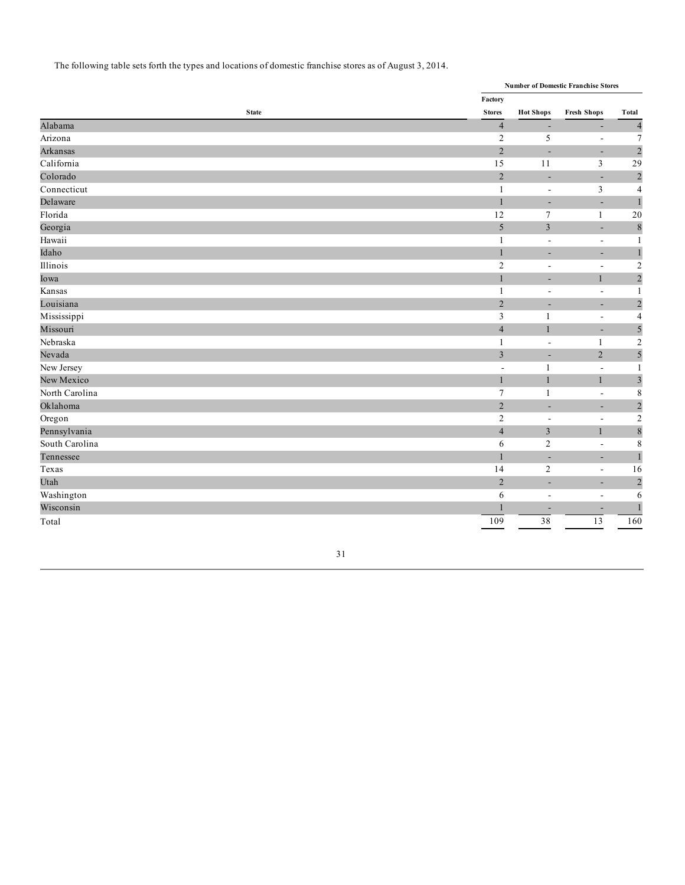The following table sets forth the types and locations of domestic franchise stores as of August 3, 2014.

|                |                | <b>Number of Domestic Franchise Stores</b> |                          |                          |  |
|----------------|----------------|--------------------------------------------|--------------------------|--------------------------|--|
|                | Factory        |                                            |                          |                          |  |
| <b>State</b>   | <b>Stores</b>  | <b>Hot Shops</b>                           | <b>Fresh Shops</b>       | Total                    |  |
| Alabama        | $\overline{4}$ | $\blacksquare$                             | $\overline{\phantom{a}}$ | $\overline{\mathcal{L}}$ |  |
| Arizona        | $\overline{2}$ | 5                                          | $\sim$                   | $\overline{7}$           |  |
| Arkansas       | $\overline{2}$ | $\overline{\phantom{a}}$                   | $\overline{\phantom{a}}$ | $\overline{c}$           |  |
| California     | 15             | 11                                         | 3                        | 29                       |  |
| Colorado       | $\overline{2}$ | $\overline{\phantom{a}}$                   | $\overline{\phantom{a}}$ | $\overline{\mathbf{c}}$  |  |
| Connecticut    | 1              | $\blacksquare$                             | 3                        | $\overline{4}$           |  |
| Delaware       | $\mathbf{1}$   | $\blacksquare$                             | $\blacksquare$           | $\mathbf{1}$             |  |
| Florida        | 12             | $\tau$                                     | $\mathbf{1}$             | 20                       |  |
| Georgia        | 5              | $\overline{\mathbf{3}}$                    | $\sim$                   | 8                        |  |
| Hawaii         | $\mathbf{1}$   | $\blacksquare$                             | $\overline{\phantom{a}}$ | -1                       |  |
| Idaho          | $\,1$          | $\overline{\phantom{a}}$                   | $\overline{\phantom{a}}$ | 1                        |  |
| Illinois       | $\overline{2}$ | $\overline{\phantom{a}}$                   | $\sim$                   | $\overline{2}$           |  |
| Iowa           | $\mathbf{1}$   | $\overline{\phantom{a}}$                   | $\mathbf{1}$             | $\overline{\mathbf{c}}$  |  |
| Kansas         | $\mathbf{1}$   | $\blacksquare$                             | $\overline{\phantom{a}}$ | $\mathbf{1}$             |  |
| Louisiana      | $\overline{2}$ | $\overline{\phantom{a}}$                   | $\overline{\phantom{a}}$ | $\overline{\mathbf{c}}$  |  |
| Mississippi    | $\mathfrak{Z}$ | 1                                          | $\overline{\phantom{a}}$ | $\overline{4}$           |  |
| Missouri       | $\overline{4}$ | $\mathbf{1}$                               | $\blacksquare$           | 5                        |  |
| Nebraska       | $\mathbf{1}$   | $\overline{\phantom{a}}$                   | $\mathbf{1}$             | $\sqrt{2}$               |  |
| Nevada         | $\overline{3}$ | $\overline{\phantom{a}}$                   | $\overline{2}$           | 5                        |  |
| New Jersey     | L,             | 1                                          | $\overline{\phantom{a}}$ | $\mathbf{1}$             |  |
| New Mexico     | $\mathbf{1}$   | $\mathbf{1}$                               | $\mathbf{1}$             | $\overline{\mathbf{3}}$  |  |
| North Carolina | $\tau$         | $\mathbf{1}$                               | $\blacksquare$           | $\,8\,$                  |  |
| Oklahoma       | $\overline{2}$ | $\overline{\phantom{a}}$                   | $\overline{\phantom{a}}$ | $\overline{\mathbf{c}}$  |  |
| Oregon         | $\overline{c}$ | $\blacksquare$                             | $\overline{\phantom{a}}$ | $\sqrt{2}$               |  |
| Pennsylvania   | $\overline{4}$ | $\overline{3}$                             | $\mathbf{1}$             | 8                        |  |
| South Carolina | 6              | $\mathfrak{2}$                             | $\overline{\phantom{a}}$ | $\,$ 8 $\,$              |  |
| Tennessee      | $\mathbf{1}$   | $\overline{\phantom{a}}$                   | $\overline{\phantom{a}}$ |                          |  |
| Texas          | 14             | $\overline{c}$                             | $\overline{\phantom{a}}$ | 16                       |  |
| Utah           | $\overline{2}$ | $\overline{\phantom{a}}$                   | $\overline{\phantom{a}}$ | $\overline{\mathbf{c}}$  |  |
| Washington     | 6              | $\overline{\phantom{a}}$                   | $\blacksquare$           | 6                        |  |
| Wisconsin      | $\mathbf{1}$   | $\overline{\phantom{a}}$                   | $\overline{\phantom{a}}$ |                          |  |
| Total          | 109            | 38                                         | 13                       | 160                      |  |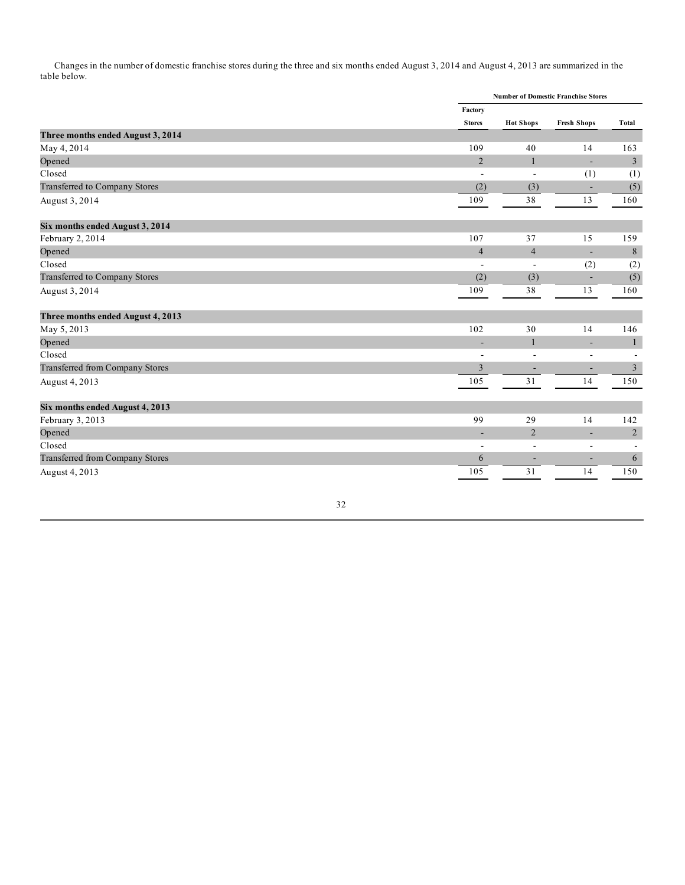Changes in the number of domestic franchise stores during the three and six months ended August 3, 2014 and August 4, 2013 are summarized in the table below.

|                                        |                          | <b>Number of Domestic Franchise Stores</b> |                          |                          |  |  |
|----------------------------------------|--------------------------|--------------------------------------------|--------------------------|--------------------------|--|--|
|                                        | Factory                  |                                            |                          |                          |  |  |
|                                        | <b>Stores</b>            | <b>Hot Shops</b>                           | <b>Fresh Shops</b>       | Total                    |  |  |
| Three months ended August 3, 2014      |                          |                                            |                          |                          |  |  |
| May 4, 2014                            | 109                      | 40                                         | 14                       | 163                      |  |  |
| Opened                                 | $\overline{2}$           | 1                                          | ä,                       | 3                        |  |  |
| Closed                                 | $\blacksquare$           | $\blacksquare$                             | (1)                      | (1)                      |  |  |
| Transferred to Company Stores          | (2)                      | (3)                                        | ۰                        | (5)                      |  |  |
| August 3, 2014                         | 109                      | 38                                         | 13                       | 160                      |  |  |
| Six months ended August 3, 2014        |                          |                                            |                          |                          |  |  |
| February 2, 2014                       | 107                      | 37                                         | 15                       | 159                      |  |  |
| Opened                                 | $\overline{4}$           | $\overline{4}$                             | ÷                        | 8                        |  |  |
| Closed                                 | $\blacksquare$           | $\blacksquare$                             | (2)                      | (2)                      |  |  |
| Transferred to Company Stores          | (2)                      | (3)                                        | $\overline{\phantom{a}}$ | (5)                      |  |  |
| August 3, 2014                         | 109                      | 38                                         | 13                       | 160                      |  |  |
| Three months ended August 4, 2013      |                          |                                            |                          |                          |  |  |
| May 5, 2013                            | 102                      | 30                                         | 14                       | 146                      |  |  |
| Opened                                 |                          | $\mathbf{1}$                               | ÷                        | $\mathbf{1}$             |  |  |
| Closed                                 | $\blacksquare$           | ä,                                         | $\overline{\phantom{a}}$ | $\overline{\phantom{a}}$ |  |  |
| <b>Transferred from Company Stores</b> | 3                        | $\blacksquare$                             | ٠                        | $\overline{3}$           |  |  |
| August 4, 2013                         | 105                      | 31                                         | 14                       | 150                      |  |  |
| Six months ended August 4, 2013        |                          |                                            |                          |                          |  |  |
| February 3, 2013                       | 99                       | 29                                         | 14                       | 142                      |  |  |
| Opened                                 | $\overline{\phantom{a}}$ | $\overline{2}$                             | ٠                        | $\overline{2}$           |  |  |
| Closed                                 | ٠                        | ٠                                          | $\overline{\phantom{a}}$ |                          |  |  |
| Transferred from Company Stores        | 6                        | $\overline{\phantom{a}}$                   | ۰                        | 6                        |  |  |
| August 4, 2013                         | 105                      | 31                                         | 14                       | 150                      |  |  |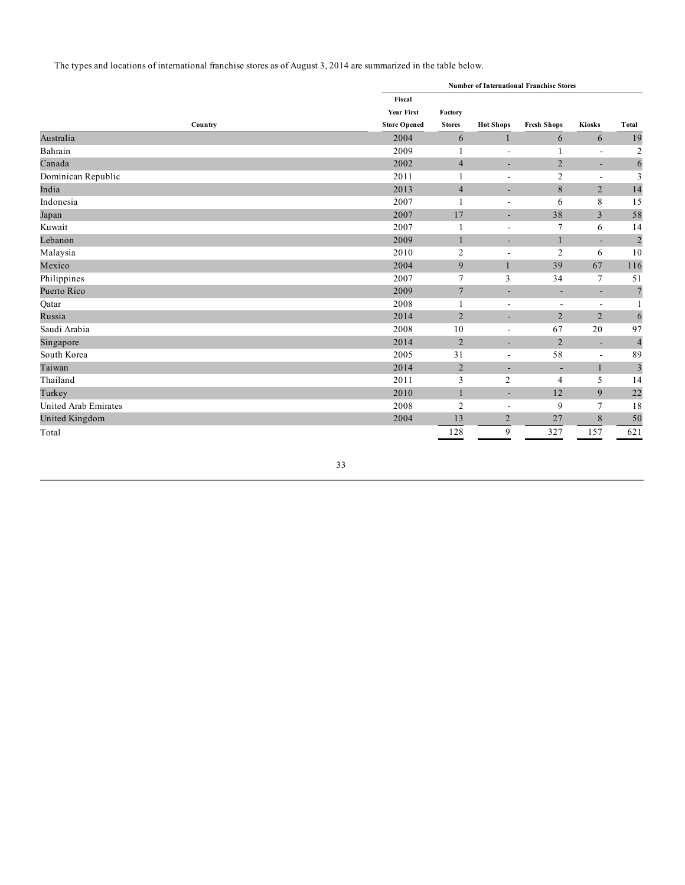The types and locations of international franchise stores as of August 3, 2014 are summarized in the table below.

|                      | <b>Number of International Franchise Stores</b> |                |                          |                          |                          |                         |  |  |
|----------------------|-------------------------------------------------|----------------|--------------------------|--------------------------|--------------------------|-------------------------|--|--|
|                      | Fiscal                                          |                |                          |                          |                          |                         |  |  |
|                      | <b>Year First</b>                               | Factory        |                          |                          |                          |                         |  |  |
| Country              | <b>Store Opened</b>                             | <b>Stores</b>  | <b>Hot Shops</b>         | <b>Fresh Shops</b>       | Kiosks                   | Total                   |  |  |
| Australia            | 2004                                            | 6              |                          | 6                        | 6                        | 19                      |  |  |
| Bahrain              | 2009                                            |                | $\overline{\phantom{a}}$ | 1                        | Ē,                       | $\overline{2}$          |  |  |
| Canada               | 2002                                            | $\overline{4}$ | $\overline{\phantom{a}}$ | $\overline{2}$           | $\overline{\phantom{a}}$ | 6                       |  |  |
| Dominican Republic   | 2011                                            | 1              | $\overline{\phantom{a}}$ | $\overline{c}$           | $\overline{\phantom{a}}$ | $\overline{3}$          |  |  |
| India                | 2013                                            | $\overline{4}$ | $\overline{\phantom{a}}$ | 8                        | $\overline{2}$           | 14                      |  |  |
| Indonesia            | 2007                                            | 1              | $\overline{\phantom{a}}$ | 6                        | 8                        | 15                      |  |  |
| Japan                | 2007                                            | 17             | $\overline{\phantom{a}}$ | 38                       | $\mathfrak{Z}$           | 58                      |  |  |
| Kuwait               | 2007                                            |                | $\overline{\phantom{a}}$ | 7                        | 6                        | 14                      |  |  |
| Lebanon              | 2009                                            | 1              | ۰                        | $\mathbf{1}$             | $\overline{\phantom{a}}$ | $\overline{\mathbf{c}}$ |  |  |
| Malaysia             | 2010                                            | $\overline{2}$ | $\blacksquare$           | 2                        | 6                        | 10                      |  |  |
| Mexico               | 2004                                            | 9              | 1                        | 39                       | 67                       | 116                     |  |  |
| Philippines          | 2007                                            | 7              | 3                        | 34                       | $\tau$                   | 51                      |  |  |
| Puerto Rico          | 2009                                            | $\overline{7}$ | $\overline{\phantom{a}}$ | $\overline{\phantom{a}}$ | $\overline{\phantom{a}}$ | $\overline{7}$          |  |  |
| Qatar                | 2008                                            | 1              | $\overline{\phantom{a}}$ | $\overline{\phantom{a}}$ | $\blacksquare$           |                         |  |  |
| Russia               | 2014                                            | $\overline{2}$ | $\sim$                   | $\overline{2}$           | $\overline{2}$           | 6                       |  |  |
| Saudi Arabia         | 2008                                            | 10             | $\overline{\phantom{a}}$ | 67                       | 20                       | 97                      |  |  |
| Singapore            | 2014                                            | $\overline{c}$ | $\overline{\phantom{a}}$ | $\overline{c}$           | $\overline{\phantom{a}}$ | $\overline{4}$          |  |  |
| South Korea          | 2005                                            | 31             | $\blacksquare$           | 58                       | $\overline{\phantom{a}}$ | 89                      |  |  |
| Taiwan               | 2014                                            | $\overline{2}$ | $\overline{\phantom{a}}$ | $\overline{\phantom{a}}$ | 1                        | $\overline{\mathbf{3}}$ |  |  |
| Thailand             | 2011                                            | 3              | 2                        | 4                        | 5                        | 14                      |  |  |
| Turkey               | 2010                                            | $\mathbf{1}$   | $\overline{\phantom{a}}$ | 12                       | 9                        | 22                      |  |  |
| United Arab Emirates | 2008                                            | $\overline{2}$ | $\overline{\phantom{a}}$ | 9                        | $\overline{7}$           | 18                      |  |  |
| United Kingdom       | 2004                                            | 13             | $\overline{2}$           | 27                       | $\,8\,$                  | 50                      |  |  |
| Total                |                                                 | 128            | 9                        | 327                      | 157                      | 621                     |  |  |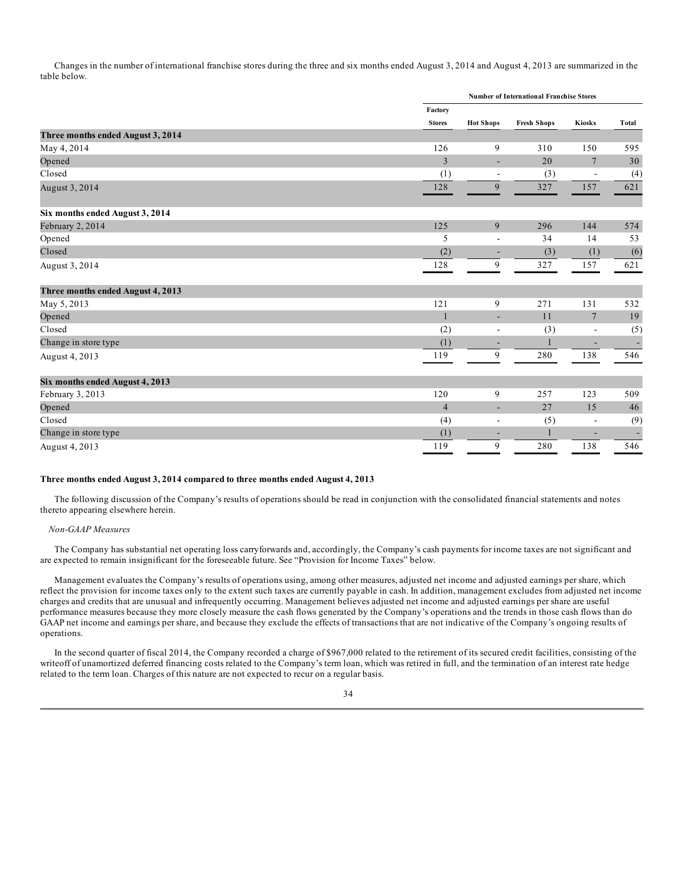Changes in the number of international franchise stores during the three and six months ended August 3, 2014 and August 4, 2013 are summarized in the table below.

|                                   |                | <b>Number of International Franchise Stores</b> |                    |                          |        |  |  |  |  |
|-----------------------------------|----------------|-------------------------------------------------|--------------------|--------------------------|--------|--|--|--|--|
|                                   | Factory        |                                                 |                    |                          |        |  |  |  |  |
|                                   | <b>Stores</b>  | <b>Hot Shops</b>                                | <b>Fresh Shops</b> | Kiosks                   | Total  |  |  |  |  |
| Three months ended August 3, 2014 |                |                                                 |                    |                          |        |  |  |  |  |
| May 4, 2014                       | 126            | 9                                               | 310                | 150                      | 595    |  |  |  |  |
| Opened                            | 3              | $\overline{\phantom{a}}$                        | 20                 | $\overline{7}$           | 30     |  |  |  |  |
| Closed                            | (1)            | ٠                                               | (3)                |                          | (4)    |  |  |  |  |
| August 3, 2014                    | 128            | 9                                               | 327                | 157                      | 621    |  |  |  |  |
| Six months ended August 3, 2014   |                |                                                 |                    |                          |        |  |  |  |  |
| February 2, 2014                  | 125            | 9                                               | 296                | 144                      | 574    |  |  |  |  |
| Opened                            | 5              | ۰                                               | 34                 | 14                       | 53     |  |  |  |  |
| Closed                            | (2)            | -                                               | (3)                | (1)                      | (6)    |  |  |  |  |
| August 3, 2014                    | 128            | 9                                               | 327                | 157                      | 621    |  |  |  |  |
| Three months ended August 4, 2013 |                |                                                 |                    |                          |        |  |  |  |  |
| May 5, 2013                       | 121            | 9                                               | 271                | 131                      | 532    |  |  |  |  |
| Opened                            | $\mathbf{1}$   | $\overline{\phantom{a}}$                        | 11                 | $7\phantom{.0}$          | 19     |  |  |  |  |
| Closed                            | (2)            | $\overline{\phantom{a}}$                        | (3)                | $\overline{\phantom{a}}$ | (5)    |  |  |  |  |
| Change in store type              | (1)            | -                                               |                    |                          |        |  |  |  |  |
| August 4, 2013                    | 119            | 9                                               | 280                | 138                      | 546    |  |  |  |  |
| Six months ended August 4, 2013   |                |                                                 |                    |                          |        |  |  |  |  |
| February 3, 2013                  | 120            | 9                                               | 257                | 123                      | 509    |  |  |  |  |
| Opened                            | $\overline{4}$ | $\overline{\phantom{a}}$                        | 27                 | 15                       | $46\,$ |  |  |  |  |
| Closed                            | (4)            | $\overline{\phantom{a}}$                        | (5)                | $\overline{\phantom{a}}$ | (9)    |  |  |  |  |
| Change in store type              | (1)            | $\overline{\phantom{a}}$                        |                    | ۰                        | ٠      |  |  |  |  |
| August 4, 2013                    | 119            | 9                                               | 280                | 138                      | 546    |  |  |  |  |

#### **Three months ended August 3, 2014 compared to three months ended August 4, 2013**

The following discussion of the Company's results of operations should be read in conjunction with the consolidated financial statements and notes thereto appearing elsewhere herein.

#### *Non-GAAP Measures*

The Company has substantial net operating loss carryforwards and, accordingly, the Company's cash payments for income taxes are not significant and are expected to remain insignificant for the foreseeable future. See "Provision for Income Taxes" below.

Management evaluates the Company's results of operations using, among other measures, adjusted net income and adjusted earnings per share, which reflect the provision for income taxes only to the extent such taxes are currently payable in cash. In addition, management excludes from adjusted net income charges and credits that are unusual and infrequently occurring. Management believes adjusted net income and adjusted earnings per share are useful performance measures because they more closely measure the cash flows generated by the Company's operations and the trends in those cash flows than do GAAP net income and earnings per share, and because they exclude the effects of transactions that are not indicative of the Company's ongoing results of operations.

In the second quarter of fiscal 2014, the Company recorded a charge of \$967,000 related to the retirement of its secured credit facilities, consisting of the writeoff of unamortized deferred financing costs related to the Company's term loan, which was retired in full, and the termination of an interest rate hedge related to the term loan. Charges of this nature are not expected to recur on a regular basis.

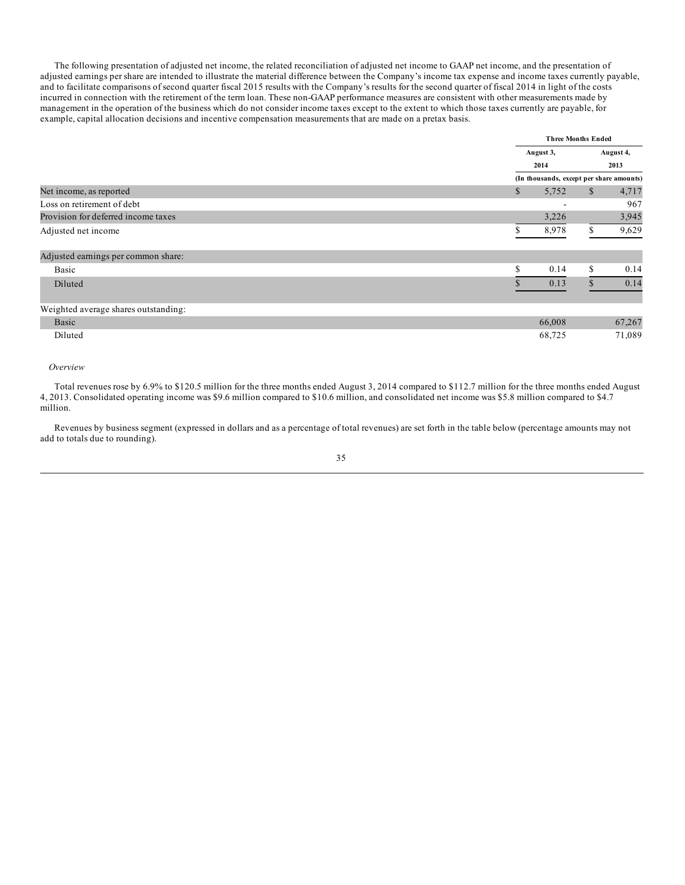The following presentation of adjusted net income, the related reconciliation of adjusted net income to GAAP net income, and the presentation of adjusted earnings per share are intended to illustrate the material difference between the Company's income tax expense and income taxes currently payable, and to facilitate comparisons of second quarter fiscal 2015 results with the Company's results for the second quarter of fiscal 2014 in light of the costs incurred in connection with the retirement of the term loan. These non-GAAP performance measures are consistent with other measurements made by management in the operation of the business which do not consider income taxes except to the extent to which those taxes currently are payable, for example, capital allocation decisions and incentive compensation measurements that are made on a pretax basis.

|                                      |                                          | <b>Three Months Ended</b> |           |  |  |
|--------------------------------------|------------------------------------------|---------------------------|-----------|--|--|
|                                      | August 3,                                |                           | August 4, |  |  |
|                                      | 2014                                     |                           | 2013      |  |  |
|                                      | (In thousands, except per share amounts) |                           |           |  |  |
| Net income, as reported              | 5,752<br>$\mathbb{S}$                    | $\mathbb{S}$              | 4,717     |  |  |
| Loss on retirement of debt           |                                          |                           | 967       |  |  |
| Provision for deferred income taxes  | 3,226                                    |                           | 3,945     |  |  |
| Adjusted net income                  | 8,978                                    | \$                        | 9,629     |  |  |
| Adjusted earnings per common share:  |                                          |                           |           |  |  |
| Basic                                | \$.<br>0.14                              | S                         | 0.14      |  |  |
| Diluted                              | 0.13                                     |                           | 0.14      |  |  |
| Weighted average shares outstanding: |                                          |                           |           |  |  |
| Basic                                | 66,008                                   |                           | 67,267    |  |  |
| Diluted                              | 68,725                                   |                           | 71,089    |  |  |

### *Overview*

Total revenues rose by 6.9% to \$120.5 million for the three months ended August 3, 2014 compared to \$112.7 million for the three months ended August 4, 2013. Consolidated operating income was \$9.6 million compared to \$10.6 million, and consolidated net income was \$5.8 million compared to \$4.7 million.

Revenues by business segment (expressed in dollars and as a percentage of total revenues) are set forth in the table below (percentage amounts may not add to totals due to rounding).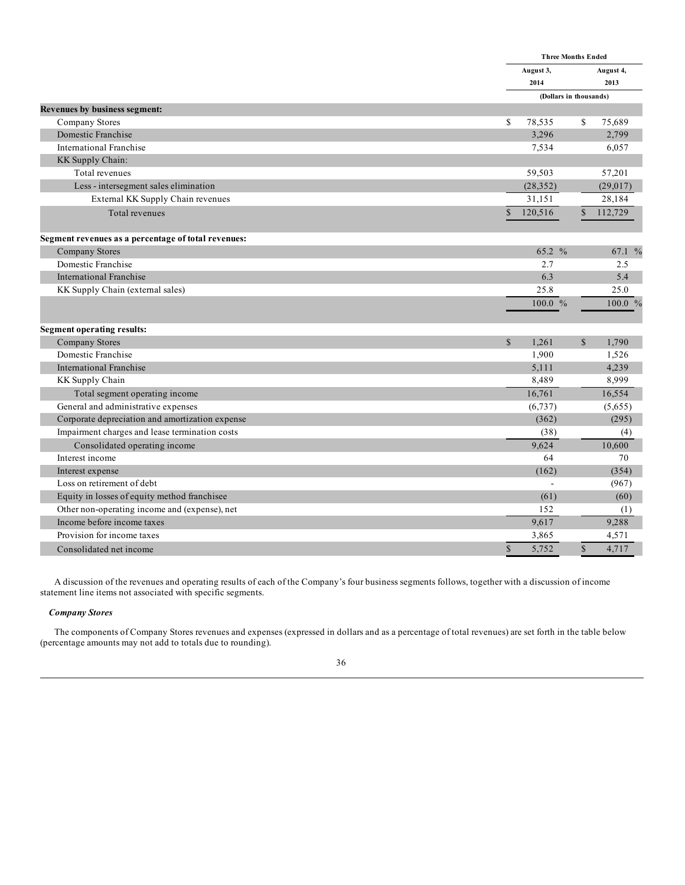| August 3,<br>2014<br>2013<br>(Dollars in thousands)<br><b>Revenues by business segment:</b><br>Company Stores<br>75,689<br>\$<br>78,535<br>\$<br>Domestic Franchise<br>3.296<br>International Franchise<br>7.534<br>6,057<br>KK Supply Chain:<br>Total revenues<br>59,503<br>57,201<br>Less - intersegment sales elimination<br>(28, 352)<br>(29, 017)<br>External KK Supply Chain revenues<br>31,151<br>28,184<br>Total revenues<br>$\mathbb{S}$<br>120,516<br>\$<br>112,729<br>Segment revenues as a percentage of total revenues:<br>65.2 %<br><b>Company Stores</b><br>Domestic Franchise<br>2.7<br>International Franchise<br>6.3<br>25.8<br>KK Supply Chain (external sales)<br>100.0 %<br><b>Segment operating results:</b><br><b>Company Stores</b><br>$\mathcal{S}$<br>$\mathbb{S}$<br>1,261<br>Domestic Franchise<br>1,900<br>International Franchise<br>5,111<br>KK Supply Chain<br>8,489<br>Total segment operating income<br>16,761<br>16,554<br>General and administrative expenses<br>(6, 737)<br>Corporate depreciation and amortization expense<br>(362)<br>Impairment charges and lease termination costs<br>(38) |       | <b>Three Months Ended</b> |           |  |
|-------------------------------------------------------------------------------------------------------------------------------------------------------------------------------------------------------------------------------------------------------------------------------------------------------------------------------------------------------------------------------------------------------------------------------------------------------------------------------------------------------------------------------------------------------------------------------------------------------------------------------------------------------------------------------------------------------------------------------------------------------------------------------------------------------------------------------------------------------------------------------------------------------------------------------------------------------------------------------------------------------------------------------------------------------------------------------------------------------------------------------------|-------|---------------------------|-----------|--|
|                                                                                                                                                                                                                                                                                                                                                                                                                                                                                                                                                                                                                                                                                                                                                                                                                                                                                                                                                                                                                                                                                                                                     |       |                           | August 4, |  |
|                                                                                                                                                                                                                                                                                                                                                                                                                                                                                                                                                                                                                                                                                                                                                                                                                                                                                                                                                                                                                                                                                                                                     |       |                           |           |  |
|                                                                                                                                                                                                                                                                                                                                                                                                                                                                                                                                                                                                                                                                                                                                                                                                                                                                                                                                                                                                                                                                                                                                     |       |                           |           |  |
|                                                                                                                                                                                                                                                                                                                                                                                                                                                                                                                                                                                                                                                                                                                                                                                                                                                                                                                                                                                                                                                                                                                                     |       |                           |           |  |
|                                                                                                                                                                                                                                                                                                                                                                                                                                                                                                                                                                                                                                                                                                                                                                                                                                                                                                                                                                                                                                                                                                                                     |       |                           |           |  |
|                                                                                                                                                                                                                                                                                                                                                                                                                                                                                                                                                                                                                                                                                                                                                                                                                                                                                                                                                                                                                                                                                                                                     |       |                           | 2,799     |  |
|                                                                                                                                                                                                                                                                                                                                                                                                                                                                                                                                                                                                                                                                                                                                                                                                                                                                                                                                                                                                                                                                                                                                     |       |                           |           |  |
|                                                                                                                                                                                                                                                                                                                                                                                                                                                                                                                                                                                                                                                                                                                                                                                                                                                                                                                                                                                                                                                                                                                                     |       |                           |           |  |
|                                                                                                                                                                                                                                                                                                                                                                                                                                                                                                                                                                                                                                                                                                                                                                                                                                                                                                                                                                                                                                                                                                                                     |       |                           |           |  |
|                                                                                                                                                                                                                                                                                                                                                                                                                                                                                                                                                                                                                                                                                                                                                                                                                                                                                                                                                                                                                                                                                                                                     |       |                           |           |  |
|                                                                                                                                                                                                                                                                                                                                                                                                                                                                                                                                                                                                                                                                                                                                                                                                                                                                                                                                                                                                                                                                                                                                     |       |                           |           |  |
|                                                                                                                                                                                                                                                                                                                                                                                                                                                                                                                                                                                                                                                                                                                                                                                                                                                                                                                                                                                                                                                                                                                                     |       |                           |           |  |
|                                                                                                                                                                                                                                                                                                                                                                                                                                                                                                                                                                                                                                                                                                                                                                                                                                                                                                                                                                                                                                                                                                                                     |       |                           |           |  |
|                                                                                                                                                                                                                                                                                                                                                                                                                                                                                                                                                                                                                                                                                                                                                                                                                                                                                                                                                                                                                                                                                                                                     |       |                           | 67.1 %    |  |
|                                                                                                                                                                                                                                                                                                                                                                                                                                                                                                                                                                                                                                                                                                                                                                                                                                                                                                                                                                                                                                                                                                                                     |       |                           | 2.5       |  |
|                                                                                                                                                                                                                                                                                                                                                                                                                                                                                                                                                                                                                                                                                                                                                                                                                                                                                                                                                                                                                                                                                                                                     |       |                           | 5.4       |  |
|                                                                                                                                                                                                                                                                                                                                                                                                                                                                                                                                                                                                                                                                                                                                                                                                                                                                                                                                                                                                                                                                                                                                     |       |                           | 25.0      |  |
|                                                                                                                                                                                                                                                                                                                                                                                                                                                                                                                                                                                                                                                                                                                                                                                                                                                                                                                                                                                                                                                                                                                                     |       |                           | 100.0 %   |  |
|                                                                                                                                                                                                                                                                                                                                                                                                                                                                                                                                                                                                                                                                                                                                                                                                                                                                                                                                                                                                                                                                                                                                     |       |                           |           |  |
|                                                                                                                                                                                                                                                                                                                                                                                                                                                                                                                                                                                                                                                                                                                                                                                                                                                                                                                                                                                                                                                                                                                                     |       |                           | 1,790     |  |
|                                                                                                                                                                                                                                                                                                                                                                                                                                                                                                                                                                                                                                                                                                                                                                                                                                                                                                                                                                                                                                                                                                                                     |       |                           | 1,526     |  |
|                                                                                                                                                                                                                                                                                                                                                                                                                                                                                                                                                                                                                                                                                                                                                                                                                                                                                                                                                                                                                                                                                                                                     |       |                           | 4,239     |  |
|                                                                                                                                                                                                                                                                                                                                                                                                                                                                                                                                                                                                                                                                                                                                                                                                                                                                                                                                                                                                                                                                                                                                     |       |                           | 8,999     |  |
|                                                                                                                                                                                                                                                                                                                                                                                                                                                                                                                                                                                                                                                                                                                                                                                                                                                                                                                                                                                                                                                                                                                                     |       |                           |           |  |
|                                                                                                                                                                                                                                                                                                                                                                                                                                                                                                                                                                                                                                                                                                                                                                                                                                                                                                                                                                                                                                                                                                                                     |       |                           | (5,655)   |  |
|                                                                                                                                                                                                                                                                                                                                                                                                                                                                                                                                                                                                                                                                                                                                                                                                                                                                                                                                                                                                                                                                                                                                     |       |                           | (295)     |  |
|                                                                                                                                                                                                                                                                                                                                                                                                                                                                                                                                                                                                                                                                                                                                                                                                                                                                                                                                                                                                                                                                                                                                     |       |                           | (4)       |  |
| Consolidated operating income                                                                                                                                                                                                                                                                                                                                                                                                                                                                                                                                                                                                                                                                                                                                                                                                                                                                                                                                                                                                                                                                                                       | 9,624 |                           | 10,600    |  |
| Interest income<br>64                                                                                                                                                                                                                                                                                                                                                                                                                                                                                                                                                                                                                                                                                                                                                                                                                                                                                                                                                                                                                                                                                                               |       |                           | 70        |  |
| (162)<br>Interest expense                                                                                                                                                                                                                                                                                                                                                                                                                                                                                                                                                                                                                                                                                                                                                                                                                                                                                                                                                                                                                                                                                                           |       |                           | (354)     |  |
| Loss on retirement of debt<br>$\sim$                                                                                                                                                                                                                                                                                                                                                                                                                                                                                                                                                                                                                                                                                                                                                                                                                                                                                                                                                                                                                                                                                                |       |                           | (967)     |  |
| Equity in losses of equity method franchisee<br>(61)                                                                                                                                                                                                                                                                                                                                                                                                                                                                                                                                                                                                                                                                                                                                                                                                                                                                                                                                                                                                                                                                                |       |                           | (60)      |  |
| Other non-operating income and (expense), net<br>152                                                                                                                                                                                                                                                                                                                                                                                                                                                                                                                                                                                                                                                                                                                                                                                                                                                                                                                                                                                                                                                                                |       |                           | (1)       |  |
| Income before income taxes<br>9,617                                                                                                                                                                                                                                                                                                                                                                                                                                                                                                                                                                                                                                                                                                                                                                                                                                                                                                                                                                                                                                                                                                 |       |                           | 9,288     |  |
| Provision for income taxes<br>3,865                                                                                                                                                                                                                                                                                                                                                                                                                                                                                                                                                                                                                                                                                                                                                                                                                                                                                                                                                                                                                                                                                                 |       |                           | 4,571     |  |
| $\mathbb{S}$<br>$\mathcal{S}$<br>5.752<br>Consolidated net income                                                                                                                                                                                                                                                                                                                                                                                                                                                                                                                                                                                                                                                                                                                                                                                                                                                                                                                                                                                                                                                                   |       |                           | 4,717     |  |

A discussion of the revenues and operating results of each of the Company's four business segments follows, together with a discussion of income statement line items not associated with specific segments.

# *Company Stores*

The components of Company Stores revenues and expenses (expressed in dollars and as a percentage of total revenues) are set forth in the table below (percentage amounts may not add to totals due to rounding).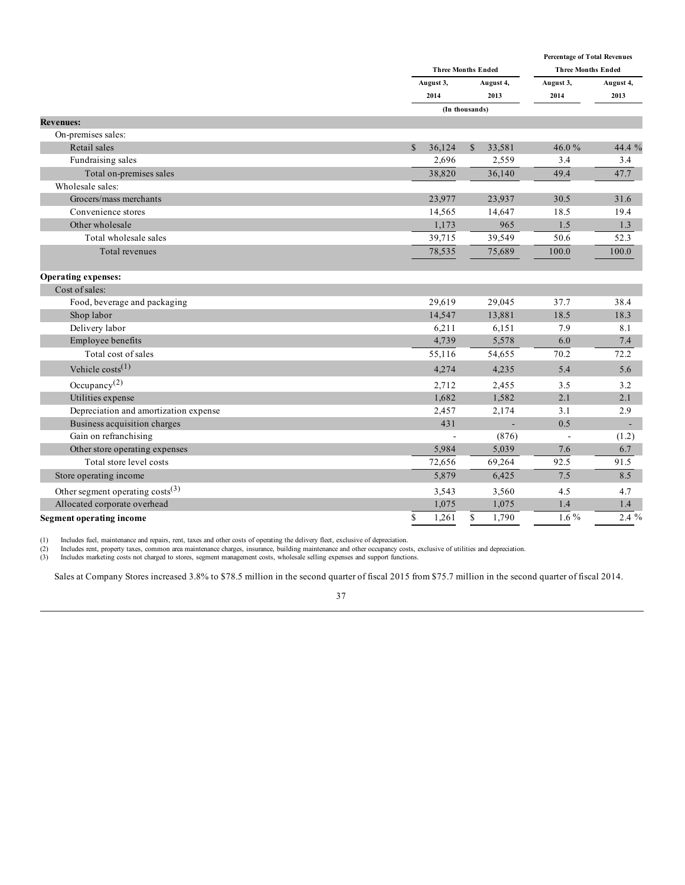|                                       |               | <b>Three Months Ended</b>      |              |           | <b>Percentage of Total Revenues</b><br><b>Three Months Ended</b> |         |  |
|---------------------------------------|---------------|--------------------------------|--------------|-----------|------------------------------------------------------------------|---------|--|
|                                       |               | August 3,<br>August 4,<br>2014 |              | August 3, | August 4,                                                        |         |  |
|                                       |               |                                |              | 2013      | 2014                                                             | 2013    |  |
|                                       |               | (In thousands)                 |              |           |                                                                  |         |  |
| <b>Revenues:</b>                      |               |                                |              |           |                                                                  |         |  |
| On-premises sales:                    |               |                                |              |           |                                                                  |         |  |
| Retail sales                          | $\mathcal{S}$ | 36.124                         | $\mathbb{S}$ | 33,581    | 46.0 $%$                                                         | 44.4 %  |  |
| Fundraising sales                     |               | 2,696                          |              | 2,559     | 3.4                                                              | 3.4     |  |
| Total on-premises sales               |               | 38,820                         |              | 36,140    | 49.4                                                             | 47.7    |  |
| Wholesale sales:                      |               |                                |              |           |                                                                  |         |  |
| Grocers/mass merchants                |               | 23,977                         |              | 23,937    | 30.5                                                             | 31.6    |  |
| Convenience stores                    |               | 14,565                         |              | 14,647    | 18.5                                                             | 19.4    |  |
| Other wholesale                       |               | 1,173                          |              | 965       | 1.5                                                              | 1.3     |  |
| Total wholesale sales                 |               | 39,715                         |              | 39,549    | 50.6                                                             | 52.3    |  |
| Total revenues                        |               | 78,535                         |              | 75,689    | 100.0                                                            | 100.0   |  |
| <b>Operating expenses:</b>            |               |                                |              |           |                                                                  |         |  |
| Cost of sales:                        |               |                                |              |           |                                                                  |         |  |
| Food, beverage and packaging          |               | 29,619                         |              | 29,045    | 37.7                                                             | 38.4    |  |
| Shop labor                            |               | 14,547                         |              | 13,881    | 18.5                                                             | 18.3    |  |
| Delivery labor                        |               | 6,211                          |              | 6,151     | 7.9                                                              | 8.1     |  |
| Employee benefits                     |               | 4,739                          |              | 5,578     | 6.0                                                              | 7.4     |  |
| Total cost of sales                   |               | 55,116                         |              | 54,655    | 70.2                                                             | 72.2    |  |
| Vehicle $costs^{(1)}$                 |               | 4,274                          |              | 4,235     | 5.4                                                              | 5.6     |  |
| Occupancy <sup><math>(2)</math></sup> |               | 2,712                          |              | 2,455     | 3.5                                                              | 3.2     |  |
| Utilities expense                     |               | 1,682                          |              | 1,582     | 2.1                                                              | 2.1     |  |
| Depreciation and amortization expense |               | 2,457                          |              | 2,174     | 3.1                                                              | 2.9     |  |
| Business acquisition charges          |               | 431                            |              |           | 0.5                                                              |         |  |
| Gain on refranchising                 |               | L.                             |              | (876)     | $\sim$                                                           | (1.2)   |  |
| Other store operating expenses        |               | 5,984                          |              | 5,039     | 7.6                                                              | 6.7     |  |
| Total store level costs               |               | 72,656                         |              | 69,264    | 92.5                                                             | 91.5    |  |
| Store operating income                |               | 5,879                          |              | 6,425     | 7.5                                                              | 8.5     |  |
| Other segment operating $costs^{(3)}$ |               | 3,543                          |              | 3,560     | 4.5                                                              | 4.7     |  |
| Allocated corporate overhead          |               | 1,075                          |              | 1,075     | 1.4                                                              | 1.4     |  |
| <b>Segment operating income</b>       | $\mathbb{S}$  | 1,261                          | $\mathbf S$  | 1,790     | $1.6\ \%$                                                        | $2.4\%$ |  |

(1) Includes fuel, maintenance and repairs, rent, taxes and other costs of operating the delivery fleet, exclusive of depreciation.<br>
(2) Includes rent, property taxes, common area maintenance charges, insurance, building m (2) Includes rent, property taxes, common area maintenance charges, insurance, building maintenance and other occupancy costs, exclusive of utilities and depreciation.<br>(3) Includes marketing costs not charged to stores, se

Sales at Company Stores increased 3.8% to \$78.5 million in the second quarter of fiscal 2015 from \$75.7 million in the second quarter of fiscal 2014.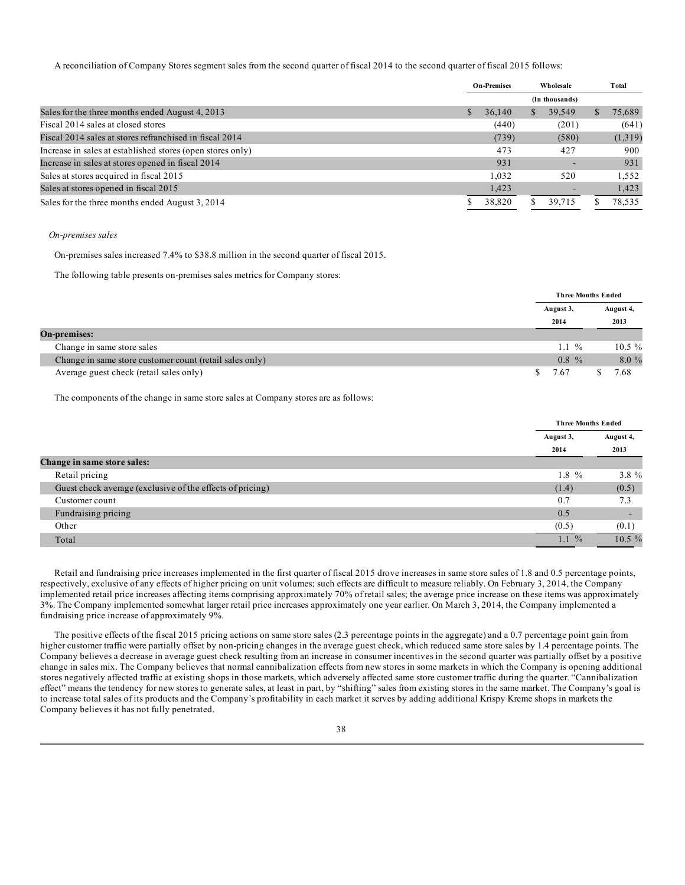A reconciliation of Company Stores segment sales from the second quarter of fiscal 2014 to the second quarter of fiscal 2015 follows:

|                                                            | <b>On-Premises</b> |    | Wholesale      |  | Total   |
|------------------------------------------------------------|--------------------|----|----------------|--|---------|
|                                                            |                    |    | (In thousands) |  |         |
| Sales for the three months ended August 4, 2013            | 36,140             | S. | 39.549         |  | 75,689  |
| Fiscal 2014 sales at closed stores                         | (440)              |    | (201)          |  | (641)   |
| Fiscal 2014 sales at stores refranchised in fiscal 2014    | (739)              |    | (580)          |  | (1,319) |
| Increase in sales at established stores (open stores only) | 473                |    | 427            |  | 900     |
| Increase in sales at stores opened in fiscal 2014          | 931                |    |                |  | 931     |
| Sales at stores acquired in fiscal 2015                    | 1.032              |    | 520            |  | 1,552   |
| Sales at stores opened in fiscal 2015                      | 1,423              |    |                |  | 1,423   |
| Sales for the three months ended August 3, 2014            | 38.820             |    | 39.715         |  | 78,535  |

## *On-premises sales*

On-premises sales increased 7.4% to \$38.8 million in the second quarter of fiscal 2015.

The following table presents on-premises sales metrics for Company stores:

|                                                         | <b>Three Months Ended</b> |           |
|---------------------------------------------------------|---------------------------|-----------|
|                                                         | August 3,                 | August 4, |
|                                                         | 2014                      | 2013      |
| On-premises:                                            |                           |           |
| Change in same store sales                              | $1.1\%$                   | $10.5 \%$ |
| Change in same store customer count (retail sales only) | $0.8\%$                   | $8.0\%$   |
| Average guest check (retail sales only)                 | 7.67                      | 7.68      |

The components of the change in same store sales at Company stores are as follows:

|                                                           | <b>Three Months Ended</b> |           |
|-----------------------------------------------------------|---------------------------|-----------|
|                                                           | August 3,                 | August 4, |
|                                                           | 2014                      | 2013      |
| Change in same store sales:                               |                           |           |
| Retail pricing                                            | 1.8 $%$                   | $3.8 \%$  |
| Guest check average (exclusive of the effects of pricing) | (1.4)                     | (0.5)     |
| Customer count                                            | 0.7                       | 7.3       |
| Fundraising pricing                                       | 0.5                       |           |
| Other                                                     | (0.5)                     | (0.1)     |
| Total                                                     | $\frac{0}{0}$<br>1.1      | $10.5 \%$ |

Retail and fundraising price increases implemented in the first quarter of fiscal 2015 drove increases in same store sales of 1.8 and 0.5 percentage points, respectively, exclusive of any effects of higher pricing on unit volumes; such effects are difficult to measure reliably. On February 3, 2014, the Company implemented retail price increases affecting items comprising approximately 70% of retail sales; the average price increase on these items was approximately 3%. The Company implemented somewhat larger retail price increases approximately one year earlier. On March 3, 2014, the Company implemented a fundraising price increase of approximately 9%.

The positive effects of the fiscal 2015 pricing actions on same store sales (2.3 percentage points in the aggregate) and a 0.7 percentage point gain from higher customer traffic were partially offset by non-pricing changes in the average guest check, which reduced same store sales by 1.4 percentage points. The Company believes a decrease in average guest check resulting from an increase in consumer incentives in the second quarter was partially offset by a positive change in sales mix. The Company believes that normal cannibalization effects from new stores in some markets in which the Company is opening additional stores negatively affected traffic at existing shops in those markets, which adversely affected same store customer traffic during the quarter. "Cannibalization effect" means the tendency for new stores to generate sales, at least in part, by "shifting" sales from existing stores in the same market. The Company's goal is to increase total sales of its products and the Company's profitability in each market it serves by adding additional Krispy Kreme shops in markets the Company believes it has not fully penetrated.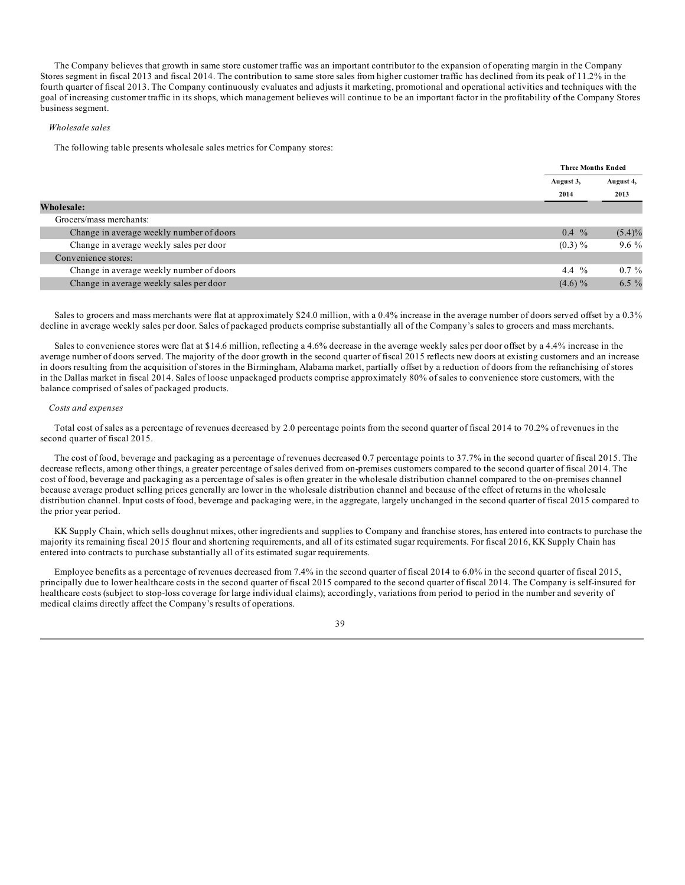The Company believes that growth in same store customer traffic was an important contributor to the expansion of operating margin in the Company Stores segment in fiscal 2013 and fiscal 2014. The contribution to same store sales from higher customer traffic has declined from its peak of 11.2% in the fourth quarter of fiscal 2013. The Company continuously evaluates and adjusts it marketing, promotional and operational activities and techniques with the goal of increasing customer traffic in its shops, which management believes will continue to be an important factor in the profitability of the Company Stores business segment.

# *Wholesale sales*

The following table presents wholesale sales metrics for Company stores:

|                                          | <b>Three Months Ended</b> |           |
|------------------------------------------|---------------------------|-----------|
|                                          | August 3,                 | August 4, |
|                                          | 2014                      | 2013      |
| Wholesale:                               |                           |           |
| Grocers/mass merchants:                  |                           |           |
| Change in average weekly number of doors | $0.4\%$                   | $(5.4)\%$ |
| Change in average weekly sales per door  | $(0.3) \%$                | $9.6\%$   |
| Convenience stores:                      |                           |           |
| Change in average weekly number of doors | 4.4 $\%$                  | $0.7\%$   |
| Change in average weekly sales per door  | $(4.6) \%$                | 6.5 $%$   |

Sales to grocers and mass merchants were flat at approximately \$24.0 million, with a 0.4% increase in the average number of doors served offset by a 0.3% decline in average weekly sales per door. Sales of packaged products comprise substantially all of the Company's sales to grocers and mass merchants.

Sales to convenience stores were flat at \$14.6 million, reflecting a 4.6% decrease in the average weekly sales per door offset by a 4.4% increase in the average number of doors served. The majority of the door growth in the second quarter of fiscal 2015 reflects new doors at existing customers and an increase in doors resulting from the acquisition of stores in the Birmingham, Alabama market, partially offset by a reduction of doors from the refranchising of stores in the Dallas market in fiscal 2014. Sales of loose unpackaged products comprise approximately 80% of sales to convenience store customers, with the balance comprised of sales of packaged products.

## *Costs and expenses*

Total cost of sales as a percentage of revenues decreased by 2.0 percentage points from the second quarter of fiscal 2014 to 70.2% of revenues in the second quarter of fiscal 2015.

The cost of food, beverage and packaging as a percentage of revenues decreased 0.7 percentage points to 37.7% in the second quarter of fiscal 2015. The decrease reflects, among other things, a greater percentage of sales derived from on-premises customers compared to the second quarter of fiscal 2014. The cost of food, beverage and packaging as a percentage of sales is often greater in the wholesale distribution channel compared to the on-premises channel because average product selling prices generally are lower in the wholesale distribution channel and because of the effect of returns in the wholesale distribution channel. Input costs of food, beverage and packaging were, in the aggregate, largely unchanged in the second quarter of fiscal 2015 compared to the prior year period.

KK Supply Chain, which sells doughnut mixes, other ingredients and supplies to Company and franchise stores, has entered into contracts to purchase the majority its remaining fiscal 2015 flour and shortening requirements, and all of its estimated sugar requirements. For fiscal 2016, KK Supply Chain has entered into contracts to purchase substantially all of its estimated sugar requirements.

Employee benefits as a percentage of revenues decreased from 7.4% in the second quarter of fiscal 2014 to 6.0% in the second quarter of fiscal 2015, principally due to lower healthcare costs in the second quarter of fiscal 2015 compared to the second quarter of fiscal 2014. The Company is self-insured for healthcare costs (subject to stop-loss coverage for large individual claims); accordingly, variations from period to period in the number and severity of medical claims directly affect the Company's results of operations.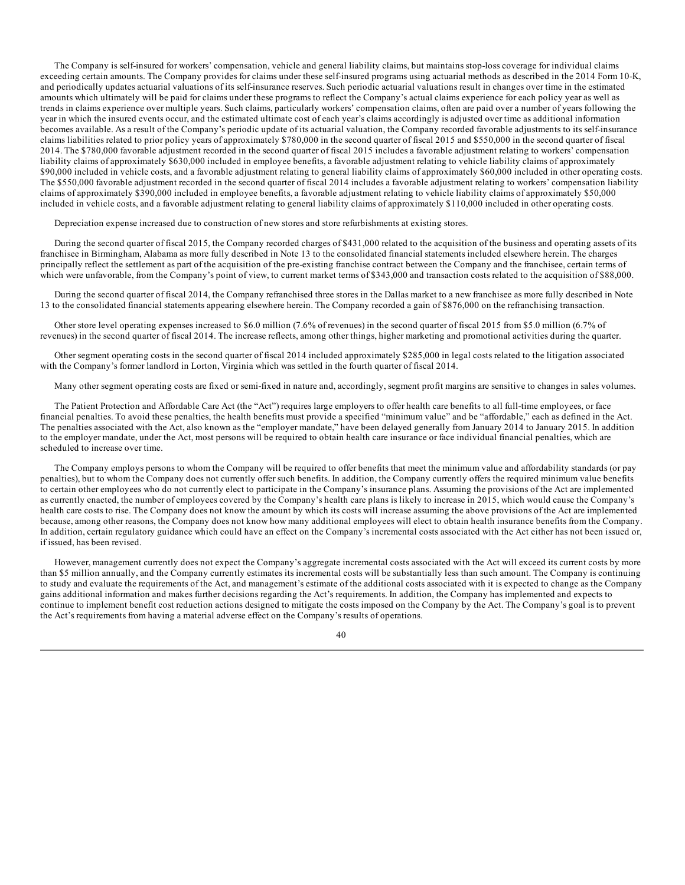The Company is self-insured for workers' compensation, vehicle and general liability claims, but maintains stop-loss coverage for individual claims exceeding certain amounts. The Company provides for claims under these self-insured programs using actuarial methods as described in the 2014 Form 10-K, and periodically updates actuarial valuations of its self-insurance reserves. Such periodic actuarial valuations result in changes over time in the estimated amounts which ultimately will be paid for claims under these programs to reflect the Company's actual claims experience for each policy year as well as trends in claims experience over multiple years. Such claims, particularly workers' compensation claims, often are paid over a number of years following the year in which the insured events occur, and the estimated ultimate cost of each year's claims accordingly is adjusted over time as additional information becomes available. As a result of the Company's periodic update of its actuarial valuation, the Company recorded favorable adjustments to its self-insurance claims liabilities related to prior policy years of approximately \$780,000 in the second quarter of fiscal 2015 and \$550,000 in the second quarter of fiscal 2014. The \$780,000 favorable adjustment recorded in the second quarter of fiscal 2015 includes a favorable adjustment relating to workers' compensation liability claims of approximately \$630,000 included in employee benefits, a favorable adjustment relating to vehicle liability claims of approximately \$90,000 included in vehicle costs, and a favorable adjustment relating to general liability claims of approximately \$60,000 included in other operating costs. The \$550,000 favorable adjustment recorded in the second quarter of fiscal 2014 includes a favorable adjustment relating to workers' compensation liability claims of approximately \$390,000 included in employee benefits, a favorable adjustment relating to vehicle liability claims of approximately \$50,000 included in vehicle costs, and a favorable adjustment relating to general liability claims of approximately \$110,000 included in other operating costs.

Depreciation expense increased due to construction of new stores and store refurbishments at existing stores.

During the second quarter of fiscal 2015, the Company recorded charges of \$431,000 related to the acquisition of the business and operating assets of its franchisee in Birmingham, Alabama as more fully described in Note 13 to the consolidated financial statements included elsewhere herein. The charges principally reflect the settlement as part of the acquisition of the pre-existing franchise contract between the Company and the franchisee, certain terms of which were unfavorable, from the Company's point of view, to current market terms of \$343,000 and transaction costs related to the acquisition of \$88,000.

During the second quarter of fiscal 2014, the Company refranchised three stores in the Dallas market to a new franchisee as more fully described in Note 13 to the consolidated financial statements appearing elsewhere herein. The Company recorded a gain of \$876,000 on the refranchising transaction.

Other store level operating expenses increased to \$6.0 million (7.6% of revenues) in the second quarter of fiscal 2015 from \$5.0 million (6.7% of revenues) in the second quarter of fiscal 2014. The increase reflects, among other things, higher marketing and promotional activities during the quarter.

Other segment operating costs in the second quarter of fiscal 2014 included approximately \$285,000 in legal costs related to the litigation associated with the Company's former landlord in Lorton, Virginia which was settled in the fourth quarter of fiscal 2014.

Many other segment operating costs are fixed or semi-fixed in nature and, accordingly, segment profit margins are sensitive to changes in sales volumes.

The Patient Protection and Affordable Care Act (the "Act") requires large employers to offer health care benefits to all full-time employees, or face financial penalties. To avoid these penalties, the health benefits must provide a specified "minimum value" and be "affordable," each as defined in the Act. The penalties associated with the Act, also known as the "employer mandate," have been delayed generally from January 2014 to January 2015. In addition to the employer mandate, under the Act, most persons will be required to obtain health care insurance or face individual financial penalties, which are scheduled to increase over time.

The Company employs persons to whom the Company will be required to offer benefits that meet the minimum value and affordability standards (or pay penalties), but to whom the Company does not currently offer such benefits. In addition, the Company currently offers the required minimum value benefits to certain other employees who do not currently elect to participate in the Company's insurance plans. Assuming the provisions of the Act are implemented as currently enacted, the number of employees covered by the Company's health care plans is likely to increase in 2015, which would cause the Company's health care costs to rise. The Company does not know the amount by which its costs will increase assuming the above provisions of the Act are implemented because, among other reasons, the Company does not know how many additional employees will elect to obtain health insurance benefits from the Company. In addition, certain regulatory guidance which could have an effect on the Company's incremental costs associated with the Act either has not been issued or, if issued, has been revised.

However, management currently does not expect the Company's aggregate incremental costs associated with the Act will exceed its current costs by more than \$5 million annually, and the Company currently estimates its incremental costs will be substantially less than such amount. The Company is continuing to study and evaluate the requirements of the Act, and management's estimate of the additional costs associated with it is expected to change as the Company gains additional information and makes further decisions regarding the Act's requirements. In addition, the Company has implemented and expects to continue to implement benefit cost reduction actions designed to mitigate the costs imposed on the Company by the Act. The Company's goal is to prevent the Act's requirements from having a material adverse effect on the Company's results of operations.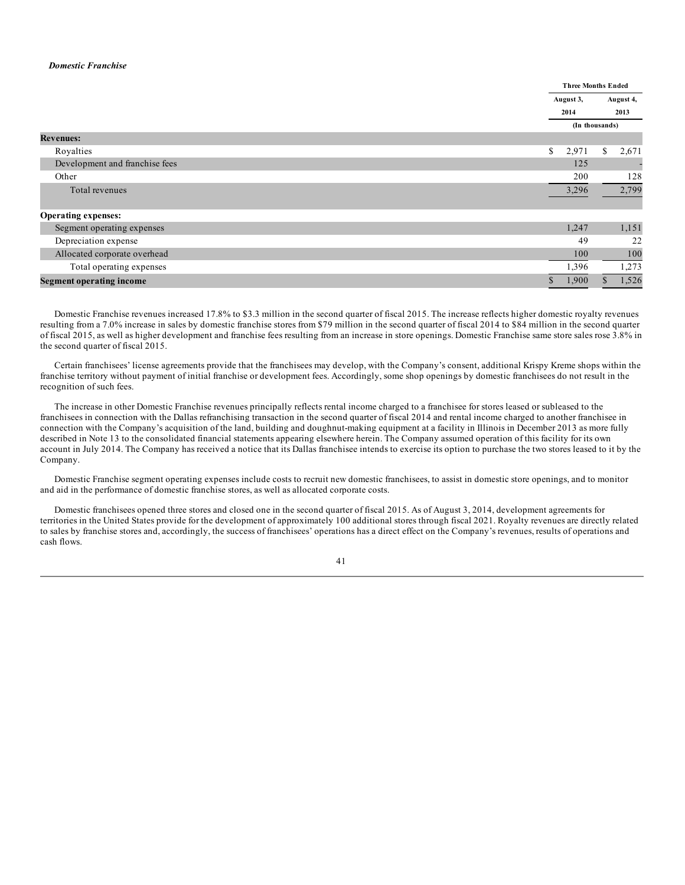## *Domestic Franchise*

|                                 |    | <b>Three Months Ended</b> |    |           |
|---------------------------------|----|---------------------------|----|-----------|
|                                 |    | August 3,<br>2014         |    | August 4, |
|                                 |    |                           |    | 2013      |
|                                 |    | (In thousands)            |    |           |
| <b>Revenues:</b>                |    |                           |    |           |
| Royalties                       | \$ | 2,971                     | S. | 2,671     |
| Development and franchise fees  |    | 125                       |    |           |
| Other                           |    | 200                       |    | 128       |
| Total revenues                  |    | 3,296                     |    | 2,799     |
| <b>Operating expenses:</b>      |    |                           |    |           |
| Segment operating expenses      |    | 1,247                     |    | 1,151     |
| Depreciation expense            |    | 49                        |    | 22        |
| Allocated corporate overhead    |    | 100                       |    | 100       |
| Total operating expenses        |    | 1,396                     |    | 1,273     |
| <b>Segment operating income</b> |    | 1,900                     |    | 1,526     |

Domestic Franchise revenues increased 17.8% to \$3.3 million in the second quarter of fiscal 2015. The increase reflects higher domestic royalty revenues resulting from a 7.0% increase in sales by domestic franchise stores from \$79 million in the second quarter of fiscal 2014 to \$84 million in the second quarter of fiscal 2015, as well as higher development and franchise fees resulting from an increase in store openings. Domestic Franchise same store sales rose 3.8% in the second quarter of fiscal 2015.

Certain franchisees' license agreements provide that the franchisees may develop, with the Company's consent, additional Krispy Kreme shops within the franchise territory without payment of initial franchise or development fees. Accordingly, some shop openings by domestic franchisees do not result in the recognition of such fees.

The increase in other Domestic Franchise revenues principally reflects rental income charged to a franchisee for stores leased or subleased to the franchisees in connection with the Dallas refranchising transaction in the second quarter of fiscal 2014 and rental income charged to another franchisee in connection with the Company's acquisition of the land, building and doughnut-making equipment at a facility in Illinois in December 2013 as more fully described in Note 13 to the consolidated financial statements appearing elsewhere herein. The Company assumed operation of this facility for its own account in July 2014. The Company has received a notice that its Dallas franchisee intends to exercise its option to purchase the two stores leased to it by the Company.

Domestic Franchise segment operating expenses include costs to recruit new domestic franchisees, to assist in domestic store openings, and to monitor and aid in the performance of domestic franchise stores, as well as allocated corporate costs.

Domestic franchisees opened three stores and closed one in the second quarter of fiscal 2015. As of August 3, 2014, development agreements for territories in the United States provide for the development of approximately 100 additional stores through fiscal 2021. Royalty revenues are directly related to sales by franchise stores and, accordingly, the success of franchisees' operations has a direct effect on the Company's revenues, results of operations and cash flows.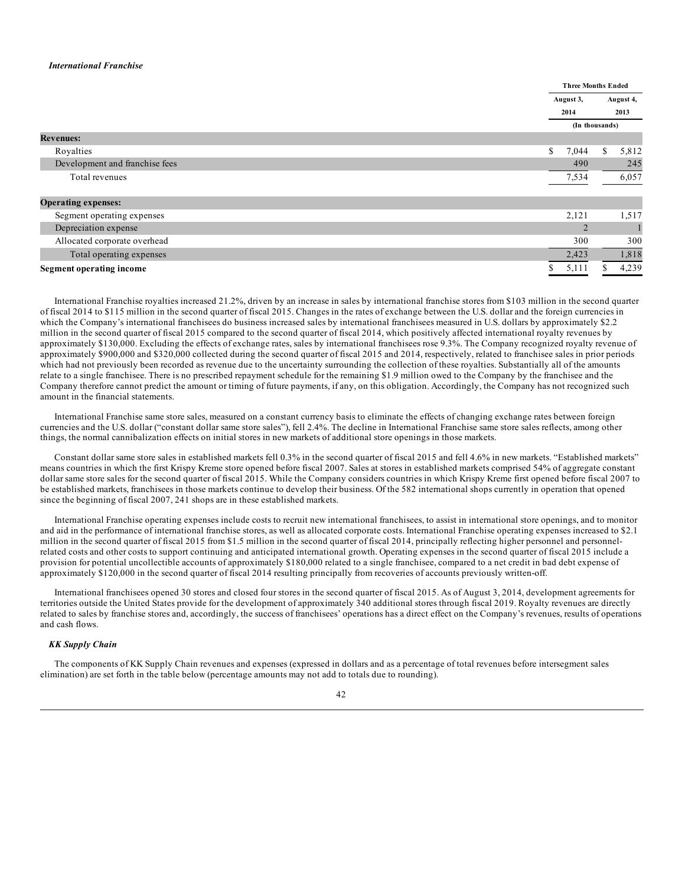#### *International Franchise*

|                                 | <b>Three Months Ended</b> |           |       |  |
|---------------------------------|---------------------------|-----------|-------|--|
|                                 | August 3,                 | August 4, |       |  |
|                                 | 2014                      |           | 2013  |  |
|                                 | (In thousands)            |           |       |  |
| <b>Revenues:</b>                |                           |           |       |  |
| Royalties                       | \$<br>7,044               | S.        | 5,812 |  |
| Development and franchise fees  | 490                       |           | 245   |  |
| Total revenues                  | 7,534                     |           | 6,057 |  |
| <b>Operating expenses:</b>      |                           |           |       |  |
| Segment operating expenses      | 2,121                     |           | 1,517 |  |
| Depreciation expense            | $\overline{2}$            |           |       |  |
| Allocated corporate overhead    | 300                       |           | 300   |  |
| Total operating expenses        | 2,423                     |           | 1,818 |  |
| <b>Segment operating income</b> | \$<br>5,111               |           | 4,239 |  |

International Franchise royalties increased 21.2%, driven by an increase in sales by international franchise stores from \$103 million in the second quarter of fiscal 2014 to \$115 million in the second quarter of fiscal 2015. Changes in the rates of exchange between the U.S. dollar and the foreign currencies in which the Company's international franchisees do business increased sales by international franchisees measured in U.S. dollars by approximately \$2.2 million in the second quarter of fiscal 2015 compared to the second quarter of fiscal 2014, which positively affected international royalty revenues by approximately \$130,000. Excluding the effects of exchange rates, sales by international franchisees rose 9.3%. The Company recognized royalty revenue of approximately \$900,000 and \$320,000 collected during the second quarter of fiscal 2015 and 2014, respectively, related to franchisee sales in prior periods which had not previously been recorded as revenue due to the uncertainty surrounding the collection of these royalties. Substantially all of the amounts relate to a single franchisee. There is no prescribed repayment schedule for the remaining \$1.9 million owed to the Company by the franchisee and the Company therefore cannot predict the amount or timing of future payments, if any, on this obligation. Accordingly, the Company has not recognized such amount in the financial statements.

International Franchise same store sales, measured on a constant currency basis to eliminate the effects of changing exchange rates between foreign currencies and the U.S. dollar ("constant dollar same store sales"), fell 2.4%. The decline in International Franchise same store sales reflects, among other things, the normal cannibalization effects on initial stores in new markets of additional store openings in those markets.

Constant dollar same store sales in established markets fell 0.3% in the second quarter of fiscal 2015 and fell 4.6% in new markets. "Established markets" means countries in which the first Krispy Kreme store opened before fiscal 2007. Sales at stores in established markets comprised 54% of aggregate constant dollar same store sales for the second quarter of fiscal 2015. While the Company considers countries in which Krispy Kreme first opened before fiscal 2007 to be established markets, franchisees in those markets continue to develop their business. Of the 582 international shops currently in operation that opened since the beginning of fiscal 2007, 241 shops are in these established markets.

International Franchise operating expenses include costs to recruit new international franchisees, to assist in international store openings, and to monitor and aid in the performance of international franchise stores, as well as allocated corporate costs. International Franchise operating expenses increased to \$2.1 million in the second quarter of fiscal 2015 from \$1.5 million in the second quarter of fiscal 2014, principally reflecting higher personnel and personnelrelated costs and other costs to support continuing and anticipated international growth. Operating expenses in the second quarter of fiscal 2015 include a provision for potential uncollectible accounts of approximately \$180,000 related to a single franchisee, compared to a net credit in bad debt expense of approximately \$120,000 in the second quarter of fiscal 2014 resulting principally from recoveries of accounts previously written-off.

International franchisees opened 30 stores and closed four stores in the second quarter of fiscal 2015. As of August 3, 2014, development agreements for territories outside the United States provide for the development of approximately 340 additional stores through fiscal 2019. Royalty revenues are directly related to sales by franchise stores and, accordingly, the success of franchisees' operations has a direct effect on the Company's revenues, results of operations and cash flows.

# *KK Supply Chain*

The components of KK Supply Chain revenues and expenses (expressed in dollars and as a percentage of total revenues before intersegment sales elimination) are set forth in the table below (percentage amounts may not add to totals due to rounding).

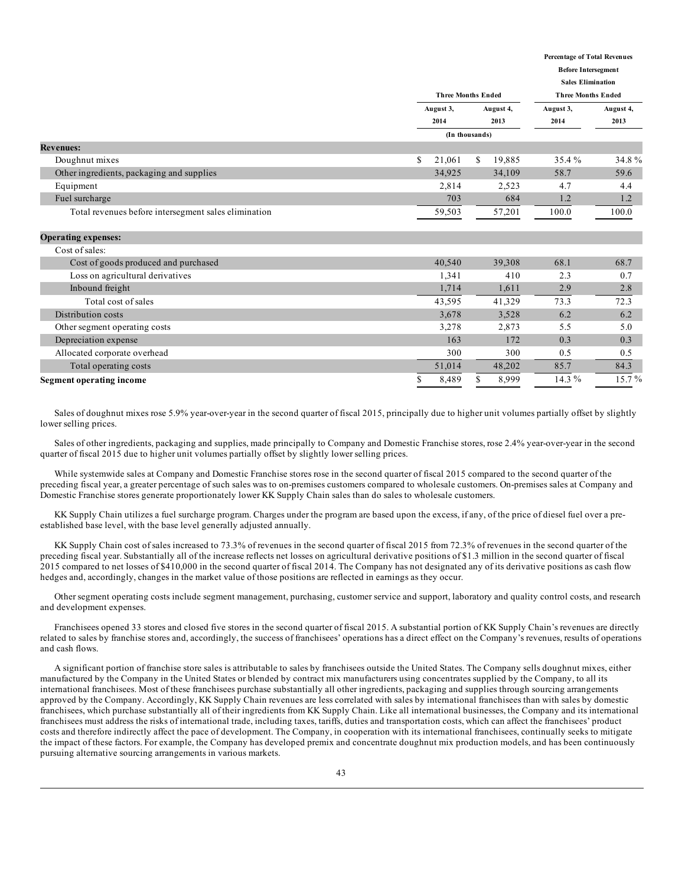|                                                      |    |                           |    |        | <b>Percentage of Total Revenues</b> |          |  |  |  |  |  |  |  |  |  |  |  |           |           |           |
|------------------------------------------------------|----|---------------------------|----|--------|-------------------------------------|----------|--|--|--|--|--|--|--|--|--|--|--|-----------|-----------|-----------|
|                                                      |    |                           |    |        | <b>Before Intersegment</b>          |          |  |  |  |  |  |  |  |  |  |  |  |           |           |           |
|                                                      |    |                           |    |        | <b>Sales Elimination</b>            |          |  |  |  |  |  |  |  |  |  |  |  |           |           |           |
|                                                      |    | <b>Three Months Ended</b> |    |        | <b>Three Months Ended</b>           |          |  |  |  |  |  |  |  |  |  |  |  |           |           |           |
|                                                      |    | August 3,                 |    |        |                                     |          |  |  |  |  |  |  |  |  |  |  |  | August 4, | August 3, | August 4, |
|                                                      |    | 2014                      |    | 2013   | 2014                                | 2013     |  |  |  |  |  |  |  |  |  |  |  |           |           |           |
|                                                      |    | (In thousands)            |    |        |                                     |          |  |  |  |  |  |  |  |  |  |  |  |           |           |           |
| <b>Revenues:</b>                                     |    |                           |    |        |                                     |          |  |  |  |  |  |  |  |  |  |  |  |           |           |           |
| Doughnut mixes                                       | \$ | 21,061                    | \$ | 19,885 | 35.4%                               | 34.8%    |  |  |  |  |  |  |  |  |  |  |  |           |           |           |
| Other ingredients, packaging and supplies            |    | 34,925                    |    | 34,109 | 58.7                                | 59.6     |  |  |  |  |  |  |  |  |  |  |  |           |           |           |
| Equipment                                            |    | 2,814                     |    | 2,523  | 4.7                                 | 4.4      |  |  |  |  |  |  |  |  |  |  |  |           |           |           |
| Fuel surcharge                                       |    | 703                       |    | 684    | 1.2                                 | 1.2      |  |  |  |  |  |  |  |  |  |  |  |           |           |           |
| Total revenues before intersegment sales elimination |    | 59,503                    |    | 57,201 | 100.0                               | 100.0    |  |  |  |  |  |  |  |  |  |  |  |           |           |           |
| <b>Operating expenses:</b>                           |    |                           |    |        |                                     |          |  |  |  |  |  |  |  |  |  |  |  |           |           |           |
| Cost of sales:                                       |    |                           |    |        |                                     |          |  |  |  |  |  |  |  |  |  |  |  |           |           |           |
| Cost of goods produced and purchased                 |    | 40.540                    |    | 39.308 | 68.1                                | 68.7     |  |  |  |  |  |  |  |  |  |  |  |           |           |           |
| Loss on agricultural derivatives                     |    | 1,341                     |    | 410    | 2.3                                 | 0.7      |  |  |  |  |  |  |  |  |  |  |  |           |           |           |
| Inbound freight                                      |    | 1,714                     |    | 1,611  | 2.9                                 | 2.8      |  |  |  |  |  |  |  |  |  |  |  |           |           |           |
| Total cost of sales                                  |    | 43,595                    |    | 41,329 | 73.3                                | 72.3     |  |  |  |  |  |  |  |  |  |  |  |           |           |           |
| Distribution costs                                   |    | 3,678                     |    | 3,528  | 6.2                                 | 6.2      |  |  |  |  |  |  |  |  |  |  |  |           |           |           |
| Other segment operating costs                        |    | 3,278                     |    | 2,873  | 5.5                                 | 5.0      |  |  |  |  |  |  |  |  |  |  |  |           |           |           |
| Depreciation expense                                 |    | 163                       |    | 172    | 0.3                                 | 0.3      |  |  |  |  |  |  |  |  |  |  |  |           |           |           |
| Allocated corporate overhead                         |    | 300                       |    | 300    | 0.5                                 | 0.5      |  |  |  |  |  |  |  |  |  |  |  |           |           |           |
| Total operating costs                                |    | 51,014                    |    | 48,202 | 85.7                                | 84.3     |  |  |  |  |  |  |  |  |  |  |  |           |           |           |
| <b>Segment operating income</b>                      | S  | 8,489                     | \$ | 8,999  | 14.3 %                              | $15.7\%$ |  |  |  |  |  |  |  |  |  |  |  |           |           |           |

Sales of doughnut mixes rose 5.9% year-over-year in the second quarter of fiscal 2015, principally due to higher unit volumes partially offset by slightly lower selling prices.

Sales of other ingredients, packaging and supplies, made principally to Company and Domestic Franchise stores, rose 2.4% year-over-year in the second quarter of fiscal 2015 due to higher unit volumes partially offset by slightly lower selling prices.

While systemwide sales at Company and Domestic Franchise stores rose in the second quarter of fiscal 2015 compared to the second quarter of the preceding fiscal year, a greater percentage of such sales was to on-premises customers compared to wholesale customers. On-premises sales at Company and Domestic Franchise stores generate proportionately lower KK Supply Chain sales than do sales to wholesale customers.

KK Supply Chain utilizes a fuel surcharge program. Charges under the program are based upon the excess, if any, of the price of diesel fuel over a preestablished base level, with the base level generally adjusted annually.

KK Supply Chain cost of sales increased to 73.3% of revenues in the second quarter of fiscal 2015 from 72.3% of revenues in the second quarter of the preceding fiscal year. Substantially all of the increase reflects net losses on agricultural derivative positions of \$1.3 million in the second quarter of fiscal 2015 compared to net losses of \$410,000 in the second quarter of fiscal 2014. The Company has not designated any of its derivative positions as cash flow hedges and, accordingly, changes in the market value of those positions are reflected in earnings as they occur.

Other segment operating costs include segment management, purchasing, customer service and support, laboratory and quality control costs, and research and development expenses.

Franchisees opened 33 stores and closed five stores in the second quarter of fiscal 2015. A substantial portion of KK Supply Chain's revenues are directly related to sales by franchise stores and, accordingly, the success of franchisees' operations has a direct effect on the Company's revenues, results of operations and cash flows.

A significant portion of franchise store sales is attributable to sales by franchisees outside the United States. The Company sells doughnut mixes, either manufactured by the Company in the United States or blended by contract mix manufacturers using concentrates supplied by the Company, to all its international franchisees. Most of these franchisees purchase substantially all other ingredients, packaging and supplies through sourcing arrangements approved by the Company. Accordingly, KK Supply Chain revenues are less correlated with sales by international franchisees than with sales by domestic franchisees, which purchase substantially all of their ingredients from KK Supply Chain. Like all international businesses, the Company and its international franchisees must address the risks of international trade, including taxes, tariffs, duties and transportation costs, which can affect the franchisees' product costs and therefore indirectly affect the pace of development. The Company, in cooperation with its international franchisees, continually seeks to mitigate the impact of these factors. For example, the Company has developed premix and concentrate doughnut mix production models, and has been continuously pursuing alternative sourcing arrangements in various markets.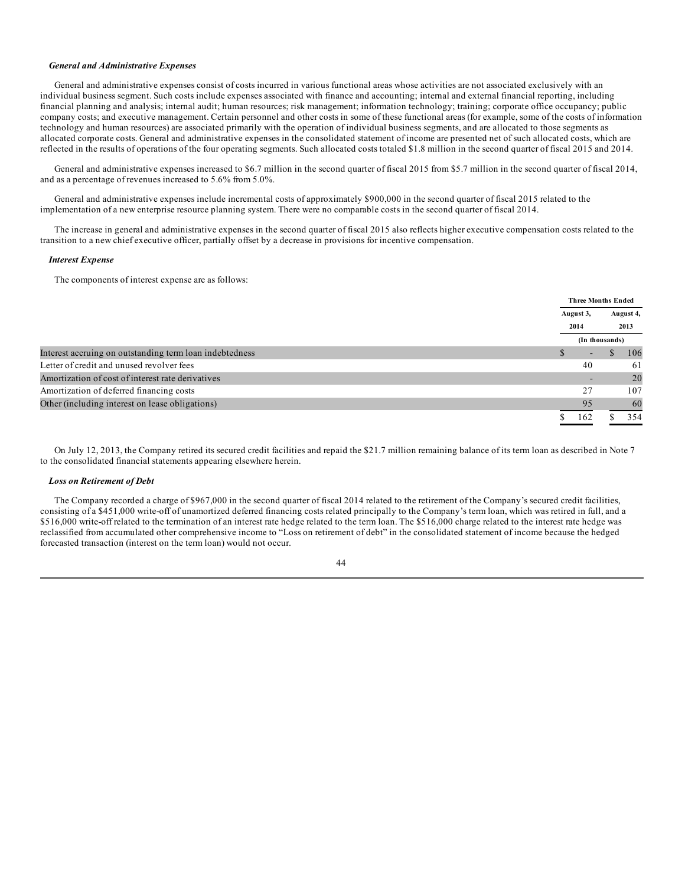## *General and Administrative Expenses*

General and administrative expenses consist of costs incurred in various functional areas whose activities are not associated exclusively with an individual business segment. Such costs include expenses associated with finance and accounting; internal and external financial reporting, including financial planning and analysis; internal audit; human resources; risk management; information technology; training; corporate office occupancy; public company costs; and executive management. Certain personnel and other costs in some of these functional areas (for example, some of the costs of information technology and human resources) are associated primarily with the operation of individual business segments, and are allocated to those segments as allocated corporate costs. General and administrative expenses in the consolidated statement of income are presented net of such allocated costs, which are reflected in the results of operations of the four operating segments. Such allocated costs totaled \$1.8 million in the second quarter of fiscal 2015 and 2014.

General and administrative expenses increased to \$6.7 million in the second quarter of fiscal 2015 from \$5.7 million in the second quarter of fiscal 2014, and as a percentage of revenues increased to 5.6% from 5.0%.

General and administrative expenses include incremental costs of approximately \$900,000 in the second quarter of fiscal 2015 related to the implementation of a new enterprise resource planning system. There were no comparable costs in the second quarter of fiscal 2014.

The increase in general and administrative expenses in the second quarter of fiscal 2015 also reflects higher executive compensation costs related to the transition to a new chief executive officer, partially offset by a decrease in provisions for incentive compensation.

#### *Interest Expense*

The components of interest expense are as follows:

|                                                         | <b>Three Months Ended</b> |           |      |
|---------------------------------------------------------|---------------------------|-----------|------|
|                                                         | August 3,                 | August 4, |      |
|                                                         | 2014                      |           | 2013 |
|                                                         | (In thousands)            |           |      |
| Interest accruing on outstanding term loan indebtedness | ۰.                        |           | 106  |
| Letter of credit and unused revolver fees               | 40                        |           | -61  |
| Amortization of cost of interest rate derivatives       | -                         |           | 20   |
| Amortization of deferred financing costs                | 27                        |           | 107  |
| Other (including interest on lease obligations)         | 95                        |           | 60   |
|                                                         | 162                       |           | 354  |

On July 12, 2013, the Company retired its secured credit facilities and repaid the \$21.7 million remaining balance of its term loan as described in Note 7 to the consolidated financial statements appearing elsewhere herein.

## *Loss on Retirement of Debt*

The Company recorded a charge of \$967,000 in the second quarter of fiscal 2014 related to the retirement of the Company's secured credit facilities, consisting of a \$451,000 write-off of unamortized deferred financing costs related principally to the Company's term loan, which was retired in full, and a \$516,000 write-off related to the termination of an interest rate hedge related to the term loan. The \$516,000 charge related to the interest rate hedge was reclassified from accumulated other comprehensive income to "Loss on retirement of debt" in the consolidated statement of income because the hedged forecasted transaction (interest on the term loan) would not occur.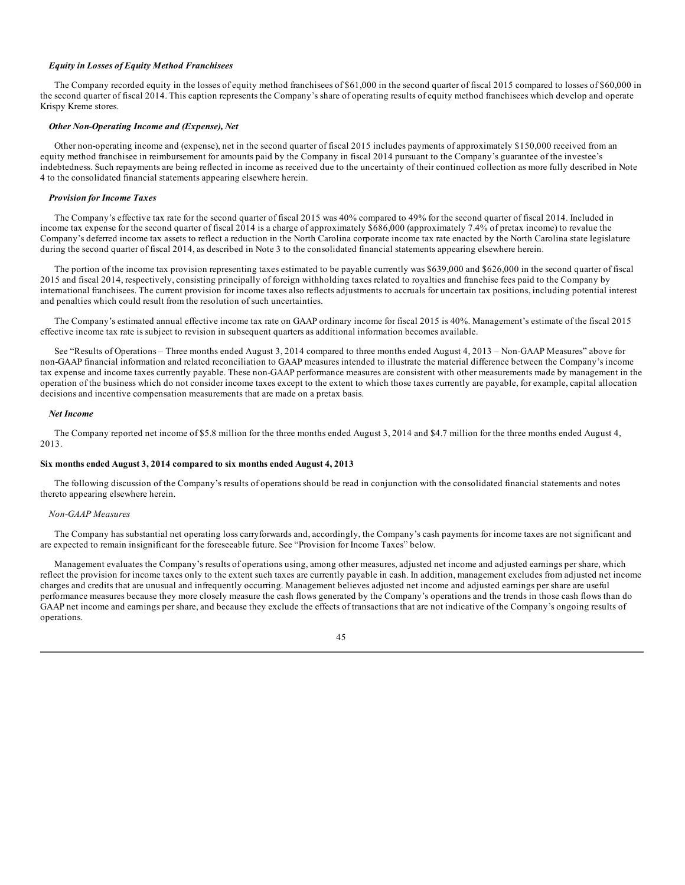## *Equity in Losses of Equity Method Franchisees*

The Company recorded equity in the losses of equity method franchisees of \$61,000 in the second quarter of fiscal 2015 compared to losses of \$60,000 in the second quarter of fiscal 2014. This caption represents the Company's share of operating results of equity method franchisees which develop and operate Krispy Kreme stores.

#### *Other Non-Operating Income and (Expense), Net*

Other non-operating income and (expense), net in the second quarter of fiscal 2015 includes payments of approximately \$150,000 received from an equity method franchisee in reimbursement for amounts paid by the Company in fiscal 2014 pursuant to the Company's guarantee of the investee's indebtedness. Such repayments are being reflected in income as received due to the uncertainty of their continued collection as more fully described in Note 4 to the consolidated financial statements appearing elsewhere herein.

## *Provision for Income Taxes*

The Company's effective tax rate for the second quarter of fiscal 2015 was 40% compared to 49% for the second quarter of fiscal 2014. Included in income tax expense for the second quarter of fiscal 2014 is a charge of approximately \$686,000 (approximately 7.4% of pretax income) to revalue the Company's deferred income tax assets to reflect a reduction in the North Carolina corporate income tax rate enacted by the North Carolina state legislature during the second quarter of fiscal 2014, as described in Note 3 to the consolidated financial statements appearing elsewhere herein.

The portion of the income tax provision representing taxes estimated to be payable currently was \$639,000 and \$626,000 in the second quarter of fiscal 2015 and fiscal 2014, respectively, consisting principally of foreign withholding taxes related to royalties and franchise fees paid to the Company by international franchisees. The current provision for income taxes also reflects adjustments to accruals for uncertain tax positions, including potential interest and penalties which could result from the resolution of such uncertainties.

The Company's estimated annual effective income tax rate on GAAP ordinary income for fiscal 2015 is 40%. Management's estimate of the fiscal 2015 effective income tax rate is subject to revision in subsequent quarters as additional information becomes available.

See "Results of Operations – Three months ended August 3, 2014 compared to three months ended August 4, 2013 – Non-GAAP Measures" above for non-GAAP financial information and related reconciliation to GAAP measures intended to illustrate the material difference between the Company's income tax expense and income taxes currently payable. These non-GAAP performance measures are consistent with other measurements made by management in the operation of the business which do not consider income taxes except to the extent to which those taxes currently are payable, for example, capital allocation decisions and incentive compensation measurements that are made on a pretax basis.

## *Net Income*

The Company reported net income of \$5.8 million for the three months ended August 3, 2014 and \$4.7 million for the three months ended August 4, 2013.

## **Six months ended August 3, 2014 compared to six months ended August 4, 2013**

The following discussion of the Company's results of operations should be read in conjunction with the consolidated financial statements and notes thereto appearing elsewhere herein.

#### *Non-GAAP Measures*

The Company has substantial net operating loss carryforwards and, accordingly, the Company's cash payments for income taxes are not significant and are expected to remain insignificant for the foreseeable future. See "Provision for Income Taxes" below.

Management evaluates the Company's results of operations using, among other measures, adjusted net income and adjusted earnings per share, which reflect the provision for income taxes only to the extent such taxes are currently payable in cash. In addition, management excludes from adjusted net income charges and credits that are unusual and infrequently occurring. Management believes adjusted net income and adjusted earnings per share are useful performance measures because they more closely measure the cash flows generated by the Company's operations and the trends in those cash flows than do GAAP net income and earnings per share, and because they exclude the effects of transactions that are not indicative of the Company's ongoing results of operations.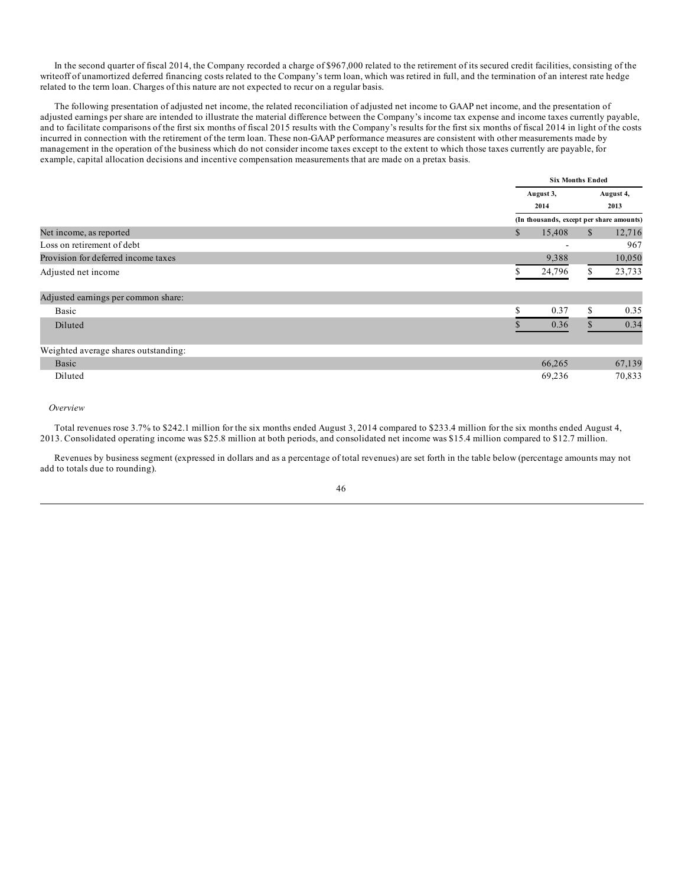In the second quarter of fiscal 2014, the Company recorded a charge of \$967,000 related to the retirement of its secured credit facilities, consisting of the writeoff of unamortized deferred financing costs related to the Company's term loan, which was retired in full, and the termination of an interest rate hedge related to the term loan. Charges of this nature are not expected to recur on a regular basis.

The following presentation of adjusted net income, the related reconciliation of adjusted net income to GAAP net income, and the presentation of adjusted earnings per share are intended to illustrate the material difference between the Company's income tax expense and income taxes currently payable, and to facilitate comparisons of the first six months of fiscal 2015 results with the Company's results for the first six months of fiscal 2014 in light of the costs incurred in connection with the retirement of the term loan. These non-GAAP performance measures are consistent with other measurements made by management in the operation of the business which do not consider income taxes except to the extent to which those taxes currently are payable, for example, capital allocation decisions and incentive compensation measurements that are made on a pretax basis.

|                                      |                        | <b>Six Months Ended</b> |                                          |  |  |  |
|--------------------------------------|------------------------|-------------------------|------------------------------------------|--|--|--|
|                                      | August 3,              |                         | August 4,                                |  |  |  |
|                                      | 2014                   |                         | 2013                                     |  |  |  |
|                                      |                        |                         | (In thousands, except per share amounts) |  |  |  |
| Net income, as reported              | 15,408<br>$\mathbb{S}$ | $\mathbb{S}$            | 12,716                                   |  |  |  |
| Loss on retirement of debt           |                        | -                       | 967                                      |  |  |  |
| Provision for deferred income taxes  | 9,388                  |                         | 10,050                                   |  |  |  |
| Adjusted net income                  | 24,796                 | \$                      | 23,733                                   |  |  |  |
| Adjusted earnings per common share:  |                        |                         |                                          |  |  |  |
| Basic                                | \$                     | \$<br>0.37              | 0.35                                     |  |  |  |
| Diluted                              |                        | $\mathbb{S}$<br>0.36    | 0.34                                     |  |  |  |
| Weighted average shares outstanding: |                        |                         |                                          |  |  |  |
| Basic                                | 66,265                 |                         | 67,139                                   |  |  |  |
| Diluted                              | 69,236                 |                         | 70,833                                   |  |  |  |

*Overview*

Total revenues rose 3.7% to \$242.1 million for the six months ended August 3, 2014 compared to \$233.4 million for the six months ended August 4, 2013. Consolidated operating income was \$25.8 million at both periods, and consolidated net income was \$15.4 million compared to \$12.7 million.

Revenues by business segment (expressed in dollars and as a percentage of total revenues) are set forth in the table below (percentage amounts may not add to totals due to rounding).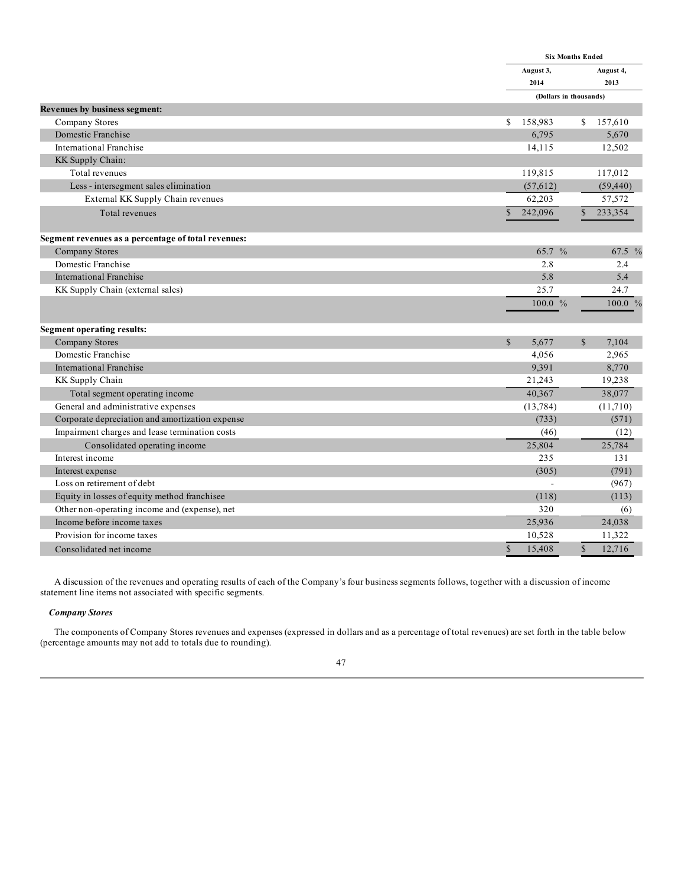| <b>Revenues by business segment:</b><br>Company Stores<br>\$<br>Domestic Franchise<br>International Franchise<br>KK Supply Chain: | August 3,<br>2014<br>(Dollars in thousands) |              | August 4, |
|-----------------------------------------------------------------------------------------------------------------------------------|---------------------------------------------|--------------|-----------|
|                                                                                                                                   |                                             |              |           |
|                                                                                                                                   |                                             |              | 2013      |
|                                                                                                                                   |                                             |              |           |
|                                                                                                                                   |                                             |              |           |
|                                                                                                                                   | 158,983                                     | \$           | 157,610   |
|                                                                                                                                   | 6,795                                       |              | 5,670     |
|                                                                                                                                   | 14.115                                      |              | 12,502    |
|                                                                                                                                   |                                             |              |           |
| Total revenues                                                                                                                    | 119,815                                     |              | 117,012   |
| Less - intersegment sales elimination                                                                                             | (57, 612)                                   |              | (59, 440) |
| External KK Supply Chain revenues                                                                                                 | 62,203                                      |              | 57,572    |
| $\mathcal{S}$<br>Total revenues                                                                                                   | 242,096                                     | $\mathbb{S}$ | 233,354   |
| Segment revenues as a percentage of total revenues:                                                                               |                                             |              |           |
| <b>Company Stores</b>                                                                                                             | 65.7 %                                      |              | 67.5 %    |
| Domestic Franchise                                                                                                                | 2.8                                         |              | 2.4       |
| International Franchise                                                                                                           | 5.8                                         |              | 5.4       |
| KK Supply Chain (external sales)                                                                                                  | 25.7                                        |              | 24.7      |
|                                                                                                                                   | 100.0 %                                     |              | 100.0 %   |
| <b>Segment operating results:</b>                                                                                                 |                                             |              |           |
| $\mathcal{S}$<br><b>Company Stores</b>                                                                                            | 5,677                                       | $\mathbb{S}$ | 7,104     |
| Domestic Franchise                                                                                                                | 4,056                                       |              | 2,965     |
| International Franchise                                                                                                           | 9,391                                       |              | 8,770     |
| <b>KK</b> Supply Chain                                                                                                            | 21,243                                      |              | 19,238    |
| Total segment operating income                                                                                                    | 40.367                                      |              | 38,077    |
| General and administrative expenses                                                                                               | (13, 784)                                   |              | (11,710)  |
| Corporate depreciation and amortization expense                                                                                   | (733)                                       |              | (571)     |
| Impairment charges and lease termination costs                                                                                    | (46)                                        |              | (12)      |
| Consolidated operating income                                                                                                     | 25,804                                      |              | 25,784    |
| Interest income                                                                                                                   | 235                                         |              | 131       |
| Interest expense                                                                                                                  | (305)                                       |              | (791)     |
| Loss on retirement of debt                                                                                                        | $\sim$                                      |              | (967)     |
| Equity in losses of equity method franchisee                                                                                      | (118)                                       |              | (113)     |
| Other non-operating income and (expense), net                                                                                     | 320                                         |              | (6)       |
| Income before income taxes                                                                                                        | 25,936                                      |              | 24,038    |
| Provision for income taxes                                                                                                        | 10,528                                      |              | 11,322    |
| $\mathbb{S}$<br>Consolidated net income                                                                                           | 15,408                                      | $\mathbb{S}$ | 12,716    |

A discussion of the revenues and operating results of each of the Company's four business segments follows, together with a discussion of income statement line items not associated with specific segments.

# *Company Stores*

The components of Company Stores revenues and expenses (expressed in dollars and as a percentage of total revenues) are set forth in the table below (percentage amounts may not add to totals due to rounding).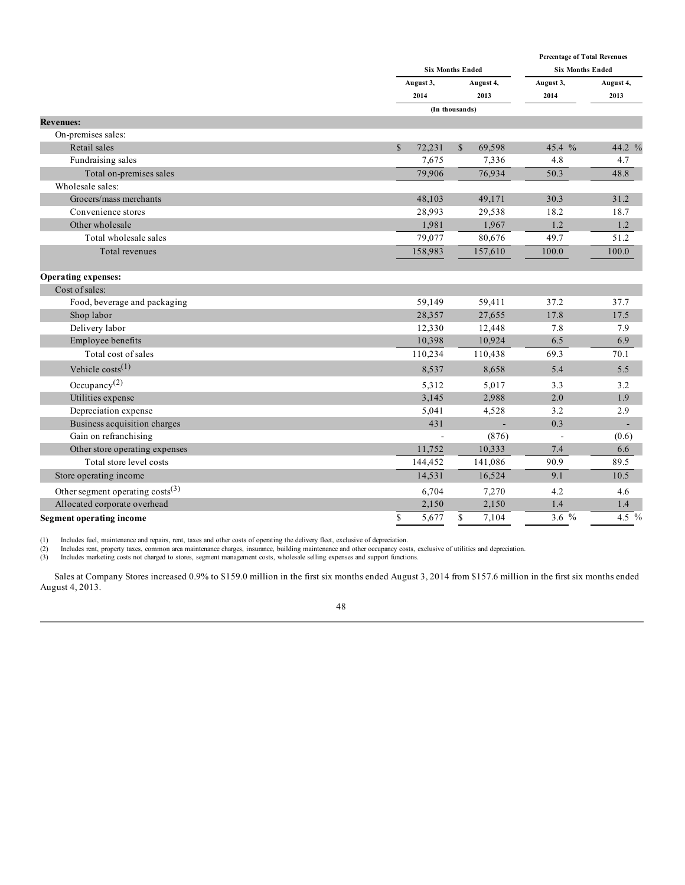|                                       |               |                                                   |                        | <b>Percentage of Total Revenues</b><br><b>Six Months Ended</b> |           |  |  |
|---------------------------------------|---------------|---------------------------------------------------|------------------------|----------------------------------------------------------------|-----------|--|--|
|                                       |               | <b>Six Months Ended</b><br>August 3,<br>August 4, |                        |                                                                |           |  |  |
|                                       |               |                                                   |                        | August 3,                                                      | August 4, |  |  |
|                                       |               | 2014                                              | 2013                   | 2014                                                           | 2013      |  |  |
|                                       |               |                                                   | (In thousands)         |                                                                |           |  |  |
| <b>Revenues:</b>                      |               |                                                   |                        |                                                                |           |  |  |
| On-premises sales:                    |               |                                                   |                        |                                                                |           |  |  |
| Retail sales                          | $\mathcal{S}$ | 72,231                                            | $\mathbb{S}$<br>69,598 | 45.4 $%$                                                       | 44.2 %    |  |  |
| Fundraising sales                     |               | 7,675                                             | 7,336                  | 4.8                                                            | 4.7       |  |  |
| Total on-premises sales               |               | 79,906                                            | 76,934                 | 50.3                                                           | 48.8      |  |  |
| Wholesale sales:                      |               |                                                   |                        |                                                                |           |  |  |
| Grocers/mass merchants                |               | 48,103                                            | 49,171                 | 30.3                                                           | 31.2      |  |  |
| Convenience stores                    |               | 28,993                                            | 29,538                 | 18.2                                                           | 18.7      |  |  |
| Other wholesale                       |               | 1,981                                             | 1,967                  | 1.2                                                            | 1.2       |  |  |
| Total wholesale sales                 |               | 79,077                                            | 80,676                 | 49.7                                                           | 51.2      |  |  |
| Total revenues                        |               | 158,983                                           | 157,610                | 100.0                                                          | 100.0     |  |  |
| <b>Operating expenses:</b>            |               |                                                   |                        |                                                                |           |  |  |
| Cost of sales:                        |               |                                                   |                        |                                                                |           |  |  |
| Food, beverage and packaging          |               | 59,149                                            | 59,411                 | 37.2                                                           | 37.7      |  |  |
| Shop labor                            |               | 28,357                                            | 27,655                 | 17.8                                                           | 17.5      |  |  |
| Delivery labor                        |               | 12,330                                            | 12,448                 | 7.8                                                            | 7.9       |  |  |
| Employee benefits                     |               | 10,398                                            | 10,924                 | 6.5                                                            | 6.9       |  |  |
| Total cost of sales                   |               | 110,234                                           | 110,438                | 69.3                                                           | 70.1      |  |  |
| Vehicle $costs^{(1)}$                 |               | 8,537                                             | 8,658                  | 5.4                                                            | 5.5       |  |  |
| Occupancy <sup>(2)</sup>              |               | 5,312                                             | 5,017                  | 3.3                                                            | 3.2       |  |  |
| Utilities expense                     |               | 3,145                                             | 2,988                  | 2.0                                                            | 1.9       |  |  |
| Depreciation expense                  |               | 5,041                                             | 4,528                  | 3.2                                                            | 2.9       |  |  |
| Business acquisition charges          |               | 431                                               |                        | 0.3                                                            |           |  |  |
| Gain on refranchising                 |               |                                                   | (876)                  |                                                                | (0.6)     |  |  |
| Other store operating expenses        |               | 11,752                                            | 10,333                 | 7.4                                                            | 6.6       |  |  |
| Total store level costs               |               | 144,452                                           | 141,086                | 90.9                                                           | 89.5      |  |  |
| Store operating income                |               | 14,531                                            | 16,524                 | 9.1                                                            | 10.5      |  |  |
| Other segment operating $costs^{(3)}$ |               | 6,704                                             | 7,270                  | 4.2                                                            | 4.6       |  |  |
| Allocated corporate overhead          |               | 2,150                                             | 2,150                  | 1.4                                                            | 1.4       |  |  |
| Segment operating income              | \$            | 5,677                                             | $\mathbf S$<br>7,104   | $3.6\frac{6}{10}$                                              | 4.5 $%$   |  |  |

(1) Includes fuel, maintenance and repairs, rent, taxes and other costs of operating the delivery fleet, exclusive of depreciation.<br>
(2) Includes rent, property taxes, common area maintenance charges, insurance, building m (2) Includes rent, property taxes, common area maintenance charges, insurance, building maintenance and other occupancy costs, exclusive of utilities and depreciation.<br>(3) Includes marketing costs not charged to stores, se

Sales at Company Stores increased 0.9% to \$159.0 million in the first six months ended August 3, 2014 from \$157.6 million in the first six months ended August 4, 2013.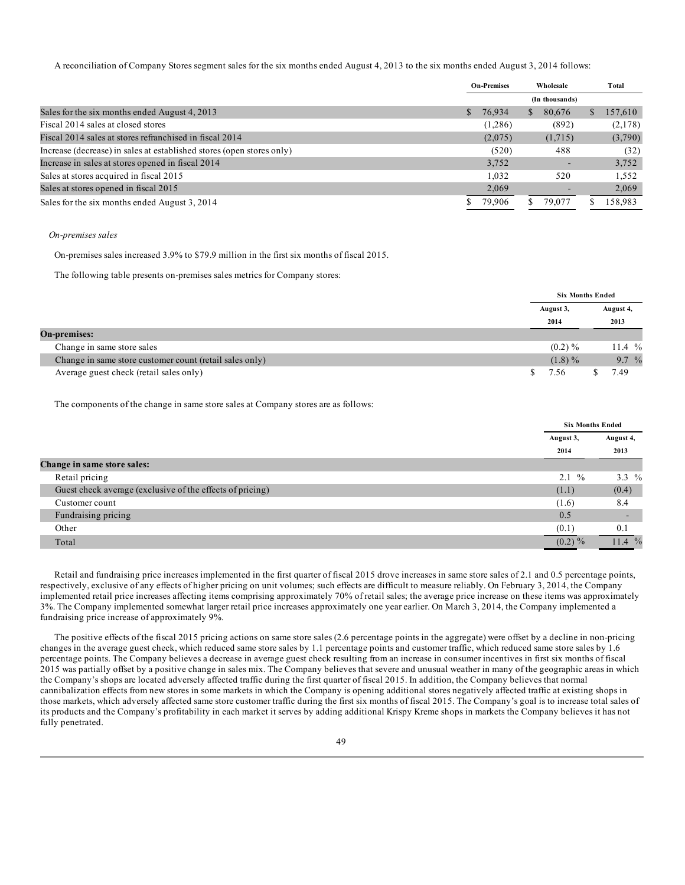A reconciliation of Company Stores segment sales for the six months ended August 4, 2013 to the six months ended August 3, 2014 follows:

|                                                                       | <b>On-Premises</b> |    | Wholesale      |  | Total   |
|-----------------------------------------------------------------------|--------------------|----|----------------|--|---------|
|                                                                       |                    |    | (In thousands) |  |         |
| Sales for the six months ended August 4, 2013                         | \$<br>76,934       | S. | 80,676         |  | 157,610 |
| Fiscal 2014 sales at closed stores                                    | (1,286)            |    | (892)          |  | (2,178) |
| Fiscal 2014 sales at stores refranchised in fiscal 2014               | (2,075)            |    | (1,715)        |  | (3,790) |
| Increase (decrease) in sales at established stores (open stores only) | (520)              |    | 488            |  | (32)    |
| Increase in sales at stores opened in fiscal 2014                     | 3,752              |    |                |  | 3,752   |
| Sales at stores acquired in fiscal 2015                               | 1.032              |    | 520            |  | 1.552   |
| Sales at stores opened in fiscal 2015                                 | 2,069              |    |                |  | 2,069   |
| Sales for the six months ended August 3, 2014                         | 79.906             |    | 79,077         |  | 158,983 |

#### *On-premises sales*

On-premises sales increased 3.9% to \$79.9 million in the first six months of fiscal 2015.

The following table presents on-premises sales metrics for Company stores:

|                                                         |           | <b>Six Months Ended</b> |  |           |
|---------------------------------------------------------|-----------|-------------------------|--|-----------|
|                                                         | August 3, |                         |  | August 4, |
|                                                         |           | 2014                    |  | 2013      |
| On-premises:                                            |           |                         |  |           |
| Change in same store sales                              |           | $(0.2) \%$              |  | 11.4 $%$  |
| Change in same store customer count (retail sales only) |           | $(1.8) \%$              |  | $9.7\%$   |
| Average guest check (retail sales only)                 |           | 7.56                    |  | 7.49      |

The components of the change in same store sales at Company stores are as follows:

|                                                           | <b>Six Months Ended</b> |           |
|-----------------------------------------------------------|-------------------------|-----------|
|                                                           | August 3,               | August 4, |
|                                                           | 2014                    | 2013      |
| Change in same store sales:                               |                         |           |
| Retail pricing                                            | $2.1\%$                 | 3.3 $%$   |
| Guest check average (exclusive of the effects of pricing) | (1.1)                   | (0.4)     |
| Customer count                                            | (1.6)                   | 8.4       |
| Fundraising pricing                                       | 0.5                     | -         |
| Other                                                     | (0.1)                   | 0.1       |
| Total                                                     | $(0.2) \%$              | 11.4 $\%$ |

Retail and fundraising price increases implemented in the first quarter of fiscal 2015 drove increases in same store sales of 2.1 and 0.5 percentage points, respectively, exclusive of any effects of higher pricing on unit volumes; such effects are difficult to measure reliably. On February 3, 2014, the Company implemented retail price increases affecting items comprising approximately 70% of retail sales; the average price increase on these items was approximately 3%. The Company implemented somewhat larger retail price increases approximately one year earlier. On March 3, 2014, the Company implemented a fundraising price increase of approximately 9%.

The positive effects of the fiscal 2015 pricing actions on same store sales (2.6 percentage points in the aggregate) were offset by a decline in non-pricing changes in the average guest check, which reduced same store sales by 1.1 percentage points and customer traffic, which reduced same store sales by 1.6 percentage points. The Company believes a decrease in average guest check resulting from an increase in consumer incentives in first six months of fiscal 2015 was partially offset by a positive change in sales mix. The Company believes that severe and unusual weather in many of the geographic areas in which the Company's shops are located adversely affected traffic during the first quarter of fiscal 2015. In addition, the Company believes that normal cannibalization effects from new stores in some markets in which the Company is opening additional stores negatively affected traffic at existing shops in those markets, which adversely affected same store customer traffic during the first six months of fiscal 2015. The Company's goal is to increase total sales of its products and the Company's profitability in each market it serves by adding additional Krispy Kreme shops in markets the Company believes it has not fully penetrated.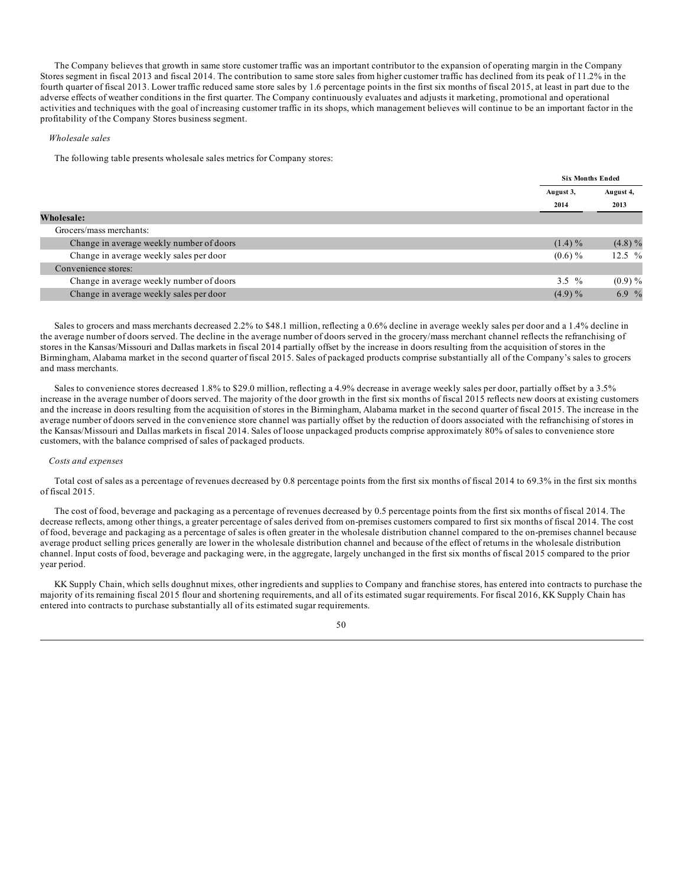The Company believes that growth in same store customer traffic was an important contributor to the expansion of operating margin in the Company Stores segment in fiscal 2013 and fiscal 2014. The contribution to same store sales from higher customer traffic has declined from its peak of 11.2% in the fourth quarter of fiscal 2013. Lower traffic reduced same store sales by 1.6 percentage points in the first six months of fiscal 2015, at least in part due to the adverse effects of weather conditions in the first quarter. The Company continuously evaluates and adjusts it marketing, promotional and operational activities and techniques with the goal of increasing customer traffic in its shops, which management believes will continue to be an important factor in the profitability of the Company Stores business segment.

#### *Wholesale sales*

The following table presents wholesale sales metrics for Company stores:

|                                          | <b>Six Months Ended</b> |            |
|------------------------------------------|-------------------------|------------|
|                                          | August 3,               | August 4,  |
|                                          | 2014                    | 2013       |
| <b>Wholesale:</b>                        |                         |            |
| Grocers/mass merchants:                  |                         |            |
| Change in average weekly number of doors | $(1.4) \%$              | $(4.8) \%$ |
| Change in average weekly sales per door  | $(0.6) \%$              | 12.5 $%$   |
| Convenience stores:                      |                         |            |
| Change in average weekly number of doors | $3.5\%$                 | $(0.9) \%$ |
| Change in average weekly sales per door  | $(4.9)\%$               | 6.9 $%$    |

Sales to grocers and mass merchants decreased 2.2% to \$48.1 million, reflecting a 0.6% decline in average weekly sales per door and a 1.4% decline in the average number of doors served. The decline in the average number of doors served in the grocery/mass merchant channel reflects the refranchising of stores in the Kansas/Missouri and Dallas markets in fiscal 2014 partially offset by the increase in doors resulting from the acquisition of stores in the Birmingham, Alabama market in the second quarter of fiscal 2015. Sales of packaged products comprise substantially all of the Company's sales to grocers and mass merchants.

Sales to convenience stores decreased 1.8% to \$29.0 million, reflecting a 4.9% decrease in average weekly sales per door, partially offset by a 3.5% increase in the average number of doors served. The majority of the door growth in the first six months of fiscal 2015 reflects new doors at existing customers and the increase in doors resulting from the acquisition of stores in the Birmingham, Alabama market in the second quarter of fiscal 2015. The increase in the average number of doors served in the convenience store channel was partially offset by the reduction of doors associated with the refranchising of stores in the Kansas/Missouri and Dallas markets in fiscal 2014. Sales of loose unpackaged products comprise approximately 80% of sales to convenience store customers, with the balance comprised of sales of packaged products.

#### *Costs and expenses*

Total cost of sales as a percentage of revenues decreased by 0.8 percentage points from the first six months of fiscal 2014 to 69.3% in the first six months of fiscal 2015.

The cost of food, beverage and packaging as a percentage of revenues decreased by 0.5 percentage points from the first six months of fiscal 2014. The decrease reflects, among other things, a greater percentage of sales derived from on-premises customers compared to first six months of fiscal 2014. The cost of food, beverage and packaging as a percentage of sales is often greater in the wholesale distribution channel compared to the on-premises channel because average product selling prices generally are lower in the wholesale distribution channel and because of the effect of returns in the wholesale distribution channel. Input costs of food, beverage and packaging were, in the aggregate, largely unchanged in the first six months of fiscal 2015 compared to the prior year period.

KK Supply Chain, which sells doughnut mixes, other ingredients and supplies to Company and franchise stores, has entered into contracts to purchase the majority of its remaining fiscal 2015 flour and shortening requirements, and all of its estimated sugar requirements. For fiscal 2016, KK Supply Chain has entered into contracts to purchase substantially all of its estimated sugar requirements.

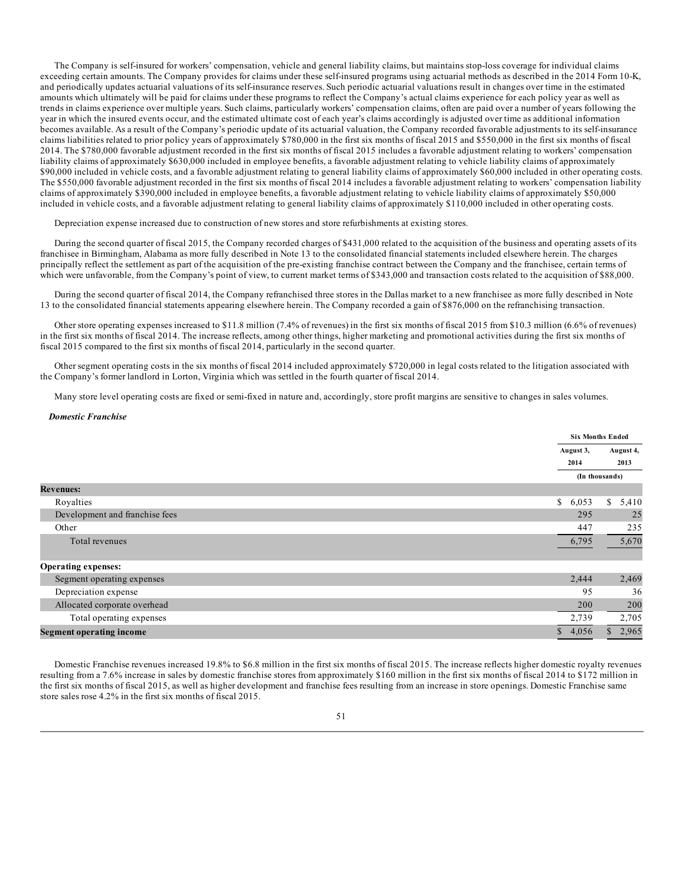The Company is self-insured for workers' compensation, vehicle and general liability claims, but maintains stop-loss coverage for individual claims exceeding certain amounts. The Company provides for claims under these self-insured programs using actuarial methods as described in the 2014 Form 10-K, and periodically updates actuarial valuations of its self-insurance reserves. Such periodic actuarial valuations result in changes over time in the estimated amounts which ultimately will be paid for claims under these programs to reflect the Company's actual claims experience for each policy year as well as trends in claims experience over multiple years. Such claims, particularly workers' compensation claims, often are paid over a number of years following the year in which the insured events occur, and the estimated ultimate cost of each year's claims accordingly is adjusted over time as additional information becomes available. As a result of the Company's periodic update of its actuarial valuation, the Company recorded favorable adjustments to its self-insurance claims liabilities related to prior policy years of approximately \$780,000 in the first six months of fiscal 2015 and \$550,000 in the first six months of fiscal 2014. The \$780,000 favorable adjustment recorded in the first six months of fiscal 2015 includes a favorable adjustment relating to workers' compensation liability claims of approximately \$630,000 included in employee benefits, a favorable adjustment relating to vehicle liability claims of approximately \$90,000 included in vehicle costs, and a favorable adjustment relating to general liability claims of approximately \$60,000 included in other operating costs. The \$550,000 favorable adjustment recorded in the first six months of fiscal 2014 includes a favorable adjustment relating to workers' compensation liability claims of approximately \$390,000 included in employee benefits, a favorable adjustment relating to vehicle liability claims of approximately \$50,000 included in vehicle costs, and a favorable adjustment relating to general liability claims of approximately \$110,000 included in other operating costs.

Depreciation expense increased due to construction of new stores and store refurbishments at existing stores.

During the second quarter of fiscal 2015, the Company recorded charges of \$431,000 related to the acquisition of the business and operating assets of its franchisee in Birmingham, Alabama as more fully described in Note 13 to the consolidated financial statements included elsewhere herein. The charges principally reflect the settlement as part of the acquisition of the pre-existing franchise contract between the Company and the franchisee, certain terms of which were unfavorable, from the Company's point of view, to current market terms of \$343,000 and transaction costs related to the acquisition of \$88,000.

During the second quarter of fiscal 2014, the Company refranchised three stores in the Dallas market to a new franchisee as more fully described in Note 13 to the consolidated financial statements appearing elsewhere herein. The Company recorded a gain of \$876,000 on the refranchising transaction.

Other store operating expenses increased to \$11.8 million (7.4% of revenues) in the first six months of fiscal 2015 from \$10.3 million (6.6% of revenues) in the first six months of fiscal 2014. The increase reflects, among other things, higher marketing and promotional activities during the first six months of fiscal 2015 compared to the first six months of fiscal 2014, particularly in the second quarter.

Other segment operating costs in the six months of fiscal 2014 included approximately \$720,000 in legal costs related to the litigation associated with the Company's former landlord in Lorton, Virginia which was settled in the fourth quarter of fiscal 2014.

Many store level operating costs are fixed or semi-fixed in nature and, accordingly, store profit margins are sensitive to changes in sales volumes.

#### *Domestic Franchise*

|                                 |             | <b>Six Months Ended</b> |  |
|---------------------------------|-------------|-------------------------|--|
|                                 | August 3,   | August 4,               |  |
|                                 | 2014        | 2013                    |  |
|                                 |             | (In thousands)          |  |
| <b>Revenues:</b>                |             |                         |  |
| Royalties                       | \$<br>6,053 | \$<br>5,410             |  |
| Development and franchise fees  | 295         | 25                      |  |
| Other                           | 447         | 235                     |  |
| Total revenues                  | 6,795       | 5,670                   |  |
| Operating expenses:             |             |                         |  |
| Segment operating expenses      | 2,444       | 2,469                   |  |
| Depreciation expense            | 95          | 36                      |  |
| Allocated corporate overhead    | 200         | 200                     |  |
| Total operating expenses        | 2,739       | 2,705                   |  |
| <b>Segment operating income</b> | \$<br>4,056 | 2,965<br>$\mathbb{S}$   |  |

Domestic Franchise revenues increased 19.8% to \$6.8 million in the first six months of fiscal 2015. The increase reflects higher domestic royalty revenues resulting from a 7.6% increase in sales by domestic franchise stores from approximately \$160 million in the first six months of fiscal 2014 to \$172 million in the first six months of fiscal 2015, as well as higher development and franchise fees resulting from an increase in store openings. Domestic Franchise same store sales rose 4.2% in the first six months of fiscal 2015.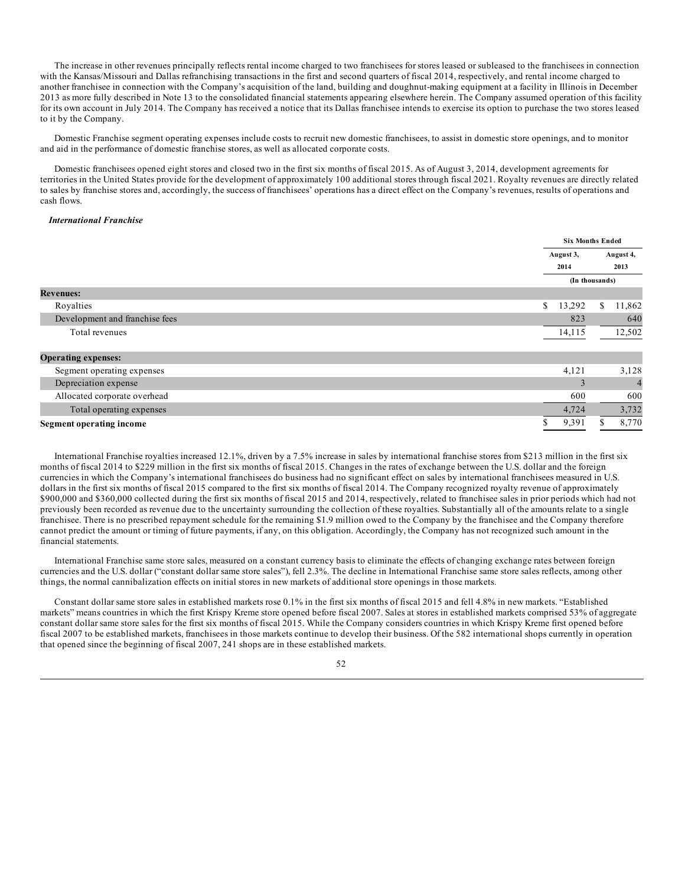The increase in other revenues principally reflects rental income charged to two franchisees for stores leased or subleased to the franchisees in connection with the Kansas/Missouri and Dallas refranchising transactions in the first and second quarters of fiscal 2014, respectively, and rental income charged to another franchisee in connection with the Company's acquisition of the land, building and doughnut-making equipment at a facility in Illinois in December 2013 as more fully described in Note 13 to the consolidated financial statements appearing elsewhere herein. The Company assumed operation of this facility for its own account in July 2014. The Company has received a notice that its Dallas franchisee intends to exercise its option to purchase the two stores leased to it by the Company.

Domestic Franchise segment operating expenses include costs to recruit new domestic franchisees, to assist in domestic store openings, and to monitor and aid in the performance of domestic franchise stores, as well as allocated corporate costs.

Domestic franchisees opened eight stores and closed two in the first six months of fiscal 2015. As of August 3, 2014, development agreements for territories in the United States provide for the development of approximately 100 additional stores through fiscal 2021. Royalty revenues are directly related to sales by franchise stores and, accordingly, the success of franchisees' operations has a direct effect on the Company's revenues, results of operations and cash flows.

#### *International Franchise*

|                                 |                   | <b>Six Months Ended</b> |
|---------------------------------|-------------------|-------------------------|
|                                 | August 3,<br>2014 | August 4,<br>2013       |
|                                 |                   | (In thousands)          |
| <b>Revenues:</b>                |                   |                         |
| Royalties                       | \$<br>13,292      | \$<br>11,862            |
| Development and franchise fees  | 823               | 640                     |
| Total revenues                  | 14,115            | 12,502                  |
| <b>Operating expenses:</b>      |                   |                         |
| Segment operating expenses      | 4,121             | 3,128                   |
| Depreciation expense            | 3                 | $\overline{4}$          |
| Allocated corporate overhead    | 600               | 600                     |
| Total operating expenses        | 4,724             | 3,732                   |
| <b>Segment operating income</b> | 9,391             | 8,770                   |

International Franchise royalties increased 12.1%, driven by a 7.5% increase in sales by international franchise stores from \$213 million in the first six months of fiscal 2014 to \$229 million in the first six months of fiscal 2015. Changes in the rates of exchange between the U.S. dollar and the foreign currencies in which the Company's international franchisees do business had no significant effect on sales by international franchisees measured in U.S. dollars in the first six months of fiscal 2015 compared to the first six months of fiscal 2014. The Company recognized royalty revenue of approximately \$900,000 and \$360,000 collected during the first six months of fiscal 2015 and 2014, respectively, related to franchisee sales in prior periods which had not previously been recorded as revenue due to the uncertainty surrounding the collection of these royalties. Substantially all of the amounts relate to a single franchisee. There is no prescribed repayment schedule for the remaining \$1.9 million owed to the Company by the franchisee and the Company therefore cannot predict the amount or timing of future payments, if any, on this obligation. Accordingly, the Company has not recognized such amount in the financial statements.

International Franchise same store sales, measured on a constant currency basis to eliminate the effects of changing exchange rates between foreign currencies and the U.S. dollar ("constant dollar same store sales"), fell 2.3%. The decline in International Franchise same store sales reflects, among other things, the normal cannibalization effects on initial stores in new markets of additional store openings in those markets.

Constant dollar same store sales in established markets rose 0.1% in the first six months of fiscal 2015 and fell 4.8% in new markets. "Established markets" means countries in which the first Krispy Kreme store opened before fiscal 2007. Sales at stores in established markets comprised 53% of aggregate constant dollar same store sales for the first six months of fiscal 2015. While the Company considers countries in which Krispy Kreme first opened before fiscal 2007 to be established markets, franchisees in those markets continue to develop their business. Of the 582 international shops currently in operation that opened since the beginning of fiscal 2007, 241 shops are in these established markets.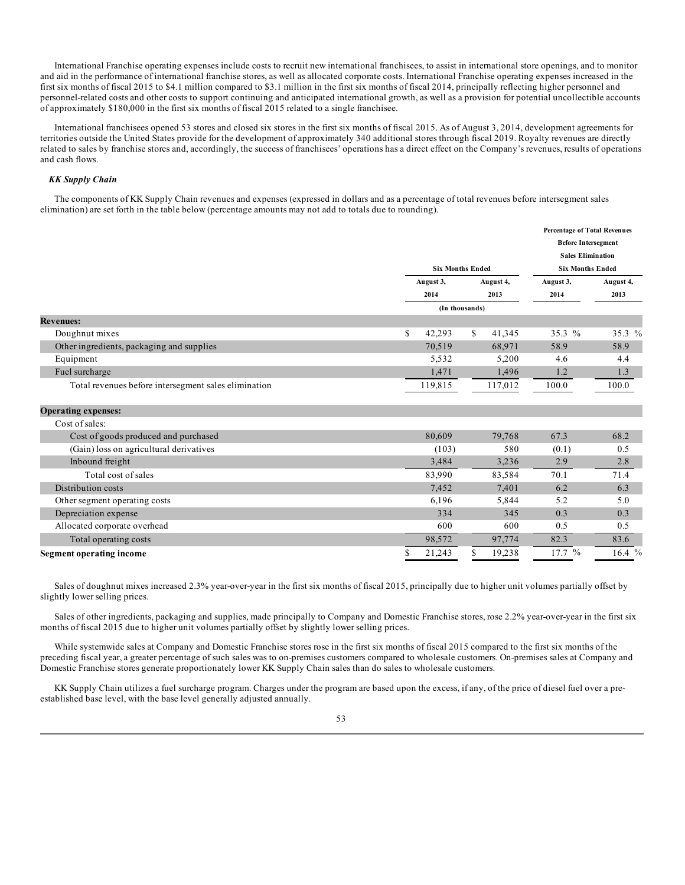International Franchise operating expenses include costs to recruit new international franchisees, to assist in international store openings, and to monitor and aid in the performance of international franchise stores, as well as allocated corporate costs. International Franchise operating expenses increased in the first six months of fiscal 2015 to \$4.1 million compared to \$3.1 million in the first six months of fiscal 2014, principally reflecting higher personnel and personnel-related costs and other costs to support continuing and anticipated international growth, as well as a provision for potential uncollectible accounts of approximately \$180,000 in the first six months of fiscal 2015 related to a single franchisee.

International franchisees opened 53 stores and closed six stores in the first six months of fiscal 2015. As of August 3, 2014, development agreements for territories outside the United States provide for the development of approximately 340 additional stores through fiscal 2019. Royalty revenues are directly related to sales by franchise stores and, accordingly, the success of franchisees' operations has a direct effect on the Company's revenues, results of operations and cash flows.

## *KK Supply Chain*

The components of KK Supply Chain revenues and expenses (expressed in dollars and as a percentage of total revenues before intersegment sales elimination) are set forth in the table below (percentage amounts may not add to totals due to rounding).

|                                                      |    |                         |                |           | <b>Percentage of Total Revenues</b> |           |      |  |
|------------------------------------------------------|----|-------------------------|----------------|-----------|-------------------------------------|-----------|------|--|
|                                                      |    |                         |                |           | <b>Before Intersegment</b>          |           |      |  |
|                                                      |    |                         |                |           | <b>Sales Elimination</b>            |           |      |  |
|                                                      |    | <b>Six Months Ended</b> |                |           | <b>Six Months Ended</b>             |           |      |  |
|                                                      |    | August 3,               |                | August 4, | August 3,                           | August 4, |      |  |
|                                                      |    | 2014                    |                | 2013      |                                     | 2014      | 2013 |  |
|                                                      |    |                         | (In thousands) |           |                                     |           |      |  |
| <b>Revenues:</b>                                     |    |                         |                |           |                                     |           |      |  |
| Doughnut mixes                                       | \$ | 42,293                  | \$             | 41,345    | 35.3 %                              | 35.3 %    |      |  |
| Other ingredients, packaging and supplies            |    | 70,519                  |                | 68,971    | 58.9                                | 58.9      |      |  |
| Equipment                                            |    | 5,532                   |                | 5,200     | 4.6                                 | 4.4       |      |  |
| Fuel surcharge                                       |    | 1,471                   |                | 1,496     | 1.2                                 | 1.3       |      |  |
| Total revenues before intersegment sales elimination |    | 119,815                 |                | 117,012   | 100.0                               | 100.0     |      |  |
| <b>Operating expenses:</b>                           |    |                         |                |           |                                     |           |      |  |
| Cost of sales:                                       |    |                         |                |           |                                     |           |      |  |
| Cost of goods produced and purchased                 |    | 80,609                  |                | 79,768    | 67.3                                | 68.2      |      |  |
| (Gain) loss on agricultural derivatives              |    | (103)                   |                | 580       | (0.1)                               | 0.5       |      |  |
| Inbound freight                                      |    | 3,484                   |                | 3,236     | 2.9                                 | 2.8       |      |  |
| Total cost of sales                                  |    | 83,990                  |                | 83,584    | 70.1                                | 71.4      |      |  |
| Distribution costs                                   |    | 7,452                   |                | 7,401     | 6.2                                 | 6.3       |      |  |
| Other segment operating costs                        |    | 6,196                   |                | 5,844     | 5.2                                 | 5.0       |      |  |
| Depreciation expense                                 |    | 334                     |                | 345       | 0.3                                 | 0.3       |      |  |

**Segment operating income** 16.4  $\frac{1}{2}$  16.4  $\frac{1}{2}$  16.4  $\frac{1}{2}$  16.4  $\frac{1}{2}$  16.4  $\frac{1}{2}$  16.4  $\frac{1}{2}$  16.4  $\frac{1}{2}$  16.4  $\frac{1}{2}$  16.4  $\frac{1}{2}$  16.4  $\frac{1}{2}$  16.4  $\frac{1}{2}$  16.4  $\frac{1}{2}$  16.4  $\frac{1}{2}$ 

Sales of doughnut mixes increased 2.3% year-over-year in the first six months of fiscal 2015, principally due to higher unit volumes partially offset by slightly lower selling prices.

Allocated corporate overhead 600 600 0.5 0.5 Total operating costs 98,572 97,774 82.3 83.6

Sales of other ingredients, packaging and supplies, made principally to Company and Domestic Franchise stores, rose 2.2% year-over-year in the first six months of fiscal 2015 due to higher unit volumes partially offset by slightly lower selling prices.

While systemwide sales at Company and Domestic Franchise stores rose in the first six months of fiscal 2015 compared to the first six months of the preceding fiscal year, a greater percentage of such sales was to on-premises customers compared to wholesale customers. On-premises sales at Company and Domestic Franchise stores generate proportionately lower KK Supply Chain sales than do sales to wholesale customers.

KK Supply Chain utilizes a fuel surcharge program. Charges under the program are based upon the excess, if any, of the price of diesel fuel over a preestablished base level, with the base level generally adjusted annually.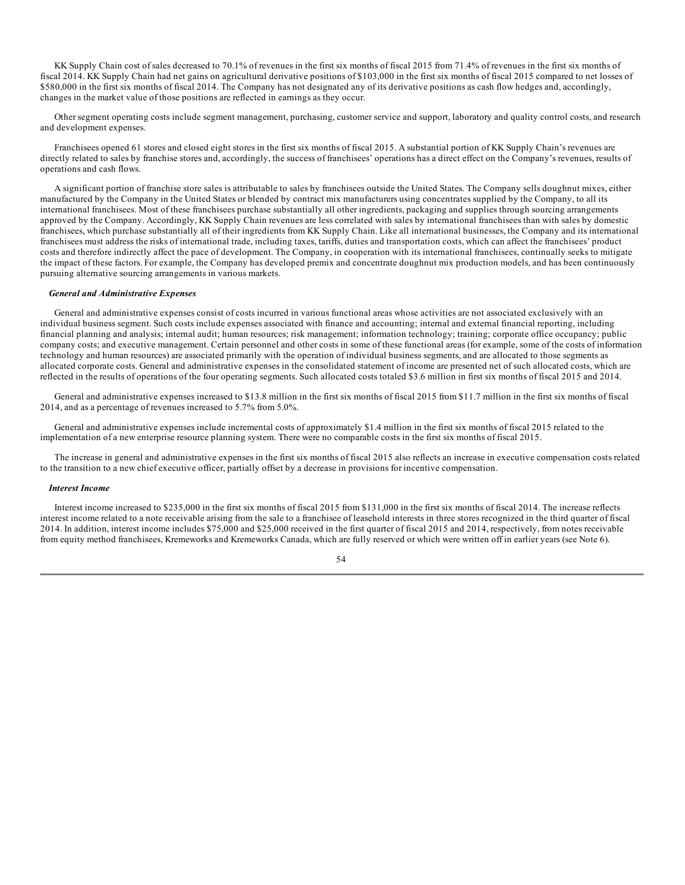KK Supply Chain cost of sales decreased to 70.1% of revenues in the first six months of fiscal 2015 from 71.4% of revenues in the first six months of fiscal 2014. KK Supply Chain had net gains on agricultural derivative positions of \$103,000 in the first six months of fiscal 2015 compared to net losses of \$580,000 in the first six months of fiscal 2014. The Company has not designated any of its derivative positions as cash flow hedges and, accordingly, changes in the market value of those positions are reflected in earnings as they occur.

Other segment operating costs include segment management, purchasing, customer service and support, laboratory and quality control costs, and research and development expenses.

Franchisees opened 61 stores and closed eight stores in the first six months of fiscal 2015. A substantial portion of KK Supply Chain's revenues are directly related to sales by franchise stores and, accordingly, the success of franchisees' operations has a direct effect on the Company's revenues, results of operations and cash flows.

A significant portion of franchise store sales is attributable to sales by franchisees outside the United States. The Company sells doughnut mixes, either manufactured by the Company in the United States or blended by contract mix manufacturers using concentrates supplied by the Company, to all its international franchisees. Most of these franchisees purchase substantially all other ingredients, packaging and supplies through sourcing arrangements approved by the Company. Accordingly, KK Supply Chain revenues are less correlated with sales by international franchisees than with sales by domestic franchisees, which purchase substantially all of their ingredients from KK Supply Chain. Like all international businesses, the Company and its international franchisees must address the risks of international trade, including taxes, tariffs, duties and transportation costs, which can affect the franchisees' product costs and therefore indirectly affect the pace of development. The Company, in cooperation with its international franchisees, continually seeks to mitigate the impact of these factors. For example, the Company has developed premix and concentrate doughnut mix production models, and has been continuously pursuing alternative sourcing arrangements in various markets.

#### *General and Administrative Expenses*

General and administrative expenses consist of costs incurred in various functional areas whose activities are not associated exclusively with an individual business segment. Such costs include expenses associated with finance and accounting; internal and external financial reporting, including financial planning and analysis; internal audit; human resources; risk management; information technology; training; corporate office occupancy; public company costs; and executive management. Certain personnel and other costs in some of these functional areas (for example, some of the costs of information technology and human resources) are associated primarily with the operation of individual business segments, and are allocated to those segments as allocated corporate costs. General and administrative expenses in the consolidated statement of income are presented net of such allocated costs, which are reflected in the results of operations of the four operating segments. Such allocated costs totaled \$3.6 million in first six months of fiscal 2015 and 2014.

General and administrative expenses increased to \$13.8 million in the first six months of fiscal 2015 from \$11.7 million in the first six months of fiscal 2014, and as a percentage of revenues increased to 5.7% from 5.0%.

General and administrative expenses include incremental costs of approximately \$1.4 million in the first six months of fiscal 2015 related to the implementation of a new enterprise resource planning system. There were no comparable costs in the first six months of fiscal 2015.

The increase in general and administrative expenses in the first six months of fiscal 2015 also reflects an increase in executive compensation costs related to the transition to a new chief executive officer, partially offset by a decrease in provisions for incentive compensation.

#### *Interest Income*

Interest income increased to \$235,000 in the first six months of fiscal 2015 from \$131,000 in the first six months of fiscal 2014. The increase reflects interest income related to a note receivable arising from the sale to a franchisee of leasehold interests in three stores recognized in the third quarter of fiscal 2014. In addition, interest income includes \$75,000 and \$25,000 received in the first quarter of fiscal 2015 and 2014, respectively, from notes receivable from equity method franchisees, Kremeworks and Kremeworks Canada, which are fully reserved or which were written off in earlier years (see Note 6).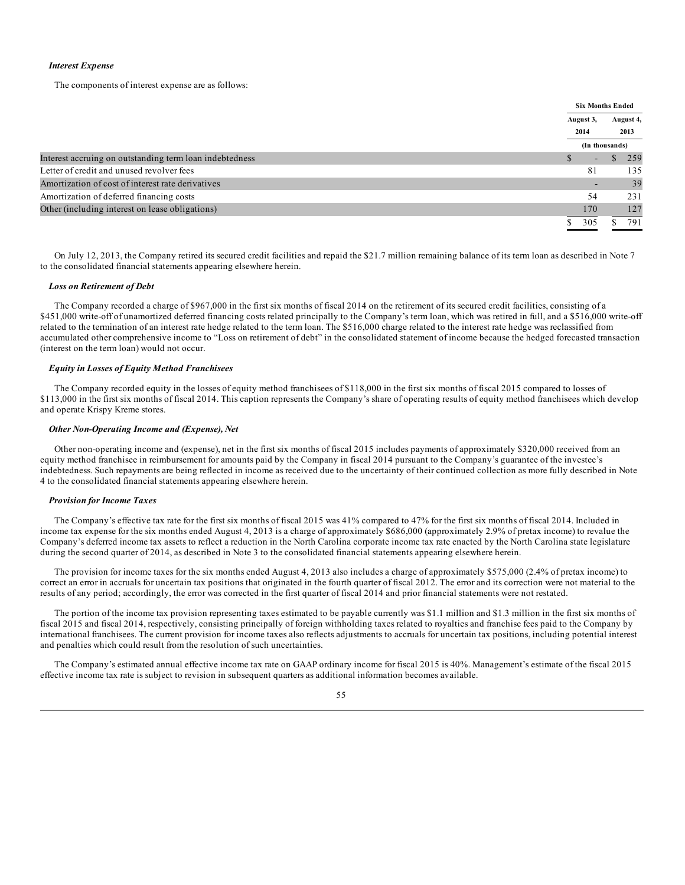## *Interest Expense*

The components of interest expense are as follows:

| August 3,<br>2014 |     | August 4, |                                           |
|-------------------|-----|-----------|-------------------------------------------|
|                   |     |           | 2013                                      |
|                   |     |           |                                           |
| D.                | . п |           | 259                                       |
|                   | 81  |           | 135                                       |
|                   |     |           | 39                                        |
|                   | 54  |           | 231                                       |
|                   | 170 |           | 127                                       |
|                   | 305 |           | 791                                       |
|                   |     |           | <b>Six Months Ended</b><br>(In thousands) |

On July 12, 2013, the Company retired its secured credit facilities and repaid the \$21.7 million remaining balance of its term loan as described in Note 7 to the consolidated financial statements appearing elsewhere herein.

#### *Loss on Retirement of Debt*

The Company recorded a charge of \$967,000 in the first six months of fiscal 2014 on the retirement of its secured credit facilities, consisting of a \$451,000 write-off of unamortized deferred financing costs related principally to the Company's term loan, which was retired in full, and a \$516,000 write-off related to the termination of an interest rate hedge related to the term loan. The \$516,000 charge related to the interest rate hedge was reclassified from accumulated other comprehensive income to "Loss on retirement of debt" in the consolidated statement of income because the hedged forecasted transaction (interest on the term loan) would not occur.

## *Equity in Losses of Equity Method Franchisees*

The Company recorded equity in the losses of equity method franchisees of \$118,000 in the first six months of fiscal 2015 compared to losses of \$113,000 in the first six months of fiscal 2014. This caption represents the Company's share of operating results of equity method franchisees which develop and operate Krispy Kreme stores.

## *Other Non-Operating Income and (Expense), Net*

Other non-operating income and (expense), net in the first six months of fiscal 2015 includes payments of approximately \$320,000 received from an equity method franchisee in reimbursement for amounts paid by the Company in fiscal 2014 pursuant to the Company's guarantee of the investee's indebtedness. Such repayments are being reflected in income as received due to the uncertainty of their continued collection as more fully described in Note 4 to the consolidated financial statements appearing elsewhere herein.

#### *Provision for Income Taxes*

The Company's effective tax rate for the first six months of fiscal 2015 was 41% compared to 47% for the first six months of fiscal 2014. Included in income tax expense for the six months ended August 4, 2013 is a charge of approximately \$686,000 (approximately 2.9% of pretax income) to revalue the Company's deferred income tax assets to reflect a reduction in the North Carolina corporate income tax rate enacted by the North Carolina state legislature during the second quarter of 2014, as described in Note 3 to the consolidated financial statements appearing elsewhere herein.

The provision for income taxes for the six months ended August 4, 2013 also includes a charge of approximately \$575,000 (2.4% of pretax income) to correct an error in accruals for uncertain tax positions that originated in the fourth quarter of fiscal 2012. The error and its correction were not material to the results of any period; accordingly, the error was corrected in the first quarter of fiscal 2014 and prior financial statements were not restated.

The portion of the income tax provision representing taxes estimated to be payable currently was \$1.1 million and \$1.3 million in the first six months of fiscal 2015 and fiscal 2014, respectively, consisting principally of foreign withholding taxes related to royalties and franchise fees paid to the Company by international franchisees. The current provision for income taxes also reflects adjustments to accruals for uncertain tax positions, including potential interest and penalties which could result from the resolution of such uncertainties.

The Company's estimated annual effective income tax rate on GAAP ordinary income for fiscal 2015 is 40%. Management's estimate of the fiscal 2015 effective income tax rate is subject to revision in subsequent quarters as additional information becomes available.

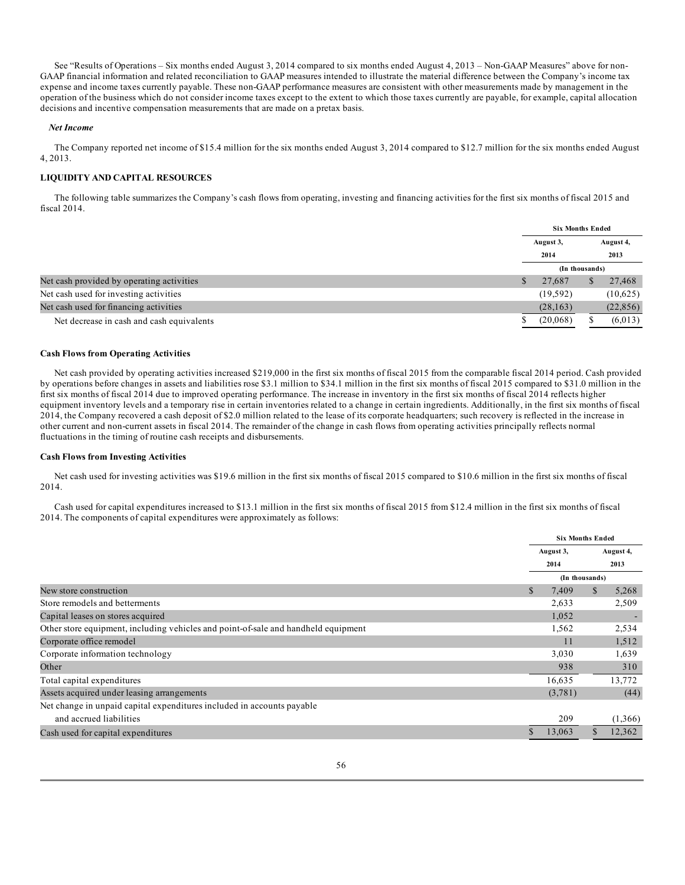See "Results of Operations – Six months ended August 3, 2014 compared to six months ended August 4, 2013 – Non-GAAP Measures" above for non-GAAP financial information and related reconciliation to GAAP measures intended to illustrate the material difference between the Company's income tax expense and income taxes currently payable. These non-GAAP performance measures are consistent with other measurements made by management in the operation of the business which do not consider income taxes except to the extent to which those taxes currently are payable, for example, capital allocation decisions and incentive compensation measurements that are made on a pretax basis.

#### *Net Income*

The Company reported net income of \$15.4 million for the six months ended August 3, 2014 compared to \$12.7 million for the six months ended August 4, 2013.

# **LIQUIDITY AND CAPITAL RESOURCES**

The following table summarizes the Company's cash flows from operating, investing and financing activities for the first six months of fiscal 2015 and fiscal 2014.

|                                           | <b>Six Months Ended</b> |           |      |           |
|-------------------------------------------|-------------------------|-----------|------|-----------|
|                                           | August 3,<br>2014       |           |      | August 4, |
|                                           |                         |           | 2013 |           |
|                                           | (In thousands)          |           |      |           |
| Net cash provided by operating activities |                         | 27,687    | S    | 27,468    |
| Net cash used for investing activities    |                         | (19, 592) |      | (10,625)  |
| Net cash used for financing activities    |                         | (28, 163) |      | (22, 856) |
| Net decrease in cash and cash equivalents |                         | (20,068)  |      | (6,013)   |

#### **Cash Flows from Operating Activities**

Net cash provided by operating activities increased \$219,000 in the first six months of fiscal 2015 from the comparable fiscal 2014 period. Cash provided by operations before changes in assets and liabilities rose \$3.1 million to \$34.1 million in the first six months of fiscal 2015 compared to \$31.0 million in the first six months of fiscal 2014 due to improved operating performance. The increase in inventory in the first six months of fiscal 2014 reflects higher equipment inventory levels and a temporary rise in certain inventories related to a change in certain ingredients. Additionally, in the first six months of fiscal 2014, the Company recovered a cash deposit of \$2.0 million related to the lease of its corporate headquarters; such recovery is reflected in the increase in other current and non-current assets in fiscal 2014. The remainder of the change in cash flows from operating activities principally reflects normal fluctuations in the timing of routine cash receipts and disbursements.

#### **Cash Flows from Investing Activities**

Net cash used for investing activities was \$19.6 million in the first six months of fiscal 2015 compared to \$10.6 million in the first six months of fiscal 2014.

Cash used for capital expenditures increased to \$13.1 million in the first six months of fiscal 2015 from \$12.4 million in the first six months of fiscal 2014. The components of capital expenditures were approximately as follows:

|                                                                                    | <b>Six Months Ended</b> |         |              |         |  |
|------------------------------------------------------------------------------------|-------------------------|---------|--------------|---------|--|
|                                                                                    | August 3,<br>2014       |         | August 4,    |         |  |
|                                                                                    |                         |         |              | 2013    |  |
|                                                                                    | (In thousands)          |         |              |         |  |
| New store construction                                                             | \$                      | 7,409   | <sup>S</sup> | 5,268   |  |
| Store remodels and betterments                                                     |                         | 2,633   |              | 2,509   |  |
| Capital leases on stores acquired                                                  |                         | 1,052   |              |         |  |
| Other store equipment, including vehicles and point-of-sale and handheld equipment |                         | 1,562   |              | 2,534   |  |
| Corporate office remodel                                                           |                         | 11      |              | 1,512   |  |
| Corporate information technology                                                   |                         | 3,030   |              | 1,639   |  |
| Other                                                                              |                         | 938     |              | 310     |  |
| Total capital expenditures                                                         |                         | 16,635  |              | 13,772  |  |
| Assets acquired under leasing arrangements                                         |                         | (3,781) |              | (44)    |  |
| Net change in unpaid capital expenditures included in accounts payable             |                         |         |              |         |  |
| and accrued liabilities                                                            |                         | 209     |              | (1,366) |  |
| Cash used for capital expenditures                                                 |                         | 13,063  |              | 12,362  |  |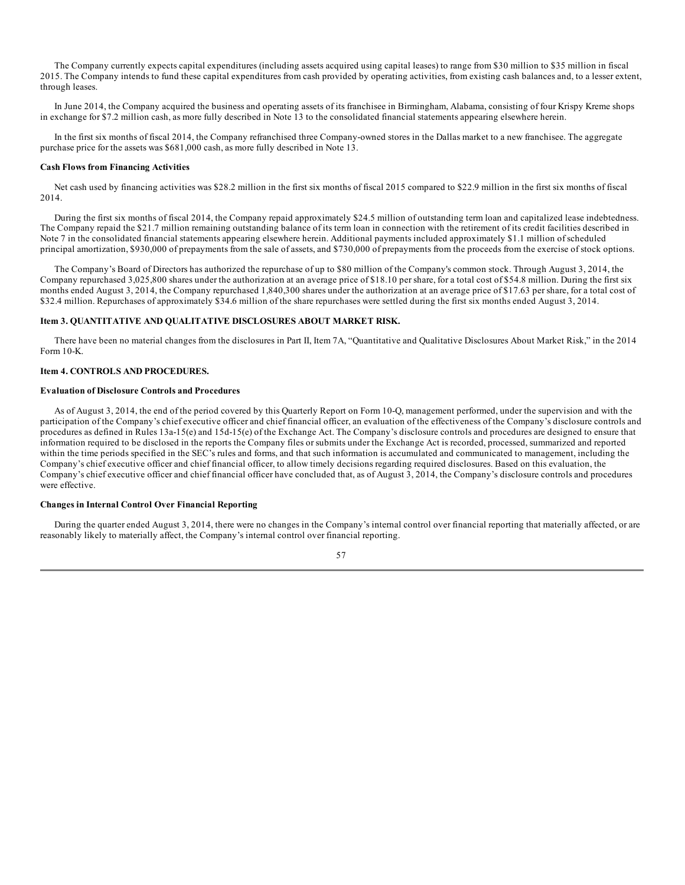The Company currently expects capital expenditures (including assets acquired using capital leases) to range from \$30 million to \$35 million in fiscal 2015. The Company intends to fund these capital expenditures from cash provided by operating activities, from existing cash balances and, to a lesser extent, through leases.

In June 2014, the Company acquired the business and operating assets of its franchisee in Birmingham, Alabama, consisting of four Krispy Kreme shops in exchange for \$7.2 million cash, as more fully described in Note 13 to the consolidated financial statements appearing elsewhere herein.

In the first six months of fiscal 2014, the Company refranchised three Company-owned stores in the Dallas market to a new franchisee. The aggregate purchase price for the assets was \$681,000 cash, as more fully described in Note 13.

#### **Cash Flows from Financing Activities**

Net cash used by financing activities was \$28.2 million in the first six months of fiscal 2015 compared to \$22.9 million in the first six months of fiscal 2014.

During the first six months of fiscal 2014, the Company repaid approximately \$24.5 million of outstanding term loan and capitalized lease indebtedness. The Company repaid the \$21.7 million remaining outstanding balance of its term loan in connection with the retirement of its credit facilities described in Note 7 in the consolidated financial statements appearing elsewhere herein. Additional payments included approximately \$1.1 million of scheduled principal amortization, \$930,000 of prepayments from the sale of assets, and \$730,000 of prepayments from the proceeds from the exercise of stock options.

The Company's Board of Directors has authorized the repurchase of up to \$80 million of the Company's common stock. Through August 3, 2014, the Company repurchased 3,025,800 shares under the authorization at an average price of \$18.10 per share, for a total cost of \$54.8 million. During the first six months ended August 3, 2014, the Company repurchased 1,840,300 shares under the authorization at an average price of \$17.63 per share, for a total cost of \$32.4 million. Repurchases of approximately \$34.6 million of the share repurchases were settled during the first six months ended August 3, 2014.

#### **Item 3. QUANTITATIVE AND QUALITATIVE DISCLOSURES ABOUT MARKET RISK.**

There have been no material changes from the disclosures in Part II, Item 7A, "Quantitative and Qualitative Disclosures About Market Risk," in the 2014 Form 10-K.

#### **Item 4. CONTROLS AND PROCEDURES.**

#### **Evaluation of Disclosure Controls and Procedures**

As of August 3, 2014, the end of the period covered by this Quarterly Report on Form 10-Q, management performed, under the supervision and with the participation of the Company's chief executive officer and chief financial officer, an evaluation of the effectiveness of the Company's disclosure controls and procedures as defined in Rules 13a-15(e) and 15d-15(e) of the Exchange Act. The Company's disclosure controls and procedures are designed to ensure that information required to be disclosed in the reports the Company files or submits under the Exchange Act is recorded, processed, summarized and reported within the time periods specified in the SEC's rules and forms, and that such information is accumulated and communicated to management, including the Company's chief executive officer and chief financial officer, to allow timely decisions regarding required disclosures. Based on this evaluation, the Company's chief executive officer and chief financial officer have concluded that, as of August 3, 2014, the Company's disclosure controls and procedures were effective.

# **Changes in Internal Control Over Financial Reporting**

During the quarter ended August 3, 2014, there were no changes in the Company's internal control over financial reporting that materially affected, or are reasonably likely to materially affect, the Company's internal control over financial reporting.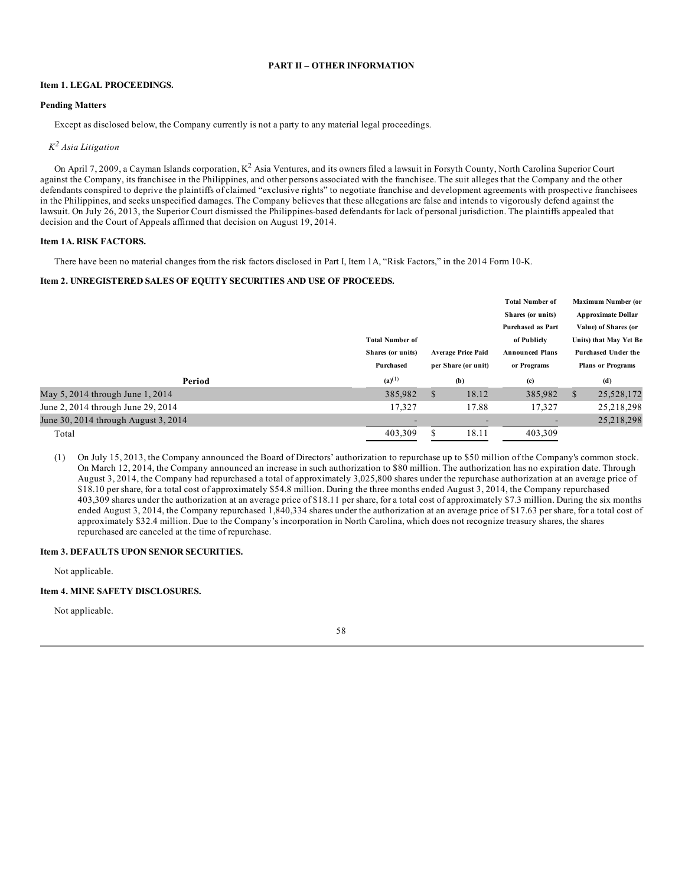## **PART II – OTHER INFORMATION**

# **Item 1. LEGAL PROCEEDINGS.**

## **Pending Matters**

Except as disclosed below, the Company currently is not a party to any material legal proceedings.

# *K <sup>2</sup> Asia Litigation*

On April 7, 2009, a Cayman Islands corporation,  $K^2$  Asia Ventures, and its owners filed a lawsuit in Forsyth County, North Carolina Superior Court against the Company, its franchisee in the Philippines, and other persons associated with the franchisee. The suit alleges that the Company and the other defendants conspired to deprive the plaintiffs of claimed "exclusive rights" to negotiate franchise and development agreements with prospective franchisees in the Philippines, and seeks unspecified damages. The Company believes that these allegations are false and intends to vigorously defend against the lawsuit. On July 26, 2013, the Superior Court dismissed the Philippines-based defendants for lack of personal jurisdiction. The plaintiffs appealed that decision and the Court of Appeals affirmed that decision on August 19, 2014.

## **Item 1A. RISK FACTORS.**

There have been no material changes from the risk factors disclosed in Part I, Item 1A, "Risk Factors," in the 2014 Form 10-K.

## **Item 2. UNREGISTERED SALES OF EQUITY SECURITIES AND USE OF PROCEEDS.**

|                                      |                          |              |                           | <b>Total Number of</b>      | <b>Maximum Number (or</b> |
|--------------------------------------|--------------------------|--------------|---------------------------|-----------------------------|---------------------------|
|                                      |                          |              |                           | Shares (or units)           | <b>Approximate Dollar</b> |
|                                      |                          |              |                           | <b>Purchased as Part</b>    | Value) of Shares (or      |
|                                      | <b>Total Number of</b>   |              |                           | of Publicly                 | Units) that May Yet Be    |
|                                      | Shares (or units)        |              | <b>Average Price Paid</b> | <b>Announced Plans</b>      | Purchased Under the       |
|                                      | Purchased                |              | per Share (or unit)       | or Programs                 | <b>Plans or Programs</b>  |
| Period                               | $(a)^{(1)}$              |              | (b)                       | $\left( \mathbf{c} \right)$ | (d)                       |
| May 5, 2014 through June 1, 2014     | 385,982                  | <sup>S</sup> | 18.12                     | 385,982                     | \$<br>25,528,172          |
| June 2, 2014 through June 29, 2014   | 17,327                   |              | 17.88                     | 17,327                      | 25,218,298                |
| June 30, 2014 through August 3, 2014 | $\overline{\phantom{a}}$ |              | -                         |                             | 25,218,298                |
| Total                                | 403,309                  |              | 18.11                     | 403,309                     |                           |

(1) On July 15, 2013, the Company announced the Board of Directors' authorization to repurchase up to \$50 million of the Company's common stock. On March 12, 2014, the Company announced an increase in such authorization to \$80 million. The authorization has no expiration date. Through August 3, 2014, the Company had repurchased a total of approximately 3,025,800 shares under the repurchase authorization at an average price of \$18.10 per share, for a total cost of approximately \$54.8 million. During the three months ended August 3, 2014, the Company repurchased 403,309 shares under the authorization at an average price of \$18.11 per share, for a total cost of approximately \$7.3 million. During the six months ended August 3, 2014, the Company repurchased 1,840,334 shares under the authorization at an average price of \$17.63 per share, for a total cost of approximately \$32.4 million. Due to the Company's incorporation in North Carolina, which does not recognize treasury shares, the shares repurchased are canceled at the time of repurchase.

# **Item 3. DEFAULTS UPON SENIOR SECURITIES.**

Not applicable.

## **Item 4. MINE SAFETY DISCLOSURES.**

Not applicable.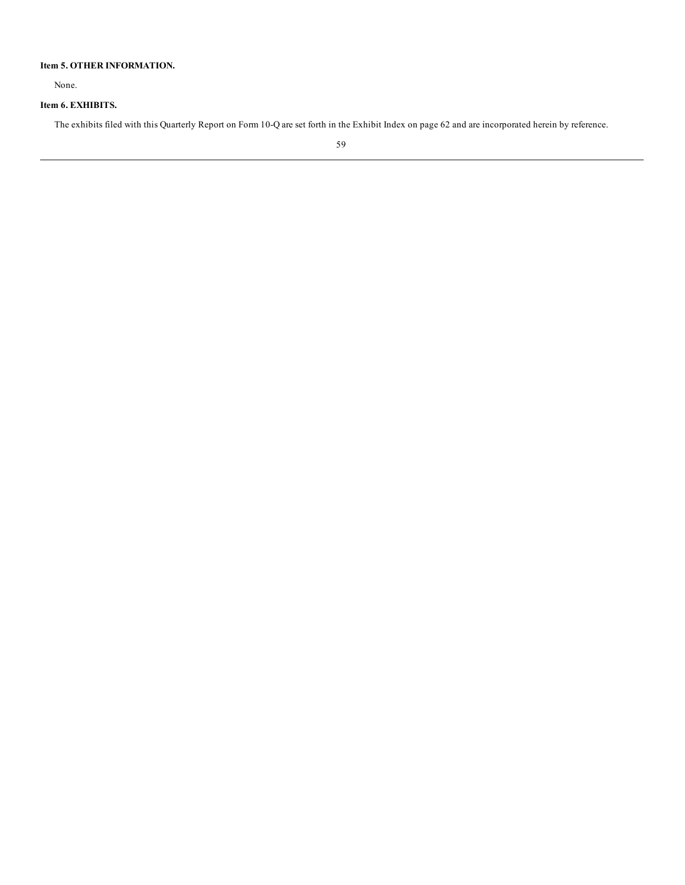# **Item 5. OTHER INFORMATION.**

None.

# **Item 6. EXHIBITS.**

The exhibits filed with this Quarterly Report on Form 10-Q are set forth in the Exhibit Index on page 62 and are incorporated herein by reference.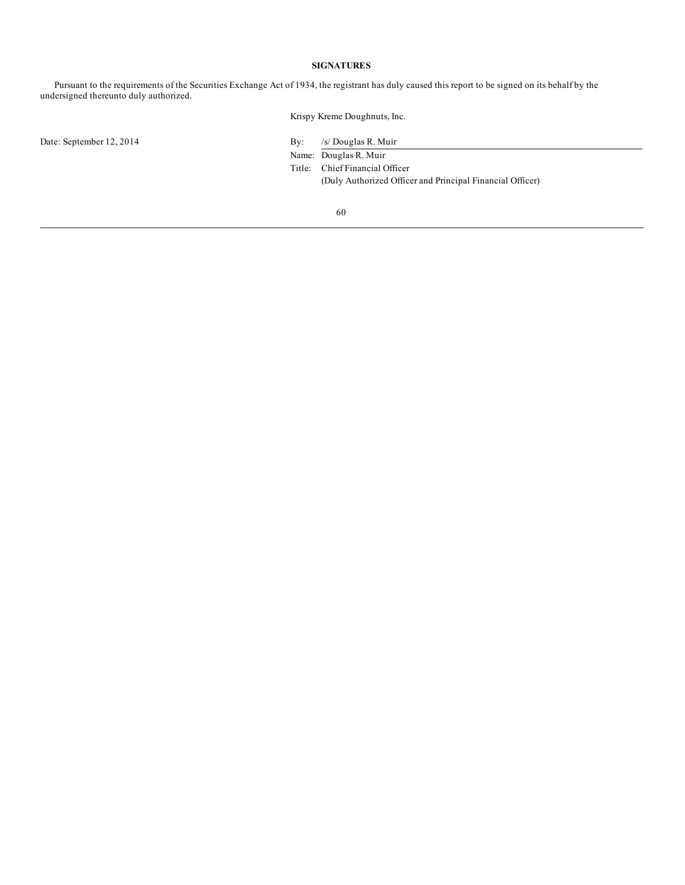# **SIGNATURES**

Pursuant to the requirements of the Securities Exchange Act of 1934, the registrant has duly caused this report to be signed on its behalf by the undersigned thereunto duly authorized.

|                          | Krispy Kreme Doughnuts, Inc.                              |  |
|--------------------------|-----------------------------------------------------------|--|
| Date: September 12, 2014 | /s/ Douglas R. Muir<br>$\operatorname{By}:$               |  |
|                          | Name: Douglas R. Muir                                     |  |
|                          | Title: Chief Financial Officer                            |  |
|                          | (Duly Authorized Officer and Principal Financial Officer) |  |
|                          |                                                           |  |
|                          | 60                                                        |  |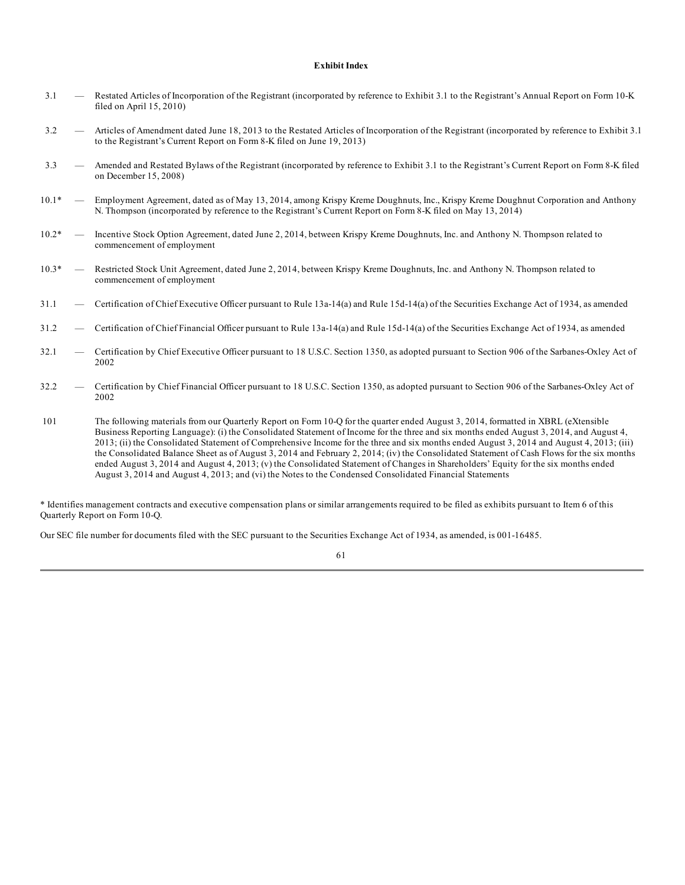## **Exhibit Index**

- 3.1 Restated Articles of Incorporation of the Registrant (incorporated by reference to Exhibit 3.1 to the Registrant's Annual Report on Form 10-K filed on April 15, 2010)
- 3.2 Articles of Amendment dated June 18, 2013 to the Restated Articles of Incorporation of the Registrant (incorporated by reference to Exhibit 3.1 to the Registrant's Current Report on Form 8-K filed on June 19, 2013)
- 3.3 Amended and Restated Bylaws of the Registrant (incorporated by reference to Exhibit 3.1 to the Registrant's Current Report on Form 8-K filed on December 15, 2008)
- 10.1\* Employment Agreement, dated as of May 13, 2014, among Krispy Kreme Doughnuts, Inc., Krispy Kreme Doughnut Corporation and Anthony N. Thompson (incorporated by reference to the Registrant's Current Report on Form 8-K filed on May 13, 2014)
- 10.2\* Incentive Stock Option Agreement, dated June 2, 2014, between Krispy Kreme Doughnuts, Inc. and Anthony N. Thompson related to commencement of employment
- 10.3\* Restricted Stock Unit Agreement, dated June 2, 2014, between Krispy Kreme Doughnuts, Inc. and Anthony N. Thompson related to commencement of employment
- 31.1 Certification of Chief Executive Officer pursuant to Rule 13a-14(a) and Rule 15d-14(a) of the Securities Exchange Act of 1934, as amended
- 31.2 Certification of Chief Financial Officer pursuant to Rule 13a-14(a) and Rule 15d-14(a) of the Securities Exchange Act of 1934, as amended
- 32.1 Certification by Chief Executive Officer pursuant to 18 U.S.C. Section 1350, as adopted pursuant to Section 906 of the Sarbanes-Oxley Act of 2002
- 32.2 Certification by Chief Financial Officer pursuant to 18 U.S.C. Section 1350, as adopted pursuant to Section 906 of the Sarbanes-Oxley Act of 2002
- 101 The following materials from our Quarterly Report on Form 10-Q for the quarter ended August 3, 2014, formatted in XBRL (eXtensible Business Reporting Language): (i) the Consolidated Statement of Income for the three and six months ended August 3, 2014, and August 4, 2013; (ii) the Consolidated Statement of Comprehensive Income for the three and six months ended August 3, 2014 and August 4, 2013; (iii) the Consolidated Balance Sheet as of August 3, 2014 and February 2, 2014; (iv) the Consolidated Statement of Cash Flows for the six months ended August 3, 2014 and August 4, 2013; (v) the Consolidated Statement of Changes in Shareholders' Equity for the six months ended August 3, 2014 and August 4, 2013; and (vi) the Notes to the Condensed Consolidated Financial Statements

\* Identifies management contracts and executive compensation plans or similar arrangements required to be filed as exhibits pursuant to Item 6 of this Quarterly Report on Form 10-Q.

Our SEC file number for documents filed with the SEC pursuant to the Securities Exchange Act of 1934, as amended, is 001-16485.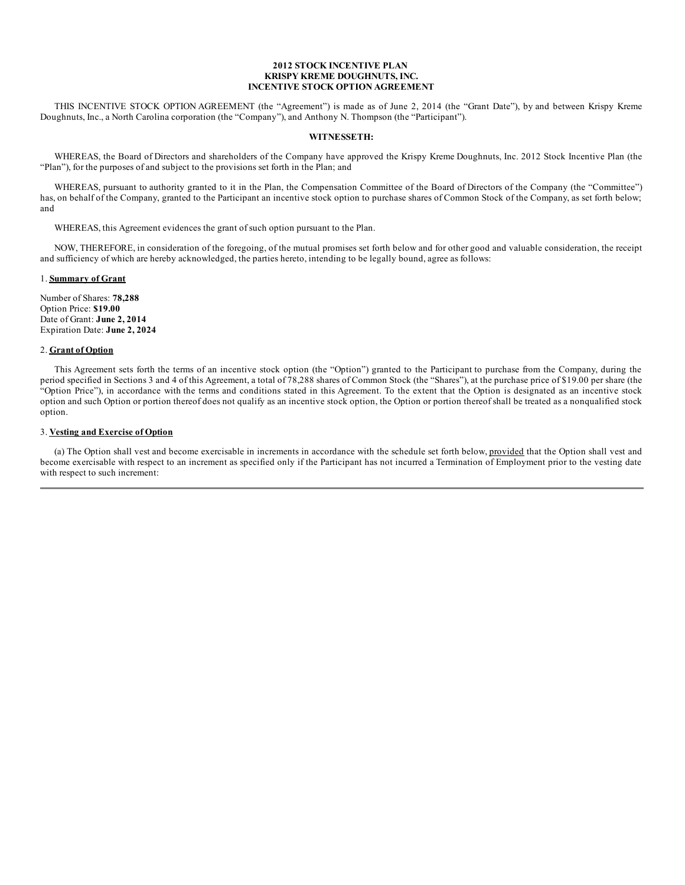## **2012 STOCK INCENTIVE PLAN KRISPY KREME DOUGHNUTS, INC. INCENTIVE STOCK OPTION AGREEMENT**

THIS INCENTIVE STOCK OPTION AGREEMENT (the "Agreement") is made as of June 2, 2014 (the "Grant Date"), by and between Krispy Kreme Doughnuts, Inc., a North Carolina corporation (the "Company"), and Anthony N. Thompson (the "Participant").

## **WITNESSETH:**

WHEREAS, the Board of Directors and shareholders of the Company have approved the Krispy Kreme Doughnuts, Inc. 2012 Stock Incentive Plan (the "Plan"), for the purposes of and subject to the provisions set forth in the Plan; and

WHEREAS, pursuant to authority granted to it in the Plan, the Compensation Committee of the Board of Directors of the Company (the "Committee") has, on behalf of the Company, granted to the Participant an incentive stock option to purchase shares of Common Stock of the Company, as set forth below; and

WHEREAS, this Agreement evidences the grant of such option pursuant to the Plan.

NOW, THEREFORE, in consideration of the foregoing, of the mutual promises set forth below and for other good and valuable consideration, the receipt and sufficiency of which are hereby acknowledged, the parties hereto, intending to be legally bound, agree as follows:

#### 1. **Summary of Grant**

Number of Shares: **78,288** Option Price: **\$19.00** Date of Grant: **June 2, 2014** Expiration Date: **June 2, 2024**

## 2. **Grant of Option**

This Agreement sets forth the terms of an incentive stock option (the "Option") granted to the Participant to purchase from the Company, during the period specified in Sections 3 and 4 of this Agreement, a total of 78,288 shares of Common Stock (the "Shares"), at the purchase price of \$19.00 per share (the "Option Price"), in accordance with the terms and conditions stated in this Agreement. To the extent that the Option is designated as an incentive stock option and such Option or portion thereof does not qualify as an incentive stock option, the Option or portion thereof shall be treated as a nonqualified stock option.

## 3. **Vesting and Exercise of Option**

(a) The Option shall vest and become exercisable in increments in accordance with the schedule set forth below, provided that the Option shall vest and become exercisable with respect to an increment as specified only if the Participant has not incurred a Termination of Employment prior to the vesting date with respect to such increment: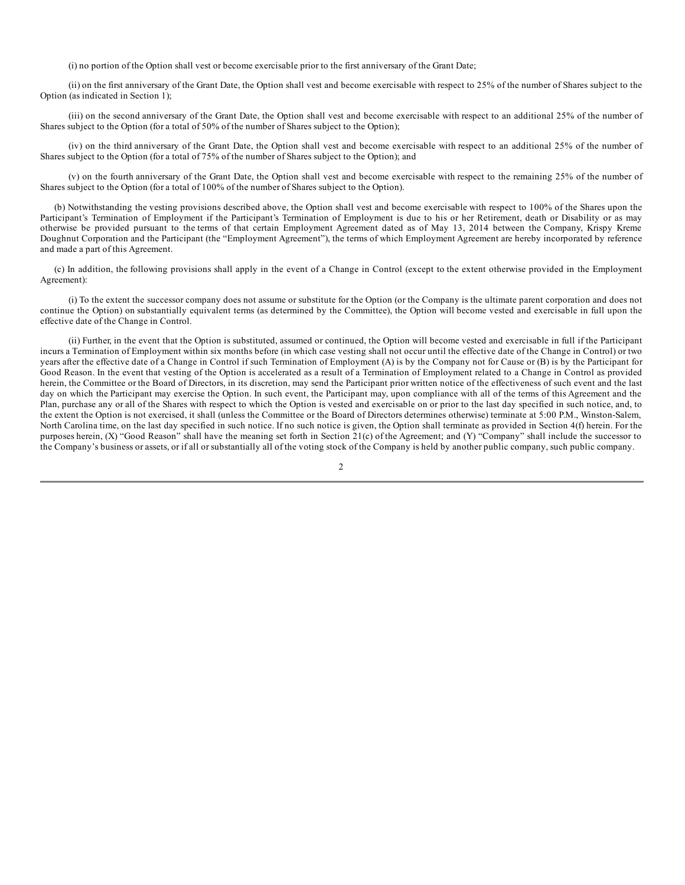(i) no portion of the Option shall vest or become exercisable prior to the first anniversary of the Grant Date;

(ii) on the first anniversary of the Grant Date, the Option shall vest and become exercisable with respect to 25% of the number of Shares subject to the Option (as indicated in Section 1);

(iii) on the second anniversary of the Grant Date, the Option shall vest and become exercisable with respect to an additional 25% of the number of Shares subject to the Option (for a total of 50% of the number of Shares subject to the Option);

(iv) on the third anniversary of the Grant Date, the Option shall vest and become exercisable with respect to an additional 25% of the number of Shares subject to the Option (for a total of 75% of the number of Shares subject to the Option); and

(v) on the fourth anniversary of the Grant Date, the Option shall vest and become exercisable with respect to the remaining 25% of the number of Shares subject to the Option (for a total of 100% of the number of Shares subject to the Option).

(b) Notwithstanding the vesting provisions described above, the Option shall vest and become exercisable with respect to 100% of the Shares upon the Participant's Termination of Employment if the Participant's Termination of Employment is due to his or her Retirement, death or Disability or as may otherwise be provided pursuant to the terms of that certain Employment Agreement dated as of May 13, 2014 between the Company, Krispy Kreme Doughnut Corporation and the Participant (the "Employment Agreement"), the terms of which Employment Agreement are hereby incorporated by reference and made a part of this Agreement.

(c) In addition, the following provisions shall apply in the event of a Change in Control (except to the extent otherwise provided in the Employment Agreement):

(i) To the extent the successor company does not assume or substitute for the Option (or the Company is the ultimate parent corporation and does not continue the Option) on substantially equivalent terms (as determined by the Committee), the Option will become vested and exercisable in full upon the effective date of the Change in Control.

(ii) Further, in the event that the Option is substituted, assumed or continued, the Option will become vested and exercisable in full if the Participant incurs a Termination of Employment within six months before (in which case vesting shall not occur until the effective date of the Change in Control) or two years after the effective date of a Change in Control if such Termination of Employment (A) is by the Company not for Cause or (B) is by the Participant for Good Reason. In the event that vesting of the Option is accelerated as a result of a Termination of Employment related to a Change in Control as provided herein, the Committee or the Board of Directors, in its discretion, may send the Participant prior written notice of the effectiveness of such event and the last day on which the Participant may exercise the Option. In such event, the Participant may, upon compliance with all of the terms of this Agreement and the Plan, purchase any or all of the Shares with respect to which the Option is vested and exercisable on or prior to the last day specified in such notice, and, to the extent the Option is not exercised, it shall (unless the Committee or the Board of Directors determines otherwise) terminate at 5:00 P.M., Winston-Salem, North Carolina time, on the last day specified in such notice. If no such notice is given, the Option shall terminate as provided in Section 4(f) herein. For the purposes herein, (X) "Good Reason" shall have the meaning set forth in Section 21(c) of the Agreement; and (Y) "Company" shall include the successor to the Company's business or assets, or if all or substantially all of the voting stock of the Company is held by another public company, such public company.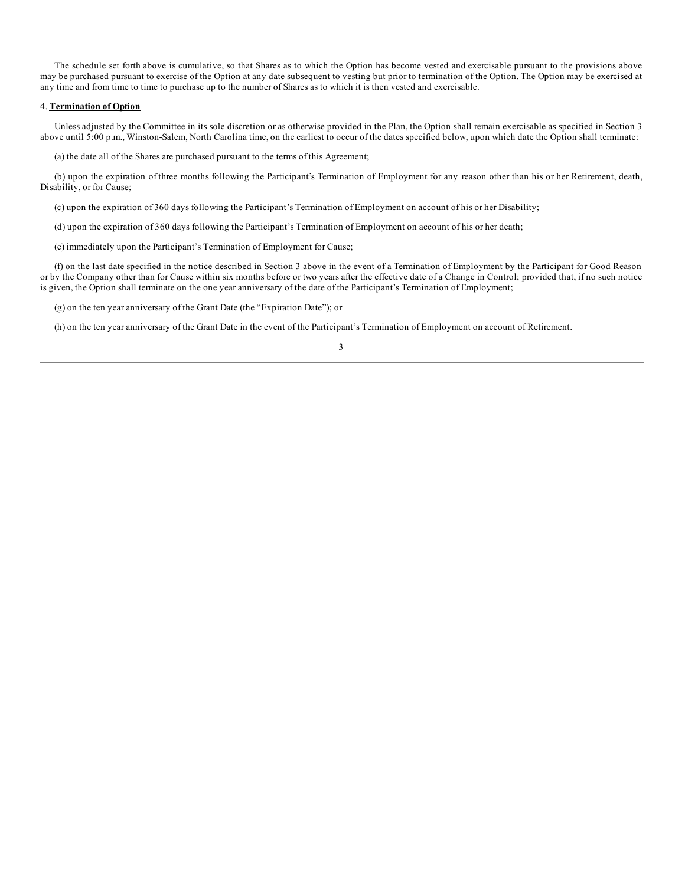The schedule set forth above is cumulative, so that Shares as to which the Option has become vested and exercisable pursuant to the provisions above may be purchased pursuant to exercise of the Option at any date subsequent to vesting but prior to termination of the Option. The Option may be exercised at any time and from time to time to purchase up to the number of Shares as to which it is then vested and exercisable.

## 4. **Termination of Option**

Unless adjusted by the Committee in its sole discretion or as otherwise provided in the Plan, the Option shall remain exercisable as specified in Section 3 above until 5:00 p.m., Winston-Salem, North Carolina time, on the earliest to occur of the dates specified below, upon which date the Option shall terminate:

(a) the date all of the Shares are purchased pursuant to the terms of this Agreement;

(b) upon the expiration of three months following the Participant's Termination of Employment for any reason other than his or her Retirement, death, Disability, or for Cause;

(c) upon the expiration of 360 days following the Participant's Termination of Employment on account of his or her Disability;

(d) upon the expiration of 360 days following the Participant's Termination of Employment on account of his or her death;

(e) immediately upon the Participant's Termination of Employment for Cause;

(f) on the last date specified in the notice described in Section 3 above in the event of a Termination of Employment by the Participant for Good Reason or by the Company other than for Cause within six months before or two years after the effective date of a Change in Control; provided that, if no such notice is given, the Option shall terminate on the one year anniversary of the date of the Participant's Termination of Employment;

(g) on the ten year anniversary of the Grant Date (the "Expiration Date"); or

(h) on the ten year anniversary of the Grant Date in the event of the Participant's Termination of Employment on account of Retirement.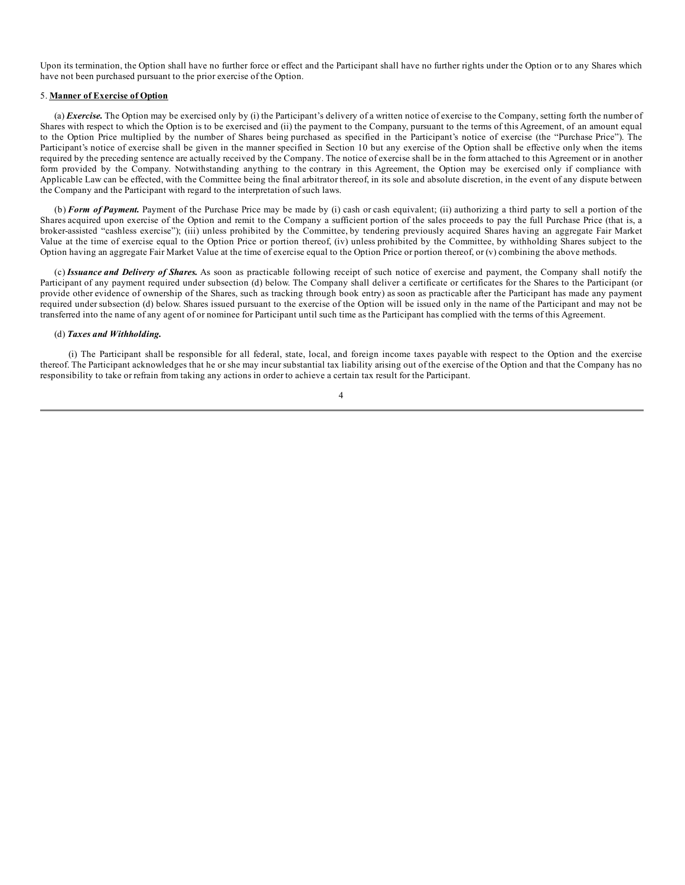Upon its termination, the Option shall have no further force or effect and the Participant shall have no further rights under the Option or to any Shares which have not been purchased pursuant to the prior exercise of the Option.

#### 5. **Manner of Exercise of Option**

(a) *Exercise*. The Option may be exercised only by (i) the Participant's delivery of a written notice of exercise to the Company, setting forth the number of Shares with respect to which the Option is to be exercised and (ii) the payment to the Company, pursuant to the terms of this Agreement, of an amount equal to the Option Price multiplied by the number of Shares being purchased as specified in the Participant's notice of exercise (the "Purchase Price"). The Participant's notice of exercise shall be given in the manner specified in Section 10 but any exercise of the Option shall be effective only when the items required by the preceding sentence are actually received by the Company. The notice of exercise shall be in the form attached to this Agreement or in another form provided by the Company. Notwithstanding anything to the contrary in this Agreement, the Option may be exercised only if compliance with Applicable Law can be effected, with the Committee being the final arbitrator thereof, in its sole and absolute discretion, in the event of any dispute between the Company and the Participant with regard to the interpretation of such laws.

(b) *Form of Payment.* Payment of the Purchase Price may be made by (i) cash or cash equivalent; (ii) authorizing a third party to sell a portion of the Shares acquired upon exercise of the Option and remit to the Company a sufficient portion of the sales proceeds to pay the full Purchase Price (that is, a broker-assisted "cashless exercise"); (iii) unless prohibited by the Committee, by tendering previously acquired Shares having an aggregate Fair Market Value at the time of exercise equal to the Option Price or portion thereof, (iv) unless prohibited by the Committee, by withholding Shares subject to the Option having an aggregate Fair Market Value at the time of exercise equal to the Option Price or portion thereof, or (v) combining the above methods.

(c) *Issuance and Delivery of Shares.* As soon as practicable following receipt of such notice of exercise and payment, the Company shall notify the Participant of any payment required under subsection (d) below. The Company shall deliver a certificate or certificates for the Shares to the Participant (or provide other evidence of ownership of the Shares, such as tracking through book entry) as soon as practicable after the Participant has made any payment required under subsection (d) below. Shares issued pursuant to the exercise of the Option will be issued only in the name of the Participant and may not be transferred into the name of any agent of or nominee for Participant until such time as the Participant has complied with the terms of this Agreement.

## (d) *Taxes and Withholding.*

(i) The Participant shall be responsible for all federal, state, local, and foreign income taxes payable with respect to the Option and the exercise thereof. The Participant acknowledges that he or she may incur substantial tax liability arising out of the exercise of the Option and that the Company has no responsibility to take or refrain from taking any actions in order to achieve a certain tax result for the Participant.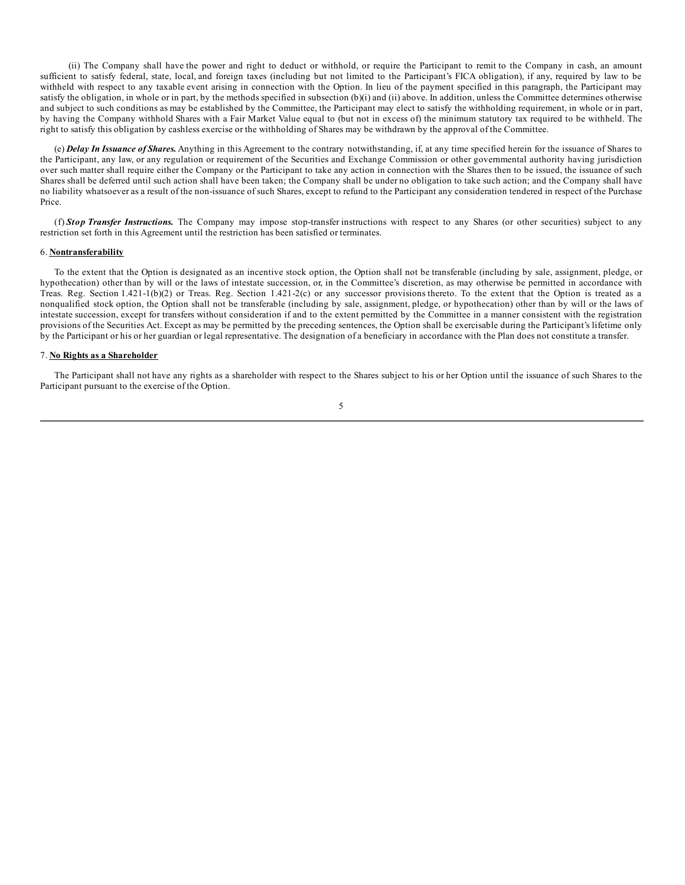(ii) The Company shall have the power and right to deduct or withhold, or require the Participant to remit to the Company in cash, an amount sufficient to satisfy federal, state, local, and foreign taxes (including but not limited to the Participant's FICA obligation), if any, required by law to be withheld with respect to any taxable event arising in connection with the Option. In lieu of the payment specified in this paragraph, the Participant may satisfy the obligation, in whole or in part, by the methods specified in subsection  $(b)(i)$  and  $(ii)$  above. In addition, unless the Committee determines otherwise and subject to such conditions as may be established by the Committee, the Participant may elect to satisfy the withholding requirement, in whole or in part, by having the Company withhold Shares with a Fair Market Value equal to (but not in excess of) the minimum statutory tax required to be withheld. The right to satisfy this obligation by cashless exercise or the withholding of Shares may be withdrawn by the approval of the Committee.

(e) *Delay In Issuance of Shares.* Anything in this Agreement to the contrary notwithstanding, if, at any time specified herein for the issuance of Shares to the Participant, any law, or any regulation or requirement of the Securities and Exchange Commission or other governmental authority having jurisdiction over such matter shall require either the Company or the Participant to take any action in connection with the Shares then to be issued, the issuance of such Shares shall be deferred until such action shall have been taken; the Company shall be under no obligation to take such action; and the Company shall have no liability whatsoever as a result of the non-issuance of such Shares, except to refund to the Participant any consideration tendered in respect of the Purchase Price.

(f) *Stop Transfer Instructions.* The Company may impose stop-transfer instructions with respect to any Shares (or other securities) subject to any restriction set forth in this Agreement until the restriction has been satisfied or terminates.

#### 6. **Nontransferability**

To the extent that the Option is designated as an incentive stock option, the Option shall not be transferable (including by sale, assignment, pledge, or hypothecation) other than by will or the laws of intestate succession, or, in the Committee's discretion, as may otherwise be permitted in accordance with Treas. Reg. Section 1.421-1(b)(2) or Treas. Reg. Section 1.421-2(c) or any successor provisions thereto. To the extent that the Option is treated as a nonqualified stock option, the Option shall not be transferable (including by sale, assignment, pledge, or hypothecation) other than by will or the laws of intestate succession, except for transfers without consideration if and to the extent permitted by the Committee in a manner consistent with the registration provisions of the Securities Act. Except as may be permitted by the preceding sentences, the Option shall be exercisable during the Participant's lifetime only by the Participant or his or her guardian or legal representative. The designation of a beneficiary in accordance with the Plan does not constitute a transfer.

#### 7. **No Rights as a Shareholder**

The Participant shall not have any rights as a shareholder with respect to the Shares subject to his or her Option until the issuance of such Shares to the Participant pursuant to the exercise of the Option.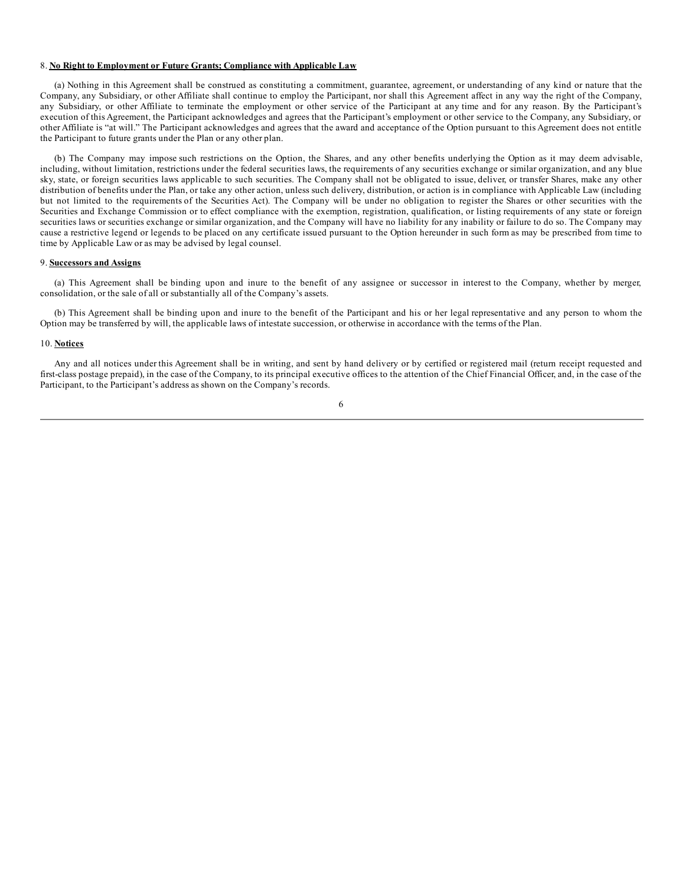## 8. **No Right to Employment or Future Grants; Compliance with Applicable Law**

(a) Nothing in this Agreement shall be construed as constituting a commitment, guarantee, agreement, or understanding of any kind or nature that the Company, any Subsidiary, or other Affiliate shall continue to employ the Participant, nor shall this Agreement affect in any way the right of the Company, any Subsidiary, or other Affiliate to terminate the employment or other service of the Participant at any time and for any reason. By the Participant's execution of this Agreement, the Participant acknowledges and agrees that the Participant's employment or other service to the Company, any Subsidiary, or other Affiliate is "at will." The Participant acknowledges and agrees that the award and acceptance of the Option pursuant to this Agreement does not entitle the Participant to future grants under the Plan or any other plan.

(b) The Company may impose such restrictions on the Option, the Shares, and any other benefits underlying the Option as it may deem advisable, including, without limitation, restrictions under the federal securities laws, the requirements of any securities exchange or similar organization, and any blue sky, state, or foreign securities laws applicable to such securities. The Company shall not be obligated to issue, deliver, or transfer Shares, make any other distribution of benefits under the Plan, or take any other action, unless such delivery, distribution, or action is in compliance with Applicable Law (including but not limited to the requirements of the Securities Act). The Company will be under no obligation to register the Shares or other securities with the Securities and Exchange Commission or to effect compliance with the exemption, registration, qualification, or listing requirements of any state or foreign securities laws or securities exchange or similar organization, and the Company will have no liability for any inability or failure to do so. The Company may cause a restrictive legend or legends to be placed on any certificate issued pursuant to the Option hereunder in such form as may be prescribed from time to time by Applicable Law or as may be advised by legal counsel.

## 9. **Successors and Assigns**

(a) This Agreement shall be binding upon and inure to the benefit of any assignee or successor in interest to the Company, whether by merger, consolidation, or the sale of all or substantially all of the Company's assets.

(b) This Agreement shall be binding upon and inure to the benefit of the Participant and his or her legal representative and any person to whom the Option may be transferred by will, the applicable laws of intestate succession, or otherwise in accordance with the terms of the Plan.

#### 10. **Notices**

Any and all notices under this Agreement shall be in writing, and sent by hand delivery or by certified or registered mail (return receipt requested and first-class postage prepaid), in the case of the Company, to its principal executive offices to the attention of the Chief Financial Officer, and, in the case of the Participant, to the Participant's address as shown on the Company's records.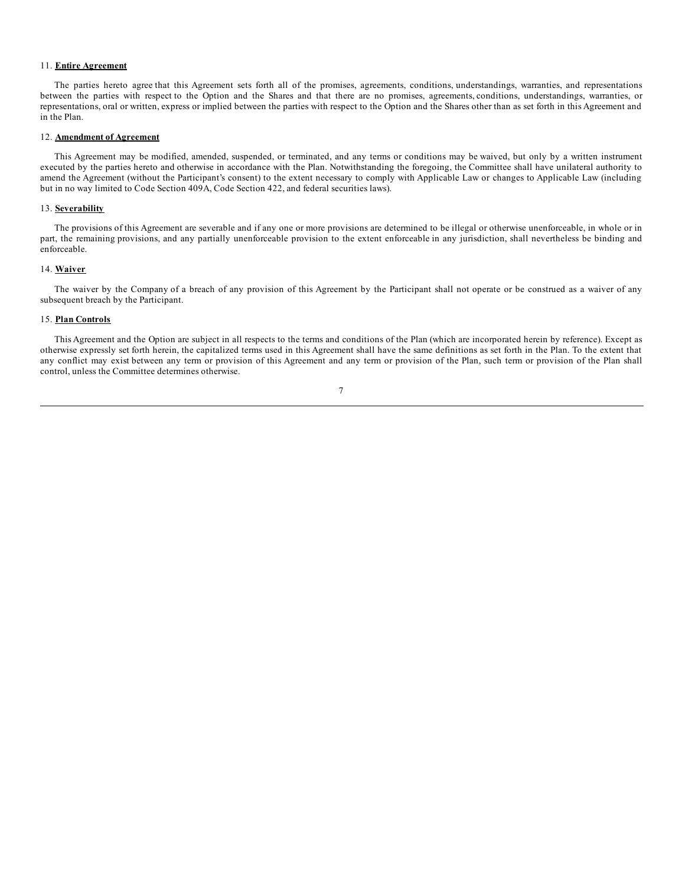## 11. **Entire Agreement**

The parties hereto agree that this Agreement sets forth all of the promises, agreements, conditions, understandings, warranties, and representations between the parties with respect to the Option and the Shares and that there are no promises, agreements, conditions, understandings, warranties, or representations, oral or written, express or implied between the parties with respect to the Option and the Shares other than as set forth in this Agreement and in the Plan.

## 12. **Amendment of Agreement**

This Agreement may be modified, amended, suspended, or terminated, and any terms or conditions may be waived, but only by a written instrument executed by the parties hereto and otherwise in accordance with the Plan. Notwithstanding the foregoing, the Committee shall have unilateral authority to amend the Agreement (without the Participant's consent) to the extent necessary to comply with Applicable Law or changes to Applicable Law (including but in no way limited to Code Section 409A, Code Section 422, and federal securities laws).

#### 13. **Severability**

The provisions of this Agreement are severable and if any one or more provisions are determined to be illegal or otherwise unenforceable, in whole or in part, the remaining provisions, and any partially unenforceable provision to the extent enforceable in any jurisdiction, shall nevertheless be binding and enforceable.

# 14. **Waiver**

The waiver by the Company of a breach of any provision of this Agreement by the Participant shall not operate or be construed as a waiver of any subsequent breach by the Participant.

#### 15. **Plan Controls**

This Agreement and the Option are subject in all respects to the terms and conditions of the Plan (which are incorporated herein by reference). Except as otherwise expressly set forth herein, the capitalized terms used in this Agreement shall have the same definitions as set forth in the Plan. To the extent that any conflict may exist between any term or provision of this Agreement and any term or provision of the Plan, such term or provision of the Plan shall control, unless the Committee determines otherwise.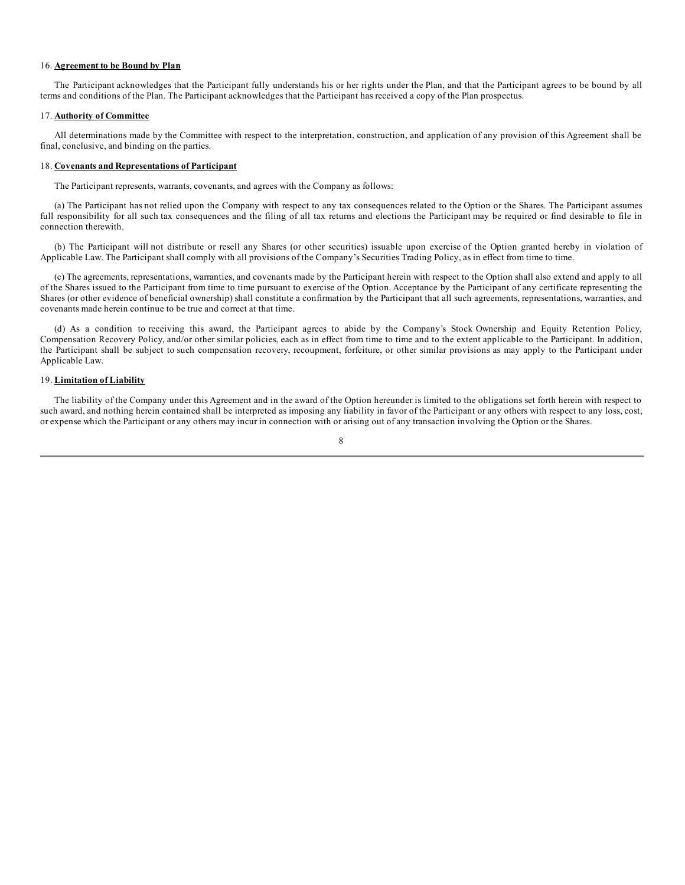## 16. **Agreement to be Bound by Plan**

The Participant acknowledges that the Participant fully understands his or her rights under the Plan, and that the Participant agrees to be bound by all terms and conditions of the Plan. The Participant acknowledges that the Participant has received a copy of the Plan prospectus.

#### 17. **Authority of Committee**

All determinations made by the Committee with respect to the interpretation, construction, and application of any provision of this Agreement shall be final, conclusive, and binding on the parties.

#### 18. **Covenants and Representations of Participant**

The Participant represents, warrants, covenants, and agrees with the Company as follows:

(a) The Participant has not relied upon the Company with respect to any tax consequences related to the Option or the Shares. The Participant assumes full responsibility for all such tax consequences and the filing of all tax returns and elections the Participant may be required or find desirable to file in connection therewith.

(b) The Participant will not distribute or resell any Shares (or other securities) issuable upon exercise of the Option granted hereby in violation of Applicable Law. The Participant shall comply with all provisions of the Company's Securities Trading Policy, as in effect from time to time.

(c) The agreements, representations, warranties, and covenants made by the Participant herein with respect to the Option shall also extend and apply to all of the Shares issued to the Participant from time to time pursuant to exercise of the Option. Acceptance by the Participant of any certificate representing the Shares (or other evidence of beneficial ownership) shall constitute a confirmation by the Participant that all such agreements, representations, warranties, and covenants made herein continue to be true and correct at that time.

(d) As a condition to receiving this award, the Participant agrees to abide by the Company's Stock Ownership and Equity Retention Policy, Compensation Recovery Policy, and/or other similar policies, each as in effect from time to time and to the extent applicable to the Participant. In addition, the Participant shall be subject to such compensation recovery, recoupment, forfeiture, or other similar provisions as may apply to the Participant under Applicable Law.

## 19. **Limitation of Liability**

The liability of the Company under this Agreement and in the award of the Option hereunder is limited to the obligations set forth herein with respect to such award, and nothing herein contained shall be interpreted as imposing any liability in favor of the Participant or any others with respect to any loss, cost, or expense which the Participant or any others may incur in connection with or arising out of any transaction involving the Option or the Shares.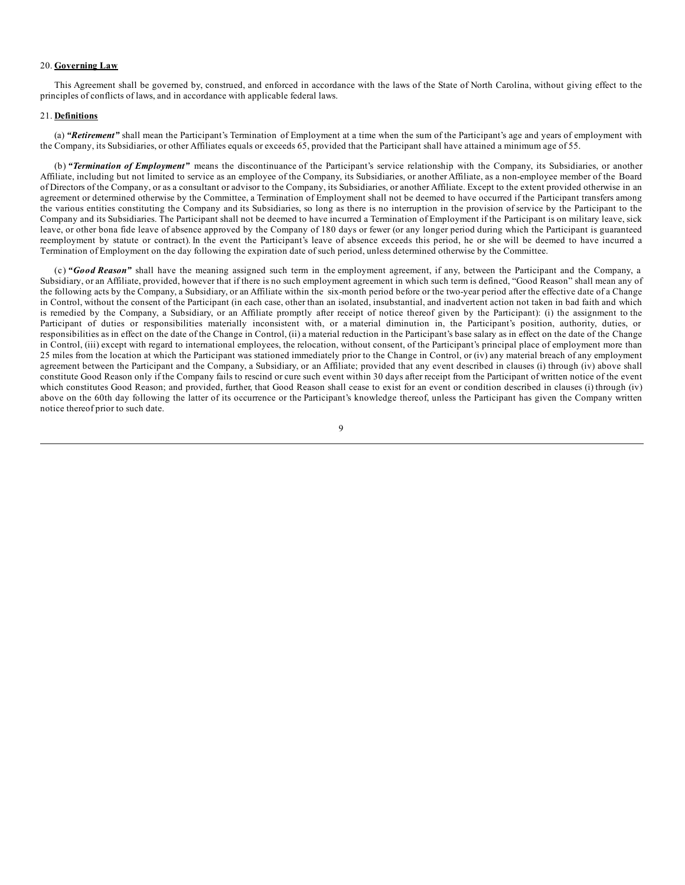## 20. **Governing Law**

This Agreement shall be governed by, construed, and enforced in accordance with the laws of the State of North Carolina, without giving effect to the principles of conflicts of laws, and in accordance with applicable federal laws.

## 21. **Definitions**

(a) "Retirement" shall mean the Participant's Termination of Employment at a time when the sum of the Participant's age and years of employment with the Company, its Subsidiaries, or other Affiliates equals or exceeds 65, provided that the Participant shall have attained a minimum age of 55.

(b) *"Termination of Employment"* means the discontinuance of the Participant's service relationship with the Company, its Subsidiaries, or another Affiliate, including but not limited to service as an employee of the Company, its Subsidiaries, or another Affiliate, as a non-employee member of the Board of Directors of the Company, or as a consultant or advisor to the Company, its Subsidiaries, or another Affiliate. Except to the extent provided otherwise in an agreement or determined otherwise by the Committee, a Termination of Employment shall not be deemed to have occurred if the Participant transfers among the various entities constituting the Company and its Subsidiaries, so long as there is no interruption in the provision of service by the Participant to the Company and its Subsidiaries. The Participant shall not be deemed to have incurred a Termination of Employment if the Participant is on military leave, sick leave, or other bona fide leave of absence approved by the Company of 180 days or fewer (or any longer period during which the Participant is guaranteed reemployment by statute or contract). In the event the Participant's leave of absence exceeds this period, he or she will be deemed to have incurred a Termination of Employment on the day following the expiration date of such period, unless determined otherwise by the Committee.

(c) *"Good Reason"* shall have the meaning assigned such term in the employment agreement, if any, between the Participant and the Company, a Subsidiary, or an Affiliate, provided, however that if there is no such employment agreement in which such term is defined, "Good Reason" shall mean any of the following acts by the Company, a Subsidiary, or an Affiliate within the six-month period before or the two-year period after the effective date of a Change in Control, without the consent of the Participant (in each case, other than an isolated, insubstantial, and inadvertent action not taken in bad faith and which is remedied by the Company, a Subsidiary, or an Affiliate promptly after receipt of notice thereof given by the Participant): (i) the assignment to the Participant of duties or responsibilities materially inconsistent with, or a material diminution in, the Participant's position, authority, duties, or responsibilities as in effect on the date of the Change in Control, (ii) a material reduction in the Participant's base salary as in effect on the date of the Change in Control, (iii) except with regard to international employees, the relocation, without consent, of the Participant's principal place of employment more than 25 miles from the location at which the Participant was stationed immediately prior to the Change in Control, or (iv) any material breach of any employment agreement between the Participant and the Company, a Subsidiary, or an Affiliate; provided that any event described in clauses (i) through (iv) above shall constitute Good Reason only if the Company fails to rescind or cure such event within 30 days after receipt from the Participant of written notice of the event which constitutes Good Reason; and provided, further, that Good Reason shall cease to exist for an event or condition described in clauses (i) through (iv) above on the 60th day following the latter of its occurrence or the Participant's knowledge thereof, unless the Participant has given the Company written notice thereof prior to such date.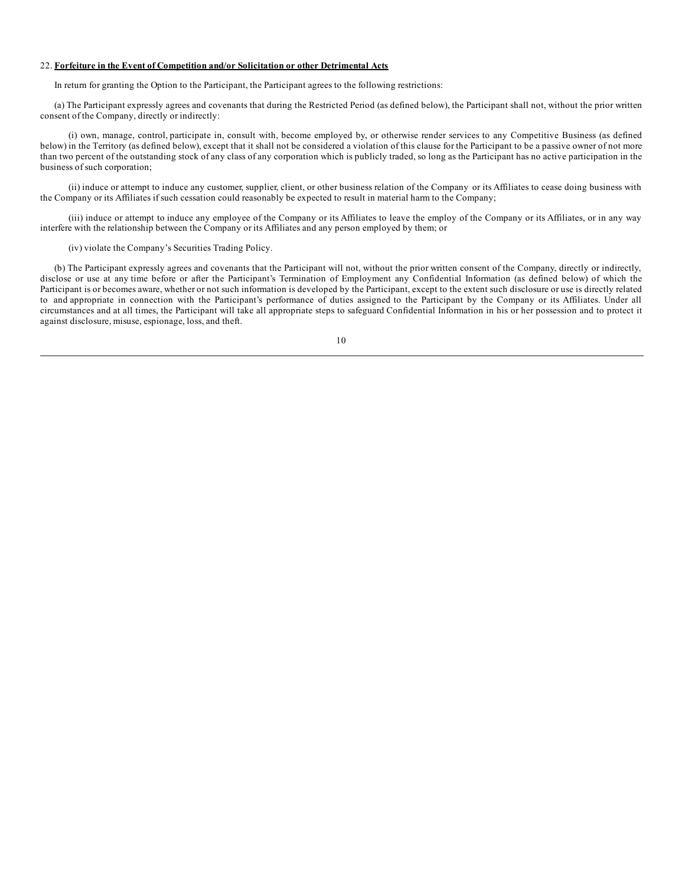## 22. **Forfeiture in the Event of Competition and/or Solicitation or other Detrimental Acts**

In return for granting the Option to the Participant, the Participant agrees to the following restrictions:

(a) The Participant expressly agrees and covenants that during the Restricted Period (as defined below), the Participant shall not, without the prior written consent of the Company, directly or indirectly:

(i) own, manage, control, participate in, consult with, become employed by, or otherwise render services to any Competitive Business (as defined below) in the Territory (as defined below), except that it shall not be considered a violation of this clause for the Participant to be a passive owner of not more than two percent of the outstanding stock of any class of any corporation which is publicly traded, so long as the Participant has no active participation in the business of such corporation;

(ii) induce or attempt to induce any customer, supplier, client, or other business relation of the Company or its Affiliates to cease doing business with the Company or its Affiliates if such cessation could reasonably be expected to result in material harm to the Company;

(iii) induce or attempt to induce any employee of the Company or its Affiliates to leave the employ of the Company or its Affiliates, or in any way interfere with the relationship between the Company or its Affiliates and any person employed by them; or

(iv) violate the Company's Securities Trading Policy.

(b) The Participant expressly agrees and covenants that the Participant will not, without the prior written consent of the Company, directly or indirectly, disclose or use at any time before or after the Participant's Termination of Employment any Confidential Information (as defined below) of which the Participant is or becomes aware, whether or not such information is developed by the Participant, except to the extent such disclosure or use is directly related to and appropriate in connection with the Participant's performance of duties assigned to the Participant by the Company or its Affiliates. Under all circumstances and at all times, the Participant will take all appropriate steps to safeguard Confidential Information in his or her possession and to protect it against disclosure, misuse, espionage, loss, and theft.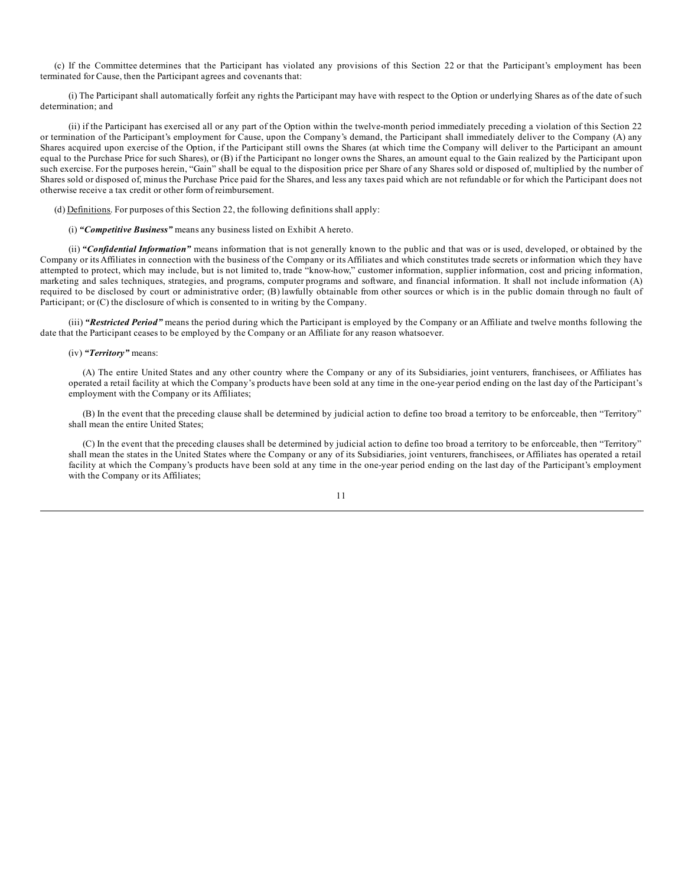(c) If the Committee determines that the Participant has violated any provisions of this Section 22 or that the Participant's employment has been terminated for Cause, then the Participant agrees and covenants that:

(i) The Participant shall automatically forfeit any rights the Participant may have with respect to the Option or underlying Shares as of the date of such determination; and

(ii) if the Participant has exercised all or any part of the Option within the twelve-month period immediately preceding a violation of this Section 22 or termination of the Participant's employment for Cause, upon the Company's demand, the Participant shall immediately deliver to the Company (A) any Shares acquired upon exercise of the Option, if the Participant still owns the Shares (at which time the Company will deliver to the Participant an amount equal to the Purchase Price for such Shares), or (B) if the Participant no longer owns the Shares, an amount equal to the Gain realized by the Participant upon such exercise. For the purposes herein, "Gain" shall be equal to the disposition price per Share of any Shares sold or disposed of, multiplied by the number of Shares sold or disposed of, minus the Purchase Price paid for the Shares, and less any taxes paid which are not refundable or for which the Participant does not otherwise receive a tax credit or other form of reimbursement.

(d) Definitions. For purposes of this Section 22, the following definitions shall apply:

(i) *"Competitive Business"* means any business listed on Exhibit A hereto.

(ii) *"Confidential Information"* means information that is not generally known to the public and that was or is used, developed, or obtained by the Company or its Affiliates in connection with the business of the Company or its Affiliates and which constitutes trade secrets or information which they have attempted to protect, which may include, but is not limited to, trade "know-how," customer information, supplier information, cost and pricing information, marketing and sales techniques, strategies, and programs, computer programs and software, and financial information. It shall not include information (A) required to be disclosed by court or administrative order; (B) lawfully obtainable from other sources or which is in the public domain through no fault of Participant; or (C) the disclosure of which is consented to in writing by the Company.

(iii) *"Restricted Period"* means the period during which the Participant is employed by the Company or an Affiliate and twelve months following the date that the Participant ceases to be employed by the Company or an Affiliate for any reason whatsoever.

(iv) *"Territory"* means:

(A) The entire United States and any other country where the Company or any of its Subsidiaries, joint venturers, franchisees, or Affiliates has operated a retail facility at which the Company's products have been sold at any time in the one-year period ending on the last day of the Participant's employment with the Company or its Affiliates;

(B) In the event that the preceding clause shall be determined by judicial action to define too broad a territory to be enforceable, then "Territory" shall mean the entire United States;

(C) In the event that the preceding clauses shall be determined by judicial action to define too broad a territory to be enforceable, then "Territory" shall mean the states in the United States where the Company or any of its Subsidiaries, joint venturers, franchisees, or Affiliates has operated a retail facility at which the Company's products have been sold at any time in the one-year period ending on the last day of the Participant's employment with the Company or its Affiliates;

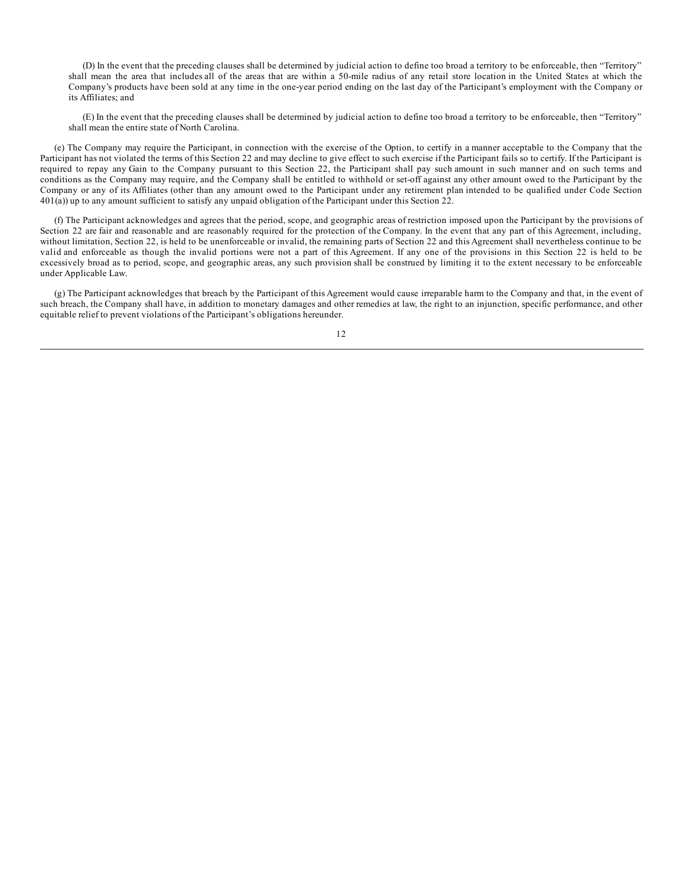(D) In the event that the preceding clauses shall be determined by judicial action to define too broad a territory to be enforceable, then "Territory" shall mean the area that includes all of the areas that are within a 50-mile radius of any retail store location in the United States at which the Company's products have been sold at any time in the one-year period ending on the last day of the Participant's employment with the Company or its Affiliates; and

(E) In the event that the preceding clauses shall be determined by judicial action to define too broad a territory to be enforceable, then "Territory" shall mean the entire state of North Carolina.

(e) The Company may require the Participant, in connection with the exercise of the Option, to certify in a manner acceptable to the Company that the Participant has not violated the terms of this Section 22 and may decline to give effect to such exercise if the Participant fails so to certify. If the Participant is required to repay any Gain to the Company pursuant to this Section 22, the Participant shall pay such amount in such manner and on such terms and conditions as the Company may require, and the Company shall be entitled to withhold or set-off against any other amount owed to the Participant by the Company or any of its Affiliates (other than any amount owed to the Participant under any retirement plan intended to be qualified under Code Section 401(a)) up to any amount sufficient to satisfy any unpaid obligation of the Participant under this Section 22.

(f) The Participant acknowledges and agrees that the period, scope, and geographic areas of restriction imposed upon the Participant by the provisions of Section 22 are fair and reasonable and are reasonably required for the protection of the Company. In the event that any part of this Agreement, including, without limitation, Section 22, is held to be unenforceable or invalid, the remaining parts of Section 22 and this Agreement shall nevertheless continue to be valid and enforceable as though the invalid portions were not a part of this Agreement. If any one of the provisions in this Section 22 is held to be excessively broad as to period, scope, and geographic areas, any such provision shall be construed by limiting it to the extent necessary to be enforceable under Applicable Law.

(g) The Participant acknowledges that breach by the Participant of this Agreement would cause irreparable harm to the Company and that, in the event of such breach, the Company shall have, in addition to monetary damages and other remedies at law, the right to an injunction, specific performance, and other equitable relief to prevent violations of the Participant's obligations hereunder.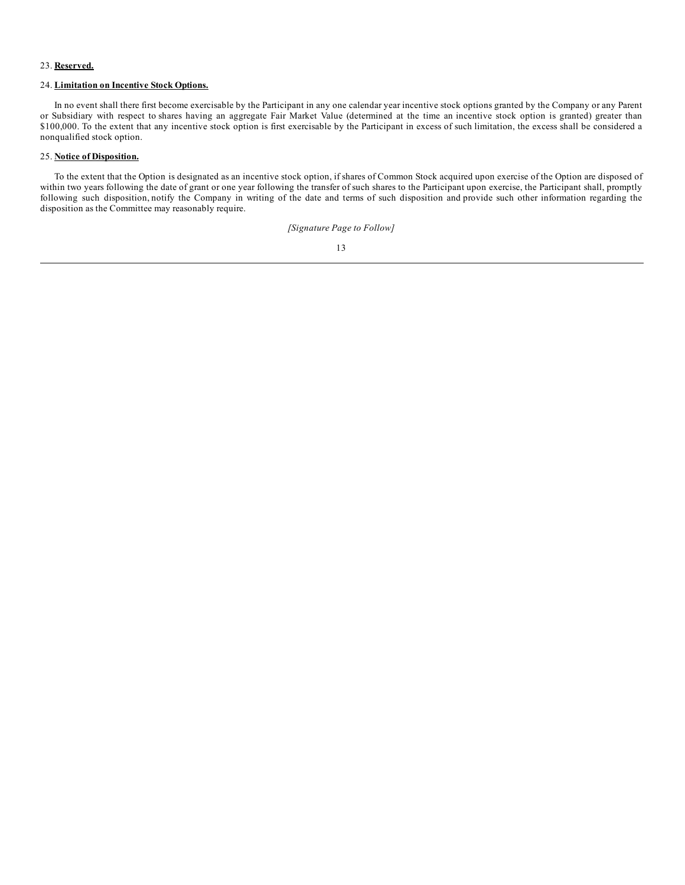## 23. **Reserved.**

## 24. **Limitation on Incentive Stock Options.**

In no event shall there first become exercisable by the Participant in any one calendar year incentive stock options granted by the Company or any Parent or Subsidiary with respect to shares having an aggregate Fair Market Value (determined at the time an incentive stock option is granted) greater than \$100,000. To the extent that any incentive stock option is first exercisable by the Participant in excess of such limitation, the excess shall be considered a nonqualified stock option.

## 25. **Notice of Disposition.**

To the extent that the Option is designated as an incentive stock option, if shares of Common Stock acquired upon exercise of the Option are disposed of within two years following the date of grant or one year following the transfer of such shares to the Participant upon exercise, the Participant shall, promptly following such disposition, notify the Company in writing of the date and terms of such disposition and provide such other information regarding the disposition as the Committee may reasonably require.

*[Signature Page to Follow]*

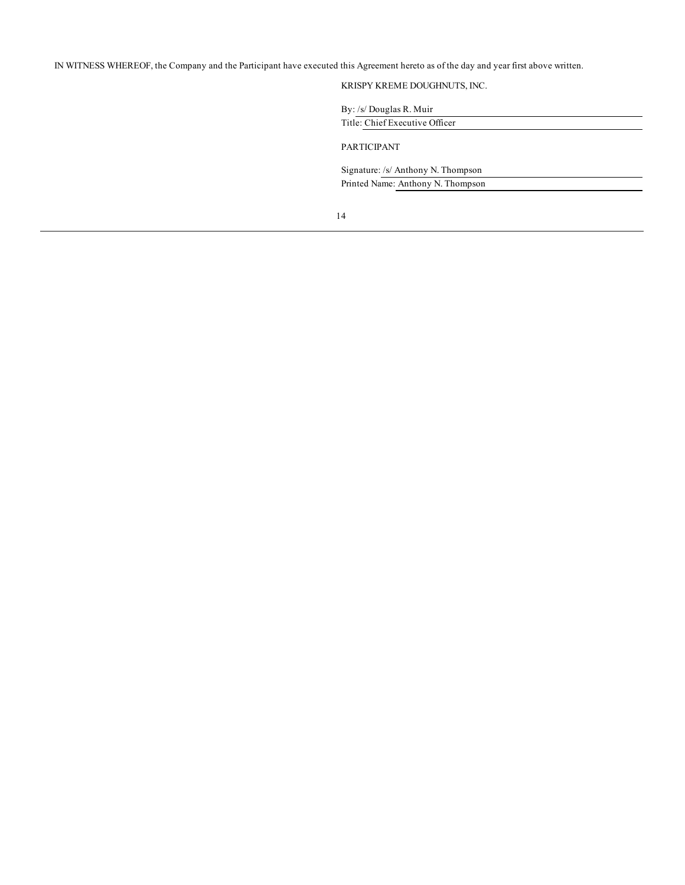IN WITNESS WHEREOF, the Company and the Participant have executed this Agreement hereto as of the day and year first above written.

KRISPY KREME DOUGHNUTS, INC.

By: /s/ Douglas R. Muir

Title: Chief Executive Officer

PARTICIPANT

Signature: /s/ Anthony N. Thompson Printed Name: Anthony N. Thompson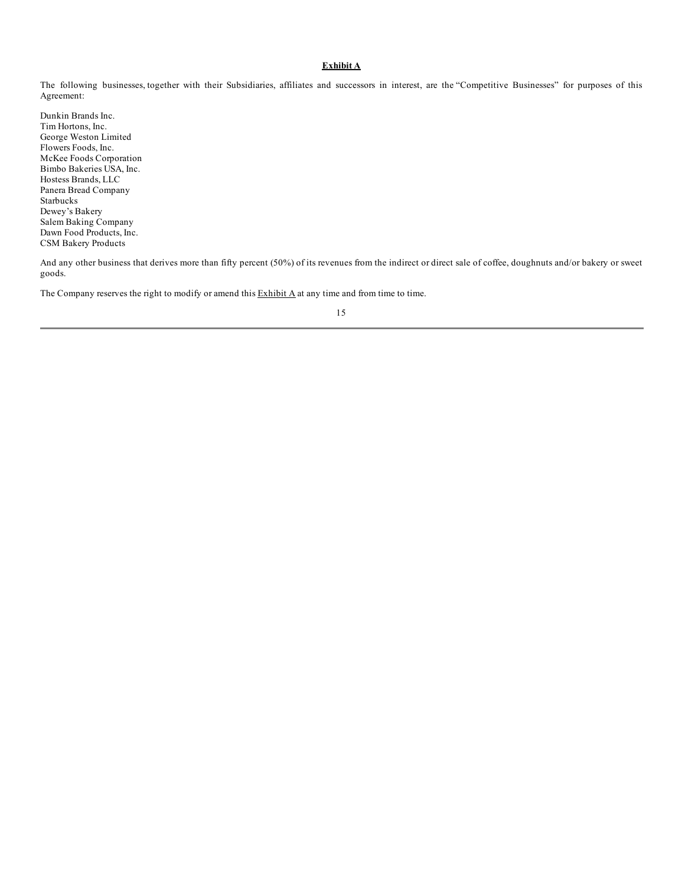# **Exhibit A**

The following businesses, together with their Subsidiaries, affiliates and successors in interest, are the "Competitive Businesses" for purposes of this Agreement:

Dunkin Brands Inc. Tim Hortons, Inc. George Weston Limited Flowers Foods, Inc. McKee Foods Corporation Bimbo Bakeries USA, Inc. Hostess Brands, LLC Panera Bread Company Starbucks Dewey's Bakery Salem Baking Company Dawn Food Products, Inc. CSM Bakery Products

And any other business that derives more than fifty percent (50%) of its revenues from the indirect or direct sale of coffee, doughnuts and/or bakery or sweet goods.

The Company reserves the right to modify or amend this **Exhibit A** at any time and from time to time.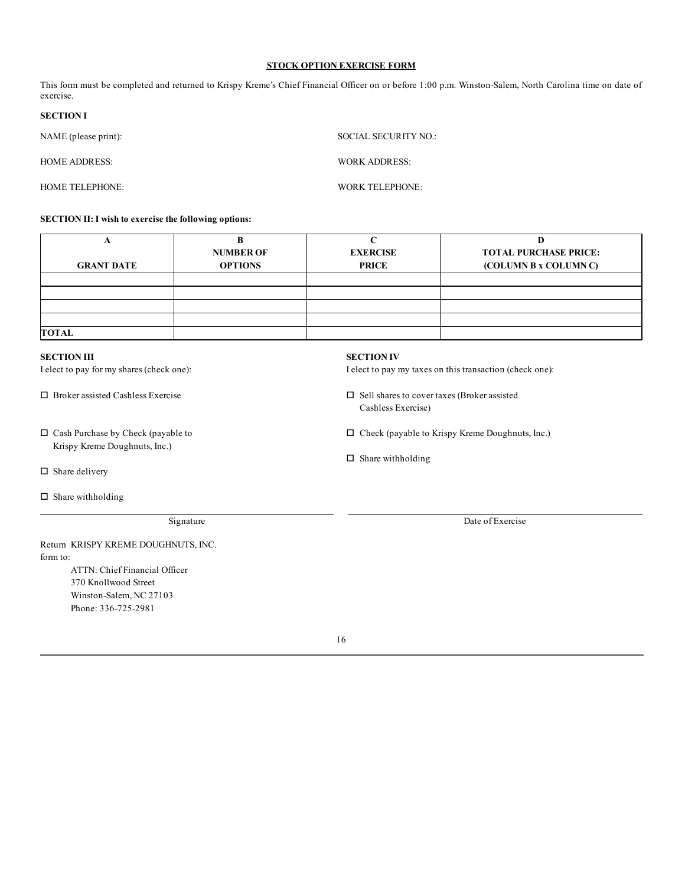# **STOCK OPTION EXERCISE FORM**

This form must be completed and returned to Krispy Kreme's Chief Financial Officer on or before 1:00 p.m. Winston-Salem, North Carolina time on date of exercise.

# **SECTION I**

| NAME (please print): | SOCIAL SECURITY NO.:   |
|----------------------|------------------------|
| HOME ADDRESS:        | <b>WORK ADDRESS:</b>   |
| HOME TELEPHONE:      | <b>WORK TELEPHONE:</b> |

# **SECTION II: I wish to exercise the following options:**

| A                 |                  |                 |                              |
|-------------------|------------------|-----------------|------------------------------|
|                   | <b>NUMBER OF</b> | <b>EXERCISE</b> | <b>TOTAL PURCHASE PRICE:</b> |
| <b>GRANT DATE</b> | <b>OPTIONS</b>   | <b>PRICE</b>    | (COLUMN B x COLUMN C)        |
|                   |                  |                 |                              |
|                   |                  |                 |                              |
|                   |                  |                 |                              |
|                   |                  |                 |                              |
| <b>TOTAL</b>      |                  |                 |                              |

# **SECTION III SECTION IV**

- $\square$  Cash Purchase by Check (payable to Krispy Kreme Doughnuts, Inc.)
- $\square$  Share delivery
- $\hfill \square$  Share with<br>holding

Return KRISPY KREME DOUGHNUTS, INC. form to:

> ATTN: Chief Financial Officer 370 Knollwood Street Winston-Salem, NC 27103 Phone: 336-725-2981

I elect to pay for my shares (check one): I elect to pay my taxes on this transaction (check one):

- $\Box$  Broker assisted Cashless Exercise  $\Box$  Sell shares to cover taxes (Broker assisted Cashless Exercise)
	- $\Box$  Check (payable to Krispy Kreme Doughnuts, Inc.)
	- $\hfill \square$  Share with<br>holding

Signature Date of Exercise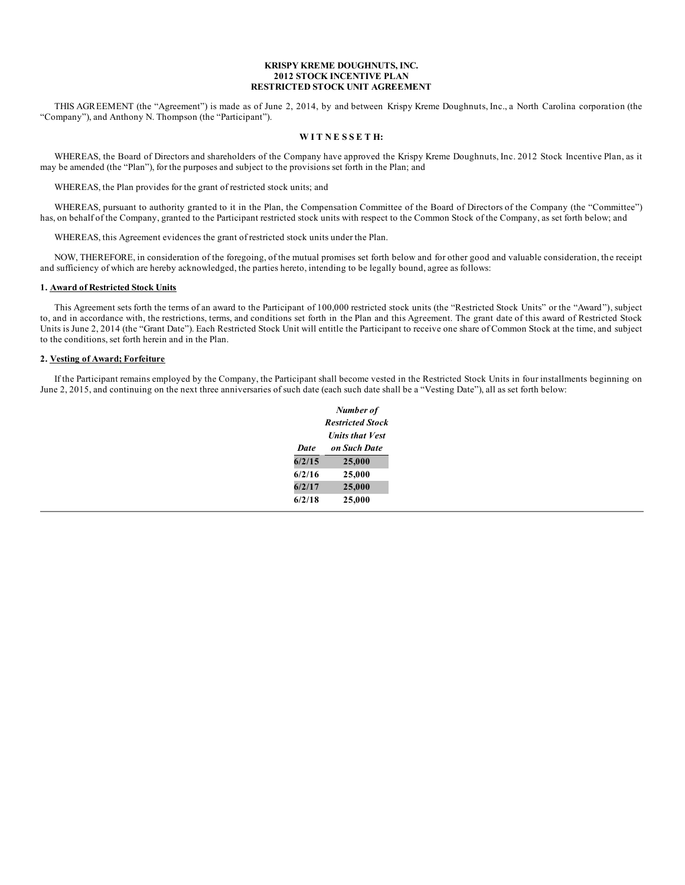## **KRISPY KREME DOUGHNUTS, INC. 2012 STOCK INCENTIVE PLAN RESTRICTED STOCK UNIT AGREEMENT**

THIS AGREEMENT (the "Agreement") is made as of June 2, 2014, by and between Krispy Kreme Doughnuts, Inc., a North Carolina corporation (the "Company"), and Anthony N. Thompson (the "Participant").

# **W I T N E S S E T H:**

WHEREAS, the Board of Directors and shareholders of the Company have approved the Krispy Kreme Doughnuts, Inc. 2012 Stock Incentive Plan, as it may be amended (the "Plan"), for the purposes and subject to the provisions set forth in the Plan; and

WHEREAS, the Plan provides for the grant of restricted stock units; and

WHEREAS, pursuant to authority granted to it in the Plan, the Compensation Committee of the Board of Directors of the Company (the "Committee") has, on behalf of the Company, granted to the Participant restricted stock units with respect to the Common Stock of the Company, as set forth below; and

WHEREAS, this Agreement evidences the grant of restricted stock units under the Plan.

NOW, THEREFORE, in consideration of the foregoing, of the mutual promises set forth below and for other good and valuable consideration, the receipt and sufficiency of which are hereby acknowledged, the parties hereto, intending to be legally bound, agree as follows:

#### **1. Award of Restricted Stock Units**

This Agreement sets forth the terms of an award to the Participant of 100,000 restricted stock units (the "Restricted Stock Units" or the "Award"), subject to, and in accordance with, the restrictions, terms, and conditions set forth in the Plan and this Agreement. The grant date of this award of Restricted Stock Units is June 2, 2014 (the "Grant Date"). Each Restricted Stock Unit will entitle the Participant to receive one share of Common Stock at the time, and subject to the conditions, set forth herein and in the Plan.

#### **2. Vesting of Award; Forfeiture**

If the Participant remains employed by the Company, the Participant shall become vested in the Restricted Stock Units in four installments beginning on June 2, 2015, and continuing on the next three anniversaries of such date (each such date shall be a "Vesting Date"), all as set forth below:

|        | Number of               |  |  |
|--------|-------------------------|--|--|
|        | <b>Restricted Stock</b> |  |  |
|        | <b>Units that Vest</b>  |  |  |
| Date   | on Such Date            |  |  |
| 6/2/15 | 25,000                  |  |  |
| 6/2/16 | 25,000                  |  |  |
| 6/2/17 | 25,000                  |  |  |
| 6/2/18 | 25,000                  |  |  |
|        |                         |  |  |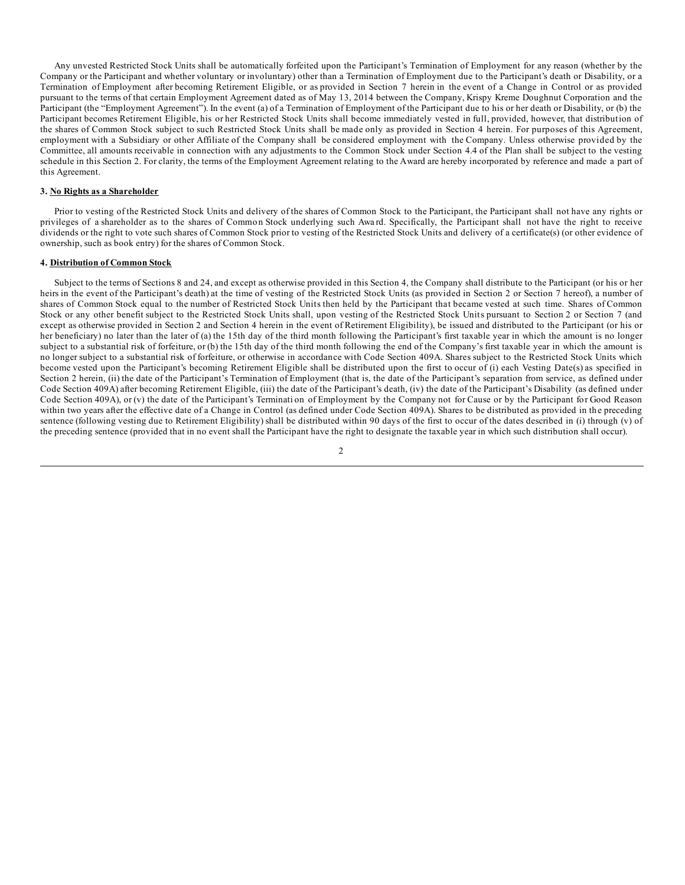Any unvested Restricted Stock Units shall be automatically forfeited upon the Participant's Termination of Employment for any reason (whether by the Company or the Participant and whether voluntary or involuntary) other than a Termination of Employment due to the Participant's death or Disability, or a Termination of Employment after becoming Retirement Eligible, or as provided in Section 7 herein in the event of a Change in Control or as provided pursuant to the terms of that certain Employment Agreement dated as of May 13, 2014 between the Company, Krispy Kreme Doughnut Corporation and the Participant (the "Employment Agreement"). In the event (a) of a Termination of Employment of the Participant due to his or her death or Disability, or (b) the Participant becomes Retirement Eligible, his or her Restricted Stock Units shall become immediately vested in full, provided, however, that distribution of the shares of Common Stock subject to such Restricted Stock Units shall be made only as provided in Section 4 herein. For purposes of this Agreement, employment with a Subsidiary or other Affiliate of the Company shall be considered employment with the Company. Unless otherwise provided by the Committee, all amounts receivable in connection with any adjustments to the Common Stock under Section 4.4 of the Plan shall be subject to the vesting schedule in this Section 2. For clarity, the terms of the Employment Agreement relating to the Award are hereby incorporated by reference and made a part of this Agreement.

# **3. No Rights as a Shareholder**

Prior to vesting of the Restricted Stock Units and delivery of the shares of Common Stock to the Participant, the Participant shall not have any rights or privileges of a shareholder as to the shares of Common Stock underlying such Awa rd. Specifically, the Participant shall not have the right to receive dividends or the right to vote such shares of Common Stock prior to vesting of the Restricted Stock Units and delivery of a certificate(s) (or other evidence of ownership, such as book entry) for the shares of Common Stock.

## **4. Distribution of Common Stock**

Subject to the terms of Sections 8 and 24, and except as otherwise provided in this Section 4, the Company shall distribute to the Participant (or his or her heirs in the event of the Participant's death) at the time of vesting of the Restricted Stock Units (as provided in Section 2 or Section 7 hereof), a number of shares of Common Stock equal to the number of Restricted Stock Units then held by the Participant that became vested at such time. Shares of Common Stock or any other benefit subject to the Restricted Stock Units shall, upon vesting of the Restricted Stock Units pursuant to Section 2 or Section 7 (and except as otherwise provided in Section 2 and Section 4 herein in the event of Retirement Eligibility), be issued and distributed to the Participant (or his or her beneficiary) no later than the later of (a) the 15th day of the third month following the Participant's first taxable year in which the amount is no longer subject to a substantial risk of forfeiture, or (b) the 15th day of the third month following the end of the Company's first taxable year in which the amount is no longer subject to a substantial risk of forfeiture, or otherwise in accordance with Code Section 409A. Shares subject to the Restricted Stock Units which become vested upon the Participant's becoming Retirement Eligible shall be distributed upon the first to occur of (i) each Vesting Date(s) as specified in Section 2 herein, (ii) the date of the Participant's Termination of Employment (that is, the date of the Participant's separation from service, as defined under Code Section 409A) after becoming Retirement Eligible, (iii) the date of the Participant's death, (iv) the date of the Participant's Disability (as defined under Code Section 409A), or (v) the date of the Participant's Terminati on of Employment by the Company not for Cause or by the Participant for Good Reason within two years after the effective date of a Change in Control (as defined under Code Section 409A). Shares to be distributed as provided in the preceding sentence (following vesting due to Retirement Eligibility) shall be distributed within 90 days of the first to occur of the dates described in (i) through (v) of the preceding sentence (provided that in no event shall the Participant have the right to designate the taxable year in which such distribution shall occur).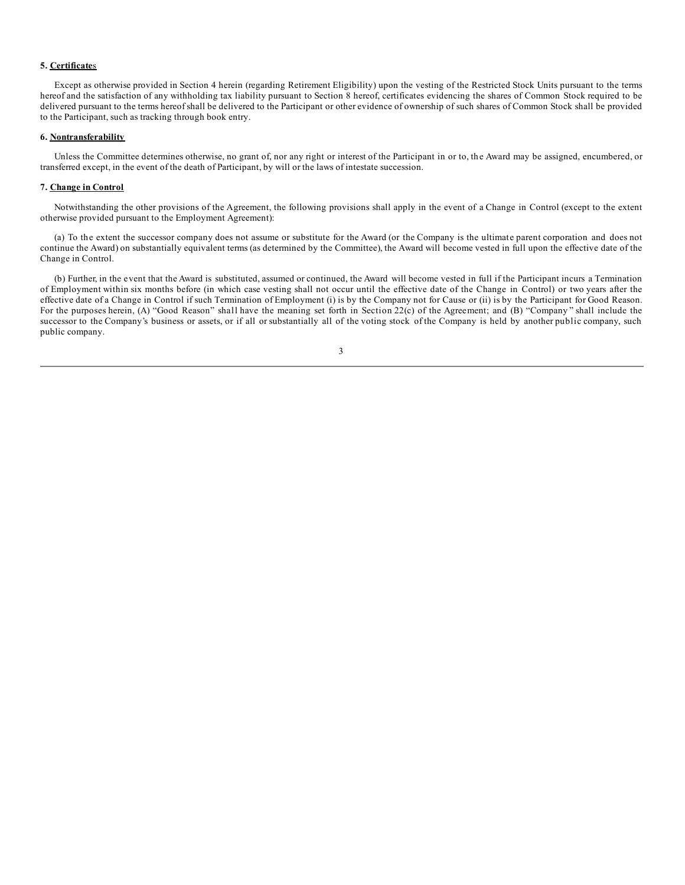# **5. Certificate**s

Except as otherwise provided in Section 4 herein (regarding Retirement Eligibility) upon the vesting of the Restricted Stock Units pursuant to the terms hereof and the satisfaction of any withholding tax liability pursuant to Section 8 hereof, certificates evidencing the shares of Common Stock required to be delivered pursuant to the terms hereof shall be delivered to the Participant or other evidence of ownership of such shares of Common Stock shall be provided to the Participant, such as tracking through book entry.

### **6. Nontransferability**

Unless the Committee determines otherwise, no grant of, nor any right or interest of the Participant in or to, the Award may be assigned, encumbered, or transferred except, in the event of the death of Participant, by will or the laws of intestate succession.

#### **7. Change in Control**

Notwithstanding the other provisions of the Agreement, the following provisions shall apply in the event of a Change in Control (except to the extent otherwise provided pursuant to the Employment Agreement):

(a) To the extent the successor company does not assume or substitute for the Award (or the Company is the ultimate parent corporation and does not continue the Award) on substantially equivalent terms (as determined by the Committee), the Award will become vested in full upon the effective date of the Change in Control.

(b) Further, in the event that the Award is substituted, assumed or continued, the Award will become vested in full if the Participant incurs a Termination of Employment within six months before (in which case vesting shall not occur until the effective date of the Change in Control) or two years after the effective date of a Change in Control if such Termination of Employment (i) is by the Company not for Cause or (ii) is by the Participant for Good Reason. For the purposes herein, (A) "Good Reason" shall have the meaning set forth in Section 22(c) of the Agreement; and (B) "Company" shall include the successor to the Company's business or assets, or if all or substantially all of the voting stock of the Company is held by another public company, such public company.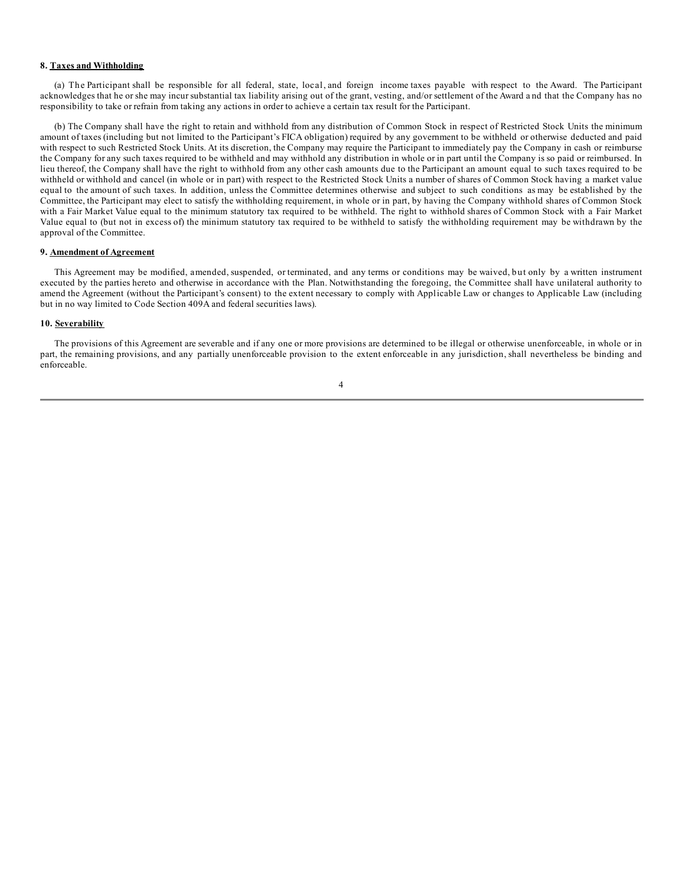## **8. Taxes and Withholding**

(a) The Participant shall be responsible for all federal, state, local, and foreign income taxes payable with respect to the Award. The Participant acknowledges that he or she may incur substantial tax liability arising out of the grant, vesting, and/or settlement of the Award a nd that the Company has no responsibility to take or refrain from taking any actions in order to achieve a certain tax result for the Participant.

(b) The Company shall have the right to retain and withhold from any distribution of Common Stock in respect of Restricted Stock Units the minimum amount of taxes (including but not limited to the Participant's FICA obligation) required by any government to be withheld or otherwise deducted and paid with respect to such Restricted Stock Units. At its discretion, the Company may require the Participant to immediately pay the Company in cash or reimburse the Company for any such taxes required to be withheld and may withhold any distribution in whole or in part until the Company is so paid or reimbursed. In lieu thereof, the Company shall have the right to withhold from any other cash amounts due to the Participant an amount equal to such taxes required to be withheld or withhold and cancel (in whole or in part) with respect to the Restricted Stock Units a number of shares of Common Stock having a market value equal to the amount of such taxes. In addition, unless the Committee determines otherwise and subject to such conditions as may be established by the Committee, the Participant may elect to satisfy the withholding requirement, in whole or in part, by having the Company withhold shares of Common Stock with a Fair Market Value equal to the minimum statutory tax required to be withheld. The right to withhold shares of Common Stock with a Fair Market Value equal to (but not in excess of) the minimum statutory tax required to be withheld to satisfy the withholding requirement may be withdrawn by the approval of the Committee.

#### **9. Amendment of Agreement**

This Agreement may be modified, amended, suspended, or terminated, and any terms or conditions may be waived, but only by a written instrument executed by the parties hereto and otherwise in accordance with the Plan. Notwithstanding the foregoing, the Committee shall have unilateral authority to amend the Agreement (without the Participant's consent) to the extent necessary to comply with Applicable Law or changes to Applicable Law (including but in no way limited to Code Section 409A and federal securities laws).

## **10. Severability**

The provisions of this Agreement are severable and if any one or more provisions are determined to be illegal or otherwise unenforceable, in whole or in part, the remaining provisions, and any partially unenforceable provision to the extent enforceable in any jurisdiction, shall nevertheless be binding and enforceable.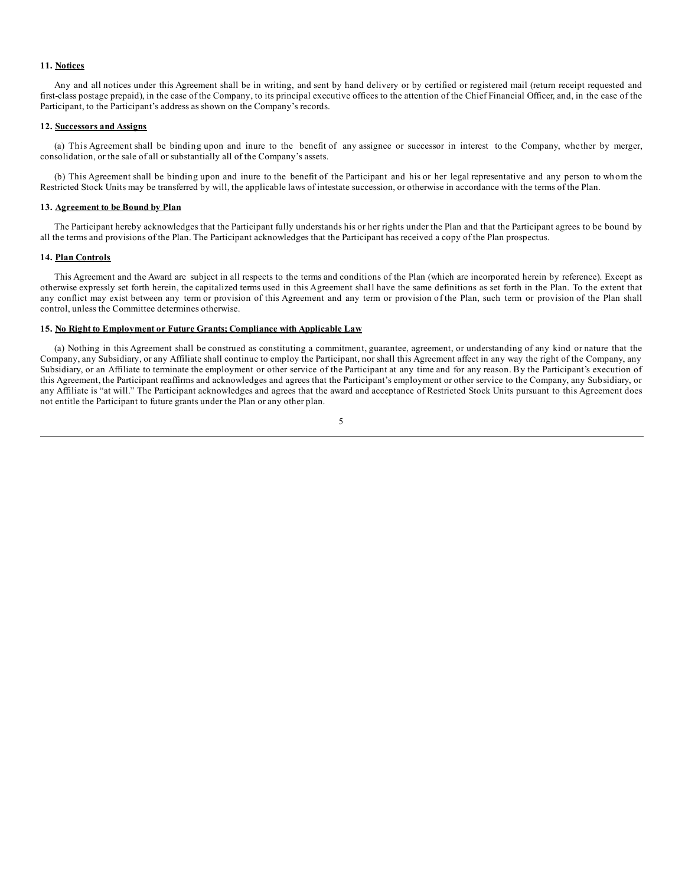### **11. Notices**

Any and all notices under this Agreement shall be in writing, and sent by hand delivery or by certified or registered mail (return receipt requested and first-class postage prepaid), in the case of the Company, to its principal executive offices to the attention of the Chief Financial Officer, and, in the case of the Participant, to the Participant's address as shown on the Company's records.

#### **12. Successors and Assigns**

(a) This Agreement shall be binding upon and inure to the benefit of any assignee or successor in interest to the Company, whether by merger, consolidation, or the sale of all or substantially all of the Company's assets.

(b) This Agreement shall be binding upon and inure to the benefit of the Participant and his or her legal representative and any person to whom the Restricted Stock Units may be transferred by will, the applicable laws of intestate succession, or otherwise in accordance with the terms of the Plan.

# **13. Agreement to be Bound by Plan**

The Participant hereby acknowledges that the Participant fully understands his or her rights under the Plan and that the Participant agrees to be bound by all the terms and provisions of the Plan. The Participant acknowledges that the Participant has received a copy of the Plan prospectus.

#### **14. Plan Controls**

This Agreement and the Award are subject in all respects to the terms and conditions of the Plan (which are incorporated herein by reference). Except as otherwise expressly set forth herein, the capitalized terms used in this Agreement shall have the same definitions as set forth in the Plan. To the extent that any conflict may exist between any term or provision of this Agreement and any term or provision of the Plan, such term or provision of the Plan shall control, unless the Committee determines otherwise.

#### **15. No Right to Employment or Future Grants; Compliance with Applicable Law**

(a) Nothing in this Agreement shall be construed as constituting a commitment, guarantee, agreement, or understanding of any kind or nature that the Company, any Subsidiary, or any Affiliate shall continue to employ the Participant, nor shall this Agreement affect in any way the right of the Company, any Subsidiary, or an Affiliate to terminate the employment or other service of the Participant at any time and for any reason. By the Participant's execution of this Agreement, the Participant reaffirms and acknowledges and agrees that the Participant's employment or other service to the Company, any Subsidiary, or any Affiliate is "at will." The Participant acknowledges and agrees that the award and acceptance of Restricted Stock Units pursuant to this Agreement does not entitle the Participant to future grants under the Plan or any other plan.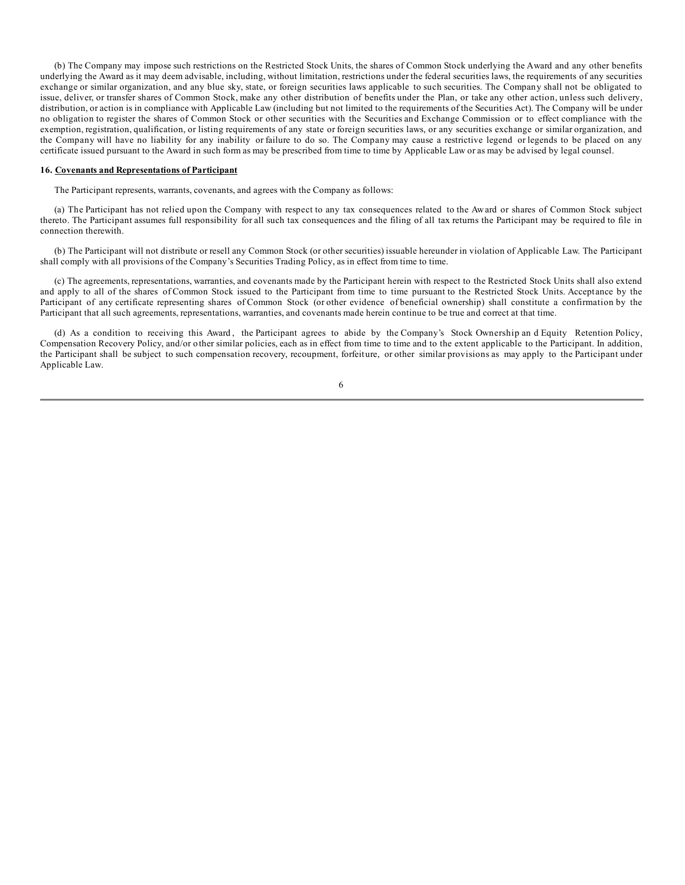(b) The Company may impose such restrictions on the Restricted Stock Units, the shares of Common Stock underlying the Award and any other benefits underlying the Award as it may deem advisable, including, without limitation, restrictions under the federal securities laws, the requirements of any securities exchange or similar organization, and any blue sky, state, or foreign securities laws applicable to such securities. The Company shall not be obligated to issue, deliver, or transfer shares of Common Stock, make any other distribution of benefits under the Plan, or take any other action, unless such delivery, distribution, or action is in compliance with Applicable Law (including but not limited to the requirements of the Securities Act). The Company will be under no obligation to register the shares of Common Stock or other securities with the Securities and Exchange Commission or to effect compliance with the exemption, registration, qualification, or listing requirements of any state or foreign securities laws, or any securities exchange or similar organization, and the Company will have no liability for any inability or failure to do so. The Company may cause a restrictive legend or legends to be placed on any certificate issued pursuant to the Award in such form as may be prescribed from time to time by Applicable Law or as may be advised by legal counsel.

## **16. Covenants and Representations of Participant**

The Participant represents, warrants, covenants, and agrees with the Company as follows:

(a) The Participant has not relied upon the Company with respect to any tax consequences related to the Award or shares of Common Stock subject thereto. The Participant assumes full responsibility for all such tax consequences and the filing of all tax returns the Participant may be required to file in connection therewith.

(b) The Participant will not distribute or resell any Common Stock (or other securities) issuable hereunder in violation of Applicable Law. The Participant shall comply with all provisions of the Company's Securities Trading Policy, as in effect from time to time.

(c) The agreements, representations, warranties, and covenants made by the Participant herein with respect to the Restricted Stock Units shall also extend and apply to all of the shares of Common Stock issued to the Participant from time to time pursuant to the Restricted Stock Units. Acceptance by the Participant of any certificate representing shares of Common Stock (or other evidence of beneficial ownership) shall constitute a confirmation by the Participant that all such agreements, representations, warranties, and covenants made herein continue to be true and correct at that time.

(d) As a condition to receiving this Award , the Participant agrees to abide by the Company's Stock Ownership an d Equity Retention Policy, Compensation Recovery Policy, and/or other similar policies, each as in effect from time to time and to the extent applicable to the Participant. In addition, the Participant shall be subject to such compensation recovery, recoupment, forfeiture, or other similar provisions as may apply to the Participant under Applicable Law.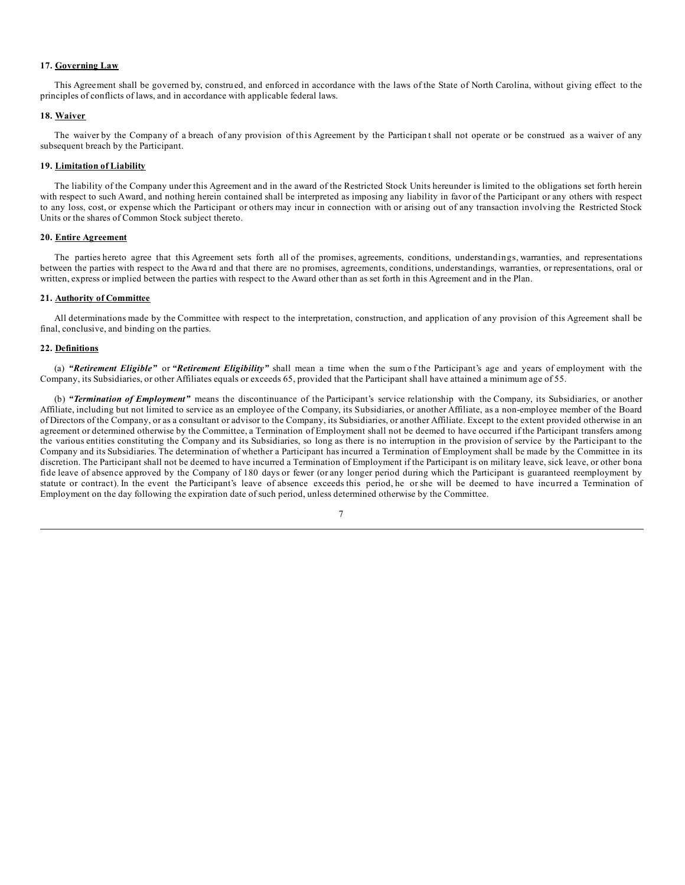## **17. Governing Law**

This Agreement shall be governed by, construed, and enforced in accordance with the laws of the State of North Carolina, without giving effect to the principles of conflicts of laws, and in accordance with applicable federal laws.

## **18. Waiver**

The waiver by the Company of a breach of any provision of this Agreement by the Participan t shall not operate or be construed as a waiver of any subsequent breach by the Participant.

### **19. Limitation of Liability**

The liability of the Company under this Agreement and in the award of the Restricted Stock Units hereunder is limited to the obligations set forth herein with respect to such Award, and nothing herein contained shall be interpreted as imposing any liability in favor of the Participant or any others with respect to any loss, cost, or expense which the Participant or others may incur in connection with or arising out of any transaction involving the Restricted Stock Units or the shares of Common Stock subject thereto.

#### **20. Entire Agreement**

The parties hereto agree that this Agreement sets forth all of the promises, agreements, conditions, understandings, warranties, and representations between the parties with respect to the Awa rd and that there are no promises, agreements, conditions, understandings, warranties, or representations, oral or written, express or implied between the parties with respect to the Award other than as set forth in this Agreement and in the Plan.

#### **21. Authority of Committee**

All determinations made by the Committee with respect to the interpretation, construction, and application of any provision of this Agreement shall be final, conclusive, and binding on the parties.

#### **22. Definitions**

(a) *"Retirement Eligible"* or *"Retirement Eligibility"* shall mean a time when the sum o f the Participant's age and years of employment with the Company, its Subsidiaries, or other Affiliates equals or exceeds 65, provided that the Participant shall have attained a minimum age of 55.

(b) *"Termination of Employment"* means the discontinuance of the Participant's service relationship with the Company, its Subsidiaries, or another Affiliate, including but not limited to service as an employee of the Company, its Subsidiaries, or another Affiliate, as a non-employee member of the Board of Directors of the Company, or as a consultant or advisor to the Company, its Subsidiaries, or another Affiliate. Except to the extent provided otherwise in an agreement or determined otherwise by the Committee, a Termination of Employment shall not be deemed to have occurred if the Participant transfers among the various entities constituting the Company and its Subsidiaries, so long as there is no interruption in the provision of service by the Participant to the Company and its Subsidiaries. The determination of whether a Participant has incurred a Termination of Employment shall be made by the Committee in its discretion. The Participant shall not be deemed to have incurred a Termination of Employment if the Participant is on military leave, sick leave, or other bona fide leave of absence approved by the Company of 180 days or fewer (or any longer period during which the Participant is guaranteed reemployment by statute or contract). In the event the Participant's leave of absence exceeds this period, he or she will be deemed to have incurred a Termination of Employment on the day following the expiration date of such period, unless determined otherwise by the Committee.

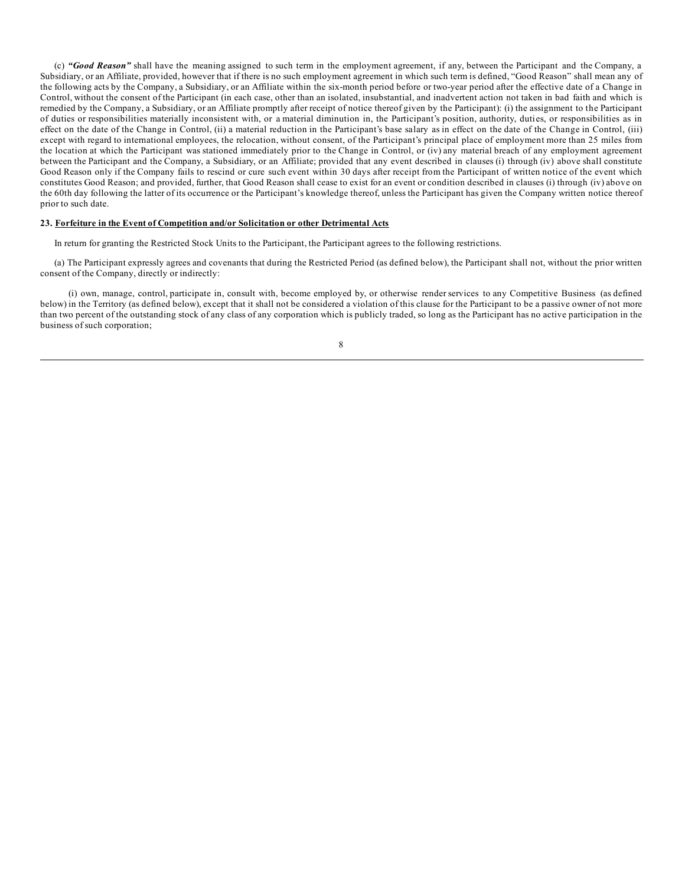(c) *"Good Reason"* shall have the meaning assigned to such term in the employment agreement, if any, between the Participant and the Company, a Subsidiary, or an Affiliate, provided, however that if there is no such employment agreement in which such term is defined, "Good Reason" shall mean any of the following acts by the Company, a Subsidiary, or an Affiliate within the six-month period before or two-year period after the effective date of a Change in Control, without the consent of the Participant (in each case, other than an isolated, insubstantial, and inadvertent action not taken in bad faith and which is remedied by the Company, a Subsidiary, or an Affiliate promptly after receipt of notice thereof given by the Participant): (i) the assignment to the Participant of duties or responsibilities materially inconsistent with, or a material diminution in, the Participant's position, authority, duties, or responsibilities as in effect on the date of the Change in Control, (ii) a material reduction in the Participant's base salary as in effect on the date of the Change in Control, (iii) except with regard to international employees, the relocation, without consent, of the Participant's principal place of employment more than 25 miles from the location at which the Participant was stationed immediately prior to the Change in Control, or (iv) any material breach of any employment agreement between the Participant and the Company, a Subsidiary, or an Affiliate; provided that any event described in clauses (i) through (iv) above shall constitute Good Reason only if the Company fails to rescind or cure such event within 30 days after receipt from the Participant of written notice of the event which constitutes Good Reason; and provided, further, that Good Reason shall cease to exist for an event or condition described in clauses (i) through (iv) above on the 60th day following the latter of its occurrence or the Participant's knowledge thereof, unless the Participant has given the Company written notice thereof prior to such date.

#### **23. Forfeiture in the Event of Competition and/or Solicitation or other Detrimental Acts**

In return for granting the Restricted Stock Units to the Participant, the Participant agrees to the following restrictions.

(a) The Participant expressly agrees and covenants that during the Restricted Period (as defined below), the Participant shall not, without the prior written consent of the Company, directly or indirectly:

(i) own, manage, control, participate in, consult with, become employed by, or otherwise render services to any Competitive Business (as defined below) in the Territory (as defined below), except that it shall not be considered a violation of this clause for the Participant to be a passive owner of not more than two percent of the outstanding stock of any class of any corporation which is publicly traded, so long as the Participant has no active participation in the business of such corporation;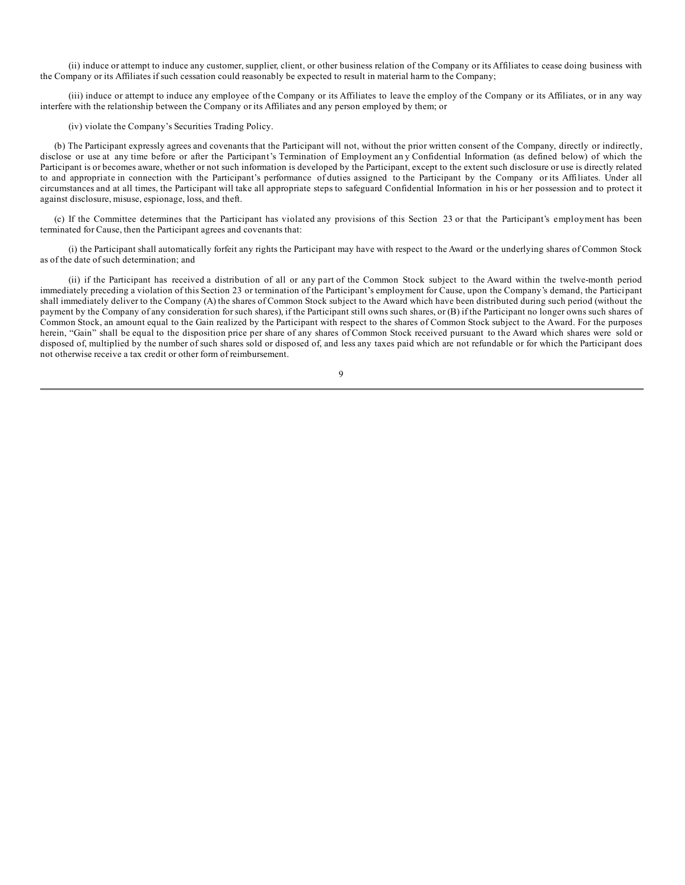(ii) induce or attempt to induce any customer, supplier, client, or other business relation of the Company or its Affiliates to cease doing business with the Company or its Affiliates if such cessation could reasonably be expected to result in material harm to the Company;

(iii) induce or attempt to induce any employee of the Company or its Affiliates to leave the employ of the Company or its Affiliates, or in any way interfere with the relationship between the Company or its Affiliates and any person employed by them; or

(iv) violate the Company's Securities Trading Policy.

(b) The Participant expressly agrees and covenants that the Participant will not, without the prior written consent of the Company, directly or indirectly, disclose or use at any time before or after the Participant's Termination of Employment an y Confidential Information (as defined below) of which the Participant is or becomes aware, whether or not such information is developed by the Participant, except to the extent such disclosure or use is directly related to and appropriate in connection with the Participant's performance of duties assigned to the Participant by the Company or its Affiliates. Under all circumstances and at all times, the Participant will take all appropriate steps to safeguard Confidential Information in his or her possession and to protect it against disclosure, misuse, espionage, loss, and theft.

(c) If the Committee determines that the Participant has violated any provisions of this Section 23 or that the Participant's employment has been terminated for Cause, then the Participant agrees and covenants that:

(i) the Participant shall automatically forfeit any rights the Participant may have with respect to the Award or the underlying shares of Common Stock as of the date of such determination; and

(ii) if the Participant has received a distribution of all or any part of the Common Stock subject to the Award within the twelve-month period immediately preceding a violation of this Section 23 or termination of the Participant's employment for Cause, upon the Company's demand, the Participant shall immediately deliver to the Company (A) the shares of Common Stock subject to the Award which have been distributed during such period (without the payment by the Company of any consideration for such shares), if the Participant still owns such shares, or (B) if the Participant no longer owns such shares of Common Stock, an amount equal to the Gain realized by the Participant with respect to the shares of Common Stock subject to the Award. For the purposes herein, "Gain" shall be equal to the disposition price per share of any shares of Common Stock received pursuant to the Award which shares were sold or disposed of, multiplied by the number of such shares sold or disposed of, and less any taxes paid which are not refundable or for which the Participant does not otherwise receive a tax credit or other form of reimbursement.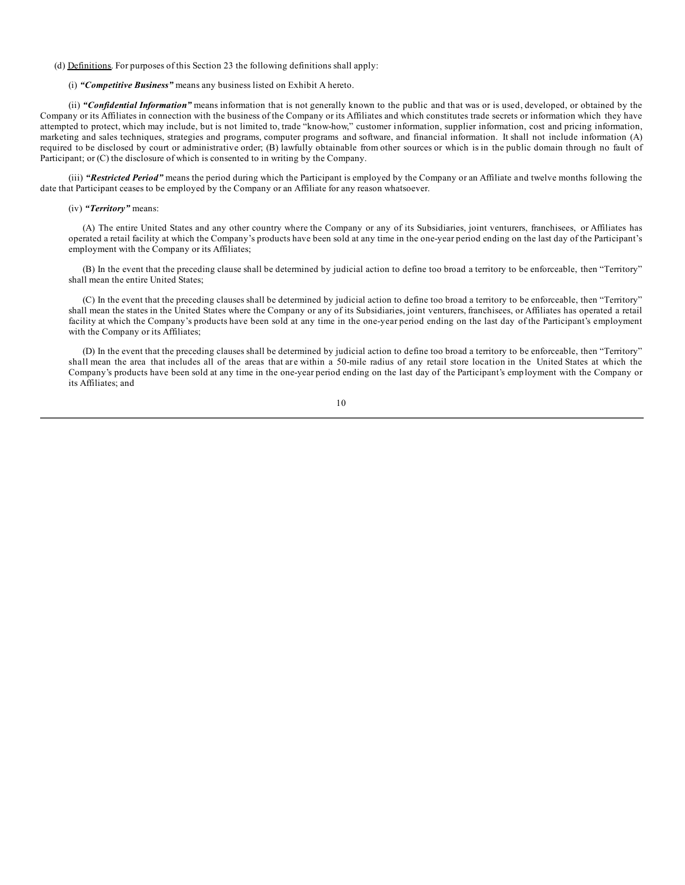(d) Definitions. For purposes of this Section 23 the following definitions shall apply:

(i) *"Competitive Business"* means any business listed on Exhibit A hereto.

(ii) *"Confidential Information"* means information that is not generally known to the public and that was or is used, developed, or obtained by the Company or its Affiliates in connection with the business of the Company or its Affiliates and which constitutes trade secrets or information which they have attempted to protect, which may include, but is not limited to, trade "know-how," customer information, supplier information, cost and pricing information, marketing and sales techniques, strategies and programs, computer programs and software, and financial information. It shall not include information (A) required to be disclosed by court or administrative order; (B) lawfully obtainable from other sources or which is in the public domain through no fault of Participant; or (C) the disclosure of which is consented to in writing by the Company.

(iii) *"Restricted Period"* means the period during which the Participant is employed by the Company or an Affiliate and twelve months following the date that Participant ceases to be employed by the Company or an Affiliate for any reason whatsoever.

## (iv) *"Territory"* means:

(A) The entire United States and any other country where the Company or any of its Subsidiaries, joint venturers, franchisees, or Affiliates has operated a retail facility at which the Company's products have been sold at any time in the one-year period ending on the last day of the Participant's employment with the Company or its Affiliates;

(B) In the event that the preceding clause shall be determined by judicial action to define too broad a territory to be enforceable, then "Territory" shall mean the entire United States;

(C) In the event that the preceding clauses shall be determined by judicial action to define too broad a territory to be enforceable, then "Territory" shall mean the states in the United States where the Company or any of its Subsidiaries, joint venturers, franchisees, or Affiliates has operated a retail facility at which the Company's products have been sold at any time in the one-year period ending on the last day of the Participant's employment with the Company or its Affiliates;

(D) In the event that the preceding clauses shall be determined by judicial action to define too broad a territory to be enforceable, then "Territory" shall mean the area that includes all of the areas that are within a 50-mile radius of any retail store location in the United States at which the Company's products have been sold at any time in the one-year period ending on the last day of the Participant's employment with the Company or its Affiliates; and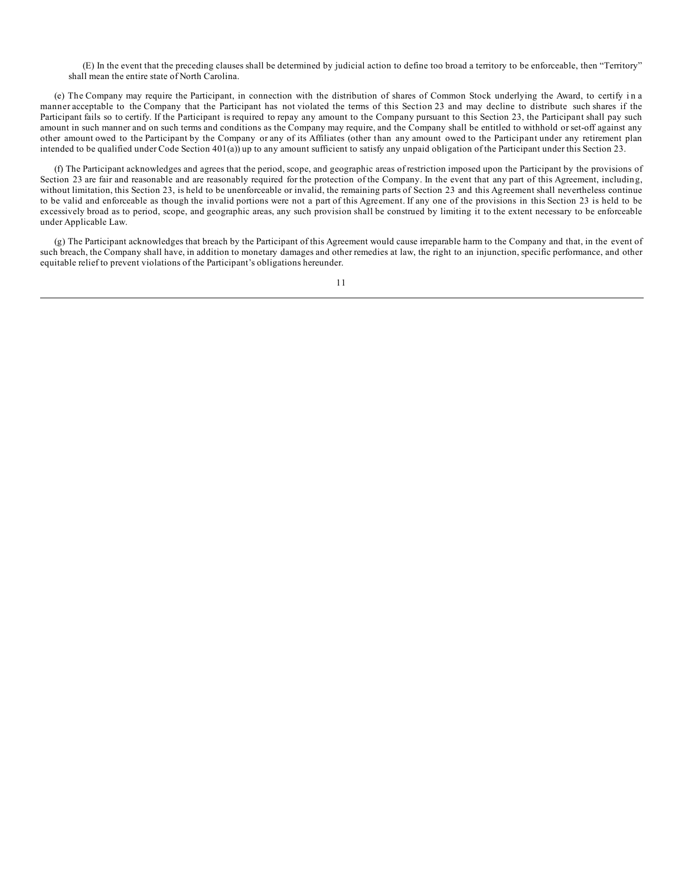(E) In the event that the preceding clauses shall be determined by judicial action to define too broad a territory to be enforceable, then "Territory" shall mean the entire state of North Carolina.

(e) The Company may require the Participant, in connection with the distribution of shares of Common Stock underlying the Award, to certify i n a manner acceptable to the Company that the Participant has not violated the terms of this Section 23 and may decline to distribute such shares if the Participant fails so to certify. If the Participant is required to repay any amount to the Company pursuant to this Section 23, the Participant shall pay such amount in such manner and on such terms and conditions as the Company may require, and the Company shall be entitled to withhold or set-off against any other amount owed to the Participant by the Company or any of its Affiliates (other than any amount owed to the Participant under any retirement plan intended to be qualified under Code Section 401(a)) up to any amount sufficient to satisfy any unpaid obligation of the Participant under this Section 23.

(f) The Participant acknowledges and agrees that the period, scope, and geographic areas of restriction imposed upon the Participant by the provisions of Section 23 are fair and reasonable and are reasonably required for the protection of the Company. In the event that any part of this Agreement, including, without limitation, this Section 23, is held to be unenforceable or invalid, the remaining parts of Section 23 and this Agreement shall nevertheless continue to be valid and enforceable as though the invalid portions were not a part of this Agreement. If any one of the provisions in this Section 23 is held to be excessively broad as to period, scope, and geographic areas, any such provision shall be construed by limiting it to the extent necessary to be enforceable under Applicable Law.

(g) The Participant acknowledges that breach by the Participant of this Agreement would cause irreparable harm to the Company and that, in the event of such breach, the Company shall have, in addition to monetary damages and other remedies at law, the right to an injunction, specific performance, and other equitable relief to prevent violations of the Participant's obligations hereunder.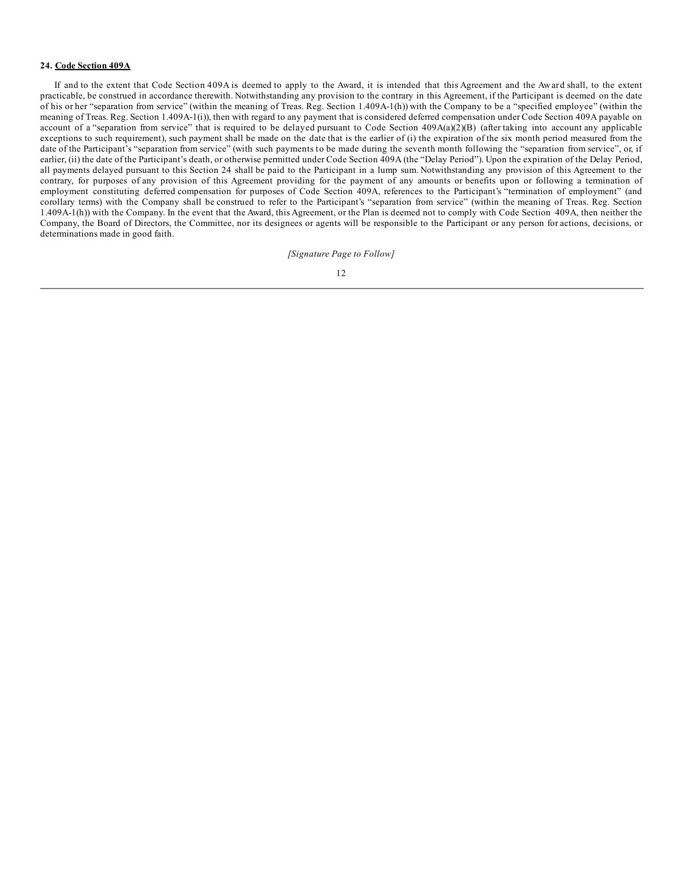## **24. Code Section 409A**

If and to the extent that Code Section 409A is deemed to apply to the Award, it is intended that this Agreement and the Award shall, to the extent practicable, be construed in accordance therewith. Notwithstanding any provision to the contrary in this Agreement, if the Participant is deemed on the date of his or her "separation from service" (within the meaning of Treas. Reg. Section 1.409A-1(h)) with the Company to be a "specified employee" (within the meaning of Treas. Reg. Section 1.409A-1(i)), then with regard to any payment that is considered deferred compensation under Code Section 409A payable on account of a "separation from service" that is required to be delayed pursuant to Code Section  $409A(a)(2)(B)$  (after taking into account any applicable exceptions to such requirement), such payment shall be made on the date that is the earlier of (i) the expiration of the six month period measured from the date of the Participant's "separation from service" (with such payments to be made during the seventh month following the "separation from service", or, if earlier, (ii) the date of the Participant's death, or otherwise permitted under Code Section 409A (the "Delay Period"). Upon the expiration of the Delay Period, all payments delayed pursuant to this Section 24 shall be paid to the Participant in a lump sum. Notwithstanding any provision of this Agreement to the contrary, for purposes of any provision of this Agreement providing for the payment of any amounts or benefits upon or following a termination of employment constituting deferred compensation for purposes of Code Section 409A, references to the Participant's "termination of employment" (and corollary terms) with the Company shall be construed to refer to the Participant's "separation from service" (within the meaning of Treas. Reg. Section 1.409A-1(h)) with the Company. In the event that the Award, this Agreement, or the Plan is deemed not to comply with Code Section 409A, then neither the Company, the Board of Directors, the Committee, nor its designees or agents will be responsible to the Participant or any person for actions, decisions, or determinations made in good faith.

*[Signature Page to Follow]*

$$
12\\
$$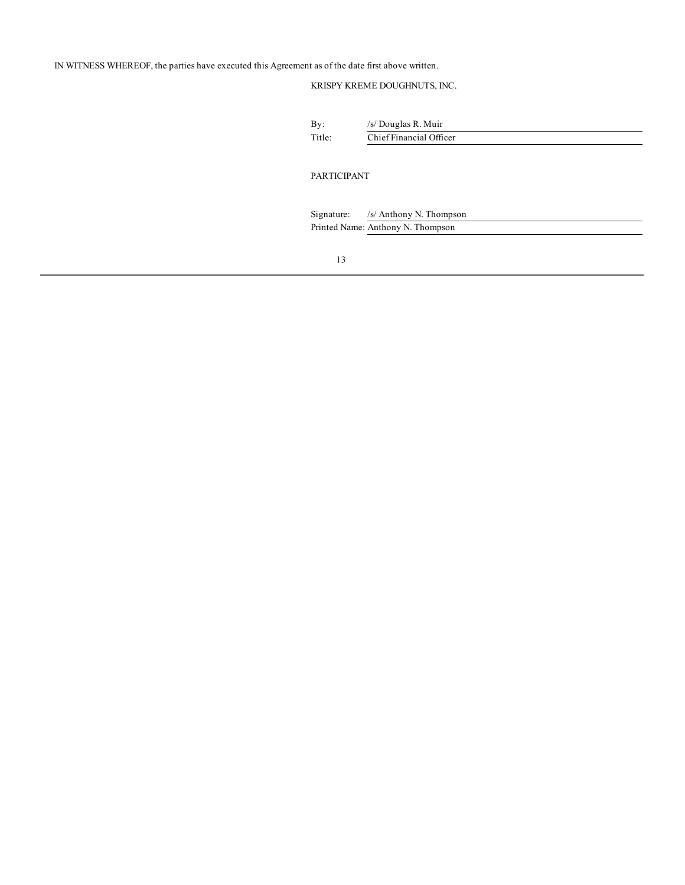IN WITNESS WHEREOF, the parties have executed this Agreement as of the date first above written.

# KRISPY KREME DOUGHNUTS, INC.

| By:    | /s/ Douglas R. Muir     |
|--------|-------------------------|
| Title: | Chief Financial Officer |

# PARTICIPANT

| Signature: | $/s/$ Anthony N. Thompson         |
|------------|-----------------------------------|
|            | Printed Name: Anthony N. Thompson |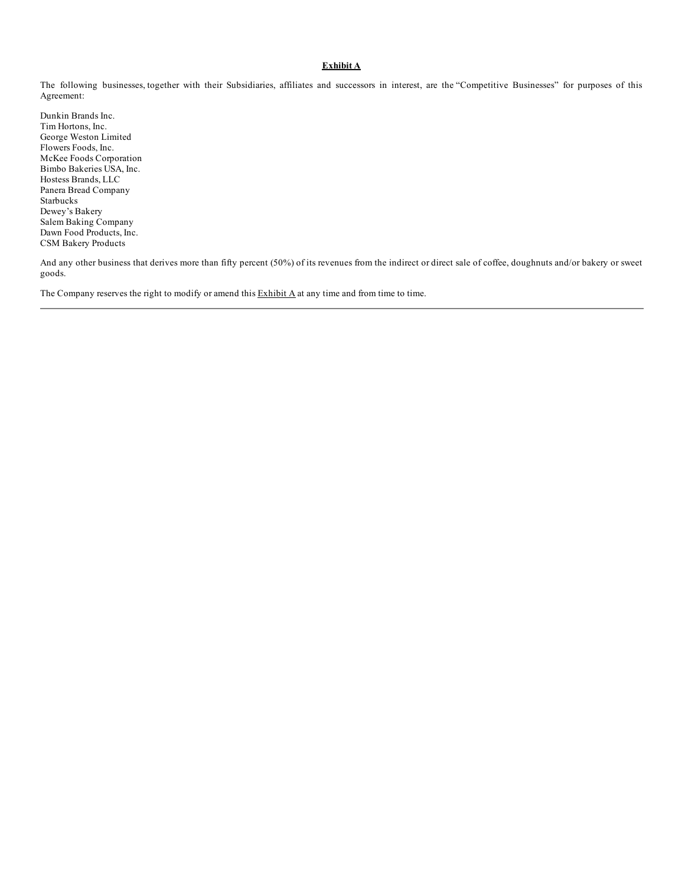# **Exhibit A**

The following businesses, together with their Subsidiaries, affiliates and successors in interest, are the "Competitive Businesses" for purposes of this Agreement:

Dunkin Brands Inc. Tim Hortons, Inc. George Weston Limited Flowers Foods, Inc. McKee Foods Corporation Bimbo Bakeries USA, Inc. Hostess Brands, LLC Panera Bread Company Starbucks Dewey's Bakery Salem Baking Company Dawn Food Products, Inc. CSM Bakery Products

And any other business that derives more than fifty percent (50%) of its revenues from the indirect or direct sale of coffee, doughnuts and/or bakery or sweet goods.

The Company reserves the right to modify or amend this **Exhibit A** at any time and from time to time.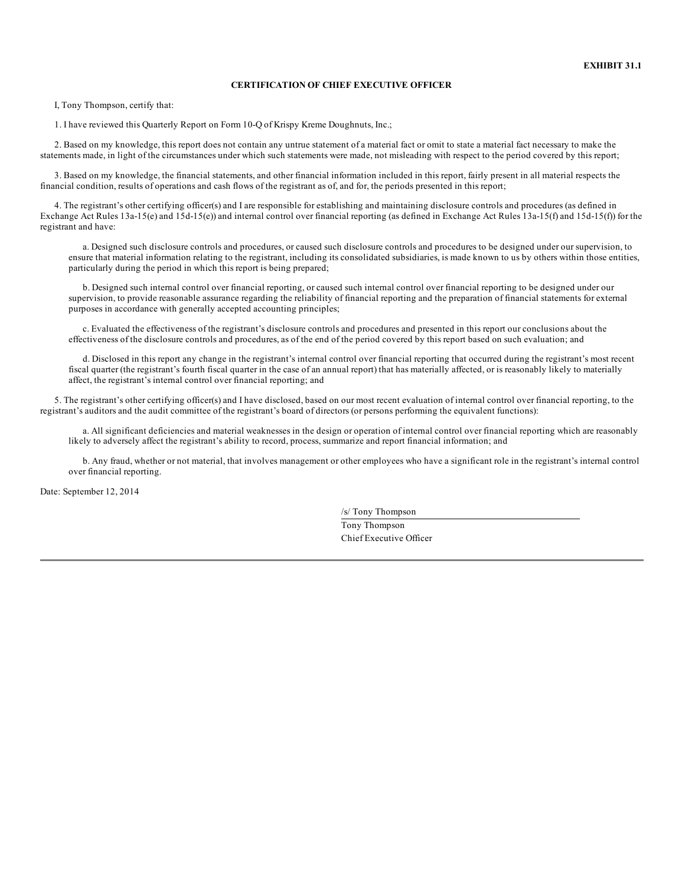## **CERTIFICATION OF CHIEF EXECUTIVE OFFICER**

I, Tony Thompson, certify that:

1. I have reviewed this Quarterly Report on Form 10-Q of Krispy Kreme Doughnuts, Inc.;

2. Based on my knowledge, this report does not contain any untrue statement of a material fact or omit to state a material fact necessary to make the statements made, in light of the circumstances under which such statements were made, not misleading with respect to the period covered by this report;

3. Based on my knowledge, the financial statements, and other financial information included in this report, fairly present in all material respects the financial condition, results of operations and cash flows of the registrant as of, and for, the periods presented in this report;

4. The registrant's other certifying officer(s) and I are responsible for establishing and maintaining disclosure controls and procedures (as defined in Exchange Act Rules 13a-15(e) and 15d-15(e)) and internal control over financial reporting (as defined in Exchange Act Rules 13a-15(f) and 15d-15(f)) for the registrant and have:

a. Designed such disclosure controls and procedures, or caused such disclosure controls and procedures to be designed under our supervision, to ensure that material information relating to the registrant, including its consolidated subsidiaries, is made known to us by others within those entities, particularly during the period in which this report is being prepared;

b. Designed such internal control over financial reporting, or caused such internal control over financial reporting to be designed under our supervision, to provide reasonable assurance regarding the reliability of financial reporting and the preparation of financial statements for external purposes in accordance with generally accepted accounting principles;

c. Evaluated the effectiveness of the registrant's disclosure controls and procedures and presented in this report our conclusions about the effectiveness of the disclosure controls and procedures, as of the end of the period covered by this report based on such evaluation; and

d. Disclosed in this report any change in the registrant's internal control over financial reporting that occurred during the registrant's most recent fiscal quarter (the registrant's fourth fiscal quarter in the case of an annual report) that has materially affected, or is reasonably likely to materially affect, the registrant's internal control over financial reporting; and

5. The registrant's other certifying officer(s) and I have disclosed, based on our most recent evaluation of internal control over financial reporting, to the registrant's auditors and the audit committee of the registrant's board of directors (or persons performing the equivalent functions):

a. All significant deficiencies and material weaknesses in the design or operation of internal control over financial reporting which are reasonably likely to adversely affect the registrant's ability to record, process, summarize and report financial information; and

b. Any fraud, whether or not material, that involves management or other employees who have a significant role in the registrant's internal control over financial reporting.

Date: September 12, 2014

/s/ Tony Thompson Tony Thompson Chief Executive Officer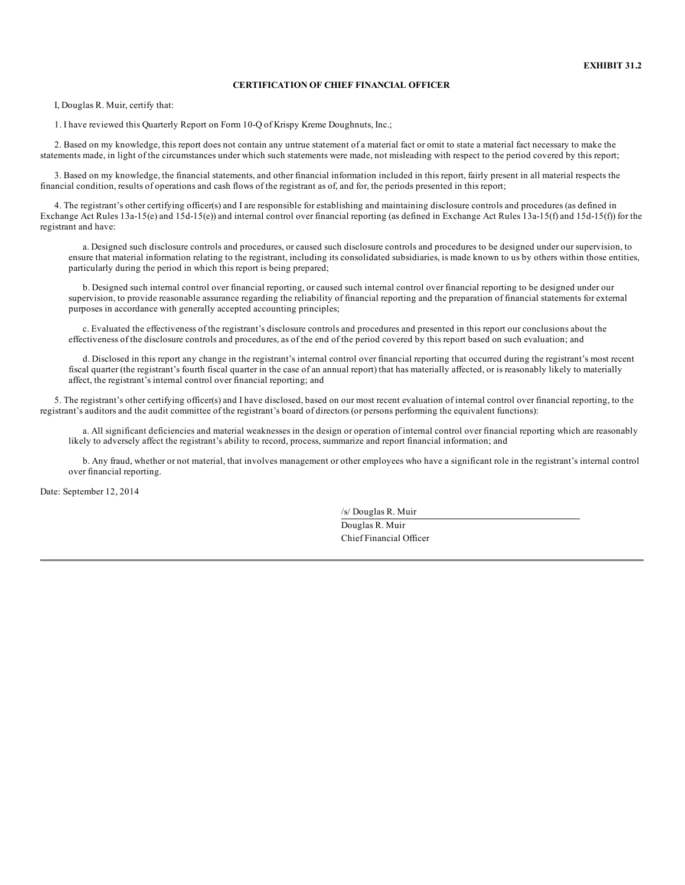## **CERTIFICATION OF CHIEF FINANCIAL OFFICER**

I, Douglas R. Muir, certify that:

1. I have reviewed this Quarterly Report on Form 10-Q of Krispy Kreme Doughnuts, Inc.;

2. Based on my knowledge, this report does not contain any untrue statement of a material fact or omit to state a material fact necessary to make the statements made, in light of the circumstances under which such statements were made, not misleading with respect to the period covered by this report;

3. Based on my knowledge, the financial statements, and other financial information included in this report, fairly present in all material respects the financial condition, results of operations and cash flows of the registrant as of, and for, the periods presented in this report;

4. The registrant's other certifying officer(s) and I are responsible for establishing and maintaining disclosure controls and procedures (as defined in Exchange Act Rules 13a-15(e) and 15d-15(e)) and internal control over financial reporting (as defined in Exchange Act Rules 13a-15(f) and 15d-15(f)) for the registrant and have:

a. Designed such disclosure controls and procedures, or caused such disclosure controls and procedures to be designed under our supervision, to ensure that material information relating to the registrant, including its consolidated subsidiaries, is made known to us by others within those entities, particularly during the period in which this report is being prepared;

b. Designed such internal control over financial reporting, or caused such internal control over financial reporting to be designed under our supervision, to provide reasonable assurance regarding the reliability of financial reporting and the preparation of financial statements for external purposes in accordance with generally accepted accounting principles;

c. Evaluated the effectiveness of the registrant's disclosure controls and procedures and presented in this report our conclusions about the effectiveness of the disclosure controls and procedures, as of the end of the period covered by this report based on such evaluation; and

d. Disclosed in this report any change in the registrant's internal control over financial reporting that occurred during the registrant's most recent fiscal quarter (the registrant's fourth fiscal quarter in the case of an annual report) that has materially affected, or is reasonably likely to materially affect, the registrant's internal control over financial reporting; and

5. The registrant's other certifying officer(s) and I have disclosed, based on our most recent evaluation of internal control over financial reporting, to the registrant's auditors and the audit committee of the registrant's board of directors (or persons performing the equivalent functions):

a. All significant deficiencies and material weaknesses in the design or operation of internal control over financial reporting which are reasonably likely to adversely affect the registrant's ability to record, process, summarize and report financial information; and

b. Any fraud, whether or not material, that involves management or other employees who have a significant role in the registrant's internal control over financial reporting.

Date: September 12, 2014

/s/ Douglas R. Muir Douglas R. Muir Chief Financial Officer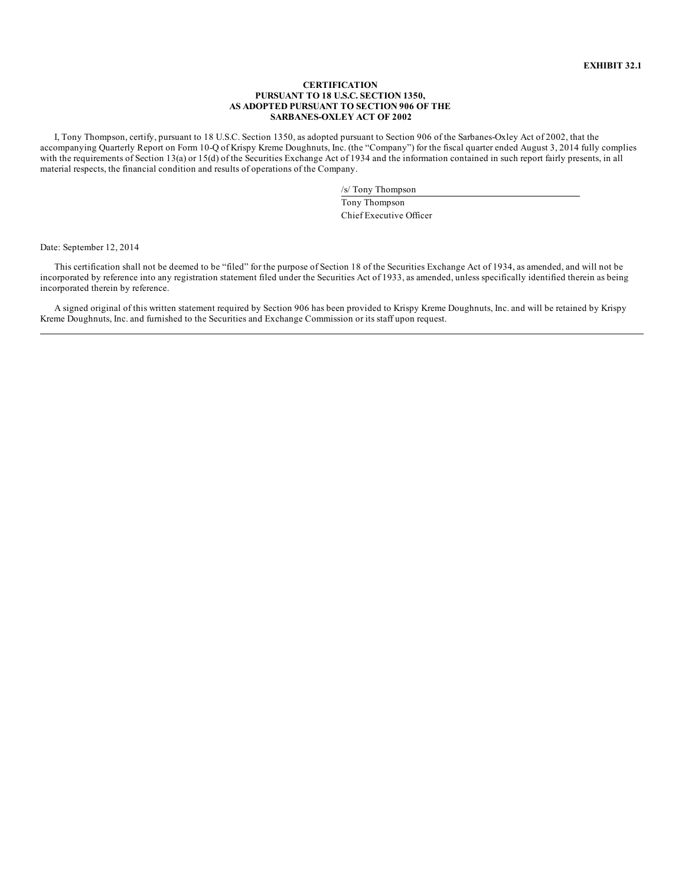## **CERTIFICATION PURSUANT TO 18 U.S.C. SECTION 1350, AS ADOPTED PURSUANT TO SECTION 906 OF THE SARBANES-OXLEY ACT OF 2002**

I, Tony Thompson, certify, pursuant to 18 U.S.C. Section 1350, as adopted pursuant to Section 906 of the Sarbanes-Oxley Act of 2002, that the accompanying Quarterly Report on Form 10-Q of Krispy Kreme Doughnuts, Inc. (the "Company") for the fiscal quarter ended August 3, 2014 fully complies with the requirements of Section 13(a) or 15(d) of the Securities Exchange Act of 1934 and the information contained in such report fairly presents, in all material respects, the financial condition and results of operations of the Company.

/s/ Tony Thompson

Tony Thompson Chief Executive Officer

Date: September 12, 2014

This certification shall not be deemed to be "filed" for the purpose of Section 18 of the Securities Exchange Act of 1934, as amended, and will not be incorporated by reference into any registration statement filed under the Securities Act of 1933, as amended, unless specifically identified therein as being incorporated therein by reference.

A signed original of this written statement required by Section 906 has been provided to Krispy Kreme Doughnuts, Inc. and will be retained by Krispy Kreme Doughnuts, Inc. and furnished to the Securities and Exchange Commission or its staff upon request.